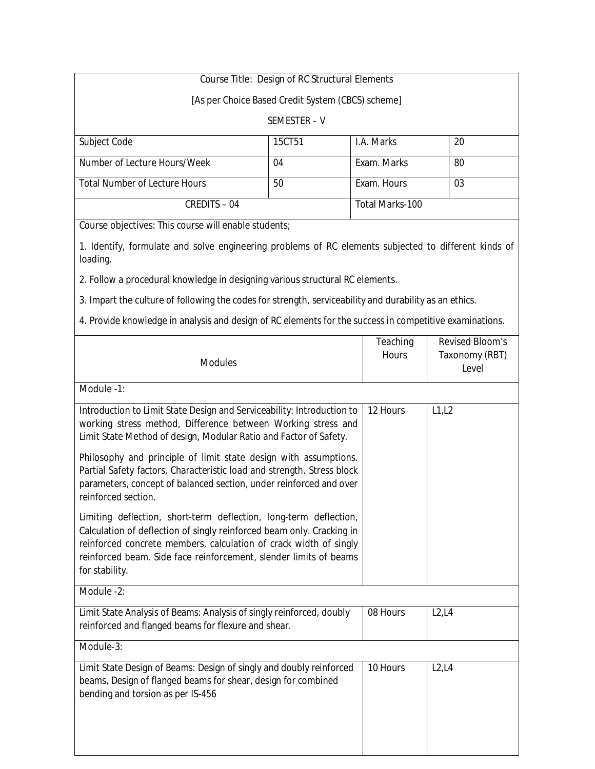# **Course Title: Design of RC Structural Elements**

[As per Choice Based Credit System (CBCS) scheme]

#### SEMESTER – V

| Subject Code                         | <b>15CT51</b> | I.A. Marks      | 20  |
|--------------------------------------|---------------|-----------------|-----|
|                                      |               |                 |     |
| Number of Lecture Hours/Week         | 04            | Exam. Marks     | -80 |
|                                      |               |                 |     |
| <b>Total Number of Lecture Hours</b> | 50            | Exam. Hours     | 03  |
|                                      |               |                 |     |
| <b>CREDITS - 04</b>                  |               | Total Marks-100 |     |
|                                      |               |                 |     |

**Course objectives:** This course will enable students;

1. Identify, formulate and solve engineering problems of RC elements subjected to different kinds of loading.

2. Follow a procedural knowledge in designing various structural RC elements.

3. Impart the culture of following the codes for strength, serviceability and durability as an ethics.

4. Provide knowledge in analysis and design of RC elements for the success in competitive examinations.

|                                                                                                                                                                                                                                                                                                        | <b>Teaching</b> | <b>Revised Bloom's</b>                |
|--------------------------------------------------------------------------------------------------------------------------------------------------------------------------------------------------------------------------------------------------------------------------------------------------------|-----------------|---------------------------------------|
| <b>Modules</b>                                                                                                                                                                                                                                                                                         | <b>Hours</b>    | <b>Taxonomy (RBT)</b><br><b>Level</b> |
| Module -1:                                                                                                                                                                                                                                                                                             |                 |                                       |
| Introduction to Limit State Design and Serviceability: Introduction to<br>working stress method, Difference between Working stress and<br>Limit State Method of design, Modular Ratio and Factor of Safety.                                                                                            | 12 Hours        | L1, L2                                |
| Philosophy and principle of limit state design with assumptions.<br>Partial Safety factors, Characteristic load and strength. Stress block<br>parameters, concept of balanced section, under reinforced and over<br>reinforced section.                                                                |                 |                                       |
| Limiting deflection, short-term deflection, long-term deflection,<br>Calculation of deflection of singly reinforced beam only. Cracking in<br>reinforced concrete members, calculation of crack width of singly<br>reinforced beam. Side face reinforcement, slender limits of beams<br>for stability. |                 |                                       |
| Module -2:                                                                                                                                                                                                                                                                                             |                 |                                       |
| Limit State Analysis of Beams: Analysis of singly reinforced, doubly<br>reinforced and flanged beams for flexure and shear.                                                                                                                                                                            | 08 Hours        | L2, L4                                |
| Module-3:                                                                                                                                                                                                                                                                                              |                 |                                       |
| Limit State Design of Beams: Design of singly and doubly reinforced<br>beams, Design of flanged beams for shear, design for combined<br>bending and torsion as per IS-456                                                                                                                              | 10 Hours        | L2, L4                                |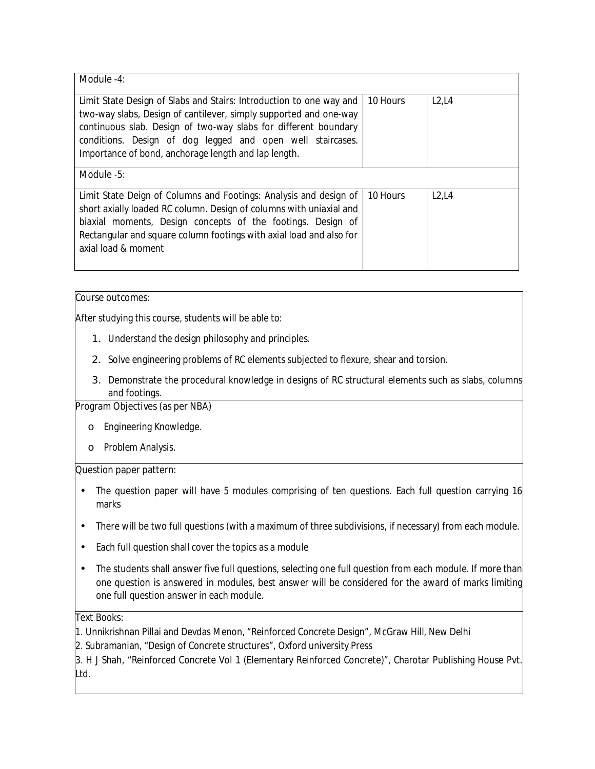| Module -4:                                                                                                                                                                                                                                                                                                                        |          |        |
|-----------------------------------------------------------------------------------------------------------------------------------------------------------------------------------------------------------------------------------------------------------------------------------------------------------------------------------|----------|--------|
| Limit State Design of Slabs and Stairs: Introduction to one way and<br>two-way slabs, Design of cantilever, simply supported and one-way<br>continuous slab. Design of two-way slabs for different boundary<br>conditions. Design of dog legged and open well staircases.<br>Importance of bond, anchorage length and lap length. | 10 Hours | L2, L4 |
| Module -5:                                                                                                                                                                                                                                                                                                                        |          |        |
| Limit State Deign of Columns and Footings: Analysis and design of<br>short axially loaded RC column. Design of columns with uniaxial and<br>biaxial moments, Design concepts of the footings. Design of<br>Rectangular and square column footings with axial load and also for<br>axial load & moment                             | 10 Hours | L2,L4  |

After studying this course, students will be able to:

- 1. Understand the design philosophy and principles.
- 2. Solve engineering problems of RC elements subjected to flexure, shear and torsion.
- 3. Demonstrate the procedural knowledge in designs of RC structural elements such as slabs, columns and footings.

# **Program Objectives (as per NBA)**

- o *Engineering Knowledge.*
- o *Problem Analysis.*

## **Question paper pattern:**

- The question paper will have 5 modules comprising of ten questions. Each full question carrying 16 marks
- There will be two full questions (with a maximum of three subdivisions, if necessary) from each module.
- Each full question shall cover the topics as a module
- The students shall answer five full questions, selecting one full question from each module. If more than one question is answered in modules, best answer will be considered for the award of marks limiting one full question answer in each module.

## **Text Books:** •

- 1. Unnikrishnan Pillai and Devdas Menon, "Reinforced Concrete Design", McGraw Hill, New Delhi
- 2. Subramanian, "Design of Concrete structures", Oxford university Press

3. H J Shah, "Reinforced Concrete Vol 1 (Elementary Reinforced Concrete)", Charotar Publishing House Pvt. Ltd.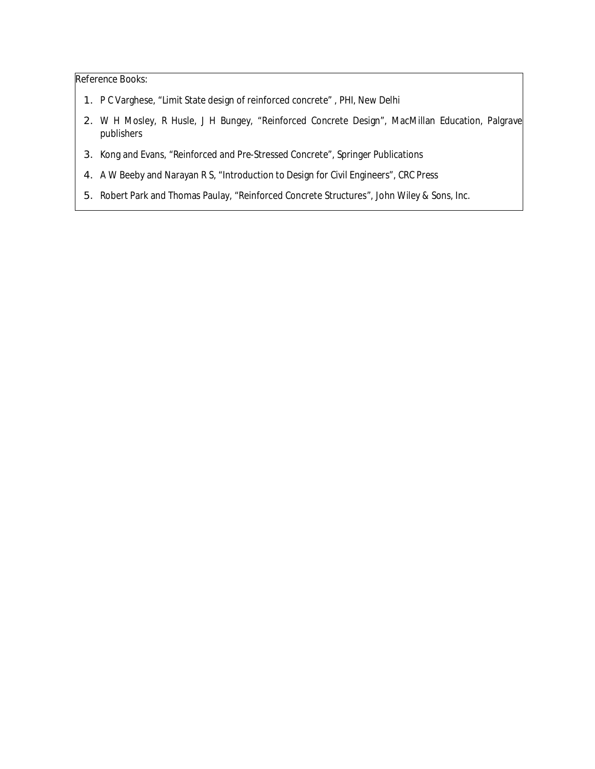- 1. P C Varghese, "Limit State design of reinforced concrete" , PHI, New Delhi
- 2. W H Mosley, R Husle, J H Bungey, "Reinforced Concrete Design", MacMillan Education, Palgrave publishers
- 3. Kong and Evans, "Reinforced and Pre-Stressed Concrete", Springer Publications
- 4. A W Beeby and Narayan R S, "Introduction to Design for Civil Engineers", CRC Press
- 5. Robert Park and Thomas Paulay, "Reinforced Concrete Structures", John Wiley & Sons, Inc.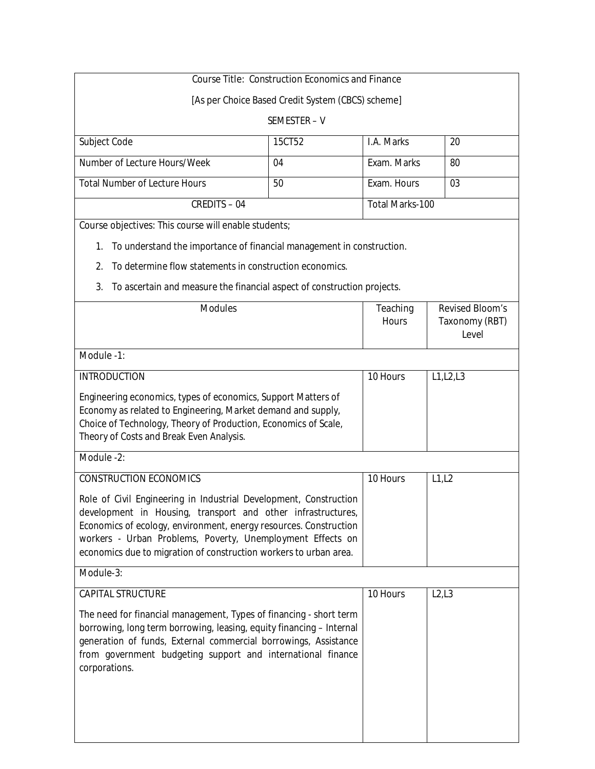|                                                                                                                                 | <b>Course Title: Construction Economics and Finance</b> |                        |                                       |
|---------------------------------------------------------------------------------------------------------------------------------|---------------------------------------------------------|------------------------|---------------------------------------|
|                                                                                                                                 | [As per Choice Based Credit System (CBCS) scheme]       |                        |                                       |
|                                                                                                                                 | SEMESTER-V                                              |                        |                                       |
| Subject Code                                                                                                                    | 15CT52                                                  | I.A. Marks             | 20                                    |
| Number of Lecture Hours/Week                                                                                                    | 04                                                      | Exam. Marks            | 80                                    |
| <b>Total Number of Lecture Hours</b>                                                                                            | 50                                                      | Exam. Hours            | 03                                    |
| <b>CREDITS-04</b>                                                                                                               |                                                         | <b>Total Marks-100</b> |                                       |
| Course objectives: This course will enable students;                                                                            |                                                         |                        |                                       |
| To understand the importance of financial management in construction.<br>1.                                                     |                                                         |                        |                                       |
| To determine flow statements in construction economics.<br>2.                                                                   |                                                         |                        |                                       |
| 3.<br>To ascertain and measure the financial aspect of construction projects.                                                   |                                                         |                        |                                       |
| <b>Modules</b>                                                                                                                  |                                                         | <b>Teaching</b>        | <b>Revised Bloom's</b>                |
|                                                                                                                                 |                                                         | <b>Hours</b>           | <b>Taxonomy (RBT)</b><br><b>Level</b> |
| Module -1:                                                                                                                      |                                                         |                        |                                       |
| <b>INTRODUCTION</b>                                                                                                             |                                                         | 10 Hours               | L1,L2,L3                              |
|                                                                                                                                 |                                                         |                        |                                       |
| Engineering economics, types of economics, Support Matters of<br>Economy as related to Engineering, Market demand and supply,   |                                                         |                        |                                       |
| Choice of Technology, Theory of Production, Economics of Scale,                                                                 |                                                         |                        |                                       |
| Theory of Costs and Break Even Analysis.                                                                                        |                                                         |                        |                                       |
| Module -2:                                                                                                                      |                                                         |                        |                                       |
| <b>CONSTRUCTION ECONOMICS</b>                                                                                                   |                                                         | 10 Hours               | L1, L2                                |
| Role of Civil Engineering in Industrial Development, Construction                                                               |                                                         |                        |                                       |
| development in Housing, transport and other infrastructures,                                                                    |                                                         |                        |                                       |
| Economics of ecology, environment, energy resources. Construction<br>workers - Urban Problems, Poverty, Unemployment Effects on |                                                         |                        |                                       |
| economics due to migration of construction workers to urban area.                                                               |                                                         |                        |                                       |
| Module-3:                                                                                                                       |                                                         |                        |                                       |
| <b>CAPITAL STRUCTURE</b>                                                                                                        |                                                         | 10 Hours               | L2,L3                                 |
| The need for financial management, Types of financing - short term                                                              |                                                         |                        |                                       |
| borrowing, long term borrowing, leasing, equity financing - Internal                                                            |                                                         |                        |                                       |
| generation of funds, External commercial borrowings, Assistance<br>from government budgeting support and international finance  |                                                         |                        |                                       |
| corporations.                                                                                                                   |                                                         |                        |                                       |
|                                                                                                                                 |                                                         |                        |                                       |
|                                                                                                                                 |                                                         |                        |                                       |
|                                                                                                                                 |                                                         |                        |                                       |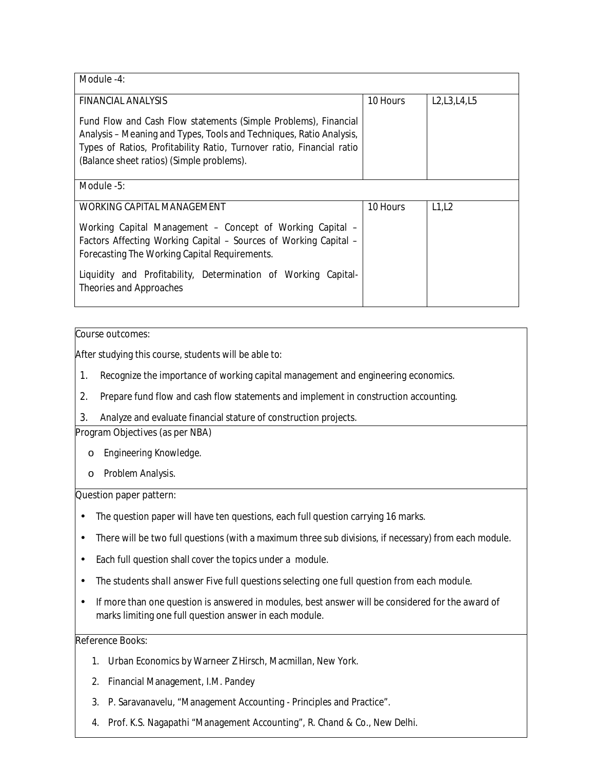| Module -4:                                                                                                                                                                                                                                                   |                 |                |
|--------------------------------------------------------------------------------------------------------------------------------------------------------------------------------------------------------------------------------------------------------------|-----------------|----------------|
| <b>FINANCIAL ANALYSIS</b>                                                                                                                                                                                                                                    | <b>10 Hours</b> | L2, L3, L4, L5 |
| Fund Flow and Cash Flow statements (Simple Problems), Financial<br>Analysis – Meaning and Types, Tools and Techniques, Ratio Analysis,<br>Types of Ratios, Profitability Ratio, Turnover ratio, Financial ratio<br>(Balance sheet ratios) (Simple problems). |                 |                |
| Module -5:                                                                                                                                                                                                                                                   |                 |                |
| <b>WORKING CAPITAL MANAGEMENT</b>                                                                                                                                                                                                                            | 10 Hours        | L1,L2          |
| Working Capital Management - Concept of Working Capital -<br>Factors Affecting Working Capital – Sources of Working Capital –<br>Forecasting The Working Capital Requirements.                                                                               |                 |                |
| Liquidity and Profitability, Determination of Working Capital-<br>Theories and Approaches                                                                                                                                                                    |                 |                |

After studying this course, students will be able to:

- 1. Recognize the importance of working capital management and engineering economics.
- 2. Prepare fund flow and cash flow statements and implement in construction accounting.
- 3. Analyze and evaluate financial stature of construction projects.

## **Program Objectives (as per NBA)**

- o *Engineering Knowledge.*
- o *Problem Analysis.*

#### **Question paper pattern:**

- The question paper will have ten questions, each full question carrying 16 marks.
- There will be two full questions (with a maximum three sub divisions, if necessary) from each module.
- Each full question shall cover the topics under a module.
- *The students shall answer Five full questions selecting one full question from each module.*
- If more than one question is answered in modules, best answer will be considered for the award of marks limiting one full question answer in each module.

- 1. Urban Economics by Warneer Z Hirsch, Macmillan, New York.
- 2. Financial Management, I.M. Pandey
- 3. P. Saravanavelu, "Management Accounting Principles and Practice".
- 4. Prof. K.S. Nagapathi "Management Accounting", R. Chand & Co., New Delhi.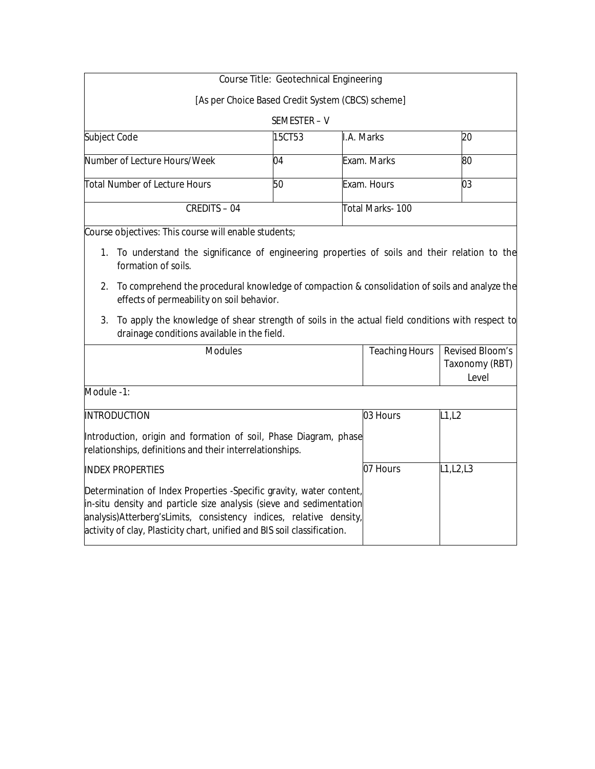|                               | <b>Course Title: Geotechnical Engineering</b> |                                                   |    |
|-------------------------------|-----------------------------------------------|---------------------------------------------------|----|
|                               |                                               | [As per Choice Based Credit System (CBCS) scheme] |    |
|                               | SEMESTER - V                                  |                                                   |    |
| Subject Code                  | 15CT53                                        | I.A. Marks                                        | 20 |
| Number of Lecture Hours/Week  | 04                                            | Exam. Marks                                       | 80 |
| Total Number of Lecture Hours | 50                                            | Exam. Hours                                       | 03 |
| <b>CREDITS - 04</b>           |                                               | Total Marks- 100                                  |    |

**Course objectives:** This course will enable students;

- 1. To understand the significance of engineering properties of soils and their relation to the formation of soils.
- 2. To comprehend the procedural knowledge of compaction & consolidation of soils and analyze the effects of permeability on soil behavior.
- 3. To apply the knowledge of shear strength of soils in the actual field conditions with respect to drainage conditions available in the field.

| <b>Modules</b>                                                                                                                                                                                                                                                                               | <b>Teaching Hours</b> | <b>Revised Bloom's</b><br><b>Taxonomy (RBT)</b><br>Level |
|----------------------------------------------------------------------------------------------------------------------------------------------------------------------------------------------------------------------------------------------------------------------------------------------|-----------------------|----------------------------------------------------------|
| Module -1:                                                                                                                                                                                                                                                                                   |                       |                                                          |
| <b>INTRODUCTION</b>                                                                                                                                                                                                                                                                          | 03 Hours              | L1, L2                                                   |
| Introduction, origin and formation of soil, Phase Diagram, phase<br>relationships, definitions and their interrelationships.                                                                                                                                                                 |                       |                                                          |
| <b>INDEX PROPERTIES</b>                                                                                                                                                                                                                                                                      | 07 Hours              | L1, L2, L3                                               |
| Determination of Index Properties -Specific gravity, water content,<br>in-situ density and particle size analysis (sieve and sedimentation<br>analysis)Atterberg'sLimits, consistency indices, relative density,<br>activity of clay, Plasticity chart, unified and BIS soil classification. |                       |                                                          |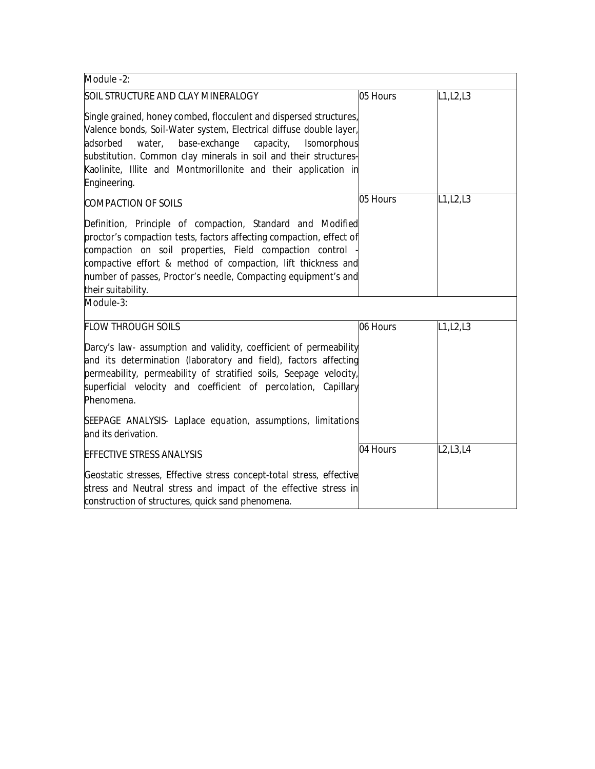| Module -2:                                                                                                                                                                                                                                                                                                                                                        |          |            |
|-------------------------------------------------------------------------------------------------------------------------------------------------------------------------------------------------------------------------------------------------------------------------------------------------------------------------------------------------------------------|----------|------------|
| <b>SOIL STRUCTURE AND CLAY MINERALOGY</b>                                                                                                                                                                                                                                                                                                                         | 05 Hours | L1,L2,L3   |
| Single grained, honey combed, flocculent and dispersed structures,<br>Valence bonds, Soil-Water system, Electrical diffuse double layer,<br>base-exchange<br>adsorbed<br>water,<br>capacity,<br>Isomorphous<br>substitution. Common clay minerals in soil and their structures-<br>Kaolinite, Illite and Montmorillonite and their application in<br>Engineering. |          |            |
| <b>COMPACTION OF SOILS</b>                                                                                                                                                                                                                                                                                                                                        | 05 Hours | L1, L2, L3 |
| Definition, Principle of compaction, Standard and Modified<br>proctor's compaction tests, factors affecting compaction, effect of<br>compaction on soil properties, Field compaction control<br>compactive effort & method of compaction, lift thickness and<br>number of passes, Proctor's needle, Compacting equipment's and<br>their suitability.              |          |            |
| Module-3:                                                                                                                                                                                                                                                                                                                                                         |          |            |
| <b>FLOW THROUGH SOILS</b>                                                                                                                                                                                                                                                                                                                                         | 06 Hours | L1, L2, L3 |
| Darcy's law- assumption and validity, coefficient of permeability<br>and its determination (laboratory and field), factors affecting<br>permeability, permeability of stratified soils, Seepage velocity,<br>superficial velocity and coefficient of percolation, Capillary<br>Phenomena.                                                                         |          |            |
| SEEPAGE ANALYSIS- Laplace equation, assumptions, limitations<br>and its derivation.                                                                                                                                                                                                                                                                               |          |            |
| <b>EFFECTIVE STRESS ANALYSIS</b>                                                                                                                                                                                                                                                                                                                                  | 04 Hours | L2, L3, L4 |
| Geostatic stresses, Effective stress concept-total stress, effective<br>stress and Neutral stress and impact of the effective stress in<br>construction of structures, quick sand phenomena.                                                                                                                                                                      |          |            |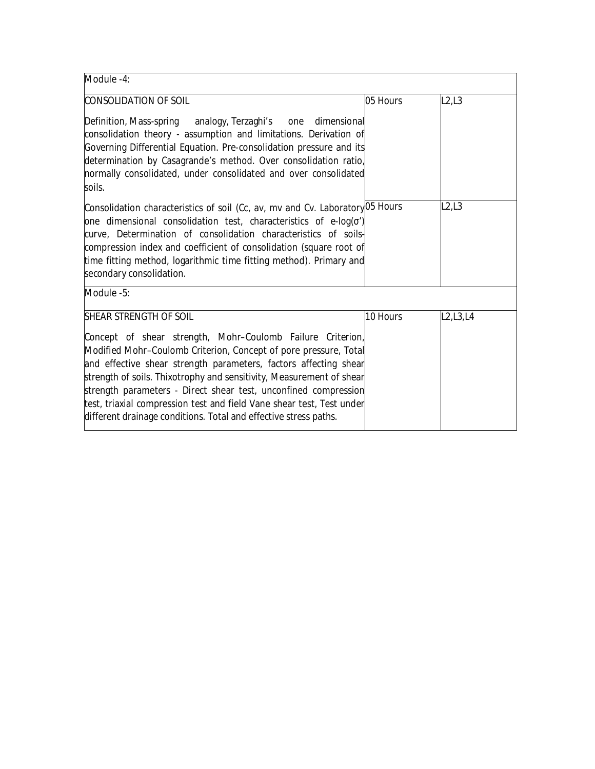| Module -4:                                                                                                                                                                                                                                                                                                                                                                                                                                                                                                                  |          |                                                  |
|-----------------------------------------------------------------------------------------------------------------------------------------------------------------------------------------------------------------------------------------------------------------------------------------------------------------------------------------------------------------------------------------------------------------------------------------------------------------------------------------------------------------------------|----------|--------------------------------------------------|
| <b>CONSOLIDATION OF SOIL</b>                                                                                                                                                                                                                                                                                                                                                                                                                                                                                                | 05 Hours | L2,L3                                            |
| Definition, Mass-spring analogy, Terzaghi's one<br>dimensional<br>consolidation theory - assumption and limitations. Derivation of<br>Governing Differential Equation. Pre-consolidation pressure and its<br>determination by Casagrande's method. Over consolidation ratio,<br>normally consolidated, under consolidated and over consolidated<br>soils.                                                                                                                                                                   |          |                                                  |
| Consolidation characteristics of soil (Cc, av, mv and Cv. Laboratory <sup>05</sup> Hours<br>one dimensional consolidation test, characteristics of e-log(')<br>curve, Determination of consolidation characteristics of soils-<br>compression index and coefficient of consolidation (square root of<br>time fitting method, logarithmic time fitting method). Primary and<br>secondary consolidation.                                                                                                                      |          | L2,L3                                            |
| Module -5:                                                                                                                                                                                                                                                                                                                                                                                                                                                                                                                  |          |                                                  |
| <b>SHEAR STRENGTH OF SOIL</b><br>Concept of shear strength, Mohr-Coulomb Failure Criterion,<br>Modified Mohr-Coulomb Criterion, Concept of pore pressure, Total<br>and effective shear strength parameters, factors affecting shear<br>strength of soils. Thixotrophy and sensitivity, Measurement of shear<br>strength parameters - Direct shear test, unconfined compression<br>test, triaxial compression test and field Vane shear test, Test under<br>different drainage conditions. Total and effective stress paths. | 10 Hours | L <sub>2</sub> , L <sub>3</sub> , L <sub>4</sub> |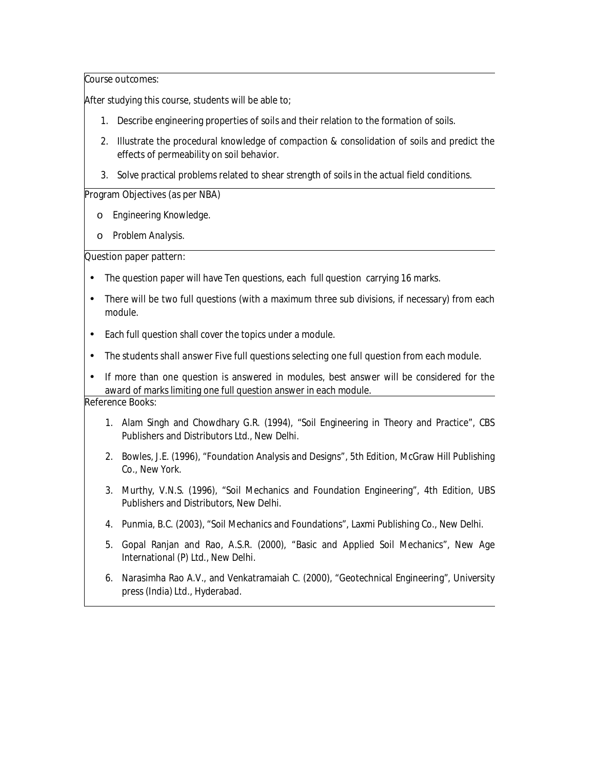After studying this course, students will be able to;

- 1. Describe engineering properties of soils and their relation to the formation of soils.
- 2. Illustrate the procedural knowledge of compaction & consolidation of soils and predict the effects of permeability on soil behavior.
- 3. Solve practical problems related to shear strength of soils in the actual field conditions.

#### **Program Objectives (as per NBA)**

- o *Engineering Knowledge.*
- o *Problem Analysis.*

### **Question paper pattern:**

- The question paper will have Ten questions, each full question carrying 16 marks.
- There will be two full questions (with a maximum three sub divisions, if necessary) from each module.
- Each full question shall cover the topics under a module.
- *The students shall answer Five full questions selecting one full question from each module.*
- If more than one question is answered in modules, best answer will be considered for the award of marks limiting one full question answer in each module.

- 1. Alam Singh and Chowdhary G.R. (1994), "Soil Engineering in Theory and Practice", CBS Publishers and Distributors Ltd., New Delhi.
- 2. Bowles, J.E. (1996), "Foundation Analysis and Designs", 5th Edition, McGraw Hill Publishing Co., New York.
- 3. Murthy, V.N.S. (1996), "Soil Mechanics and Foundation Engineering", 4th Edition, UBS Publishers and Distributors, New Delhi.
- 4. Punmia, B.C. (2003), "Soil Mechanics and Foundations", Laxmi Publishing Co., New Delhi.
- 5. Gopal Ranjan and Rao, A.S.R. (2000), "Basic and Applied Soil Mechanics", New Age International (P) Ltd., New Delhi.
- 6. Narasimha Rao A.V., and Venkatramaiah C. (2000), "Geotechnical Engineering", University press (India) Ltd., Hyderabad.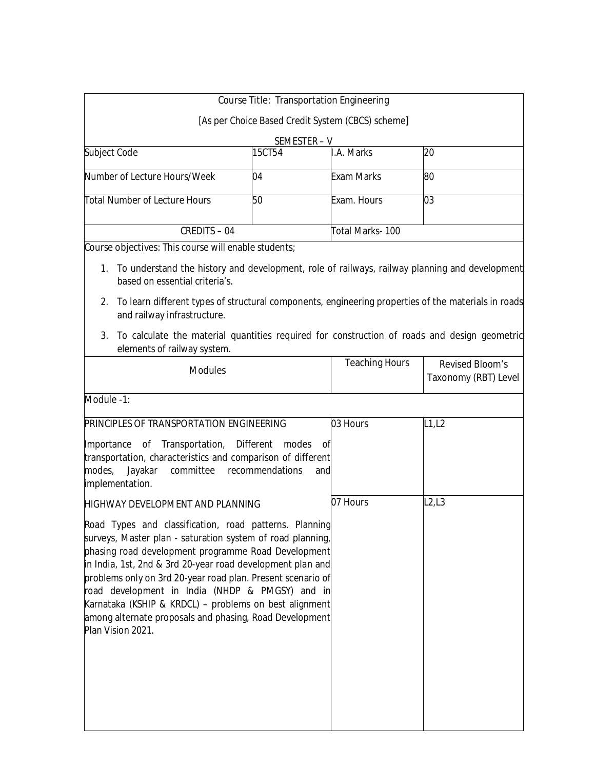|                                                                                                                                                                                                                                                                                                                                                                                                                                                                                                       | <b>Course Title: Transportation Engineering</b> |                                                   |                                                       |
|-------------------------------------------------------------------------------------------------------------------------------------------------------------------------------------------------------------------------------------------------------------------------------------------------------------------------------------------------------------------------------------------------------------------------------------------------------------------------------------------------------|-------------------------------------------------|---------------------------------------------------|-------------------------------------------------------|
|                                                                                                                                                                                                                                                                                                                                                                                                                                                                                                       |                                                 | [As per Choice Based Credit System (CBCS) scheme] |                                                       |
|                                                                                                                                                                                                                                                                                                                                                                                                                                                                                                       | SEMESTER-V                                      |                                                   |                                                       |
| Subject Code                                                                                                                                                                                                                                                                                                                                                                                                                                                                                          | 15CT54                                          | I.A. Marks                                        | 20                                                    |
| Number of Lecture Hours/Week                                                                                                                                                                                                                                                                                                                                                                                                                                                                          | 04                                              | <b>Exam Marks</b>                                 | 80                                                    |
| <b>Total Number of Lecture Hours</b>                                                                                                                                                                                                                                                                                                                                                                                                                                                                  | 50                                              | Exam. Hours                                       | 03                                                    |
| <b>CREDITS-04</b>                                                                                                                                                                                                                                                                                                                                                                                                                                                                                     |                                                 | Total Marks-100                                   |                                                       |
| Course objectives: This course will enable students;                                                                                                                                                                                                                                                                                                                                                                                                                                                  |                                                 |                                                   |                                                       |
| 1. To understand the history and development, role of railways, railway planning and development<br>based on essential criteria's.<br>To learn different types of structural components, engineering properties of the materials in roads<br>2.<br>and railway infrastructure.<br>To calculate the material quantities required for construction of roads and design geometric<br>3.                                                                                                                  |                                                 |                                                   |                                                       |
| elements of railway system.<br><b>Modules</b>                                                                                                                                                                                                                                                                                                                                                                                                                                                         |                                                 | <b>Teaching Hours</b>                             | <b>Revised Bloom's</b><br><b>Taxonomy (RBT) Level</b> |
| Module -1:                                                                                                                                                                                                                                                                                                                                                                                                                                                                                            |                                                 |                                                   |                                                       |
| <b>PRINCIPLES OF TRANSPORTATION ENGINEERING</b>                                                                                                                                                                                                                                                                                                                                                                                                                                                       |                                                 | 03 Hours                                          | L1, L2                                                |
| Importance of Transportation,<br>transportation, characteristics and comparison of different<br>modes,<br>Jayakar<br>committee<br>implementation.                                                                                                                                                                                                                                                                                                                                                     | <b>Different</b><br>modes<br>recommendations    | оf<br>and                                         |                                                       |
| <b>HIGHWAY DEVELOPMENT AND PLANNING</b>                                                                                                                                                                                                                                                                                                                                                                                                                                                               |                                                 | 07 Hours                                          | L2,L3                                                 |
| Road Types and classification, road patterns. Planning<br>surveys, Master plan - saturation system of road planning,<br>phasing road development programme Road Development<br>in India, 1st, 2nd & 3rd 20-year road development plan and<br>problems only on 3rd 20-year road plan. Present scenario of<br>road development in India (NHDP & PMGSY) and in<br>Karnataka (KSHIP & KRDCL) - problems on best alignment<br>among alternate proposals and phasing, Road Development<br>Plan Vision 2021. |                                                 |                                                   |                                                       |
|                                                                                                                                                                                                                                                                                                                                                                                                                                                                                                       |                                                 |                                                   |                                                       |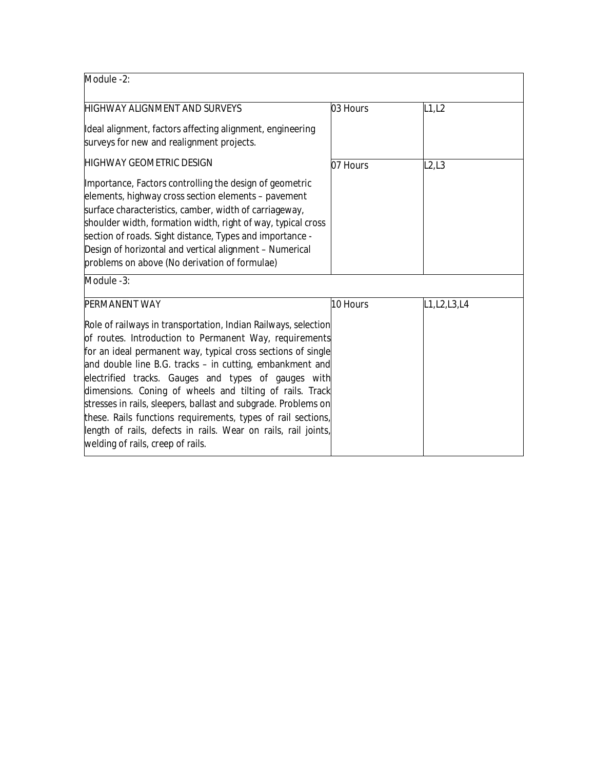| Module -2:                                                                                                                                                                                                                                                                                                                                                                                                                                                                                                                                                                                                       |          |                |
|------------------------------------------------------------------------------------------------------------------------------------------------------------------------------------------------------------------------------------------------------------------------------------------------------------------------------------------------------------------------------------------------------------------------------------------------------------------------------------------------------------------------------------------------------------------------------------------------------------------|----------|----------------|
| <b>HIGHWAY ALIGNMENT AND SURVEYS</b>                                                                                                                                                                                                                                                                                                                                                                                                                                                                                                                                                                             | 03 Hours | L1, L2         |
| Ideal alignment, factors affecting alignment, engineering<br>surveys for new and realignment projects.                                                                                                                                                                                                                                                                                                                                                                                                                                                                                                           |          |                |
| <b>HIGHWAY GEOMETRIC DESIGN</b>                                                                                                                                                                                                                                                                                                                                                                                                                                                                                                                                                                                  | 07 Hours | L2,L3          |
| Importance, Factors controlling the design of geometric<br>elements, highway cross section elements - pavement<br>surface characteristics, camber, width of carriageway,<br>shoulder width, formation width, right of way, typical cross<br>section of roads. Sight distance, Types and importance -<br>Design of horizontal and vertical alignment - Numerical<br>problems on above (No derivation of formulae)                                                                                                                                                                                                 |          |                |
| Module -3:                                                                                                                                                                                                                                                                                                                                                                                                                                                                                                                                                                                                       |          |                |
| <b>PERMANENT WAY</b>                                                                                                                                                                                                                                                                                                                                                                                                                                                                                                                                                                                             | 10 Hours | L1, L2, L3, L4 |
| Role of railways in transportation, Indian Railways, selection<br>of routes. Introduction to Permanent Way, requirements<br>for an ideal permanent way, typical cross sections of single<br>and double line B.G. tracks - in cutting, embankment and<br>electrified tracks. Gauges and types of gauges with<br>dimensions. Coning of wheels and tilting of rails. Track<br>stresses in rails, sleepers, ballast and subgrade. Problems on<br>these. Rails functions requirements, types of rail sections,<br>length of rails, defects in rails. Wear on rails, rail joints,<br>welding of rails, creep of rails. |          |                |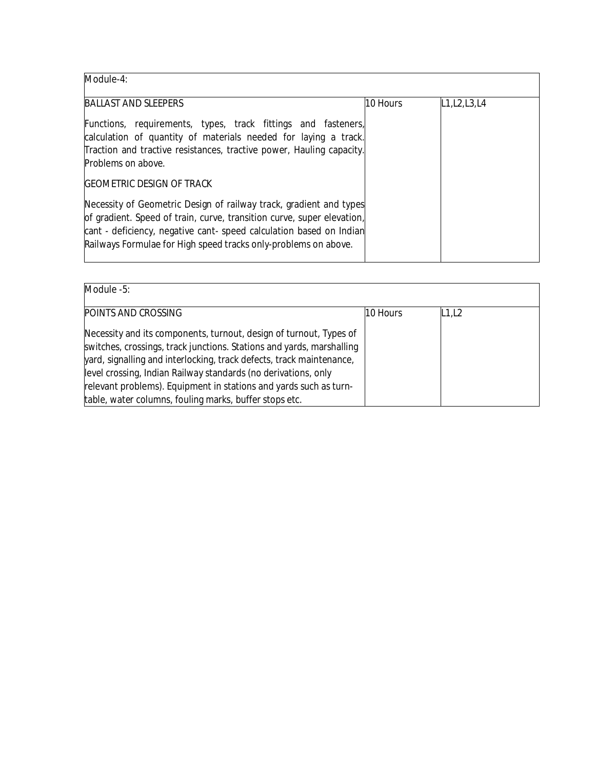**Module-4:** 

| <b>BALLAST AND SLEEPERS</b>                                                                                                                                                                                                                                                            | 10 Hours | L1, L2, L3, L4 |
|----------------------------------------------------------------------------------------------------------------------------------------------------------------------------------------------------------------------------------------------------------------------------------------|----------|----------------|
| Functions, requirements, types, track fittings and fasteners,<br>calculation of quantity of materials needed for laying a track.<br>Traction and tractive resistances, tractive power, Hauling capacity.<br>Problems on above.                                                         |          |                |
| <b>GEOMETRIC DESIGN OF TRACK</b>                                                                                                                                                                                                                                                       |          |                |
| Necessity of Geometric Design of railway track, gradient and types<br>of gradient. Speed of train, curve, transition curve, super elevation,<br>cant - deficiency, negative cant- speed calculation based on Indian<br>Railways Formulae for High speed tracks only-problems on above. |          |                |

## **Module -5:**

| <b>POINTS AND CROSSING</b>                                                                                                                                                                                                                                                                                                                                 | 10 Hours | L1,L2 |  |
|------------------------------------------------------------------------------------------------------------------------------------------------------------------------------------------------------------------------------------------------------------------------------------------------------------------------------------------------------------|----------|-------|--|
| Necessity and its components, turnout, design of turnout, Types of<br>switches, crossings, track junctions. Stations and yards, marshalling<br>yard, signalling and interlocking, track defects, track maintenance,<br>level crossing, Indian Railway standards (no derivations, only<br>relevant problems). Equipment in stations and yards such as turn- |          |       |  |
| table, water columns, fouling marks, buffer stops etc.                                                                                                                                                                                                                                                                                                     |          |       |  |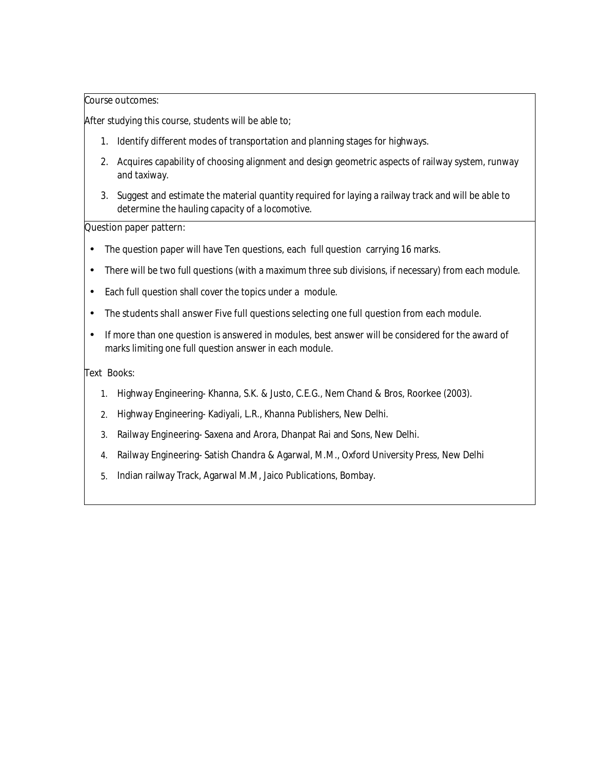After studying this course, students will be able to;

- 1. Identify different modes of transportation and planning stages for highways.
- 2. Acquires capability of choosing alignment and design geometric aspects of railway system, runway and taxiway.
- 3. Suggest and estimate the material quantity required for laying a railway track and will be able to determine the hauling capacity of a locomotive.

#### **Question paper pattern:**

- The question paper will have Ten questions, each full question carrying 16 marks.
- There will be two full questions (with a maximum three sub divisions, if necessary) from each module.
- Each full question shall cover the topics under a module.
- *The students shall answer Five full questions selecting one full question from each module.*
- If more than one question is answered in modules, best answer will be considered for the award of marks limiting one full question answer in each module.

#### **Text Books:**

- **1.** Highway Engineering- Khanna, S.K. & Justo, C.E.G., Nem Chand & Bros, Roorkee (2003).
- **2.** Highway Engineering- Kadiyali, L.R., Khanna Publishers, New Delhi.
- **3.** Railway Engineering- Saxena and Arora, Dhanpat Rai and Sons, New Delhi.
- **4.** Railway Engineering- Satish Chandra & Agarwal, M.M., Oxford University Press, New Delhi
- **5.** Indian railway Track, Agarwal M.M, Jaico Publications, Bombay.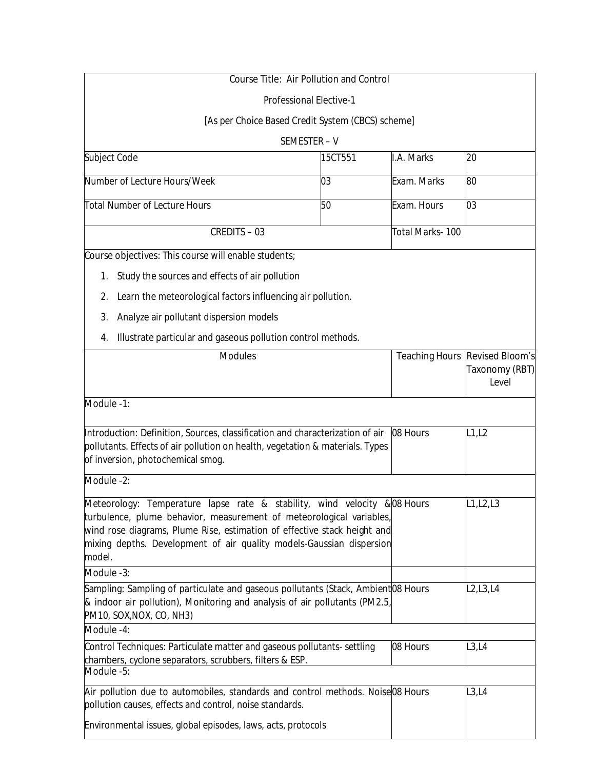| <b>Course Title: Air Pollution and Control</b>                                                                                                                                                                                                                                                                  |         |                 |                                                                         |
|-----------------------------------------------------------------------------------------------------------------------------------------------------------------------------------------------------------------------------------------------------------------------------------------------------------------|---------|-----------------|-------------------------------------------------------------------------|
| <b>Professional Elective-1</b>                                                                                                                                                                                                                                                                                  |         |                 |                                                                         |
| [As per Choice Based Credit System (CBCS) scheme]                                                                                                                                                                                                                                                               |         |                 |                                                                         |
| SEMESTER-V                                                                                                                                                                                                                                                                                                      |         |                 |                                                                         |
| Subject Code                                                                                                                                                                                                                                                                                                    | 15CT551 | I.A. Marks      | 20                                                                      |
| Number of Lecture Hours/Week                                                                                                                                                                                                                                                                                    | 03      | Exam. Marks     | 80                                                                      |
| <b>Total Number of Lecture Hours</b>                                                                                                                                                                                                                                                                            | 50      | Exam. Hours     | 03                                                                      |
| <b>CREDITS - 03</b>                                                                                                                                                                                                                                                                                             |         | Total Marks-100 |                                                                         |
| Course objectives: This course will enable students;                                                                                                                                                                                                                                                            |         |                 |                                                                         |
| Study the sources and effects of air pollution<br>1.                                                                                                                                                                                                                                                            |         |                 |                                                                         |
| Learn the meteorological factors influencing air pollution.<br>2.                                                                                                                                                                                                                                               |         |                 |                                                                         |
| Analyze air pollutant dispersion models<br>3.                                                                                                                                                                                                                                                                   |         |                 |                                                                         |
| Illustrate particular and gaseous pollution control methods.<br>4.                                                                                                                                                                                                                                              |         |                 |                                                                         |
| <b>Modules</b>                                                                                                                                                                                                                                                                                                  |         |                 | <b>Teaching Hours Revised Bloom's</b><br><b>Taxonomy (RBT)</b><br>Level |
| Module -1:                                                                                                                                                                                                                                                                                                      |         |                 |                                                                         |
| Introduction: Definition, Sources, classification and characterization of air<br>pollutants. Effects of air pollution on health, vegetation & materials. Types<br>of inversion, photochemical smog.                                                                                                             |         | 08 Hours        | L1, L2                                                                  |
| Module -2:                                                                                                                                                                                                                                                                                                      |         |                 |                                                                         |
| Meteorology: Temperature lapse rate & stability, wind velocity & 08 Hours<br>turbulence, plume behavior, measurement of meteorological variables,<br>wind rose diagrams, Plume Rise, estimation of effective stack height and<br>mixing depths. Development of air quality models-Gaussian dispersion<br>model. |         |                 | L1, L2, L3                                                              |
| Module -3:                                                                                                                                                                                                                                                                                                      |         |                 |                                                                         |
| Sampling: Sampling of particulate and gaseous pollutants (Stack, Ambient <sup>1</sup> 08 Hours<br>& indoor air pollution), Monitoring and analysis of air pollutants (PM2.5,<br>PM10, SOX, NOX, CO, NH3)                                                                                                        |         |                 | L2,L3,L4                                                                |
| Module -4:                                                                                                                                                                                                                                                                                                      |         |                 |                                                                         |
| Control Techniques: Particulate matter and gaseous pollutants-settling<br>chambers, cyclone separators, scrubbers, filters & ESP.<br>Module -5:                                                                                                                                                                 |         | 08 Hours        | L3,L4                                                                   |
| Air pollution due to automobiles, standards and control methods. Noise 08 Hours<br>pollution causes, effects and control, noise standards.                                                                                                                                                                      |         |                 | L3,L4                                                                   |
| Environmental issues, global episodes, laws, acts, protocols                                                                                                                                                                                                                                                    |         |                 |                                                                         |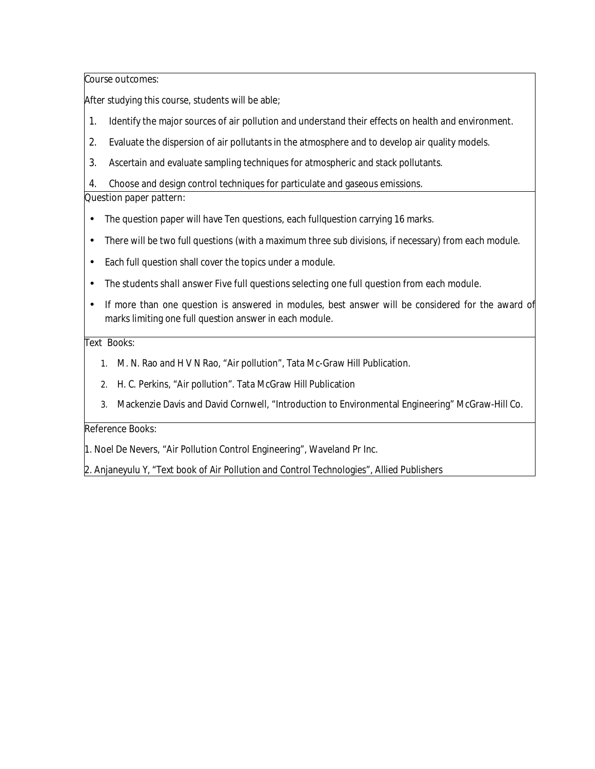After studying this course, students will be able;

- 1. Identify the major sources of air pollution and understand their effects on health and environment.
- 2. Evaluate the dispersion of air pollutants in the atmosphere and to develop air quality models.
- 3. Ascertain and evaluate sampling techniques for atmospheric and stack pollutants.

4. Choose and design control techniques for particulate and gaseous emissions.

## **Question paper pattern:**

- The question paper will have Ten questions, each fullquestion carrying 16 marks.
- There will be two full questions (with a maximum three sub divisions, if necessary) from each module.
- Each full question shall cover the topics under a module.
- *The students shall answer Five full questions selecting one full question from each module.*
- If more than one question is answered in modules, best answer will be considered for the award of marks limiting one full question answer in each module.

## **Text Books:**

- **1.** M. N. Rao and H V N Rao, "Air pollution", Tata Mc-Graw Hill Publication.
- **2.** H. C. Perkins, "Air pollution". Tata McGraw Hill Publication
- **3.** Mackenzie Davis and David Cornwell, "Introduction to Environmental Engineering" McGraw-Hill Co.

## **Reference Books:**

1. Noel De Nevers, "Air Pollution Control Engineering", Waveland Pr Inc.

2. Anjaneyulu Y, "Text book of Air Pollution and Control Technologies", Allied Publishers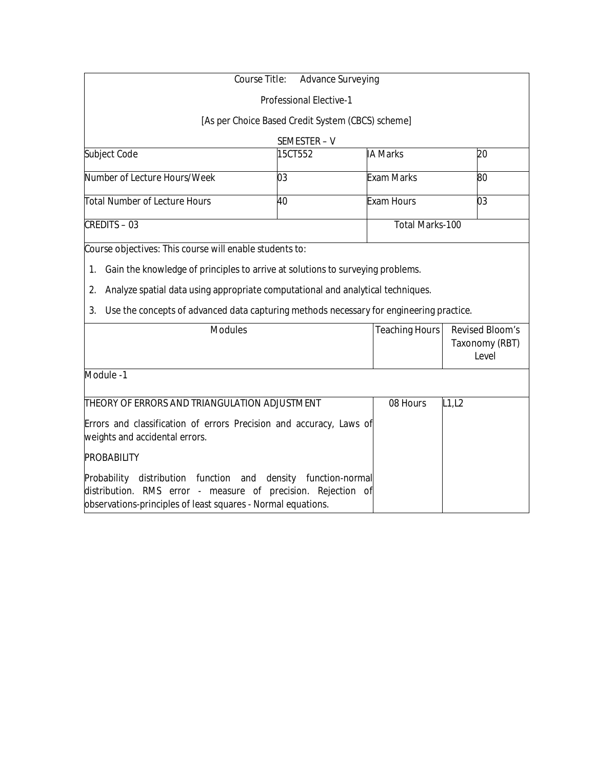|                                                                                                                                                                                        | <b>Course Title:</b><br><b>Advance Surveying</b>  |                        |                                                          |
|----------------------------------------------------------------------------------------------------------------------------------------------------------------------------------------|---------------------------------------------------|------------------------|----------------------------------------------------------|
|                                                                                                                                                                                        | <b>Professional Elective-1</b>                    |                        |                                                          |
|                                                                                                                                                                                        | [As per Choice Based Credit System (CBCS) scheme] |                        |                                                          |
|                                                                                                                                                                                        | SEMESTER-V                                        |                        |                                                          |
| Subject Code                                                                                                                                                                           | 15CT552                                           | <b>IA Marks</b>        | 20                                                       |
| Number of Lecture Hours/Week                                                                                                                                                           | 03                                                | <b>Exam Marks</b>      | 80                                                       |
| <b>Total Number of Lecture Hours</b>                                                                                                                                                   | 40                                                | <b>Exam Hours</b>      | 03                                                       |
| <b>CREDITS-03</b>                                                                                                                                                                      |                                                   | <b>Total Marks-100</b> |                                                          |
| Analyze spatial data using appropriate computational and analytical techniques.<br>2.<br>Use the concepts of advanced data capturing methods necessary for engineering practice.<br>3. |                                                   |                        |                                                          |
| <b>Modules</b>                                                                                                                                                                         |                                                   | <b>Teaching Hours</b>  | <b>Revised Bloom's</b><br><b>Taxonomy (RBT)</b><br>Level |
| Module -1                                                                                                                                                                              |                                                   |                        |                                                          |
| THEORY OF ERRORS AND TRIANGULATION ADJUSTMENT                                                                                                                                          |                                                   | 08 Hours               | L1, L2                                                   |
| Errors and classification of errors Precision and accuracy, Laws of<br>weights and accidental errors.                                                                                  |                                                   |                        |                                                          |
| <b>PROBABILITY</b>                                                                                                                                                                     |                                                   |                        |                                                          |
| Probability<br>distribution function and                                                                                                                                               | density function-normal                           |                        |                                                          |

distribution. RMS error - measure of precision. Rejection of

observations-principles of least squares - Normal equations.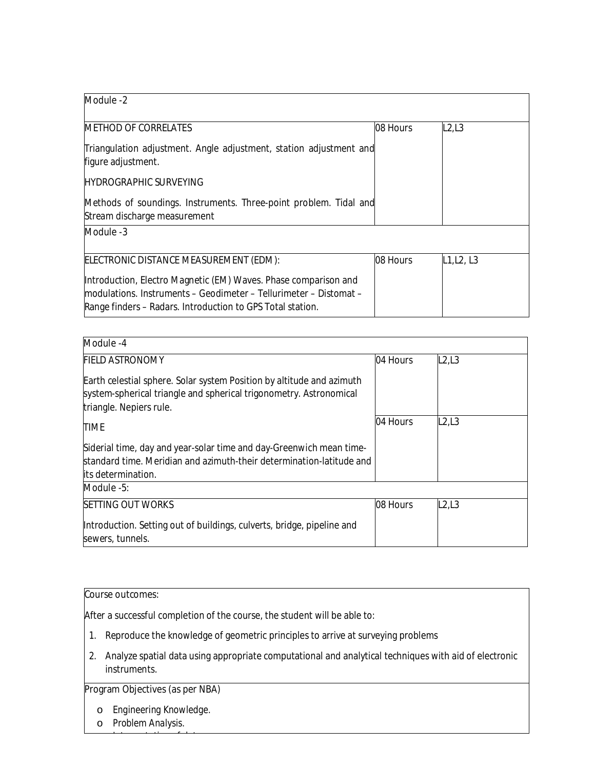| Module -2                                                                                                                                                                                           |          |            |
|-----------------------------------------------------------------------------------------------------------------------------------------------------------------------------------------------------|----------|------------|
| <b>METHOD OF CORRELATES</b>                                                                                                                                                                         | 08 Hours | L2,L3      |
| Triangulation adjustment. Angle adjustment, station adjustment and<br>figure adjustment.                                                                                                            |          |            |
| <b>HYDROGRAPHIC SURVEYING</b>                                                                                                                                                                       |          |            |
| Methods of soundings. Instruments. Three-point problem. Tidal and<br>Stream discharge measurement                                                                                                   |          |            |
| Module -3                                                                                                                                                                                           |          |            |
| <b>ELECTRONIC DISTANCE MEASUREMENT (EDM):</b>                                                                                                                                                       | 08 Hours | L1, L2, L3 |
| Introduction, Electro Magnetic (EM) Waves. Phase comparison and<br>Imodulations. Instruments – Geodimeter – Tellurimeter – Distomat –<br>Range finders - Radars. Introduction to GPS Total station. |          |            |

| Module -4                                                                                                                                                              |          |       |  |
|------------------------------------------------------------------------------------------------------------------------------------------------------------------------|----------|-------|--|
| <b>FIELD ASTRONOMY</b>                                                                                                                                                 | 04 Hours | L2,L3 |  |
| Earth celestial sphere. Solar system Position by altitude and azimuth<br>system-spherical triangle and spherical trigonometry. Astronomical<br>triangle. Nepiers rule. |          |       |  |
| <b>TIME</b>                                                                                                                                                            | 04 Hours | L2L3  |  |
| Siderial time, day and year-solar time and day-Greenwich mean time-<br>standard time. Meridian and azimuth-their determination-latitude and<br>lits determination.     |          |       |  |
| Module -5:                                                                                                                                                             |          |       |  |
| <b>ISETTING OUT WORKS</b>                                                                                                                                              | 08 Hours | L2,L3 |  |
| Introduction. Setting out of buildings, culverts, bridge, pipeline and<br>sewers, tunnels.                                                                             |          |       |  |

After a successful completion of the course, the student will be able to:

- 1. Reproduce the knowledge of geometric principles to arrive at surveying problems
- 2. Analyze spatial data using appropriate computational and analytical techniques with aid of electronic instruments.

# **Program Objectives (as per NBA)**

o *Engineering Knowledge.* 

o *Interpretation of data.*

o *Problem Analysis.*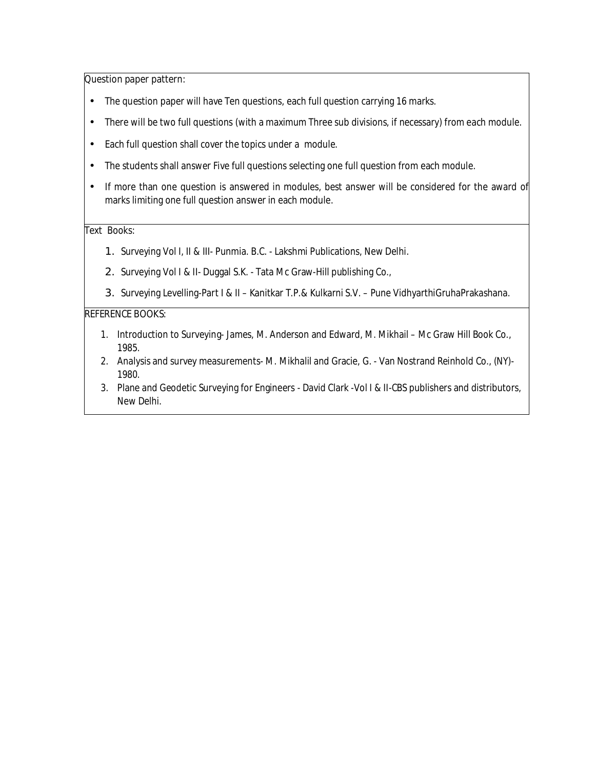#### **Question paper pattern:**

- The question paper will have Ten questions, each full question carrying 16 marks.
- There will be two full questions (with a maximum Three sub divisions, if necessary) from each module.
- Each full question shall cover the topics under a module.
- The students shall answer Five full questions selecting one full question from each module.
- If more than one question is answered in modules, best answer will be considered for the award of marks limiting one full question answer in each module.

### **Text Books:**

- 1. Surveying Vol I, II & III- Punmia. B.C. Lakshmi Publications, New Delhi.
- 2. Surveying Vol I & II- Duggal S.K. Tata Mc Graw-Hill publishing Co.,
- 3. Surveying Levelling-Part I & II Kanitkar T.P.& Kulkarni S.V. Pune VidhyarthiGruhaPrakashana.

#### **REFERENCE BOOKS:**

- 1. Introduction to Surveying- James, M. Anderson and Edward, M. Mikhail Mc Graw Hill Book Co., 1985.
- 2. Analysis and survey measurements- M. Mikhalil and Gracie, G. Van Nostrand Reinhold Co., (NY)- 1980.
- 3. Plane and Geodetic Surveying for Engineers David Clark -Vol I & II-CBS publishers and distributors, New Delhi.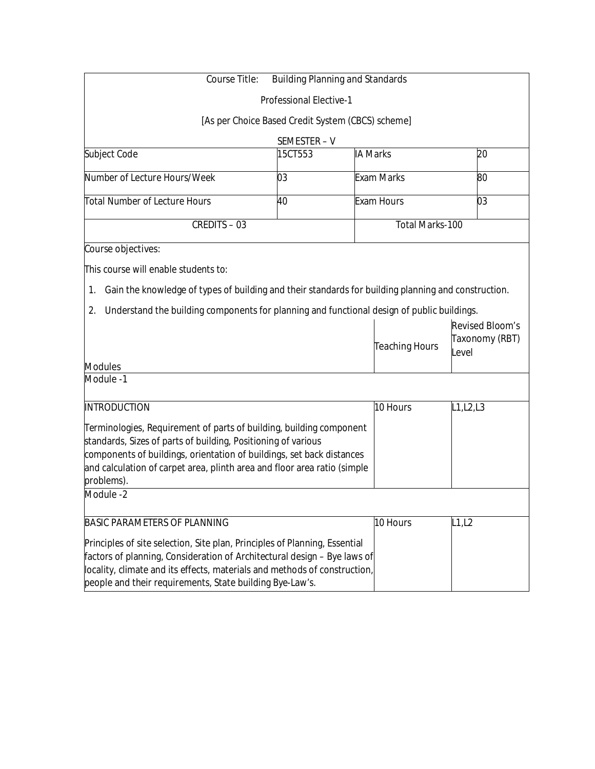| <b>Course Title:</b>                                                                                      | <b>Building Planning and Standards</b>            |                 |                        |                        |
|-----------------------------------------------------------------------------------------------------------|---------------------------------------------------|-----------------|------------------------|------------------------|
|                                                                                                           | <b>Professional Elective-1</b>                    |                 |                        |                        |
|                                                                                                           | [As per Choice Based Credit System (CBCS) scheme] |                 |                        |                        |
|                                                                                                           | SEMESTER-V                                        |                 |                        |                        |
| Subject Code                                                                                              | 15CT553                                           | <b>IA Marks</b> |                        | 20                     |
| Number of Lecture Hours/Week                                                                              | 03                                                |                 | <b>Exam Marks</b>      | 80                     |
| <b>Total Number of Lecture Hours</b>                                                                      | 40                                                |                 | <b>Exam Hours</b>      | 03                     |
| <b>CREDITS - 03</b>                                                                                       |                                                   |                 | <b>Total Marks-100</b> |                        |
| Course objectives:                                                                                        |                                                   |                 |                        |                        |
| This course will enable students to:                                                                      |                                                   |                 |                        |                        |
| Gain the knowledge of types of building and their standards for building planning and construction.<br>1. |                                                   |                 |                        |                        |
| Understand the building components for planning and functional design of public buildings.<br>2.          |                                                   |                 |                        |                        |
|                                                                                                           |                                                   |                 |                        | <b>Revised Bloom's</b> |
|                                                                                                           |                                                   |                 |                        | <b>Taxonomy (RBT)</b>  |
|                                                                                                           |                                                   |                 | <b>Teaching Hours</b>  | Level                  |
| <b>Modules</b><br>Module -1                                                                               |                                                   |                 |                        |                        |
|                                                                                                           |                                                   |                 |                        |                        |
| <b>INTRODUCTION</b>                                                                                       |                                                   |                 | 10 Hours               | L1, L2, L3             |
| Terminologies, Requirement of parts of building, building component                                       |                                                   |                 |                        |                        |
| standards, Sizes of parts of building, Positioning of various                                             |                                                   |                 |                        |                        |
| components of buildings, orientation of buildings, set back distances                                     |                                                   |                 |                        |                        |
| and calculation of carpet area, plinth area and floor area ratio (simple                                  |                                                   |                 |                        |                        |
| problems).                                                                                                |                                                   |                 |                        |                        |
| Module -2                                                                                                 |                                                   |                 |                        |                        |
| <b>BASIC PARAMETERS OF PLANNING</b>                                                                       |                                                   |                 | 10 Hours               | L1,L2                  |
| Principles of site selection, Site plan, Principles of Planning, Essential                                |                                                   |                 |                        |                        |
| factors of planning, Consideration of Architectural design - Bye laws of                                  |                                                   |                 |                        |                        |
| locality, climate and its effects, materials and methods of construction,                                 |                                                   |                 |                        |                        |
| people and their requirements, State building Bye-Law's.                                                  |                                                   |                 |                        |                        |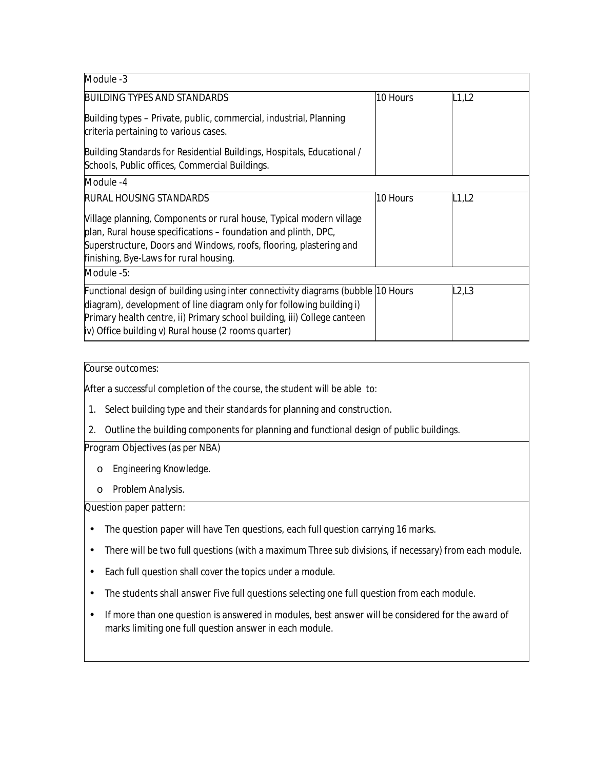| Module -3                                                                                                                                                                                                                                                                                    |          |       |
|----------------------------------------------------------------------------------------------------------------------------------------------------------------------------------------------------------------------------------------------------------------------------------------------|----------|-------|
| <b>BUILDING TYPES AND STANDARDS</b>                                                                                                                                                                                                                                                          | 10 Hours | L1,L2 |
| Building types – Private, public, commercial, industrial, Planning<br>criteria pertaining to various cases.                                                                                                                                                                                  |          |       |
| Building Standards for Residential Buildings, Hospitals, Educational /<br>Schools, Public offices, Commercial Buildings.                                                                                                                                                                     |          |       |
| Module -4                                                                                                                                                                                                                                                                                    |          |       |
| <b>RURAL HOUSING STANDARDS</b>                                                                                                                                                                                                                                                               | 10 Hours | L1,L2 |
| Village planning, Components or rural house, Typical modern village<br>plan, Rural house specifications – foundation and plinth, DPC,<br>Superstructure, Doors and Windows, roofs, flooring, plastering and<br>finishing, Bye-Laws for rural housing.                                        |          |       |
| Module -5:                                                                                                                                                                                                                                                                                   |          |       |
| Functional design of building using inter connectivity diagrams (bubble 10 Hours<br>diagram), development of line diagram only for following building i)<br>Primary health centre, ii) Primary school building, iii) College canteen<br>iv) Office building v) Rural house (2 rooms quarter) |          | L2,L3 |

After a successful completion of the course, the student will be able to:

- 1. Select building type and their standards for planning and construction.
- 2. Outline the building components for planning and functional design of public buildings.

## **Program Objectives (as per NBA)**

- o *Engineering Knowledge.*
- o *Problem Analysis.*

## **Question paper pattern:**

- The question paper will have Ten questions, each full question carrying 16 marks.
- There will be two full questions (with a maximum Three sub divisions, if necessary) from each module.
- Each full question shall cover the topics under a module.
- The students shall answer Five full questions selecting one full question from each module.
- If more than one question is answered in modules, best answer will be considered for the award of marks limiting one full question answer in each module.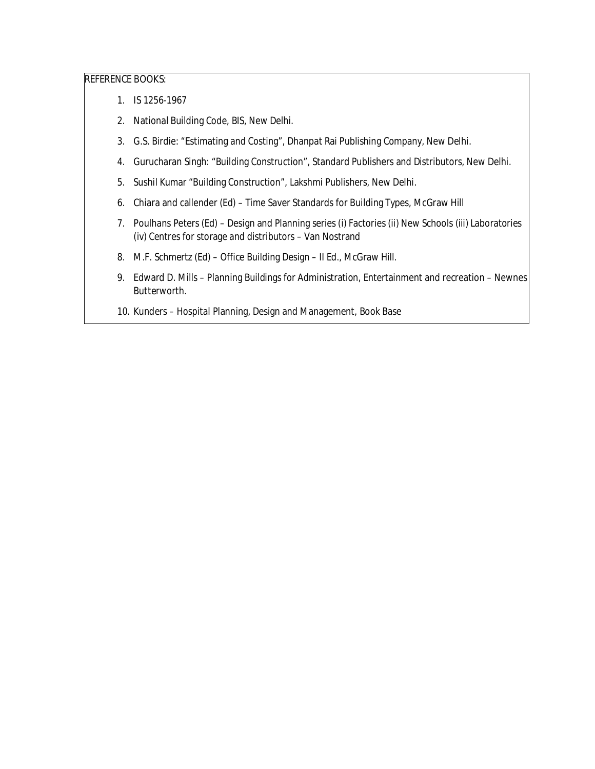#### **REFERENCE BOOKS:**

- 1. IS 1256-1967
- 2. National Building Code, BIS, New Delhi.
- 3. G.S. Birdie: "Estimating and Costing", Dhanpat Rai Publishing Company, New Delhi.
- 4. Gurucharan Singh: "Building Construction", Standard Publishers and Distributors, New Delhi.
- 5. Sushil Kumar "Building Construction", Lakshmi Publishers, New Delhi.
- 6. Chiara and callender (Ed) Time Saver Standards for Building Types, McGraw Hill
- 7. Poulhans Peters (Ed) Design and Planning series (i) Factories (ii) New Schools (iii) Laboratories (iv) Centres for storage and distributors – Van Nostrand
- 8. M.F. Schmertz (Ed) Office Building Design II Ed., McGraw Hill.
- 9. Edward D. Mills Planning Buildings for Administration, Entertainment and recreation Newnes Butterworth.
- 10. Kunders Hospital Planning, Design and Management, Book Base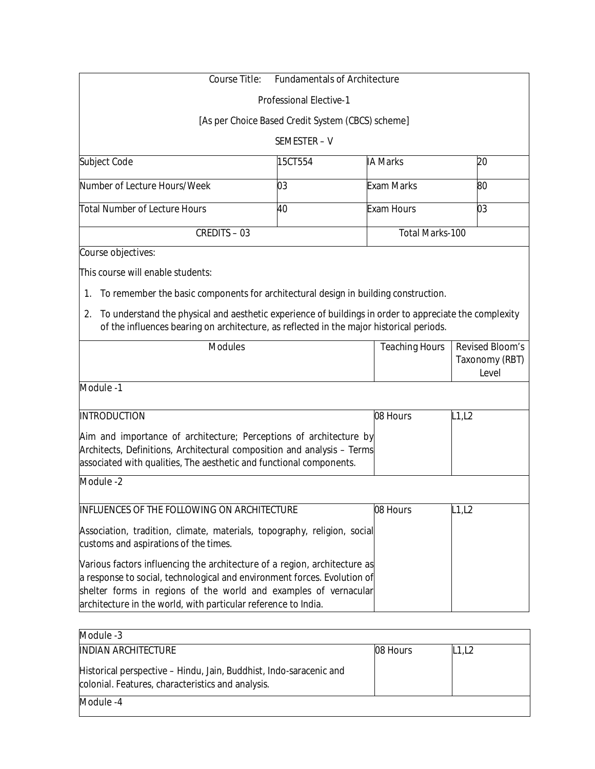| <b>Course Title:</b>                                                                                                                                                                                  | <b>Fundamentals of Architecture</b>               |                        |                                |
|-------------------------------------------------------------------------------------------------------------------------------------------------------------------------------------------------------|---------------------------------------------------|------------------------|--------------------------------|
|                                                                                                                                                                                                       | <b>Professional Elective-1</b>                    |                        |                                |
|                                                                                                                                                                                                       | [As per Choice Based Credit System (CBCS) scheme] |                        |                                |
|                                                                                                                                                                                                       | SEMESTER-V                                        |                        |                                |
| Subject Code                                                                                                                                                                                          | 15CT554                                           | <b>IA Marks</b>        | 20                             |
| Number of Lecture Hours/Week                                                                                                                                                                          | 03                                                | <b>Exam Marks</b>      | 80                             |
| Total Number of Lecture Hours                                                                                                                                                                         | 40                                                | <b>Exam Hours</b>      | 03                             |
| <b>CREDITS - 03</b>                                                                                                                                                                                   |                                                   | <b>Total Marks-100</b> |                                |
| Course objectives:                                                                                                                                                                                    |                                                   |                        |                                |
| This course will enable students:                                                                                                                                                                     |                                                   |                        |                                |
|                                                                                                                                                                                                       |                                                   |                        |                                |
| To remember the basic components for architectural design in building construction.<br>1.                                                                                                             |                                                   |                        |                                |
| 2. To understand the physical and aesthetic experience of buildings in order to appreciate the complexity<br>of the influences bearing on architecture, as reflected in the major historical periods. |                                                   |                        |                                |
| <b>Modules</b>                                                                                                                                                                                        |                                                   | <b>Teaching Hours</b>  | <b>Revised Bloom's</b>         |
|                                                                                                                                                                                                       |                                                   |                        | <b>Taxonomy (RBT)</b><br>Level |
| Module -1                                                                                                                                                                                             |                                                   |                        |                                |
| <b>INTRODUCTION</b>                                                                                                                                                                                   |                                                   | 08 Hours               | L1, L2                         |
| Aim and importance of architecture; Perceptions of architecture by                                                                                                                                    |                                                   |                        |                                |
| Architects, Definitions, Architectural composition and analysis - Terms                                                                                                                               |                                                   |                        |                                |
| associated with qualities, The aesthetic and functional components.                                                                                                                                   |                                                   |                        |                                |
| Module -2                                                                                                                                                                                             |                                                   |                        |                                |
| <b>INFLUENCES OF THE FOLLOWING ON ARCHITECTURE</b>                                                                                                                                                    |                                                   | 08 Hours               | L1, L2                         |
| Association, tradition, climate, materials, topography, religion, social<br>customs and aspirations of the times.                                                                                     |                                                   |                        |                                |

Various factors influencing the architecture of a region, architecture as a response to social, technological and environment forces. Evolution of shelter forms in regions of the world and examples of vernacular architecture in the world, with particular reference to India.

| Module -3                                                                                                               |          |       |
|-------------------------------------------------------------------------------------------------------------------------|----------|-------|
| <b>INDIAN ARCHITECTURE</b>                                                                                              | 08 Hours | L1,L2 |
| Historical perspective – Hindu, Jain, Buddhist, Indo-saracenic and<br>colonial. Features, characteristics and analysis. |          |       |
| Module -4                                                                                                               |          |       |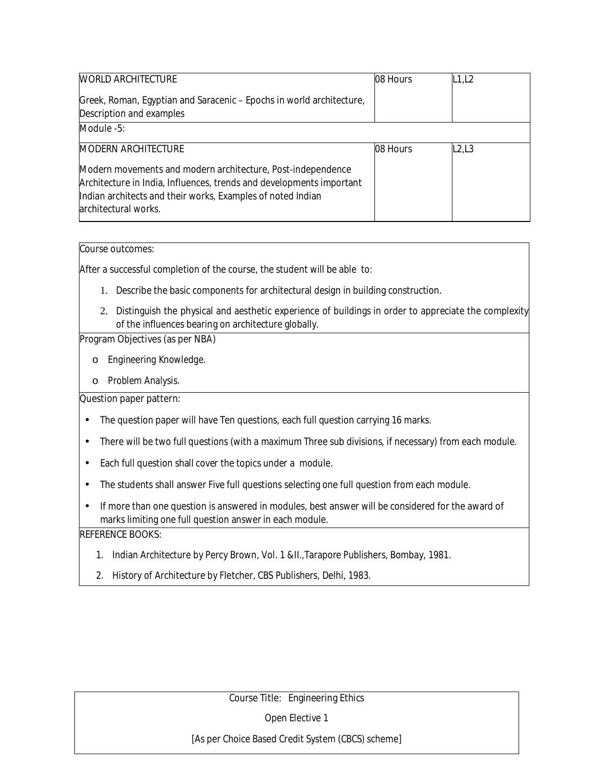| <b>WORLD ARCHITECTURE</b>                                                                                                                                                                                                  | 08 Hours | L1,L2 |
|----------------------------------------------------------------------------------------------------------------------------------------------------------------------------------------------------------------------------|----------|-------|
| Greek, Roman, Egyptian and Saracenic – Epochs in world architecture,<br>Description and examples                                                                                                                           |          |       |
| Module -5:                                                                                                                                                                                                                 |          |       |
| <b>MODERN ARCHITECTURE</b>                                                                                                                                                                                                 | 08 Hours | L2,L3 |
| Modern movements and modern architecture, Post-independence<br>Architecture in India, Influences, trends and developments important<br>Indian architects and their works, Examples of noted Indian<br>architectural works. |          |       |

After a successful completion of the course, the student will be able to:

- 1. Describe the basic components for architectural design in building construction.
- 2. Distinguish the physical and aesthetic experience of buildings in order to appreciate the complexity of the influences bearing on architecture globally.

#### **Program Objectives (as per NBA)**

- o *Engineering Knowledge.*
- o *Problem Analysis.*

### **Question paper pattern:**

- The question paper will have Ten questions, each full question carrying 16 marks.
- There will be two full questions (with a maximum Three sub divisions, if necessary) from each module.
- Each full question shall cover the topics under a module.
- The students shall answer Five full questions selecting one full question from each module.
- If more than one question is answered in modules, best answer will be considered for the award of marks limiting one full question answer in each module.

### **REFERENCE BOOKS:**

- 1. Indian Architecture by Percy Brown, Vol. 1 &II.,Tarapore Publishers, Bombay, 1981.
- 2. History of Architecture by Fletcher, CBS Publishers, Delhi, 1983.

### **Course Title: Engineering Ethics**

Open Elective 1

[As per Choice Based Credit System (CBCS) scheme]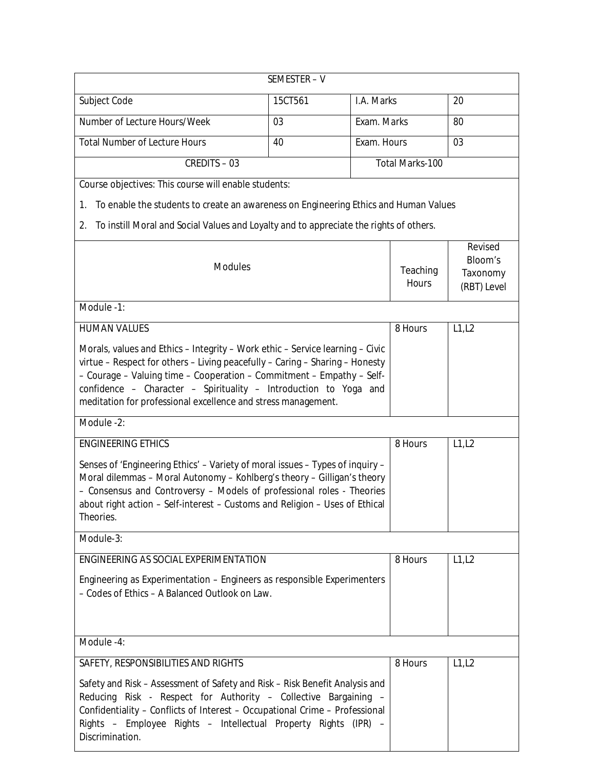|                                                                                                                                                                                                                                                                                                                                                                             | SEMESTER - V |             |                                 |                                                                    |
|-----------------------------------------------------------------------------------------------------------------------------------------------------------------------------------------------------------------------------------------------------------------------------------------------------------------------------------------------------------------------------|--------------|-------------|---------------------------------|--------------------------------------------------------------------|
| Subject Code                                                                                                                                                                                                                                                                                                                                                                | 15CT561      | I.A. Marks  |                                 | 20                                                                 |
| Number of Lecture Hours/Week                                                                                                                                                                                                                                                                                                                                                | 03           | Exam. Marks |                                 | 80                                                                 |
| <b>Total Number of Lecture Hours</b>                                                                                                                                                                                                                                                                                                                                        | 40           | Exam. Hours |                                 | 03                                                                 |
| <b>CREDITS - 03</b>                                                                                                                                                                                                                                                                                                                                                         |              |             | <b>Total Marks-100</b>          |                                                                    |
| Course objectives: This course will enable students:                                                                                                                                                                                                                                                                                                                        |              |             |                                 |                                                                    |
| To enable the students to create an awareness on Engineering Ethics and Human Values<br>1.                                                                                                                                                                                                                                                                                  |              |             |                                 |                                                                    |
| To instill Moral and Social Values and Loyalty and to appreciate the rights of others.<br>2.                                                                                                                                                                                                                                                                                |              |             |                                 |                                                                    |
| <b>Modules</b>                                                                                                                                                                                                                                                                                                                                                              |              |             | <b>Teaching</b><br><b>Hours</b> | <b>Revised</b><br><b>Bloom's</b><br><b>Taxonomy</b><br>(RBT) Level |
| Module -1:                                                                                                                                                                                                                                                                                                                                                                  |              |             |                                 |                                                                    |
| <b>HUMAN VALUES</b>                                                                                                                                                                                                                                                                                                                                                         |              |             | 8 Hours                         | L1, L2                                                             |
| Morals, values and Ethics - Integrity - Work ethic - Service learning - Civic<br>virtue - Respect for others - Living peacefully - Caring - Sharing - Honesty<br>- Courage - Valuing time - Cooperation - Commitment - Empathy - Self-<br>confidence - Character - Spirituality - Introduction to Yoga and<br>meditation for professional excellence and stress management. |              |             |                                 |                                                                    |
| Module -2:                                                                                                                                                                                                                                                                                                                                                                  |              |             |                                 |                                                                    |
| <b>ENGINEERING ETHICS</b>                                                                                                                                                                                                                                                                                                                                                   |              |             | 8 Hours                         | L1, L2                                                             |
| Senses of 'Engineering Ethics' - Variety of moral issues - Types of inquiry -<br>Moral dilemmas - Moral Autonomy - Kohlberg's theory - Gilligan's theory<br>- Consensus and Controversy - Models of professional roles - Theories<br>about right action - Self-interest - Customs and Religion - Uses of Ethical<br>Theories.                                               |              |             |                                 |                                                                    |
| Module-3:                                                                                                                                                                                                                                                                                                                                                                   |              |             |                                 |                                                                    |
| <b>ENGINEERING AS SOCIAL EXPERIMENTATION</b>                                                                                                                                                                                                                                                                                                                                |              |             | 8 Hours                         | L1, L2                                                             |
| Engineering as Experimentation - Engineers as responsible Experimenters<br>- Codes of Ethics - A Balanced Outlook on Law.                                                                                                                                                                                                                                                   |              |             |                                 |                                                                    |
| Module -4:                                                                                                                                                                                                                                                                                                                                                                  |              |             |                                 |                                                                    |
| <b>SAFETY, RESPONSIBILITIES AND RIGHTS</b>                                                                                                                                                                                                                                                                                                                                  |              |             | 8 Hours                         | L1,L2                                                              |
| Safety and Risk - Assessment of Safety and Risk - Risk Benefit Analysis and<br>Reducing Risk - Respect for Authority - Collective Bargaining -<br>Confidentiality - Conflicts of Interest - Occupational Crime - Professional<br>Rights - Employee Rights - Intellectual Property Rights (IPR) -<br>Discrimination.                                                         |              |             |                                 |                                                                    |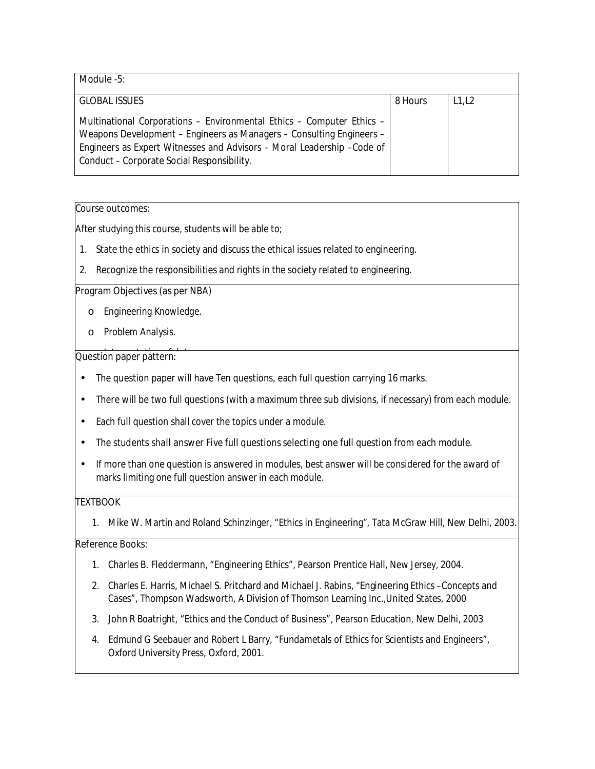| Module -5:                                                                                                                                                                                                                                                             |         |       |
|------------------------------------------------------------------------------------------------------------------------------------------------------------------------------------------------------------------------------------------------------------------------|---------|-------|
| <b>GLOBAL ISSUES</b>                                                                                                                                                                                                                                                   | 8 Hours | L1,L2 |
| Multinational Corporations - Environmental Ethics - Computer Ethics -<br>Weapons Development – Engineers as Managers – Consulting Engineers –<br>Engineers as Expert Witnesses and Advisors - Moral Leadership - Code of<br>Conduct – Corporate Social Responsibility. |         |       |

After studying this course, students will be able to;

- 1. State the ethics in society and discuss the ethical issues related to engineering.
- 2. Recognize the responsibilities and rights in the society related to engineering.

#### **Program Objectives (as per NBA)**

- o *Engineering Knowledge.*
- o *Problem Analysis.*

### **Question paper pattern:**

- The question paper will have Ten questions, each full question carrying 16 marks.
- There will be two full questions (with a maximum three sub divisions, if necessary) from each module.
- Each full question shall cover the topics under a module.
- *The students shall answer Five full questions selecting one full question from each module.*
- If more than one question is answered in modules, best answer will be considered for the award of marks limiting one full question answer in each module.

## **TEXTBOOK**

1. Mike W. Martin and Roland Schinzinger, "Ethics in Engineering", Tata McGraw Hill, New Delhi, 2003.

- 1. Charles B. Fleddermann, "Engineering Ethics", Pearson Prentice Hall, New Jersey, 2004.
- 2. Charles E. Harris, Michael S. Pritchard and Michael J. Rabins, "Engineering Ethics –Concepts and Cases", Thompson Wadsworth, A Division of Thomson Learning Inc.,United States, 2000
- 3. John R Boatright, "Ethics and the Conduct of Business", Pearson Education, New Delhi, 2003
- 4. Edmund G Seebauer and Robert L Barry, "Fundametals of Ethics for Scientists and Engineers", Oxford University Press, Oxford, 2001.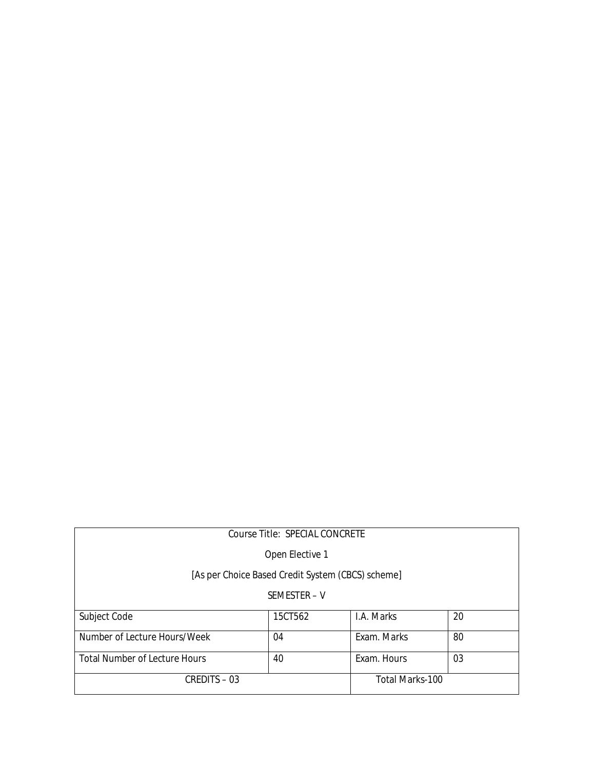| <b>Course Title: SPECIAL CONCRETE</b>             |                 |                        |    |  |  |
|---------------------------------------------------|-----------------|------------------------|----|--|--|
|                                                   | Open Elective 1 |                        |    |  |  |
| [As per Choice Based Credit System (CBCS) scheme] |                 |                        |    |  |  |
| SEMESTER - V                                      |                 |                        |    |  |  |
| Subject Code                                      | 15CT562         | I.A. Marks             | 20 |  |  |
| Number of Lecture Hours/Week                      | 04              | Exam. Marks            | 80 |  |  |
| <b>Total Number of Lecture Hours</b>              | 40              | Exam. Hours            | 03 |  |  |
| <b>CREDITS - 03</b>                               |                 | <b>Total Marks-100</b> |    |  |  |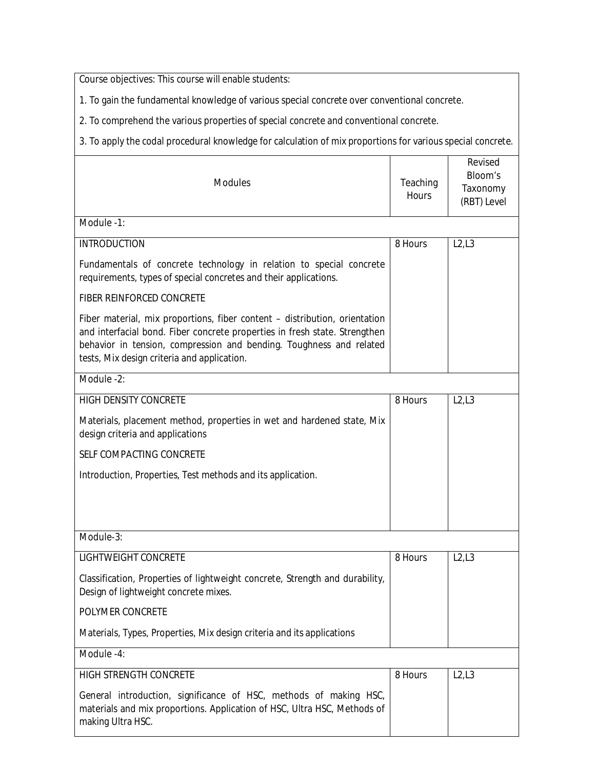**Course objectives:** This course will enable students:

1. To gain the fundamental knowledge of various special concrete over conventional concrete.

2. To comprehend the various properties of special concrete and conventional concrete.

3. To apply the codal procedural knowledge for calculation of mix proportions for various special concrete.

| <b>Modules</b>                                                                                                                                                                                                                                                                 | <b>Teaching</b><br><b>Hours</b> | <b>Revised</b><br><b>Bloom's</b><br><b>Taxonomy</b><br>(RBT) Level |
|--------------------------------------------------------------------------------------------------------------------------------------------------------------------------------------------------------------------------------------------------------------------------------|---------------------------------|--------------------------------------------------------------------|
| Module -1:                                                                                                                                                                                                                                                                     |                                 |                                                                    |
| <b>INTRODUCTION</b>                                                                                                                                                                                                                                                            | 8 Hours                         | L2, L3                                                             |
| Fundamentals of concrete technology in relation to special concrete<br>requirements, types of special concretes and their applications.                                                                                                                                        |                                 |                                                                    |
| <b>FIBER REINFORCED CONCRETE</b>                                                                                                                                                                                                                                               |                                 |                                                                    |
| Fiber material, mix proportions, fiber content – distribution, orientation<br>and interfacial bond. Fiber concrete properties in fresh state. Strengthen<br>behavior in tension, compression and bending. Toughness and related<br>tests, Mix design criteria and application. |                                 |                                                                    |
| Module -2:                                                                                                                                                                                                                                                                     |                                 |                                                                    |
| <b>HIGH DENSITY CONCRETE</b>                                                                                                                                                                                                                                                   | 8 Hours                         | L2,L3                                                              |
| Materials, placement method, properties in wet and hardened state, Mix<br>design criteria and applications                                                                                                                                                                     |                                 |                                                                    |
| <b>SELF COMPACTING CONCRETE</b>                                                                                                                                                                                                                                                |                                 |                                                                    |
| Introduction, Properties, Test methods and its application.                                                                                                                                                                                                                    |                                 |                                                                    |
| Module-3:                                                                                                                                                                                                                                                                      |                                 |                                                                    |
| <b>LIGHTWEIGHT CONCRETE</b>                                                                                                                                                                                                                                                    | 8 Hours                         | L2, L3                                                             |
| Classification, Properties of lightweight concrete, Strength and durability,<br>Design of lightweight concrete mixes.                                                                                                                                                          |                                 |                                                                    |
| <b>POLYMER CONCRETE</b>                                                                                                                                                                                                                                                        |                                 |                                                                    |
| Materials, Types, Properties, Mix design criteria and its applications                                                                                                                                                                                                         |                                 |                                                                    |
| Module -4:                                                                                                                                                                                                                                                                     |                                 |                                                                    |
| <b>HIGH STRENGTH CONCRETE</b>                                                                                                                                                                                                                                                  | 8 Hours                         | L2,L3                                                              |
| General introduction, significance of HSC, methods of making HSC,<br>materials and mix proportions. Application of HSC, Ultra HSC, Methods of<br>making Ultra HSC.                                                                                                             |                                 |                                                                    |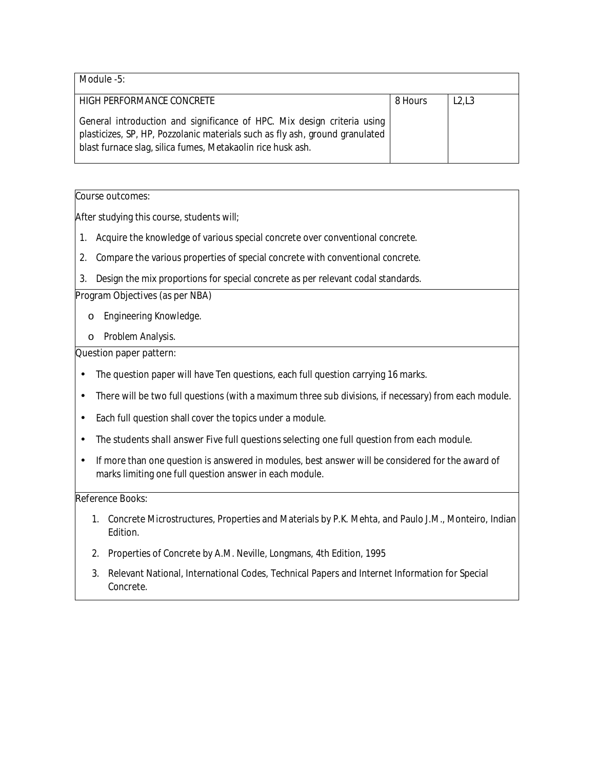| Module -5:                                                                                                                                                                                                             |         |       |
|------------------------------------------------------------------------------------------------------------------------------------------------------------------------------------------------------------------------|---------|-------|
| <b>HIGH PERFORMANCE CONCRETE</b>                                                                                                                                                                                       | 8 Hours | L2,L3 |
| General introduction and significance of HPC. Mix design criteria using<br>plasticizes, SP, HP, Pozzolanic materials such as fly ash, ground granulated<br>blast furnace slag, silica fumes, Metakaolin rice husk ash. |         |       |

After studying this course, students will;

- 1. Acquire the knowledge of various special concrete over conventional concrete.
- 2. Compare the various properties of special concrete with conventional concrete.
- 3. Design the mix proportions for special concrete as per relevant codal standards.

#### **Program Objectives (as per NBA)**

- o *Engineering Knowledge.*
- o *Problem Analysis.*

### **Question paper pattern:**

- The question paper will have Ten questions, each full question carrying 16 marks.
- There will be two full questions (with a maximum three sub divisions, if necessary) from each module.
- Each full question shall cover the topics under a module.
- *The students shall answer Five full questions selecting one full question from each module.*
- If more than one question is answered in modules, best answer will be considered for the award of marks limiting one full question answer in each module.

- 1. Concrete Microstructures, Properties and Materials by P.K. Mehta, and Paulo J.M., Monteiro, Indian Edition.
- 2. Properties of Concrete by A.M. Neville, Longmans, 4th Edition, 1995
- 3. Relevant National, International Codes, Technical Papers and Internet Information for Special Concrete.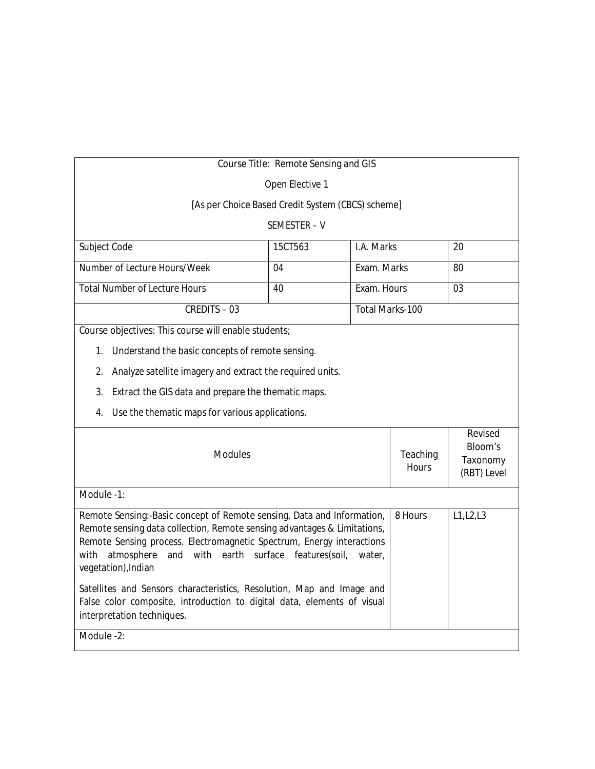| <b>Course Title: Remote Sensing and GIS</b>                                                                                                                                                                                                                                                                                   |                                                   |             |                                 |                                                                    |
|-------------------------------------------------------------------------------------------------------------------------------------------------------------------------------------------------------------------------------------------------------------------------------------------------------------------------------|---------------------------------------------------|-------------|---------------------------------|--------------------------------------------------------------------|
| Open Elective 1                                                                                                                                                                                                                                                                                                               |                                                   |             |                                 |                                                                    |
|                                                                                                                                                                                                                                                                                                                               | [As per Choice Based Credit System (CBCS) scheme] |             |                                 |                                                                    |
|                                                                                                                                                                                                                                                                                                                               | SEMESTER-V                                        |             |                                 |                                                                    |
| Subject Code                                                                                                                                                                                                                                                                                                                  | 15CT563                                           | I.A. Marks  |                                 | 20                                                                 |
| Number of Lecture Hours/Week                                                                                                                                                                                                                                                                                                  | 04                                                | Exam. Marks |                                 | 80                                                                 |
| <b>Total Number of Lecture Hours</b>                                                                                                                                                                                                                                                                                          | 40                                                | Exam. Hours |                                 | 03                                                                 |
| <b>CREDITS-03</b>                                                                                                                                                                                                                                                                                                             |                                                   |             | <b>Total Marks-100</b>          |                                                                    |
| Course objectives: This course will enable students;                                                                                                                                                                                                                                                                          |                                                   |             |                                 |                                                                    |
| Understand the basic concepts of remote sensing.<br>1.                                                                                                                                                                                                                                                                        |                                                   |             |                                 |                                                                    |
| 2.<br>Analyze satellite imagery and extract the required units.                                                                                                                                                                                                                                                               |                                                   |             |                                 |                                                                    |
| Extract the GIS data and prepare the thematic maps.<br>3.                                                                                                                                                                                                                                                                     |                                                   |             |                                 |                                                                    |
| Use the thematic maps for various applications.<br>4.                                                                                                                                                                                                                                                                         |                                                   |             |                                 |                                                                    |
| <b>Modules</b>                                                                                                                                                                                                                                                                                                                |                                                   |             | <b>Teaching</b><br><b>Hours</b> | <b>Revised</b><br><b>Bloom's</b><br><b>Taxonomy</b><br>(RBT) Level |
| Module -1:                                                                                                                                                                                                                                                                                                                    |                                                   |             |                                 |                                                                    |
| Remote Sensing: - Basic concept of Remote sensing, Data and Information,<br>Remote sensing data collection, Remote sensing advantages & Limitations,<br>Remote Sensing process. Electromagnetic Spectrum, Energy interactions<br>atmosphere<br>and with earth surface features(soil,<br>with<br>water,<br>vegetation), Indian |                                                   | 8 Hours     | L1, L2, L3                      |                                                                    |
| Satellites and Sensors characteristics, Resolution, Map and Image and<br>False color composite, introduction to digital data, elements of visual<br>interpretation techniques.                                                                                                                                                |                                                   |             |                                 |                                                                    |
| Module -2:                                                                                                                                                                                                                                                                                                                    |                                                   |             |                                 |                                                                    |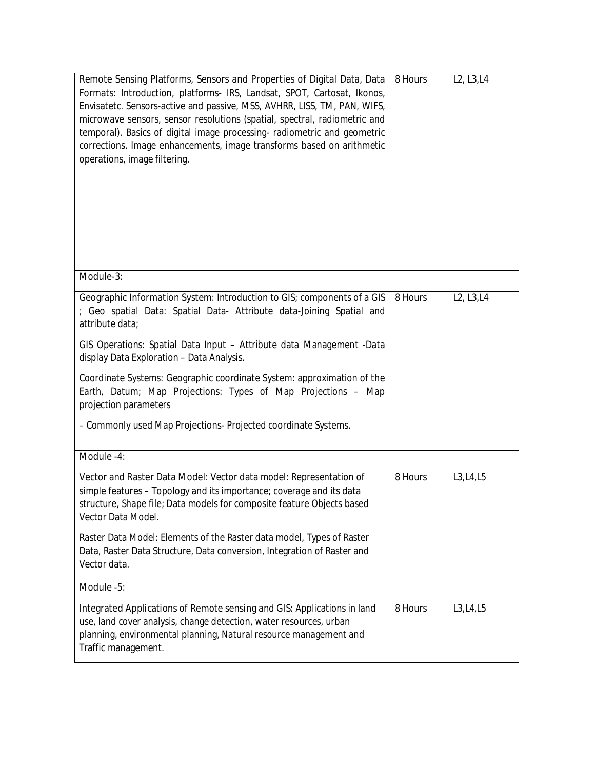| Remote Sensing Platforms, Sensors and Properties of Digital Data, Data<br>Formats: Introduction, platforms- IRS, Landsat, SPOT, Cartosat, Ikonos,<br>Envisatetc. Sensors-active and passive, MSS, AVHRR, LISS, TM, PAN, WIFS,<br>microwave sensors, sensor resolutions (spatial, spectral, radiometric and<br>temporal). Basics of digital image processing- radiometric and geometric<br>corrections. Image enhancements, image transforms based on arithmetic<br>operations, image filtering. | 8 Hours | L <sub>2</sub> , L <sub>3</sub> , L <sub>4</sub> |
|-------------------------------------------------------------------------------------------------------------------------------------------------------------------------------------------------------------------------------------------------------------------------------------------------------------------------------------------------------------------------------------------------------------------------------------------------------------------------------------------------|---------|--------------------------------------------------|
| Module-3:                                                                                                                                                                                                                                                                                                                                                                                                                                                                                       |         |                                                  |
| Geographic Information System: Introduction to GIS; components of a GIS<br>; Geo spatial Data: Spatial Data- Attribute data-Joining Spatial and<br>attribute data;<br>GIS Operations: Spatial Data Input - Attribute data Management -Data<br>display Data Exploration - Data Analysis.                                                                                                                                                                                                         | 8 Hours | L <sub>2</sub> , L <sub>3</sub> , L <sub>4</sub> |
| Coordinate Systems: Geographic coordinate System: approximation of the<br>Earth, Datum; Map Projections: Types of Map Projections - Map<br>projection parameters                                                                                                                                                                                                                                                                                                                                |         |                                                  |
| - Commonly used Map Projections- Projected coordinate Systems.                                                                                                                                                                                                                                                                                                                                                                                                                                  |         |                                                  |
| Module -4:                                                                                                                                                                                                                                                                                                                                                                                                                                                                                      |         |                                                  |
| Vector and Raster Data Model: Vector data model: Representation of<br>simple features - Topology and its importance; coverage and its data<br>structure, Shape file; Data models for composite feature Objects based<br>Vector Data Model.<br>Raster Data Model: Elements of the Raster data model, Types of Raster<br>Data, Raster Data Structure, Data conversion, Integration of Raster and<br>Vector data.                                                                                  | 8 Hours | L3, L4, L5                                       |
| Module -5:                                                                                                                                                                                                                                                                                                                                                                                                                                                                                      |         |                                                  |
| Integrated Applications of Remote sensing and GIS: Applications in land<br>use, land cover analysis, change detection, water resources, urban<br>planning, environmental planning, Natural resource management and<br>Traffic management.                                                                                                                                                                                                                                                       | 8 Hours | L3, L4, L5                                       |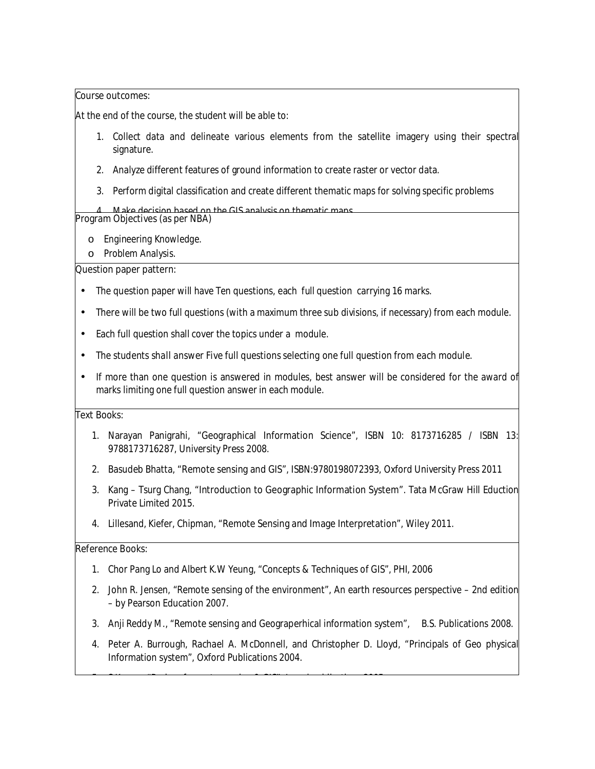At the end of the course, the student will be able to:

- 1. Collect data and delineate various elements from the satellite imagery using their spectral signature.
- 2. Analyze different features of ground information to create raster or vector data.
- 3. Perform digital classification and create different thematic maps for solving specific problems

4. Make decision based on the GIS analysis on thematic maps. **Program Objectives (as per NBA)** 

- o *Engineering Knowledge.*
- o *Problem Analysis.*

#### **Question paper pattern:**

- The question paper will have Ten questions, each full question carrying 16 marks.
- There will be two full questions (with a maximum three sub divisions, if necessary) from each module.
- Each full question shall cover the topics under a module.
- *The students shall answer Five full questions selecting one full question from each module.*
- If more than one question is answered in modules, best answer will be considered for the award of marks limiting one full question answer in each module.

#### **Text Books:**

- 1. Narayan Panigrahi, **"Geographical Information Science**", ISBN 10: 8173716285 / ISBN 13: 9788173716287, University Press 2008.
- 2. Basudeb Bhatta, **"Remote sensing and GIS"**, ISBN:9780198072393, Oxford University Press 2011
- 3. Kang Tsurg Chang, **"Introduction to Geographic Information System".** Tata McGraw Hill Eduction Private Limited 2015.
- 4. Lillesand, Kiefer, Chipman, "**Remote Sensing and Image Interpretation**", Wiley 2011.

#### **Reference Books:**

1. Chor Pang Lo and Albert K.W Yeung, "Concepts & Techniques of GIS", PHI, 2006

5. S Kumar, "Basics of remote sensing & GIS", Laxmi publications 2005.

- 2. John R. Jensen, "Remote sensing of the environment", An earth resources perspective 2nd edition – by Pearson Education 2007.
- 3. Anji Reddy M., "Remote sensing and Geograperhical information system", B.S. Publications 2008.
- 4. Peter A. Burrough, Rachael A. McDonnell, and Christopher D. Lloyd, "Principals of Geo physical Information system", Oxford Publications 2004.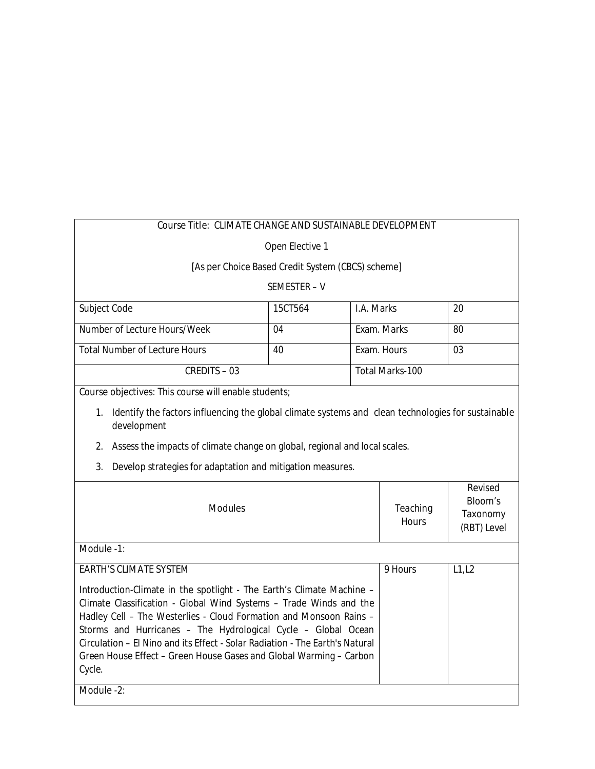# **Course Title: CLIMATE CHANGE AND SUSTAINABLE DEVELOPMENT**

Open Elective 1

## [As per Choice Based Credit System (CBCS) scheme]

## SEMESTER – V

| Subject Code                         | 15CT564 | I.A. Marks      | 20  |
|--------------------------------------|---------|-----------------|-----|
|                                      |         |                 |     |
| Number of Lecture Hours/Week         | 04      | Exam. Marks     | -80 |
|                                      |         |                 |     |
| <b>Total Number of Lecture Hours</b> | 40      | Exam. Hours     | 03  |
|                                      |         |                 |     |
| <b>CREDITS - 03</b>                  |         | Total Marks-100 |     |
|                                      |         |                 |     |

**Course objectives:** This course will enable students;

- 1. Identify the factors influencing the global climate systems and clean technologies for sustainable development
- 2. Assess the impacts of climate change on global, regional and local scales.
- 3. Develop strategies for adaptation and mitigation measures.

| <b>Modules</b>                                                                                                                                                                                            | <b>Teaching</b><br><b>Hours</b> | <b>Revised</b><br><b>Bloom's</b><br>Taxonomy<br>(RBT) Level |
|-----------------------------------------------------------------------------------------------------------------------------------------------------------------------------------------------------------|---------------------------------|-------------------------------------------------------------|
| Module -1:                                                                                                                                                                                                |                                 |                                                             |
| <b>EARTH'S CLIMATE SYSTEM</b><br>Introduction-Climate in the spotlight - The Earth's Climate Machine -                                                                                                    | 9 Hours                         | L1,L2                                                       |
| Climate Classification - Global Wind Systems – Trade Winds and the<br>Hadley Cell - The Westerlies - Cloud Formation and Monsoon Rains -<br>Storms and Hurricanes – The Hydrological Cycle – Global Ocean |                                 |                                                             |
| Circulation – El Nino and its Effect - Solar Radiation - The Farth's Natural<br>Green House Effect – Green House Gases and Global Warming – Carbon                                                        |                                 |                                                             |
| Cycle.                                                                                                                                                                                                    |                                 |                                                             |
| Module -2:                                                                                                                                                                                                |                                 |                                                             |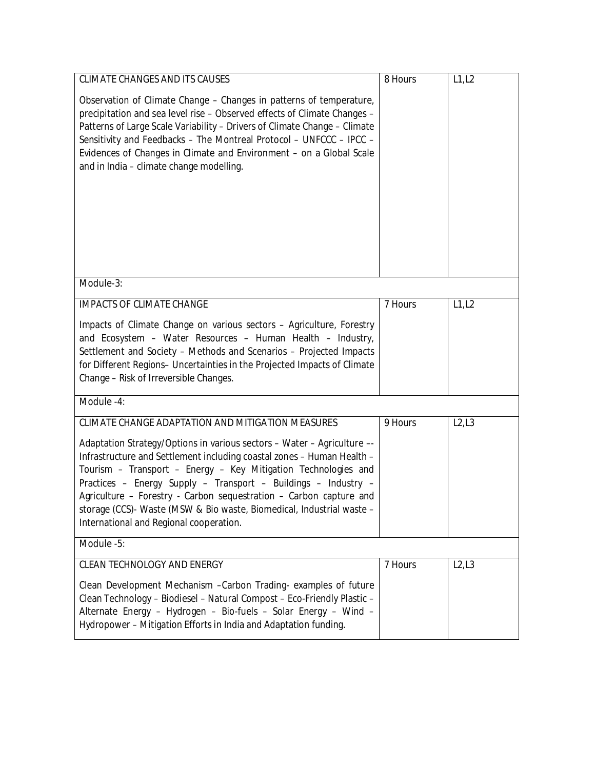| <b>CLIMATE CHANGES AND ITS CAUSES</b>                                                                                                                                                                                                                                                                                                                                                                                                                                           | 8 Hours | L1, L2 |
|---------------------------------------------------------------------------------------------------------------------------------------------------------------------------------------------------------------------------------------------------------------------------------------------------------------------------------------------------------------------------------------------------------------------------------------------------------------------------------|---------|--------|
| Observation of Climate Change – Changes in patterns of temperature,<br>precipitation and sea level rise - Observed effects of Climate Changes -<br>Patterns of Large Scale Variability - Drivers of Climate Change - Climate<br>Sensitivity and Feedbacks - The Montreal Protocol - UNFCCC - IPCC -<br>Evidences of Changes in Climate and Environment - on a Global Scale<br>and in India - climate change modelling.                                                          |         |        |
| Module-3:                                                                                                                                                                                                                                                                                                                                                                                                                                                                       |         |        |
| <b>IMPACTS OF CLIMATE CHANGE</b>                                                                                                                                                                                                                                                                                                                                                                                                                                                | 7 Hours | L1, L2 |
| Impacts of Climate Change on various sectors - Agriculture, Forestry<br>and Ecosystem - Water Resources - Human Health - Industry,<br>Settlement and Society - Methods and Scenarios - Projected Impacts<br>for Different Regions- Uncertainties in the Projected Impacts of Climate<br>Change - Risk of Irreversible Changes.                                                                                                                                                  |         |        |
| Module -4:                                                                                                                                                                                                                                                                                                                                                                                                                                                                      |         |        |
| <b>CLIMATE CHANGE ADAPTATION AND MITIGATION MEASURES</b>                                                                                                                                                                                                                                                                                                                                                                                                                        | 9 Hours | L2, L3 |
| Adaptation Strategy/Options in various sectors - Water - Agriculture --<br>Infrastructure and Settlement including coastal zones - Human Health -<br>Tourism - Transport - Energy - Key Mitigation Technologies and<br>Practices - Energy Supply - Transport - Buildings - Industry -<br>Agriculture - Forestry - Carbon sequestration - Carbon capture and<br>storage (CCS)- Waste (MSW & Bio waste, Biomedical, Industrial waste -<br>International and Regional cooperation. |         |        |
| Module -5:                                                                                                                                                                                                                                                                                                                                                                                                                                                                      |         |        |
| <b>CLEAN TECHNOLOGY AND ENERGY</b>                                                                                                                                                                                                                                                                                                                                                                                                                                              | 7 Hours | L2, L3 |
| Clean Development Mechanism - Carbon Trading- examples of future<br>Clean Technology - Biodiesel - Natural Compost - Eco-Friendly Plastic -<br>Alternate Energy - Hydrogen - Bio-fuels - Solar Energy - Wind -<br>Hydropower - Mitigation Efforts in India and Adaptation funding.                                                                                                                                                                                              |         |        |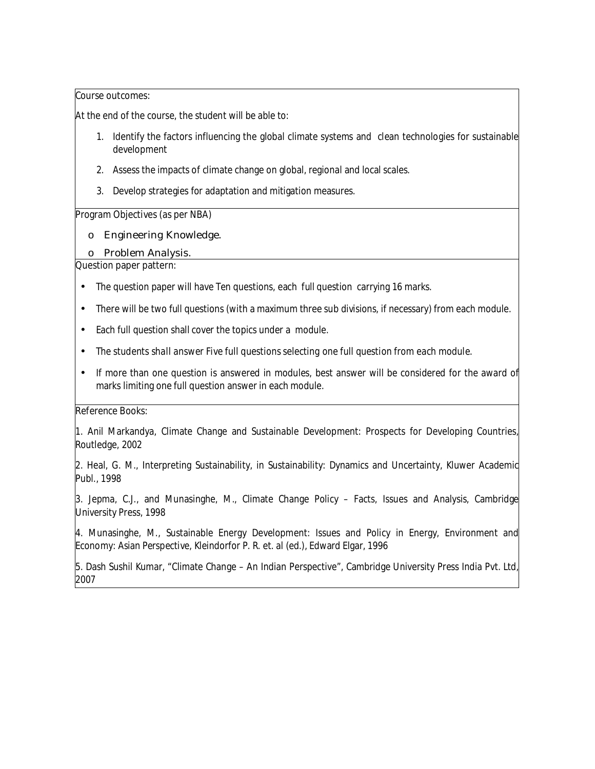At the end of the course, the student will be able to:

- 1. Identify the factors influencing the global climate systems and clean technologies for sustainable development
- 2. Assess the impacts of climate change on global, regional and local scales.
- 3. Develop strategies for adaptation and mitigation measures.

#### **Program Objectives (as per NBA)**

- o Engineering Knowledge.
- o Problem Analysis.

#### **Question paper pattern:**

- The question paper will have Ten questions, each full question carrying 16 marks.
- There will be two full questions (with a maximum three sub divisions, if necessary) from each module.
- Each full question shall cover the topics under a module.
- *The students shall answer Five full questions selecting one full question from each module.*
- If more than one question is answered in modules, best answer will be considered for the award of marks limiting one full question answer in each module.

#### **Reference Books:**

1. Anil Markandya, Climate Change and Sustainable Development: Prospects for Developing Countries, Routledge, 2002

2. Heal, G. M., Interpreting Sustainability, in Sustainability: Dynamics and Uncertainty, Kluwer Academic Publ., 1998

3. Jepma, C.J., and Munasinghe, M., Climate Change Policy – Facts, Issues and Analysis, Cambridge University Press, 1998

4. Munasinghe, M., Sustainable Energy Development: Issues and Policy in Energy, Environment and Economy: Asian Perspective, Kleindorfor P. R. et. al (ed.), Edward Elgar, 1996

5. Dash Sushil Kumar, "Climate Change – An Indian Perspective", Cambridge University Press India Pvt. Ltd, 2007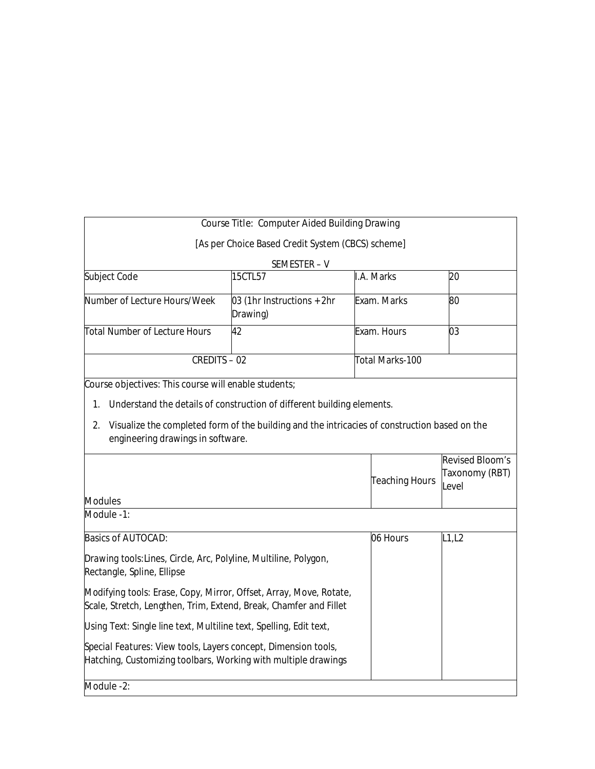|                                                                                                                                                 | <b>Course Title: Computer Aided Building Drawing</b>                                                                                                                    |                        |                                                          |
|-------------------------------------------------------------------------------------------------------------------------------------------------|-------------------------------------------------------------------------------------------------------------------------------------------------------------------------|------------------------|----------------------------------------------------------|
|                                                                                                                                                 | [As per Choice Based Credit System (CBCS) scheme]                                                                                                                       |                        |                                                          |
|                                                                                                                                                 | SEMESTER-V                                                                                                                                                              |                        |                                                          |
| Subject Code                                                                                                                                    | 15CTL57                                                                                                                                                                 | I.A. Marks             | 20                                                       |
| Number of Lecture Hours/Week                                                                                                                    | 03 (1hr Instructions + 2hr<br>Drawing)                                                                                                                                  | Exam. Marks            | 80                                                       |
| <b>Total Number of Lecture Hours</b>                                                                                                            | 42                                                                                                                                                                      | Exam. Hours            | 03                                                       |
| <b>CREDITS - 02</b>                                                                                                                             |                                                                                                                                                                         | <b>Total Marks-100</b> |                                                          |
| Course objectives: This course will enable students;<br>1.<br>2.<br>engineering drawings in software.                                           | Understand the details of construction of different building elements.<br>Visualize the completed form of the building and the intricacies of construction based on the |                        |                                                          |
| <b>Modules</b>                                                                                                                                  |                                                                                                                                                                         | <b>Teaching Hours</b>  | <b>Revised Bloom's</b><br><b>Taxonomy (RBT)</b><br>Level |
| Module -1:                                                                                                                                      |                                                                                                                                                                         |                        |                                                          |
| <b>Basics of AUTOCAD:</b>                                                                                                                       |                                                                                                                                                                         | 06 Hours               | L1,L2                                                    |
| Drawing tools.Lines, Circle, Arc, Polyline, Multiline, Polygon,<br>Rectangle, Spline, Ellipse                                                   |                                                                                                                                                                         |                        |                                                          |
|                                                                                                                                                 |                                                                                                                                                                         |                        |                                                          |
| <i>Modifying tools</i> . Erase, Copy, Mirror, Offset, Array, Move, Rotate,<br>Scale, Stretch, Lengthen, Trim, Extend, Break, Chamfer and Fillet |                                                                                                                                                                         |                        |                                                          |
| Using Text. Single line text, Multiline text, Spelling, Edit text,                                                                              |                                                                                                                                                                         |                        |                                                          |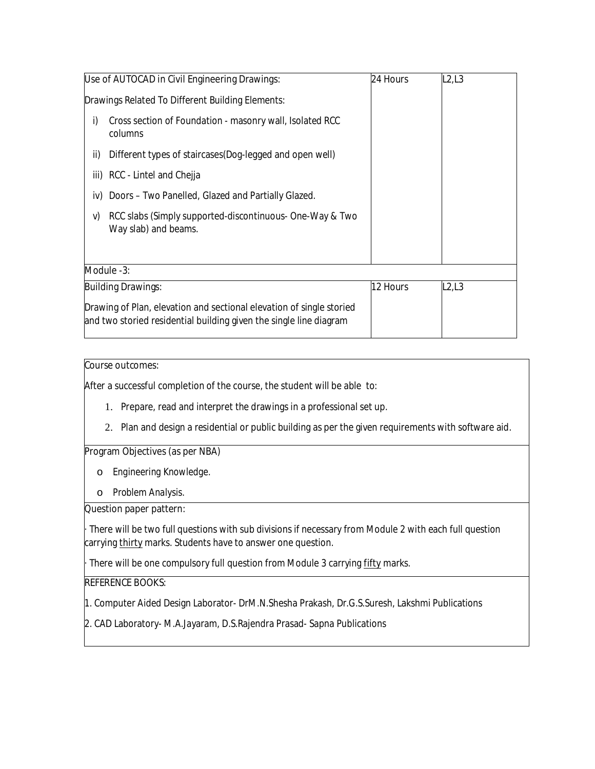|     | Use of AUTOCAD in Civil Engineering Drawings:                                                                                              | 24 Hours | L2,L3 |
|-----|--------------------------------------------------------------------------------------------------------------------------------------------|----------|-------|
|     | Drawings Related To Different Building Elements:                                                                                           |          |       |
| i)  | Cross section of Foundation - masonry wall, Isolated RCC<br>columns                                                                        |          |       |
| ii) | Different types of staircases (Dog-legged and open well)                                                                                   |          |       |
|     | iii) RCC - Lintel and Chejja                                                                                                               |          |       |
| iv) | Doors – Two Panelled, Glazed and Partially Glazed.                                                                                         |          |       |
| V)  | RCC slabs (Simply supported-discontinuous- One-Way & Two<br>Way slab) and beams.                                                           |          |       |
|     |                                                                                                                                            |          |       |
|     | Module -3:                                                                                                                                 |          |       |
|     | <b>Building Drawings:</b>                                                                                                                  | 12 Hours | L2,L3 |
|     | Drawing of Plan, elevation and sectional elevation of single storied<br>and two storied residential building given the single line diagram |          |       |

After a successful completion of the course, the student will be able to:

- 1. Prepare, read and interpret the drawings in a professional set up.
- 2. Plan and design a residential or public building as per the given requirements with software aid.

#### **Program Objectives (as per NBA)**

- o *Engineering Knowledge.*
- o *Problem Analysis.*

### **Question paper pattern:**

There will be two full questions with sub divisions if necessary from Module 2 with each full question carrying **thirty** marks. Students have to answer one question.

· There will be one compulsory full question from Module 3 carrying **fifty** marks.

## **REFERENCE BOOKS:**

1. Computer Aided Design Laborator- DrM.N.Shesha Prakash, Dr.G.S.Suresh, Lakshmi Publications

2. CAD Laboratory- M.A.Jayaram, D.S.Rajendra Prasad- Sapna Publications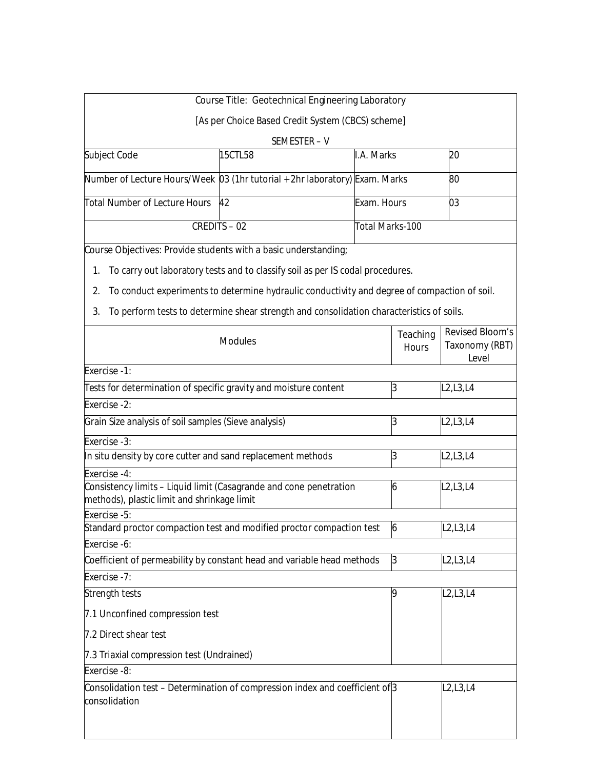|                                                                  | <b>Course Title: Geotechnical Engineering Laboratory</b>                                     |                        |                                 |                                                                 |
|------------------------------------------------------------------|----------------------------------------------------------------------------------------------|------------------------|---------------------------------|-----------------------------------------------------------------|
|                                                                  | [As per Choice Based Credit System (CBCS) scheme]                                            |                        |                                 |                                                                 |
|                                                                  | SEMESTER-V                                                                                   |                        |                                 |                                                                 |
| Subject Code                                                     | 15CTL58                                                                                      | I.A. Marks             |                                 | 20                                                              |
|                                                                  | Number of Lecture Hours/Week [03 (1hr tutorial + 2hr laboratory) Exam. Marks                 |                        |                                 | 80                                                              |
| Total Number of Lecture Hours                                    | 42                                                                                           | Exam. Hours            |                                 | 03                                                              |
|                                                                  | <b>CREDITS - 02</b>                                                                          | <b>Total Marks-100</b> |                                 |                                                                 |
| Course Objectives: Provide students with a basic understanding;  |                                                                                              |                        |                                 |                                                                 |
| 1.                                                               | To carry out laboratory tests and to classify soil as per IS codal procedures.               |                        |                                 |                                                                 |
| 2.                                                               | To conduct experiments to determine hydraulic conductivity and degree of compaction of soil. |                        |                                 |                                                                 |
| 3.                                                               | To perform tests to determine shear strength and consolidation characteristics of soils.     |                        |                                 |                                                                 |
|                                                                  | <b>Modules</b>                                                                               |                        | <b>Teaching</b><br><b>Hours</b> | <b>Revised Bloom's</b><br><b>Taxonomy (RBT)</b><br><b>Level</b> |
| <b>Exercise -1:</b>                                              |                                                                                              |                        |                                 |                                                                 |
| Tests for determination of specific gravity and moisture content |                                                                                              |                        | 3                               | L <sub>2</sub> , L <sub>3</sub> , L <sub>4</sub>                |
| <b>Exercise -2:</b>                                              |                                                                                              |                        |                                 |                                                                 |
| Grain Size analysis of soil samples (Sieve analysis)             |                                                                                              |                        | 3                               | L <sub>2</sub> , L <sub>3</sub> , L <sub>4</sub>                |
| <b>Exercise -3:</b>                                              |                                                                                              |                        |                                 |                                                                 |
| In situ density by core cutter and sand replacement methods      |                                                                                              |                        | 3                               | L <sub>2</sub> , L <sub>3</sub> , L <sub>4</sub>                |
| <b>Exercise -4:</b>                                              |                                                                                              |                        |                                 |                                                                 |
| methods), plastic limit and shrinkage limit                      | Consistency limits - Liquid limit (Casagrande and cone penetration                           |                        | 6                               | L <sub>2</sub> , L <sub>3</sub> , L <sub>4</sub>                |
| <b>Exercise -5:</b>                                              |                                                                                              |                        |                                 |                                                                 |
|                                                                  | Standard proctor compaction test and modified proctor compaction test                        |                        | 6                               | <b>L2,L3,L4</b>                                                 |
| <b>Exercise -6:</b>                                              |                                                                                              |                        |                                 |                                                                 |
|                                                                  | Coefficient of permeability by constant head and variable head methods                       |                        | 3                               | L2, L3, L4                                                      |
| <b>Exercise -7:</b>                                              |                                                                                              |                        | 9                               |                                                                 |
| Strength tests                                                   |                                                                                              |                        |                                 | L <sub>2</sub> , L <sub>3</sub> , L <sub>4</sub>                |
| 7.1 Unconfined compression test                                  |                                                                                              |                        |                                 |                                                                 |
| 7.2 Direct shear test                                            |                                                                                              |                        |                                 |                                                                 |
| 7.3 Triaxial compression test (Undrained)                        |                                                                                              |                        |                                 |                                                                 |
| <b>Exercise -8:</b>                                              |                                                                                              |                        |                                 |                                                                 |
| consolidation                                                    | Consolidation test - Determination of compression index and coefficient of <sup>3</sup>      |                        |                                 | L2, L3, L4                                                      |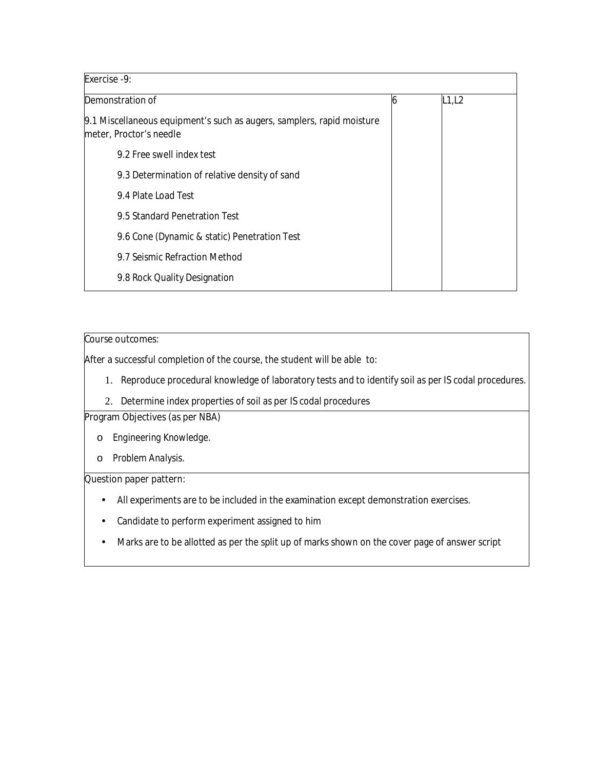| <b>Exercise -9:</b>                                                                               |   |        |
|---------------------------------------------------------------------------------------------------|---|--------|
| Demonstration of                                                                                  | 6 | L1, L2 |
| 9.1 Miscellaneous equipment's such as augers, samplers, rapid moisture<br>meter, Proctor's needle |   |        |
| 9.2 Free swell index test                                                                         |   |        |
| 9.3 Determination of relative density of sand                                                     |   |        |
| 9.4 Plate Load Test                                                                               |   |        |
| 9.5 Standard Penetration Test                                                                     |   |        |
| 9.6 Cone (Dynamic & static) Penetration Test                                                      |   |        |
| 9.7 Seismic Refraction Method                                                                     |   |        |
| 9.8 Rock Quality Designation                                                                      |   |        |

# **Course outcomes:**

After a successful completion of the course, the student will be able to:

- 1. Reproduce procedural knowledge of laboratory tests and to identify soil as per IS codal procedures.
- 2. Determine index properties of soil as per IS codal procedures

# **Program Objectives (as per NBA)**

- o *Engineering Knowledge.*
- o *Problem Analysis.*

## **Question paper pattern:**

- All experiments are to be included in the examination except demonstration exercises.
- Candidate to perform experiment assigned to him
- Marks are to be allotted as per the split up of marks shown on the cover page of answer script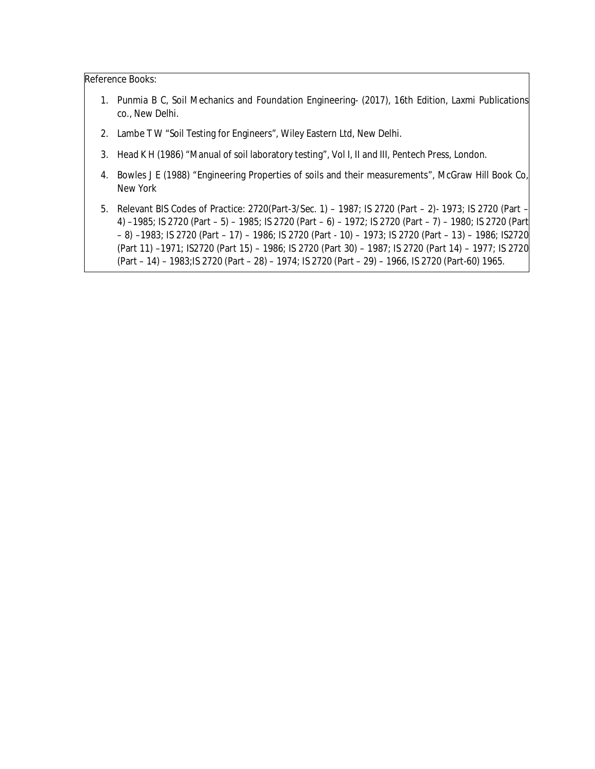- 1. Punmia B C, Soil Mechanics and Foundation Engineering- (2017), 16th Edition, Laxmi Publications co., New Delhi.
- 2. Lambe T W "Soil Testing for Engineers", Wiley Eastern Ltd, New Delhi.
- 3. Head K H (1986) "Manual of soil laboratory testing", Vol I, II and III, Pentech Press, London.
- 4. Bowles J E (1988) "Engineering Properties of soils and their measurements", McGraw Hill Book Co, New York
- 5. Relevant BIS Codes of Practice: 2720(Part-3/Sec. 1) 1987; IS 2720 (Part 2)- 1973; IS 2720 (Part 4) –1985; IS 2720 (Part – 5) – 1985; IS 2720 (Part – 6) – 1972; IS 2720 (Part – 7) – 1980; IS 2720 (Part – 8) –1983; IS 2720 (Part – 17) – 1986; IS 2720 (Part - 10) – 1973; IS 2720 (Part – 13) – 1986; IS2720 (Part 11) –1971; IS2720 (Part 15) – 1986; IS 2720 (Part 30) – 1987; IS 2720 (Part 14) – 1977; IS 2720 (Part – 14) – 1983;IS 2720 (Part – 28) – 1974; IS 2720 (Part – 29) – 1966, IS 2720 (Part-60) 1965.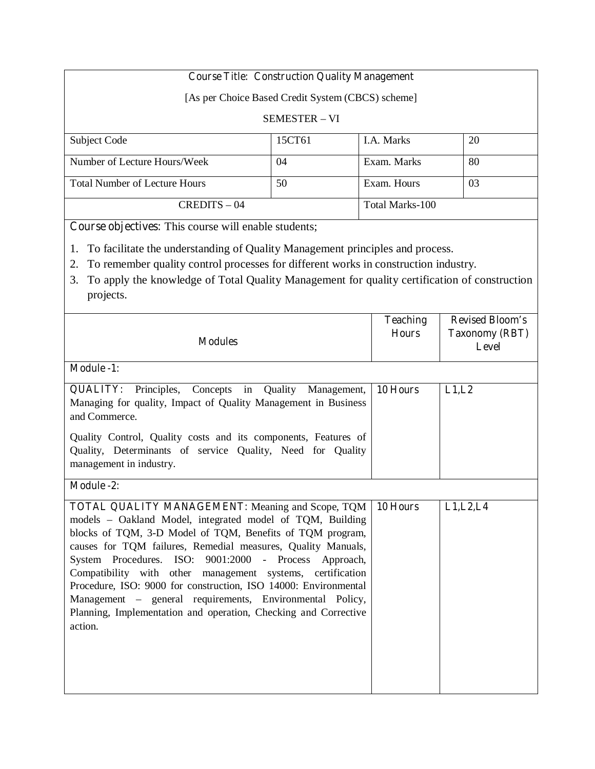# **Course Title: Construction Quality Management**

[As per Choice Based Credit System (CBCS) scheme]

#### SEMESTER – VI

| Subject Code                         | 15CT61 | <b>I.A.</b> Marks | 20 |
|--------------------------------------|--------|-------------------|----|
| Number of Lecture Hours/Week         | 04     | Exam. Marks       | 80 |
| <b>Total Number of Lecture Hours</b> | 50     | Exam. Hours       | 03 |
| $CREDITS - 04$                       |        | Total Marks-100   |    |

**Course objectives:** This course will enable students;

- 1. To facilitate the understanding of Quality Management principles and process.
- 2. To remember quality control processes for different works in construction industry.
- 3. To apply the knowledge of Total Quality Management for quality certification of construction projects.

| <b>Modules</b>                                                                                                                                                                                                                                                                                                                                                                                                                                                                                                                                                                        | <b>Teaching</b><br><b>Hours</b> | <b>Revised Bloom's</b><br><b>Taxonomy (RBT)</b><br>Level |
|---------------------------------------------------------------------------------------------------------------------------------------------------------------------------------------------------------------------------------------------------------------------------------------------------------------------------------------------------------------------------------------------------------------------------------------------------------------------------------------------------------------------------------------------------------------------------------------|---------------------------------|----------------------------------------------------------|
| <b>Module -1:</b>                                                                                                                                                                                                                                                                                                                                                                                                                                                                                                                                                                     |                                 |                                                          |
| <b>QUALITY:</b> Principles, Concepts in Quality Management,<br>Managing for quality, Impact of Quality Management in Business<br>and Commerce.<br>Quality Control, Quality costs and its components, Features of<br>Quality, Determinants of service Quality, Need for Quality<br>management in industry.                                                                                                                                                                                                                                                                             | 10 Hours                        | L1,L2                                                    |
| <b>Module -2:</b>                                                                                                                                                                                                                                                                                                                                                                                                                                                                                                                                                                     |                                 |                                                          |
| <b>TOTAL QUALITY MANAGEMENT:</b> Meaning and Scope, TQM<br>models - Oakland Model, integrated model of TQM, Building<br>blocks of TQM, 3-D Model of TQM, Benefits of TQM program,<br>causes for TQM failures, Remedial measures, Quality Manuals,<br>System Procedures. ISO: 9001:2000 - Process Approach,<br>Compatibility with other management systems, certification<br>Procedure, ISO: 9000 for construction, ISO 14000: Environmental<br>Management – general requirements, Environmental Policy,<br>Planning, Implementation and operation, Checking and Corrective<br>action. | 10 Hours                        | L1, L2, L4                                               |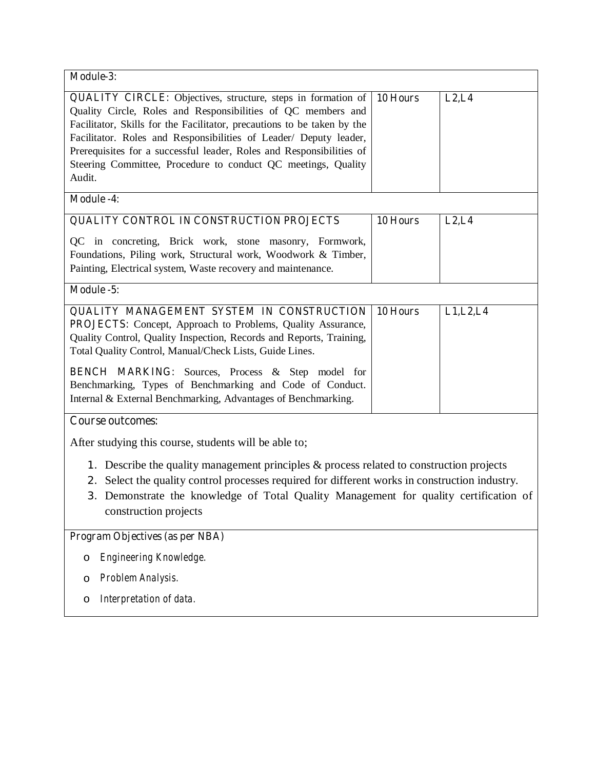| Module-3:                                                                                                                                                                                                                                                                                                                                                                                                                                 |          |            |
|-------------------------------------------------------------------------------------------------------------------------------------------------------------------------------------------------------------------------------------------------------------------------------------------------------------------------------------------------------------------------------------------------------------------------------------------|----------|------------|
| <b>QUALITY CIRCLE:</b> Objectives, structure, steps in formation of<br>Quality Circle, Roles and Responsibilities of QC members and<br>Facilitator, Skills for the Facilitator, precautions to be taken by the<br>Facilitator. Roles and Responsibilities of Leader/ Deputy leader,<br>Prerequisites for a successful leader, Roles and Responsibilities of<br>Steering Committee, Procedure to conduct QC meetings, Quality<br>Audit.    | 10 Hours | L2, L4     |
| <b>Module -4:</b>                                                                                                                                                                                                                                                                                                                                                                                                                         |          |            |
| QUALITY CONTROL IN CONSTRUCTION PROJECTS                                                                                                                                                                                                                                                                                                                                                                                                  | 10 Hours | L2, L4     |
| QC in concreting, Brick work, stone masonry, Formwork,<br>Foundations, Piling work, Structural work, Woodwork & Timber,<br>Painting, Electrical system, Waste recovery and maintenance.                                                                                                                                                                                                                                                   |          |            |
| Module -5:                                                                                                                                                                                                                                                                                                                                                                                                                                |          |            |
| <b>QUALITY MANAGEMENT SYSTEM IN CONSTRUCTION</b><br>PROJECTS: Concept, Approach to Problems, Quality Assurance,<br>Quality Control, Quality Inspection, Records and Reports, Training,<br>Total Quality Control, Manual/Check Lists, Guide Lines.<br><b>BENCH MARKING:</b> Sources, Process & Step model for<br>Benchmarking, Types of Benchmarking and Code of Conduct.<br>Internal & External Benchmarking, Advantages of Benchmarking. | 10 Hours | L1, L2, L4 |
| <b>Course outcomes:</b>                                                                                                                                                                                                                                                                                                                                                                                                                   |          |            |
| After studying this course, students will be able to;<br>1. Describe the quality management principles $\&$ process related to construction projects<br>Select the quality control processes required for different works in construction industry.<br>2.<br>3. Demonstrate the knowledge of Total Quality Management for quality certification of<br>construction projects<br>Program Objectives (as per NBA)                            |          |            |
| Engineering Knowledge.<br>$\circ$                                                                                                                                                                                                                                                                                                                                                                                                         |          |            |
| Problem Analysis.<br>O<br>Interpretation of data.<br>$\circ$                                                                                                                                                                                                                                                                                                                                                                              |          |            |
|                                                                                                                                                                                                                                                                                                                                                                                                                                           |          |            |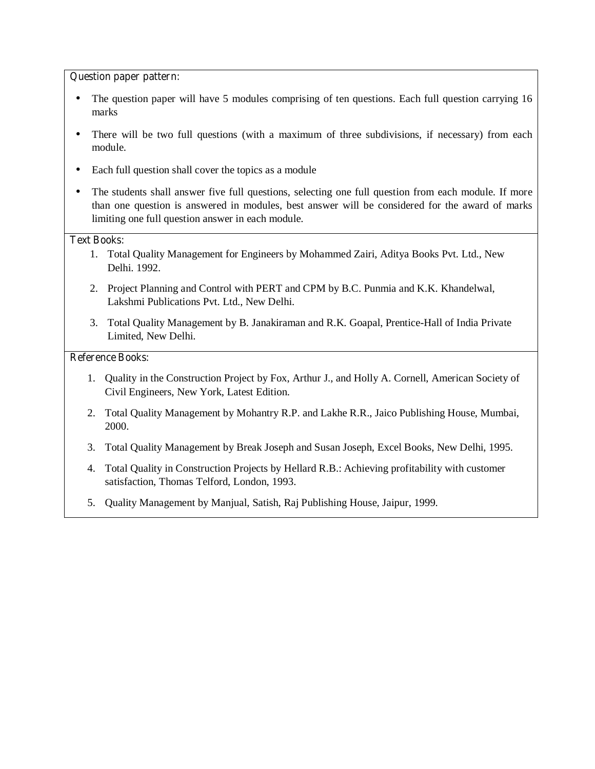#### **Question paper pattern:**

- The question paper will have 5 modules comprising of ten questions. Each full question carrying 16 marks
- There will be two full questions (with a maximum of three subdivisions, if necessary) from each module.
- Each full question shall cover the topics as a module
- The students shall answer five full questions, selecting one full question from each module. If more than one question is answered in modules, best answer will be considered for the award of marks limiting one full question answer in each module.

#### **Text Books:**

- 1. Total Quality Management for Engineers by Mohammed Zairi, Aditya Books Pvt. Ltd., New Delhi. 1992.
- 2. Project Planning and Control with PERT and CPM by B.C. Punmia and K.K. Khandelwal, Lakshmi Publications Pvt. Ltd., New Delhi.
- 3. Total Quality Management by B. Janakiraman and R.K. Goapal, Prentice-Hall of India Private Limited, New Delhi.

- 1. Quality in the Construction Project by Fox, Arthur J., and Holly A. Cornell, American Society of Civil Engineers, New York, Latest Edition.
- 2. Total Quality Management by Mohantry R.P. and Lakhe R.R., Jaico Publishing House, Mumbai, 2000.
- 3. Total Quality Management by Break Joseph and Susan Joseph, Excel Books, New Delhi, 1995.
- 4. Total Quality in Construction Projects by Hellard R.B.: Achieving profitability with customer satisfaction, Thomas Telford, London, 1993.
- 5. Quality Management by Manjual, Satish, Raj Publishing House, Jaipur, 1999.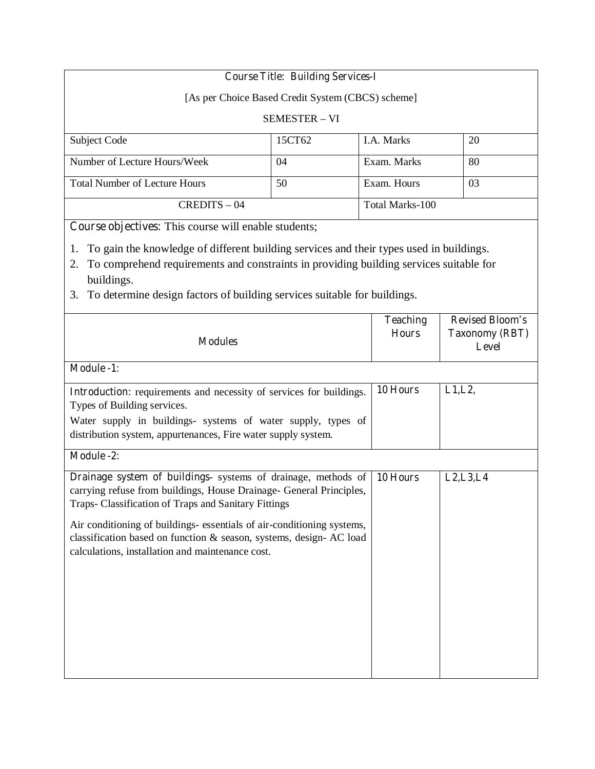# **Course Title: Building Services-I**

[As per Choice Based Credit System (CBCS) scheme]

#### SEMESTER – VI

| Subject Code                         | 15CT62 | <b>I.A.</b> Marks | 20 |
|--------------------------------------|--------|-------------------|----|
| Number of Lecture Hours/Week         | 04     | Exam. Marks       | 80 |
| <b>Total Number of Lecture Hours</b> | 50     | Exam. Hours       | 03 |
| $CREDITS - 04$                       |        | Total Marks-100   |    |

**Course objectives:** This course will enable students;

- 1. To gain the knowledge of different building services and their types used in buildings.
- 2. To comprehend requirements and constraints in providing building services suitable for buildings.
- 3. To determine design factors of building services suitable for buildings.

| <b>Modules</b>                                                                                                                                                                                                                                                                                                                                                                                    | <b>Teaching</b><br><b>Hours</b> | <b>Revised Bloom's</b><br><b>Taxonomy (RBT)</b><br>Level |
|---------------------------------------------------------------------------------------------------------------------------------------------------------------------------------------------------------------------------------------------------------------------------------------------------------------------------------------------------------------------------------------------------|---------------------------------|----------------------------------------------------------|
| <b>Module -1:</b>                                                                                                                                                                                                                                                                                                                                                                                 |                                 |                                                          |
| Introduction: requirements and necessity of services for buildings.<br>Types of Building services.<br>Water supply in buildings- systems of water supply, types of<br>distribution system, appurtenances, Fire water supply system.                                                                                                                                                               | 10 Hours                        | L1, L2,                                                  |
| <b>Module -2:</b>                                                                                                                                                                                                                                                                                                                                                                                 |                                 |                                                          |
| Drainage system of buildings- systems of drainage, methods of<br>carrying refuse from buildings, House Drainage- General Principles,<br>Traps- Classification of Traps and Sanitary Fittings<br>Air conditioning of buildings- essentials of air-conditioning systems,<br>classification based on function & season, systems, design- AC load<br>calculations, installation and maintenance cost. | 10 Hours                        | L2, L3, L4                                               |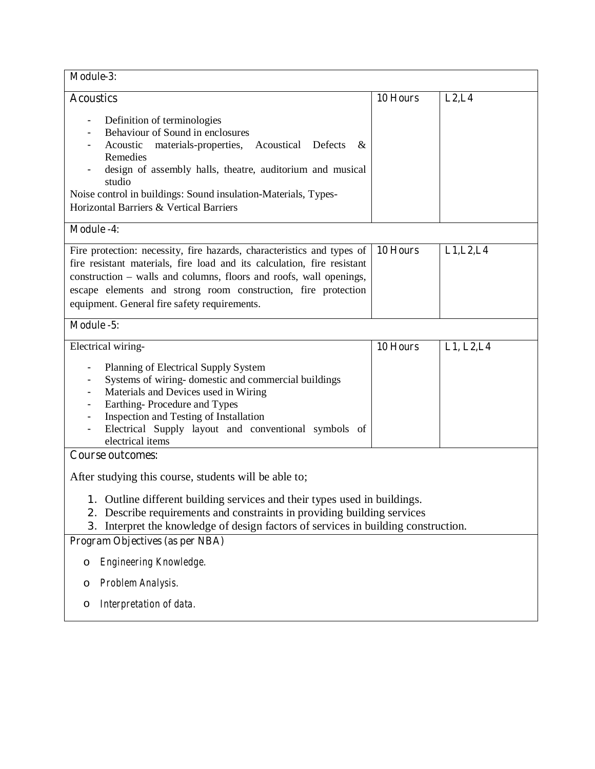| Module-3:                                                                                                                                                                                                                                                                                                                                                                           |          |            |
|-------------------------------------------------------------------------------------------------------------------------------------------------------------------------------------------------------------------------------------------------------------------------------------------------------------------------------------------------------------------------------------|----------|------------|
| <b>Acoustics</b><br>Definition of terminologies<br>Behaviour of Sound in enclosures<br>Acoustic<br>materials-properties, Acoustical Defects<br>$\&$<br>Remedies<br>design of assembly halls, theatre, auditorium and musical<br>studio<br>Noise control in buildings: Sound insulation-Materials, Types-<br><b>Horizontal Barriers &amp; Vertical Barriers</b><br><b>Module -4:</b> | 10 Hours | L2, L4     |
| Fire protection: necessity, fire hazards, characteristics and types of<br>fire resistant materials, fire load and its calculation, fire resistant<br>construction – walls and columns, floors and roofs, wall openings,<br>escape elements and strong room construction, fire protection<br>equipment. General fire safety requirements.                                            | 10 Hours | L1, L2, L4 |
| Module -5:                                                                                                                                                                                                                                                                                                                                                                          |          |            |
| Electrical wiring-<br>Planning of Electrical Supply System<br>$\qquad \qquad \blacksquare$<br>Systems of wiring-domestic and commercial buildings<br>Materials and Devices used in Wiring<br>Earthing-Procedure and Types<br>Inspection and Testing of Installation<br>Electrical Supply layout and conventional symbols of<br>electrical items                                     | 10 Hours | L1, L2, L4 |
| <b>Course outcomes:</b><br>After studying this course, students will be able to;<br>1. Outline different building services and their types used in buildings.<br>Describe requirements and constraints in providing building services<br>2.<br>Interpret the knowledge of design factors of services in building construction.<br>3.                                                |          |            |
| Program Objectives (as per NBA)<br>Engineering Knowledge.<br>O<br>Problem Analysis.<br>O<br>Interpretation of data.<br>O                                                                                                                                                                                                                                                            |          |            |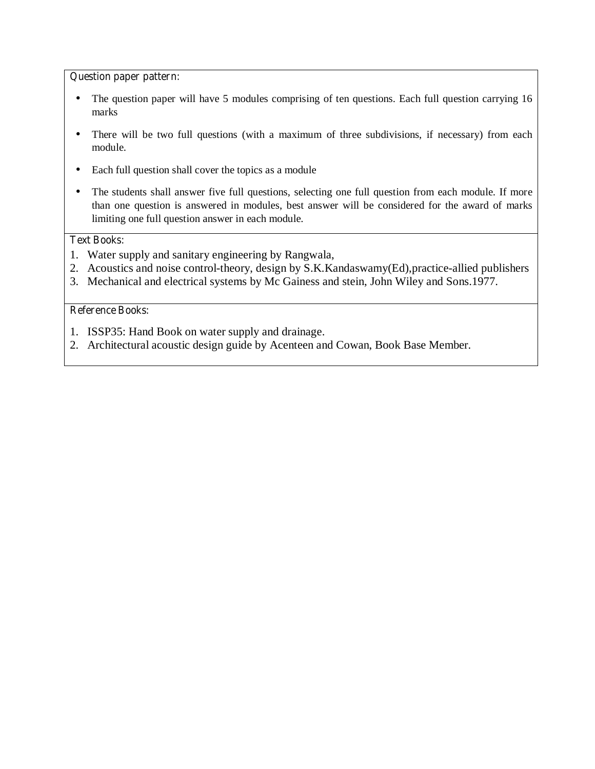#### **Question paper pattern:**

- The question paper will have 5 modules comprising of ten questions. Each full question carrying 16 marks
- There will be two full questions (with a maximum of three subdivisions, if necessary) from each module.
- Each full question shall cover the topics as a module
- The students shall answer five full questions, selecting one full question from each module. If more than one question is answered in modules, best answer will be considered for the award of marks limiting one full question answer in each module.

# **Text Books:**

- 1. Water supply and sanitary engineering by Rangwala,
- 2. Acoustics and noise control-theory, design by S.K.Kandaswamy(Ed),practice-allied publishers
- 3. Mechanical and electrical systems by Mc Gainess and stein, John Wiley and Sons.1977.

- 1. ISSP35: Hand Book on water supply and drainage.
- 2. Architectural acoustic design guide by Acenteen and Cowan, Book Base Member.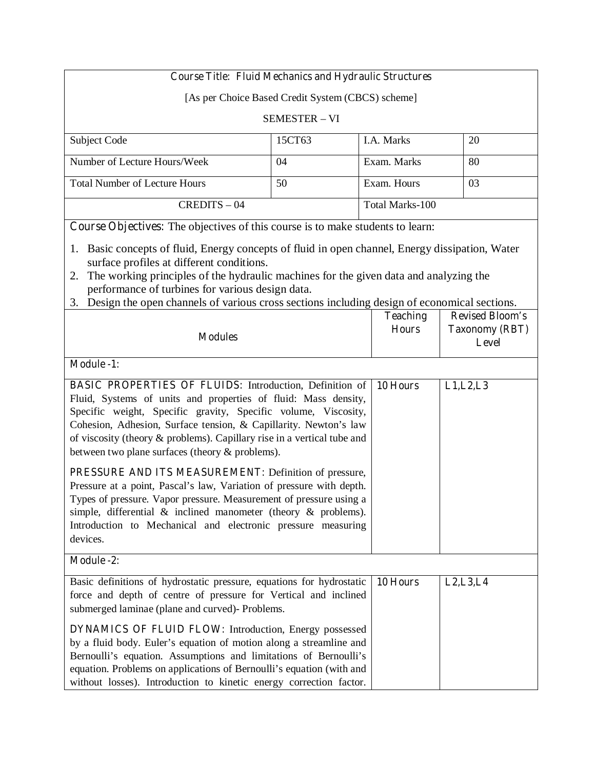## **Course Title: Fluid Mechanics and Hydraulic Structures**

[As per Choice Based Credit System (CBCS) scheme]

#### SEMESTER – VI

| Subject Code                         | 15CT63 | I.A. Marks      | 20 |
|--------------------------------------|--------|-----------------|----|
|                                      |        |                 |    |
| Number of Lecture Hours/Week         | 04     | Exam. Marks     | 80 |
|                                      |        |                 |    |
| <b>Total Number of Lecture Hours</b> | 50     | Exam. Hours     | 03 |
|                                      |        |                 |    |
| $CREDITS - 04$                       |        | Total Marks-100 |    |
|                                      |        |                 |    |

**Course Objectives:** The objectives of this course is to make students to learn:

- 1. Basic concepts of fluid, Energy concepts of fluid in open channel, Energy dissipation, Water surface profiles at different conditions.
- 2. The working principles of the hydraulic machines for the given data and analyzing the performance of turbines for various design data.
- 3. Design the open channels of various cross sections including design of economical sections.

| <b>Modules</b>                                                                                                                                                                                                                                                                                                                                                                                        | <b>Teaching</b><br><b>Hours</b> | <b>Revised Bloom's</b><br><b>Taxonomy (RBT)</b><br>Level |
|-------------------------------------------------------------------------------------------------------------------------------------------------------------------------------------------------------------------------------------------------------------------------------------------------------------------------------------------------------------------------------------------------------|---------------------------------|----------------------------------------------------------|
| <b>Module -1:</b>                                                                                                                                                                                                                                                                                                                                                                                     |                                 |                                                          |
| <b>BASIC PROPERTIES OF FLUIDS:</b> Introduction, Definition of<br>Fluid, Systems of units and properties of fluid: Mass density,<br>Specific weight, Specific gravity, Specific volume, Viscosity,<br>Cohesion, Adhesion, Surface tension, & Capillarity. Newton's law<br>of viscosity (theory & problems). Capillary rise in a vertical tube and<br>between two plane surfaces (theory & problems).  | 10 Hours                        | L1, L2, L3                                               |
| PRESSURE AND ITS MEASUREMENT: Definition of pressure,<br>Pressure at a point, Pascal's law, Variation of pressure with depth.<br>Types of pressure. Vapor pressure. Measurement of pressure using a<br>simple, differential $\&$ inclined manometer (theory $\&$ problems).<br>Introduction to Mechanical and electronic pressure measuring<br>devices.                                               |                                 |                                                          |
| <b>Module -2:</b>                                                                                                                                                                                                                                                                                                                                                                                     |                                 |                                                          |
| Basic definitions of hydrostatic pressure, equations for hydrostatic<br>force and depth of centre of pressure for Vertical and inclined<br>submerged laminae (plane and curved)- Problems.<br><b>DYNAMICS OF FLUID FLOW: Introduction, Energy possessed</b><br>by a fluid body. Euler's equation of motion along a streamline and<br>Bernoulli's equation. Assumptions and limitations of Bernoulli's | 10 Hours                        | L2, L3, L4                                               |
| equation. Problems on applications of Bernoulli's equation (with and<br>without losses). Introduction to kinetic energy correction factor.                                                                                                                                                                                                                                                            |                                 |                                                          |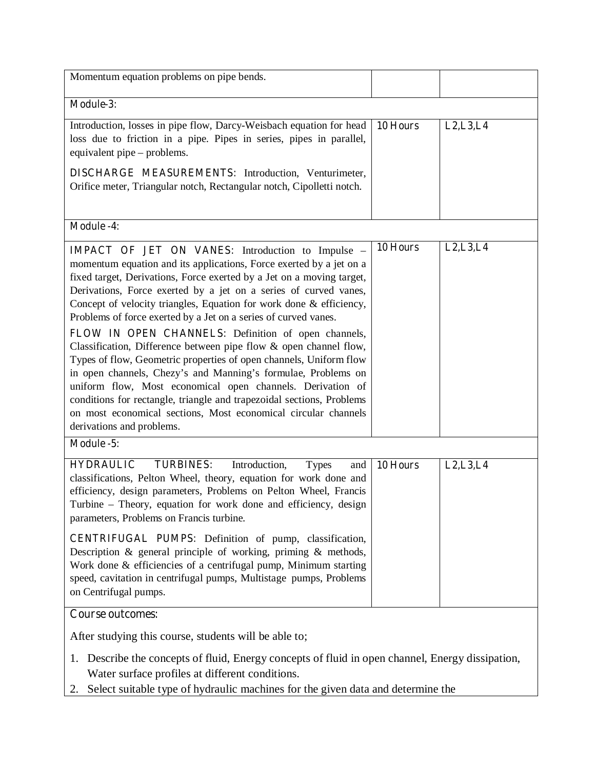| Momentum equation problems on pipe bends.                                                                                                                                                                                                                                                                                                                                                                                                                                                                                                                                                                                                                                                                                                                                                                                                                                                                                       |          |            |
|---------------------------------------------------------------------------------------------------------------------------------------------------------------------------------------------------------------------------------------------------------------------------------------------------------------------------------------------------------------------------------------------------------------------------------------------------------------------------------------------------------------------------------------------------------------------------------------------------------------------------------------------------------------------------------------------------------------------------------------------------------------------------------------------------------------------------------------------------------------------------------------------------------------------------------|----------|------------|
| Module-3:                                                                                                                                                                                                                                                                                                                                                                                                                                                                                                                                                                                                                                                                                                                                                                                                                                                                                                                       |          |            |
| Introduction, losses in pipe flow, Darcy-Weisbach equation for head<br>loss due to friction in a pipe. Pipes in series, pipes in parallel,<br>equivalent pipe – problems.<br><b>DISCHARGE MEASUREMENTS:</b> Introduction, Venturimeter,<br>Orifice meter, Triangular notch, Rectangular notch, Cipolletti notch.                                                                                                                                                                                                                                                                                                                                                                                                                                                                                                                                                                                                                | 10 Hours | L2, L3, L4 |
| <b>Module -4:</b>                                                                                                                                                                                                                                                                                                                                                                                                                                                                                                                                                                                                                                                                                                                                                                                                                                                                                                               |          |            |
| <b>IMPACT OF JET ON VANES:</b> Introduction to Impulse -<br>momentum equation and its applications, Force exerted by a jet on a<br>fixed target, Derivations, Force exerted by a Jet on a moving target,<br>Derivations, Force exerted by a jet on a series of curved vanes,<br>Concept of velocity triangles, Equation for work done & efficiency,<br>Problems of force exerted by a Jet on a series of curved vanes.<br>FLOW IN OPEN CHANNELS: Definition of open channels,<br>Classification, Difference between pipe flow & open channel flow,<br>Types of flow, Geometric properties of open channels, Uniform flow<br>in open channels, Chezy's and Manning's formulae, Problems on<br>uniform flow, Most economical open channels. Derivation of<br>conditions for rectangle, triangle and trapezoidal sections, Problems<br>on most economical sections, Most economical circular channels<br>derivations and problems. | 10 Hours | L2, L3, L4 |
| Module -5:                                                                                                                                                                                                                                                                                                                                                                                                                                                                                                                                                                                                                                                                                                                                                                                                                                                                                                                      |          |            |
| <b>TURBINES:</b><br><b>HYDRAULIC</b><br>Introduction,<br><b>Types</b><br>and<br>classifications, Pelton Wheel, theory, equation for work done and<br>efficiency, design parameters, Problems on Pelton Wheel, Francis<br>Turbine - Theory, equation for work done and efficiency, design<br>parameters, Problems on Francis turbine.<br><b>CENTRIFUGAL PUMPS:</b> Definition of pump, classification,<br>Description & general principle of working, priming & methods,<br>Work done & efficiencies of a centrifugal pump, Minimum starting<br>speed, cavitation in centrifugal pumps, Multistage pumps, Problems<br>on Centrifugal pumps.                                                                                                                                                                                                                                                                                      | 10 Hours | L2, L3, L4 |
| <b>Course outcomes:</b>                                                                                                                                                                                                                                                                                                                                                                                                                                                                                                                                                                                                                                                                                                                                                                                                                                                                                                         |          |            |
| After studying this course, students will be able to;                                                                                                                                                                                                                                                                                                                                                                                                                                                                                                                                                                                                                                                                                                                                                                                                                                                                           |          |            |
| 1. Describe the concepts of fluid, Energy concepts of fluid in open channel, Energy dissipation,<br>Water surface profiles at different conditions.<br>Select suitable type of hydraulic machines for the given data and determine the<br>2.                                                                                                                                                                                                                                                                                                                                                                                                                                                                                                                                                                                                                                                                                    |          |            |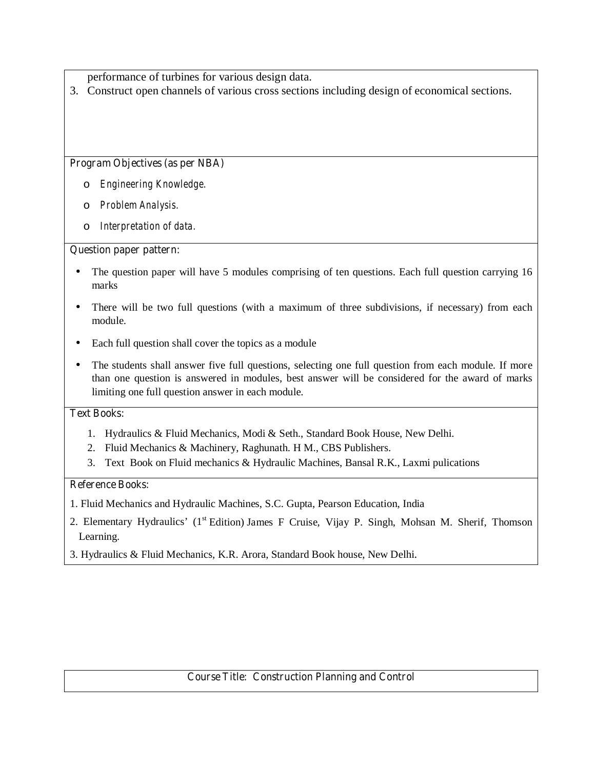performance of turbines for various design data.

3. Construct open channels of various cross sections including design of economical sections.

## **Program Objectives (as per NBA)**

- o *Engineering Knowledge.*
- o *Problem Analysis.*
- o *Interpretation of data.*

### **Question paper pattern:**

- The question paper will have 5 modules comprising of ten questions. Each full question carrying 16 marks
- There will be two full questions (with a maximum of three subdivisions, if necessary) from each module.
- Each full question shall cover the topics as a module
- The students shall answer five full questions, selecting one full question from each module. If more than one question is answered in modules, best answer will be considered for the award of marks limiting one full question answer in each module.

#### **Text Books:**

- 1. Hydraulics & Fluid Mechanics, Modi & Seth., Standard Book House, New Delhi.
- 2. Fluid Mechanics & Machinery, Raghunath. H M., CBS Publishers.
- 3. Text Book on Fluid mechanics & Hydraulic Machines, Bansal R.K., Laxmi pulications

# **Reference Books:**

- 1. Fluid Mechanics and Hydraulic Machines, S.C. Gupta, Pearson Education, India
- 2. Elementary Hydraulics' (1<sup>st</sup> Edition) James F Cruise, Vijay P. Singh, Mohsan M. Sherif, Thomson Learning.
- 3. Hydraulics & Fluid Mechanics, K.R. Arora, Standard Book house, New Delhi.

# **Course Title: Construction Planning and Control**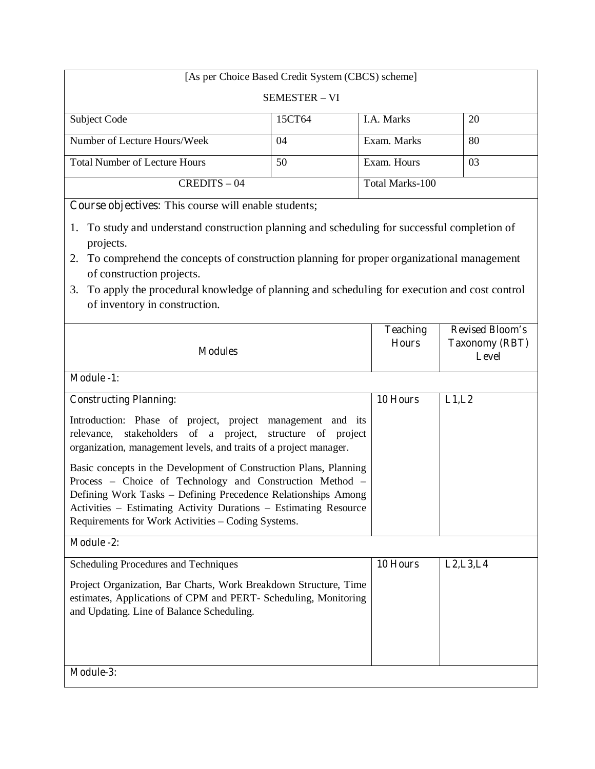| [As per Choice Based Credit System (CBCS) scheme]                                                                                                                                                                                                                                                                                                                                 |        |                 |                                                 |
|-----------------------------------------------------------------------------------------------------------------------------------------------------------------------------------------------------------------------------------------------------------------------------------------------------------------------------------------------------------------------------------|--------|-----------------|-------------------------------------------------|
| <b>SEMESTER - VI</b>                                                                                                                                                                                                                                                                                                                                                              |        |                 |                                                 |
| Subject Code                                                                                                                                                                                                                                                                                                                                                                      | 15CT64 | I.A. Marks      | 20                                              |
| Number of Lecture Hours/Week                                                                                                                                                                                                                                                                                                                                                      | 04     | Exam. Marks     | 80                                              |
| <b>Total Number of Lecture Hours</b>                                                                                                                                                                                                                                                                                                                                              | 50     | Exam. Hours     | 03                                              |
| CREDITS-04                                                                                                                                                                                                                                                                                                                                                                        |        | Total Marks-100 |                                                 |
| Course objectives: This course will enable students;                                                                                                                                                                                                                                                                                                                              |        |                 |                                                 |
| To study and understand construction planning and scheduling for successful completion of<br>1.<br>projects.<br>To comprehend the concepts of construction planning for proper organizational management<br>2.<br>of construction projects.<br>To apply the procedural knowledge of planning and scheduling for execution and cost control<br>3.<br>of inventory in construction. |        |                 |                                                 |
| <b>Teaching</b><br><b>Hours</b><br><b>Modules</b><br><b>Level</b>                                                                                                                                                                                                                                                                                                                 |        |                 | <b>Revised Bloom's</b><br><b>Taxonomy (RBT)</b> |
| <b>Module -1:</b>                                                                                                                                                                                                                                                                                                                                                                 |        |                 |                                                 |
| <b>Constructing Planning:</b>                                                                                                                                                                                                                                                                                                                                                     |        | 10 Hours        | L1,L2                                           |
| Introduction: Phase of project, project management and its<br>relevance, stakeholders of a project, structure of project<br>organization, management levels, and traits of a project manager.                                                                                                                                                                                     |        |                 |                                                 |
| Basic concepts in the Development of Construction Plans, Planning<br>Process - Choice of Technology and Construction Method -<br>Defining Work Tasks - Defining Precedence Relationships Among<br>Activities - Estimating Activity Durations - Estimating Resource<br>Requirements for Work Activities - Coding Systems.                                                          |        |                 |                                                 |
| <b>Module -2:</b>                                                                                                                                                                                                                                                                                                                                                                 |        |                 |                                                 |
| Scheduling Procedures and Techniques                                                                                                                                                                                                                                                                                                                                              |        | 10 Hours        | L2, L3, L4                                      |
| Project Organization, Bar Charts, Work Breakdown Structure, Time<br>estimates, Applications of CPM and PERT- Scheduling, Monitoring<br>and Updating. Line of Balance Scheduling.                                                                                                                                                                                                  |        |                 |                                                 |
| Module-3:                                                                                                                                                                                                                                                                                                                                                                         |        |                 |                                                 |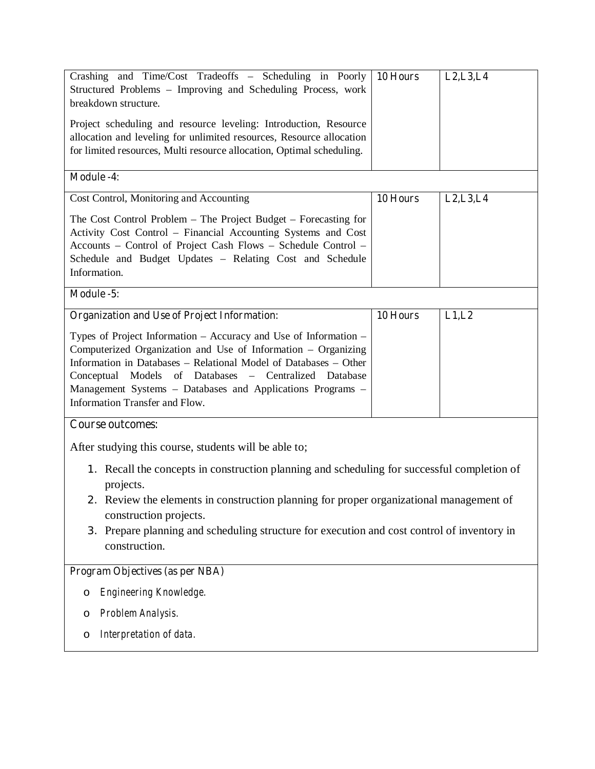| Crashing and Time/Cost Tradeoffs – Scheduling in Poorly<br>Structured Problems - Improving and Scheduling Process, work<br>breakdown structure.<br>Project scheduling and resource leveling: Introduction, Resource<br>allocation and leveling for unlimited resources, Resource allocation<br>for limited resources, Multi resource allocation, Optimal scheduling. | 10 Hours | L2, L3, L4 |
|----------------------------------------------------------------------------------------------------------------------------------------------------------------------------------------------------------------------------------------------------------------------------------------------------------------------------------------------------------------------|----------|------------|
| <b>Module -4:</b>                                                                                                                                                                                                                                                                                                                                                    |          |            |
| Cost Control, Monitoring and Accounting                                                                                                                                                                                                                                                                                                                              | 10 Hours | L2, L3, L4 |
| The Cost Control Problem – The Project Budget – Forecasting for<br>Activity Cost Control - Financial Accounting Systems and Cost<br>Accounts - Control of Project Cash Flows - Schedule Control -<br>Schedule and Budget Updates - Relating Cost and Schedule<br>Information.                                                                                        |          |            |
| Module -5:                                                                                                                                                                                                                                                                                                                                                           |          |            |
| <b>Organization and Use of Project Information:</b>                                                                                                                                                                                                                                                                                                                  | 10 Hours | L1,L2      |
| Types of Project Information – Accuracy and Use of Information –<br>Computerized Organization and Use of Information – Organizing<br>Information in Databases - Relational Model of Databases - Other<br>Conceptual Models of Databases - Centralized Database<br>Management Systems - Databases and Applications Programs -<br>Information Transfer and Flow.       |          |            |
| <b>Course outcomes:</b>                                                                                                                                                                                                                                                                                                                                              |          |            |
| After studying this course, students will be able to;                                                                                                                                                                                                                                                                                                                |          |            |
| 1. Recall the concepts in construction planning and scheduling for successful completion of<br>projects.<br>2. Review the elements in construction planning for proper organizational management of<br>construction projects.<br>3. Prepare planning and scheduling structure for execution and cost control of inventory in<br>construction.                        |          |            |
| Program Objectives (as per NBA)                                                                                                                                                                                                                                                                                                                                      |          |            |
| Engineering Knowledge.<br>$\circ$                                                                                                                                                                                                                                                                                                                                    |          |            |
| Problem Analysis.<br>O                                                                                                                                                                                                                                                                                                                                               |          |            |
| Interpretation of data.<br>O                                                                                                                                                                                                                                                                                                                                         |          |            |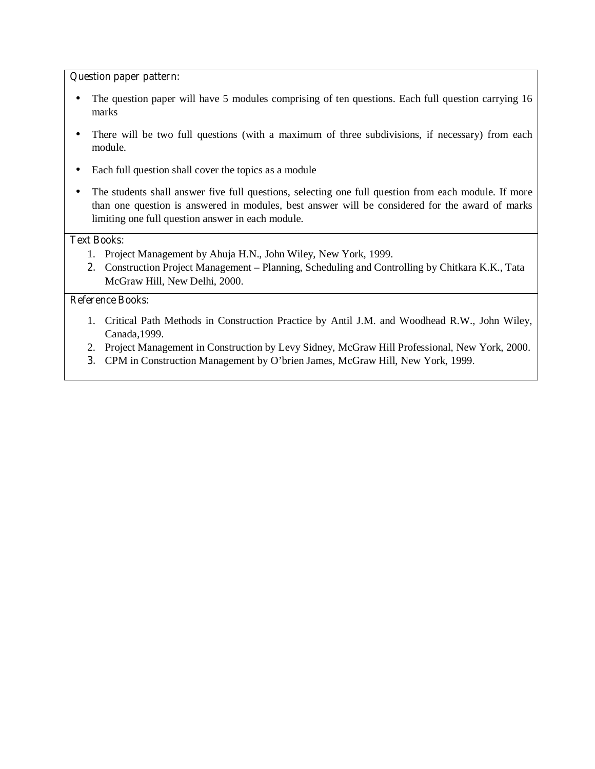#### **Question paper pattern:**

- The question paper will have 5 modules comprising of ten questions. Each full question carrying 16 marks
- There will be two full questions (with a maximum of three subdivisions, if necessary) from each module.
- Each full question shall cover the topics as a module
- The students shall answer five full questions, selecting one full question from each module. If more than one question is answered in modules, best answer will be considered for the award of marks limiting one full question answer in each module.

### **Text Books:**

- 1. Project Management by Ahuja H.N., John Wiley, New York, 1999.
- **2.** Construction Project Management Planning, Scheduling and Controlling by Chitkara K.K., Tata McGraw Hill, New Delhi, 2000.

- 1. Critical Path Methods in Construction Practice by Antil J.M. and Woodhead R.W., John Wiley, Canada,1999.
- 2. Project Management in Construction by Levy Sidney, McGraw Hill Professional, New York, 2000.
- **3.** CPM in Construction Management by O'brien James, McGraw Hill, New York, 1999.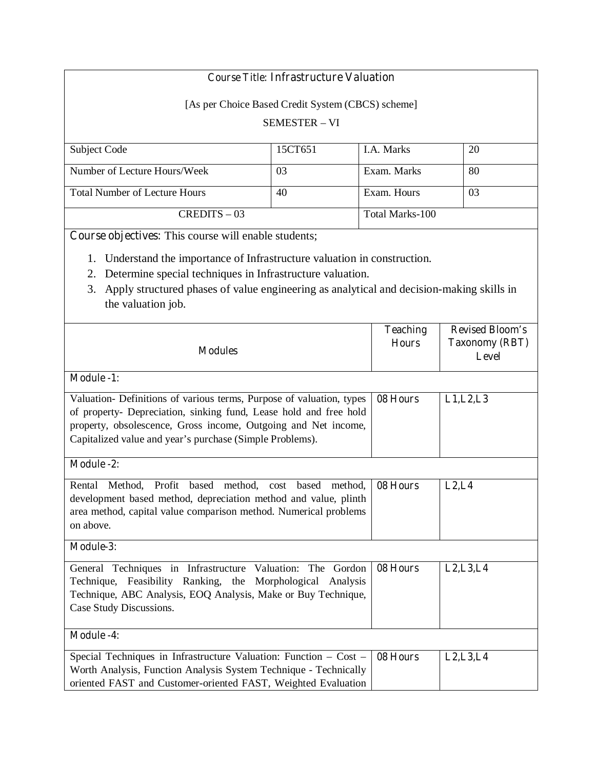|                                                                                             | <b>Course Title: Infrastructure Valuation</b>     |                 |                        |  |
|---------------------------------------------------------------------------------------------|---------------------------------------------------|-----------------|------------------------|--|
|                                                                                             | [As per Choice Based Credit System (CBCS) scheme] |                 |                        |  |
|                                                                                             | <b>SEMESTER - VI</b>                              |                 |                        |  |
|                                                                                             |                                                   |                 |                        |  |
| Subject Code                                                                                | 15CT651                                           | I.A. Marks      | 20                     |  |
| Number of Lecture Hours/Week                                                                | 03                                                | Exam. Marks     | 80                     |  |
| <b>Total Number of Lecture Hours</b>                                                        | 40                                                | Exam. Hours     | 03                     |  |
| $CREDITS - 03$                                                                              |                                                   | Total Marks-100 |                        |  |
| Course objectives: This course will enable students;                                        |                                                   |                 |                        |  |
| Understand the importance of Infrastructure valuation in construction.                      |                                                   |                 |                        |  |
| Determine special techniques in Infrastructure valuation.<br>2.                             |                                                   |                 |                        |  |
| 3. Apply structured phases of value engineering as analytical and decision-making skills in |                                                   |                 |                        |  |
| the valuation job.                                                                          |                                                   |                 |                        |  |
|                                                                                             |                                                   | <b>Teaching</b> | <b>Revised Bloom's</b> |  |

| <b>Modules</b>                                                                                                                                                                                                                                                          | <b>reacning</b><br><b>Hours</b> | Revised Bloom's<br><b>Taxonomy (RBT)</b><br>Level |
|-------------------------------------------------------------------------------------------------------------------------------------------------------------------------------------------------------------------------------------------------------------------------|---------------------------------|---------------------------------------------------|
| <b>Module -1:</b>                                                                                                                                                                                                                                                       |                                 |                                                   |
| Valuation- Definitions of various terms, Purpose of valuation, types<br>of property- Depreciation, sinking fund, Lease hold and free hold<br>property, obsolescence, Gross income, Outgoing and Net income,<br>Capitalized value and year's purchase (Simple Problems). | 08 Hours                        | L1, L2, L3                                        |
| <b>Module -2:</b>                                                                                                                                                                                                                                                       |                                 |                                                   |
| Rental<br>Method.<br>Profit<br>based<br>method,<br>based<br>method,<br>cost<br>development based method, depreciation method and value, plinth<br>area method, capital value comparison method. Numerical problems<br>on above.                                         | 08 Hours                        | L2, L4                                            |
| Module-3:                                                                                                                                                                                                                                                               |                                 |                                                   |
| General Techniques in Infrastructure Valuation: The Gordon<br>Technique, Feasibility Ranking, the Morphological Analysis<br>Technique, ABC Analysis, EOQ Analysis, Make or Buy Technique,<br>Case Study Discussions.                                                    | 08 Hours                        | L2, L3, L4                                        |
| <b>Module -4:</b>                                                                                                                                                                                                                                                       |                                 |                                                   |
| Special Techniques in Infrastructure Valuation: Function – Cost –<br>Worth Analysis, Function Analysis System Technique - Technically<br>oriented FAST and Customer-oriented FAST, Weighted Evaluation                                                                  | 08 Hours                        | L2, L3, L4                                        |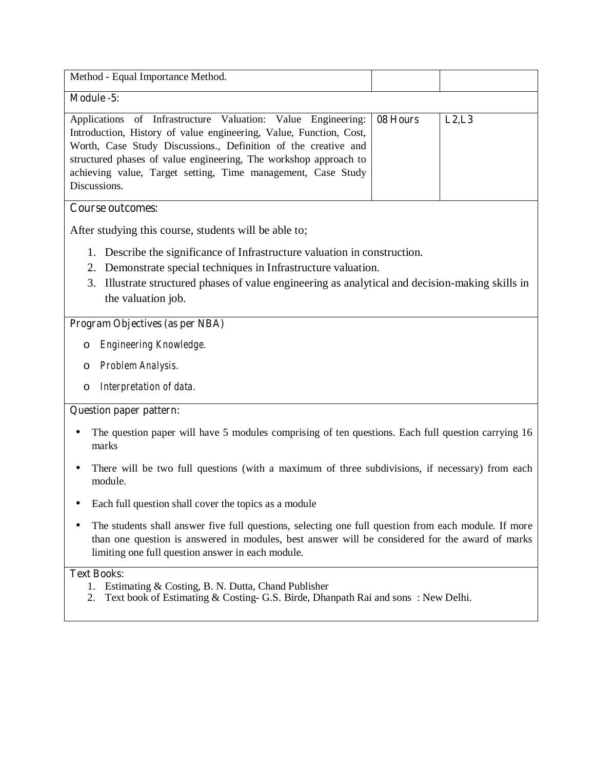| Method - Equal Importance Method.                                     |        |
|-----------------------------------------------------------------------|--------|
| Module -5:                                                            |        |
| Applications of Infrastructure Valuation: Value Engineering: 08 Hours | L2, L3 |
| Introduction, History of value engineering, Value, Function, Cost,    |        |
| Worth, Case Study Discussions., Definition of the creative and        |        |
| structured phases of value engineering. The workshop approach to      |        |
| achieving value, Target setting, Time management, Case Study          |        |
| Discussions.                                                          |        |
|                                                                       |        |

# **Course outcomes:**

After studying this course, students will be able to;

- 1. Describe the significance of Infrastructure valuation in construction.
- 2. Demonstrate special techniques in Infrastructure valuation.
- 3. Illustrate structured phases of value engineering as analytical and decision-making skills in the valuation job.

### **Program Objectives (as per NBA)**

- o *Engineering Knowledge.*
- o *Problem Analysis.*
- o *Interpretation of data.*

#### **Question paper pattern:**

- The question paper will have 5 modules comprising of ten questions. Each full question carrying 16 marks
- There will be two full questions (with a maximum of three subdivisions, if necessary) from each module.
- Each full question shall cover the topics as a module
- The students shall answer five full questions, selecting one full question from each module. If more than one question is answered in modules, best answer will be considered for the award of marks limiting one full question answer in each module.

## **Text Books:**

- 1. Estimating & Costing, B. N. Dutta, Chand Publisher
- 2. Text book of Estimating & Costing- G.S. Birde, Dhanpath Rai and sons : New Delhi.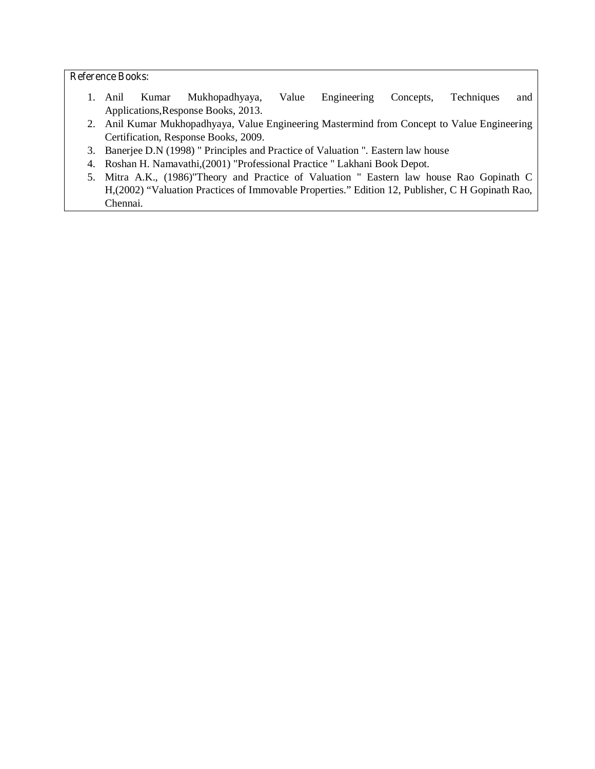- 1. Anil Kumar Mukhopadhyaya, Value Engineering Concepts, Techniques and Applications,Response Books, 2013.
- 2. Anil Kumar Mukhopadhyaya, Value Engineering Mastermind from Concept to Value Engineering Certification, Response Books, 2009.
- 3. Banerjee D.N (1998) " Principles and Practice of Valuation ". Eastern law house
- 4. Roshan H. Namavathi,(2001) "Professional Practice " Lakhani Book Depot.
- 5. Mitra A.K., (1986)"Theory and Practice of Valuation " Eastern law house Rao Gopinath C H,(2002) "Valuation Practices of Immovable Properties." Edition 12, Publisher, C H Gopinath Rao, Chennai.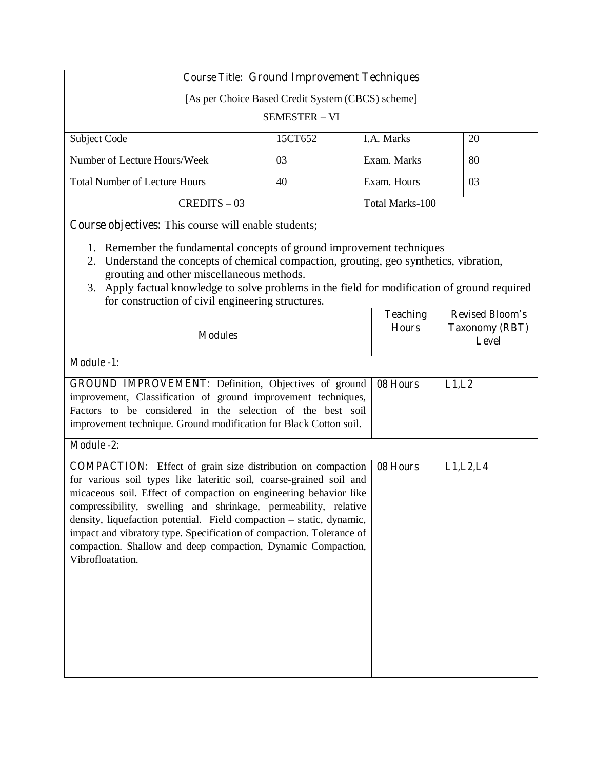| <b>Course Title: Ground Improvement Techniques</b>                                                                                                                                                                                                                                                                                                                                                                                |                      |          |                                 |                                                          |
|-----------------------------------------------------------------------------------------------------------------------------------------------------------------------------------------------------------------------------------------------------------------------------------------------------------------------------------------------------------------------------------------------------------------------------------|----------------------|----------|---------------------------------|----------------------------------------------------------|
| [As per Choice Based Credit System (CBCS) scheme]                                                                                                                                                                                                                                                                                                                                                                                 |                      |          |                                 |                                                          |
|                                                                                                                                                                                                                                                                                                                                                                                                                                   | <b>SEMESTER - VI</b> |          |                                 |                                                          |
| Subject Code                                                                                                                                                                                                                                                                                                                                                                                                                      | 15CT652              |          | I.A. Marks                      | 20                                                       |
| Number of Lecture Hours/Week                                                                                                                                                                                                                                                                                                                                                                                                      | 03                   |          | Exam. Marks                     | 80                                                       |
| <b>Total Number of Lecture Hours</b>                                                                                                                                                                                                                                                                                                                                                                                              | 40                   |          | Exam. Hours                     | 03                                                       |
| $CREDITS - 03$                                                                                                                                                                                                                                                                                                                                                                                                                    |                      |          | Total Marks-100                 |                                                          |
| Course objectives: This course will enable students;                                                                                                                                                                                                                                                                                                                                                                              |                      |          |                                 |                                                          |
| 2. Understand the concepts of chemical compaction, grouting, geo synthetics, vibration,<br>grouting and other miscellaneous methods.<br>3. Apply factual knowledge to solve problems in the field for modification of ground required<br>for construction of civil engineering structures.                                                                                                                                        |                      |          |                                 |                                                          |
| <b>Modules</b>                                                                                                                                                                                                                                                                                                                                                                                                                    |                      |          | <b>Teaching</b><br><b>Hours</b> | <b>Revised Bloom's</b><br><b>Taxonomy (RBT)</b><br>Level |
| Module -1:                                                                                                                                                                                                                                                                                                                                                                                                                        |                      |          |                                 |                                                          |
| GROUND IMPROVEMENT: Definition, Objectives of ground<br>improvement, Classification of ground improvement techniques,<br>Factors to be considered in the selection of the best soil<br>improvement technique. Ground modification for Black Cotton soil.                                                                                                                                                                          |                      | 08 Hours | L1,L2                           |                                                          |
| Module -2:                                                                                                                                                                                                                                                                                                                                                                                                                        |                      |          |                                 |                                                          |
| <b>COMPACTION:</b> Effect of grain size distribution on compaction<br>for various soil types like lateritic soil, coarse-grained soil and<br>micaceous soil. Effect of compaction on engineering behavior like<br>compressibility, swelling and shrinkage, permeability, relative<br>density, liquefaction potential. Field compaction - static, dynamic,<br>impact and vibratory type. Specification of compaction. Tolerance of |                      |          | 08 Hours                        | L1, L2, L4                                               |

compaction. Shallow and deep compaction, Dynamic Compaction,

Vibrofloatation.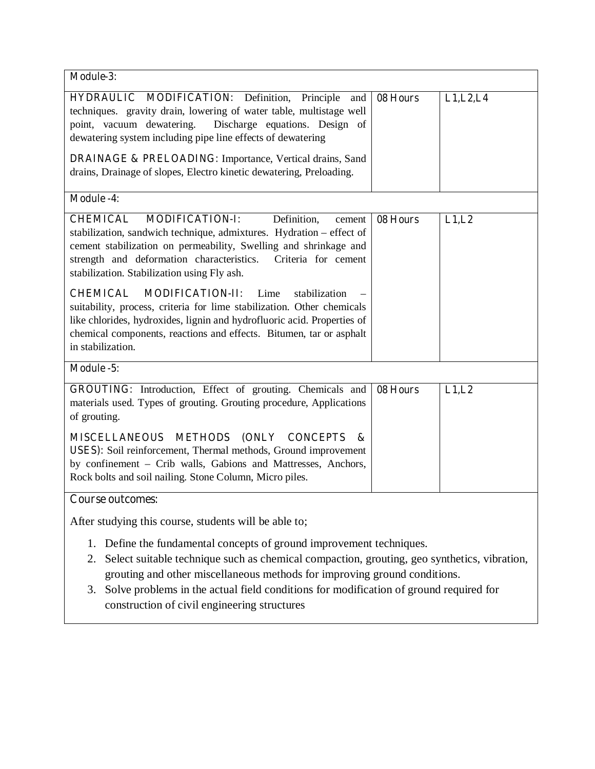| Module-3:                                                                                                                                                                                                                                                                                                                                                                                                |          |            |
|----------------------------------------------------------------------------------------------------------------------------------------------------------------------------------------------------------------------------------------------------------------------------------------------------------------------------------------------------------------------------------------------------------|----------|------------|
| HYDRAULIC MODIFICATION: Definition, Principle<br>and<br>techniques. gravity drain, lowering of water table, multistage well<br>point, vacuum dewatering.<br>Discharge equations. Design of<br>dewatering system including pipe line effects of dewatering                                                                                                                                                | 08 Hours | L1, L2, L4 |
| <b>DRAINAGE &amp; PRELOADING:</b> Importance, Vertical drains, Sand<br>drains, Drainage of slopes, Electro kinetic dewatering, Preloading.                                                                                                                                                                                                                                                               |          |            |
| <b>Module -4:</b>                                                                                                                                                                                                                                                                                                                                                                                        |          |            |
| Definition,<br><b>CHEMICAL</b><br><b>MODIFICATION-I:</b><br>cement<br>stabilization, sandwich technique, admixtures. Hydration - effect of<br>cement stabilization on permeability, Swelling and shrinkage and<br>strength and deformation characteristics.<br>Criteria for cement<br>stabilization. Stabilization using Fly ash.                                                                        | 08 Hours | L1,L2      |
| <b>CHEMICAL</b><br><b>MODIFICATION-II:</b><br>Lime<br>stabilization<br>suitability, process, criteria for lime stabilization. Other chemicals<br>like chlorides, hydroxides, lignin and hydrofluoric acid. Properties of<br>chemical components, reactions and effects. Bitumen, tar or asphalt<br>in stabilization.                                                                                     |          |            |
| Module -5:                                                                                                                                                                                                                                                                                                                                                                                               |          |            |
| GROUTING: Introduction, Effect of grouting. Chemicals and<br>materials used. Types of grouting. Grouting procedure, Applications<br>of grouting.                                                                                                                                                                                                                                                         | 08 Hours | L1,L2      |
| <b>METHODS</b><br><b>(ONLY</b><br><b>MISCELLANEOUS</b><br><b>CONCEPTS</b><br>&<br>USES): Soil reinforcement, Thermal methods, Ground improvement<br>by confinement - Crib walls, Gabions and Mattresses, Anchors,<br>Rock bolts and soil nailing. Stone Column, Micro piles.                                                                                                                             |          |            |
| <b>Course outcomes:</b>                                                                                                                                                                                                                                                                                                                                                                                  |          |            |
| After studying this course, students will be able to;                                                                                                                                                                                                                                                                                                                                                    |          |            |
| Define the fundamental concepts of ground improvement techniques.<br>1.<br>Select suitable technique such as chemical compaction, grouting, geo synthetics, vibration,<br>2.<br>grouting and other miscellaneous methods for improving ground conditions.<br>Solve problems in the actual field conditions for modification of ground required for<br>3.<br>construction of civil engineering structures |          |            |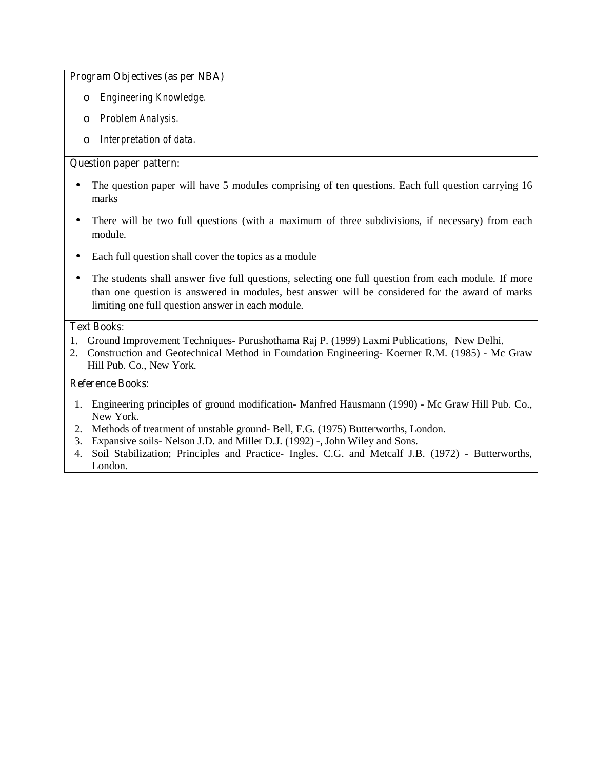#### **Program Objectives (as per NBA)**

- o *Engineering Knowledge.*
- o *Problem Analysis.*
- o *Interpretation of data.*

## **Question paper pattern:**

- The question paper will have 5 modules comprising of ten questions. Each full question carrying 16 marks
- There will be two full questions (with a maximum of three subdivisions, if necessary) from each module.
- Each full question shall cover the topics as a module
- The students shall answer five full questions, selecting one full question from each module. If more than one question is answered in modules, best answer will be considered for the award of marks limiting one full question answer in each module.

#### **Text Books:**

- 1. Ground Improvement Techniques- Purushothama Raj P. (1999) Laxmi Publications, New Delhi.
- 2. Construction and Geotechnical Method in Foundation Engineering- Koerner R.M. (1985) Mc Graw Hill Pub. Co., New York.

- 1. Engineering principles of ground modification- Manfred Hausmann (1990) Mc Graw Hill Pub. Co., New York.
- 2. Methods of treatment of unstable ground- Bell, F.G. (1975) Butterworths, London.
- 3. Expansive soils- Nelson J.D. and Miller D.J. (1992) -, John Wiley and Sons.
- 4. Soil Stabilization; Principles and Practice- Ingles. C.G. and Metcalf J.B. (1972) Butterworths, London.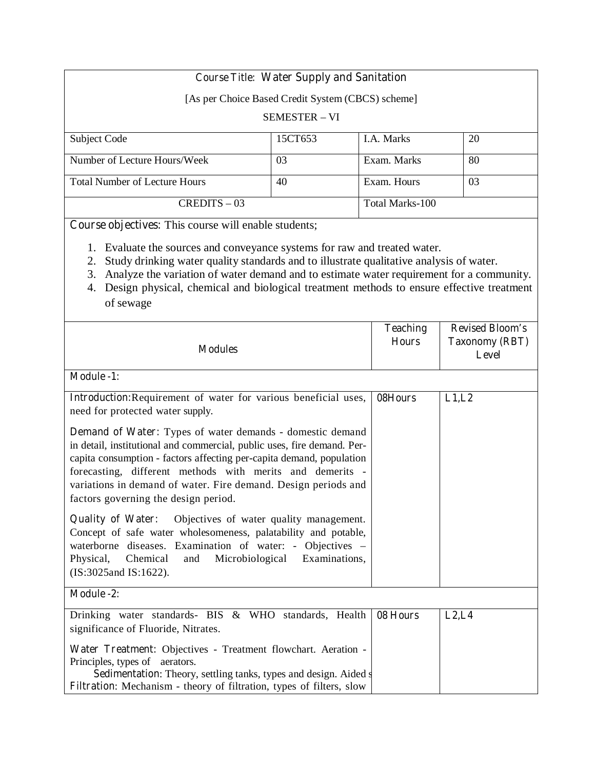# **Course Title: Water Supply and Sanitation**

[As per Choice Based Credit System (CBCS) scheme]

### SEMESTER – VI

| Subject Code                         | 15CT653 | <b>I.A.</b> Marks | 20 |
|--------------------------------------|---------|-------------------|----|
|                                      |         |                   |    |
| Number of Lecture Hours/Week         | 03      | Exam. Marks       | 80 |
|                                      |         |                   |    |
| <b>Total Number of Lecture Hours</b> | 40      | Exam. Hours       | 03 |
|                                      |         |                   |    |
| $CREDITS - 03$                       |         | Total Marks-100   |    |
|                                      |         |                   |    |

**Course objectives:** This course will enable students;

- 1. Evaluate the sources and conveyance systems for raw and treated water.
- 2. Study drinking water quality standards and to illustrate qualitative analysis of water.
- 3. Analyze the variation of water demand and to estimate water requirement for a community.
- 4. Design physical, chemical and biological treatment methods to ensure effective treatment of sewage

| <b>Modules</b>                                                                                                                                                                                                                                                                                                                                                                             | <b>Teaching</b><br><b>Hours</b> | <b>Revised Bloom's</b><br><b>Taxonomy (RBT)</b><br>Level |
|--------------------------------------------------------------------------------------------------------------------------------------------------------------------------------------------------------------------------------------------------------------------------------------------------------------------------------------------------------------------------------------------|---------------------------------|----------------------------------------------------------|
| <b>Module -1:</b>                                                                                                                                                                                                                                                                                                                                                                          |                                 |                                                          |
| Introduction: Requirement of water for various beneficial uses,<br>need for protected water supply.                                                                                                                                                                                                                                                                                        | 08Hours                         | L1,L2                                                    |
| <b>Demand of Water:</b> Types of water demands - domestic demand<br>in detail, institutional and commercial, public uses, fire demand. Per-<br>capita consumption - factors affecting per-capita demand, population<br>forecasting, different methods with merits and demerits -<br>variations in demand of water. Fire demand. Design periods and<br>factors governing the design period. |                                 |                                                          |
| Objectives of water quality management.<br><b>Quality of Water:</b><br>Concept of safe water wholesomeness, palatability and potable,<br>waterborne diseases. Examination of water: - Objectives -<br>Chemical<br>Microbiological Examinations,<br>Physical,<br>and<br>(IS:3025and IS:1622).                                                                                               |                                 |                                                          |
| <b>Module -2:</b>                                                                                                                                                                                                                                                                                                                                                                          |                                 |                                                          |
| Drinking water standards- BIS & WHO standards, Health<br>significance of Fluoride, Nitrates.<br>Water Treatment: Objectives - Treatment flowchart. Aeration -<br>Principles, types of aerators.<br><b>Sedimentation:</b> Theory, settling tanks, types and design. Aided s<br>Filtration: Mechanism - theory of filtration, types of filters, slow                                         | 08 Hours                        | L2, L4                                                   |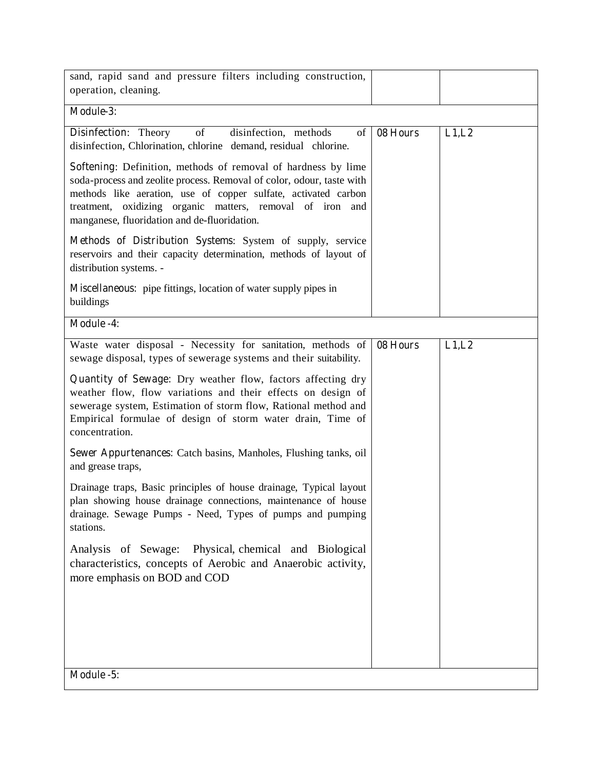| sand, rapid sand and pressure filters including construction,<br>operation, cleaning.                                                                                                                                                                                                                                 |          |       |  |  |
|-----------------------------------------------------------------------------------------------------------------------------------------------------------------------------------------------------------------------------------------------------------------------------------------------------------------------|----------|-------|--|--|
| Module-3:                                                                                                                                                                                                                                                                                                             |          |       |  |  |
| of<br><b>Disinfection:</b> Theory<br>disinfection, methods<br>$\sigma$<br>disinfection, Chlorination, chlorine demand, residual chlorine.                                                                                                                                                                             | 08 Hours | L1,L2 |  |  |
| Softening: Definition, methods of removal of hardness by lime<br>soda-process and zeolite process. Removal of color, odour, taste with<br>methods like aeration, use of copper sulfate, activated carbon<br>treatment, oxidizing organic matters, removal of iron and<br>manganese, fluoridation and de-fluoridation. |          |       |  |  |
| Methods of Distribution Systems: System of supply, service<br>reservoirs and their capacity determination, methods of layout of<br>distribution systems. -                                                                                                                                                            |          |       |  |  |
| Miscellaneous: pipe fittings, location of water supply pipes in<br>buildings                                                                                                                                                                                                                                          |          |       |  |  |
| <b>Module -4:</b>                                                                                                                                                                                                                                                                                                     |          |       |  |  |
| Waste water disposal - Necessity for sanitation, methods of<br>sewage disposal, types of sewerage systems and their suitability.                                                                                                                                                                                      | 08 Hours | L1,L2 |  |  |
| Quantity of Sewage: Dry weather flow, factors affecting dry<br>weather flow, flow variations and their effects on design of<br>sewerage system, Estimation of storm flow, Rational method and<br>Empirical formulae of design of storm water drain, Time of<br>concentration.                                         |          |       |  |  |
| <b>Sewer Appurtenances:</b> Catch basins, Manholes, Flushing tanks, oil<br>and grease traps,                                                                                                                                                                                                                          |          |       |  |  |
| Drainage traps, Basic principles of house drainage, Typical layout<br>plan showing house drainage connections, maintenance of house<br>drainage. Sewage Pumps - Need, Types of pumps and pumping<br>stations.                                                                                                         |          |       |  |  |
| Analysis of Sewage: Physical, chemical and Biological<br>characteristics, concepts of Aerobic and Anaerobic activity,<br>more emphasis on BOD and COD                                                                                                                                                                 |          |       |  |  |
|                                                                                                                                                                                                                                                                                                                       |          |       |  |  |
|                                                                                                                                                                                                                                                                                                                       |          |       |  |  |
|                                                                                                                                                                                                                                                                                                                       |          |       |  |  |
| Module -5:                                                                                                                                                                                                                                                                                                            |          |       |  |  |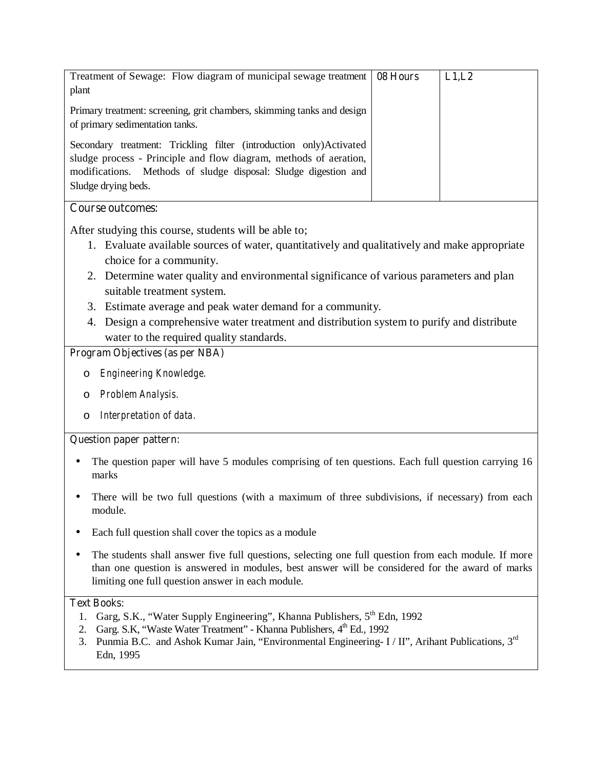| Treatment of Sewage: Flow diagram of municipal sewage treatment   08 Hours<br>plant                                                                                                                                               | L1,L2 |
|-----------------------------------------------------------------------------------------------------------------------------------------------------------------------------------------------------------------------------------|-------|
| Primary treatment: screening, grit chambers, skimming tanks and design<br>of primary sedimentation tanks.                                                                                                                         |       |
| Secondary treatment: Trickling filter (introduction only)Activated<br>sludge process - Principle and flow diagram, methods of aeration,<br>modifications. Methods of sludge disposal: Sludge digestion and<br>Sludge drying beds. |       |
| <b>Course outcomes:</b>                                                                                                                                                                                                           |       |

After studying this course, students will be able to;

- 1. Evaluate available sources of water, quantitatively and qualitatively and make appropriate choice for a community.
- 2. Determine water quality and environmental significance of various parameters and plan suitable treatment system.
- 3. Estimate average and peak water demand for a community.
- 4. Design a comprehensive water treatment and distribution system to purify and distribute water to the required quality standards.

# **Program Objectives (as per NBA)**

- o *Engineering Knowledge.*
- o *Problem Analysis.*
- o *Interpretation of data.*

# **Question paper pattern:**

- The question paper will have 5 modules comprising of ten questions. Each full question carrying 16 marks
- There will be two full questions (with a maximum of three subdivisions, if necessary) from each module.
- Each full question shall cover the topics as a module
- The students shall answer five full questions, selecting one full question from each module. If more than one question is answered in modules, best answer will be considered for the award of marks limiting one full question answer in each module.

# **Text Books:**

- 1. Garg, S.K., "Water Supply Engineering", Khanna Publishers, 5<sup>th</sup> Edn, 1992
- 2. Garg. S.K, "Waste Water Treatment" Khanna Publishers,  $4^{\text{th}}$  Ed., 1992
- 3. Punmia B.C. and Ashok Kumar Jain, "Environmental Engineering- I / II", Arihant Publications, 3<sup>rd</sup> Edn, 1995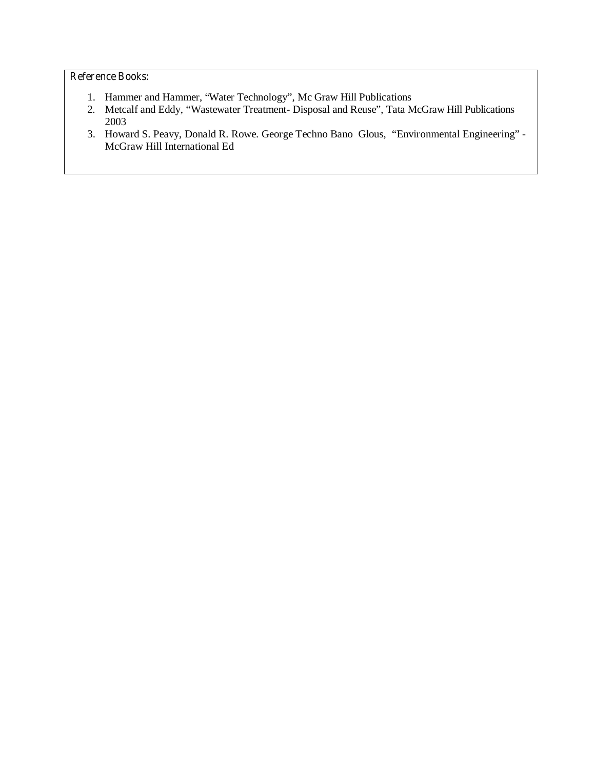- 1. Hammer and Hammer, "Water Technology", Mc Graw Hill Publications
- 2. Metcalf and Eddy, "Wastewater Treatment- Disposal and Reuse", Tata McGraw Hill Publications 2003
- 3. Howard S. Peavy, Donald R. Rowe. George Techno Bano Glous, "Environmental Engineering" McGraw Hill International Ed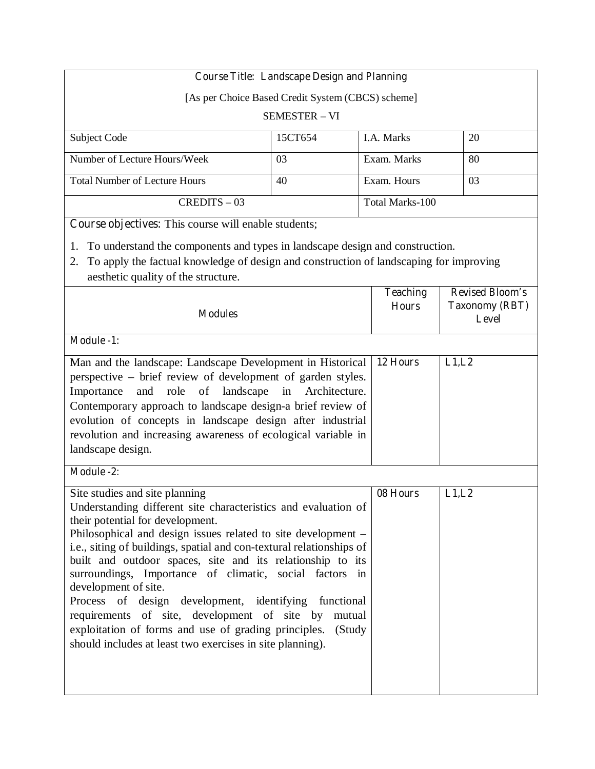|                                                                                                             | <b>Course Title: Landscape Design and Planning</b> |                        |                        |
|-------------------------------------------------------------------------------------------------------------|----------------------------------------------------|------------------------|------------------------|
| [As per Choice Based Credit System (CBCS) scheme]                                                           |                                                    |                        |                        |
|                                                                                                             | <b>SEMESTER - VI</b>                               |                        |                        |
| Subject Code                                                                                                | 15CT654                                            | I.A. Marks             | 20                     |
| Number of Lecture Hours/Week                                                                                | 03                                                 | Exam. Marks            | 80                     |
| <b>Total Number of Lecture Hours</b>                                                                        | 40                                                 | Exam. Hours            | 03                     |
| $CREDITS - 03$                                                                                              |                                                    | <b>Total Marks-100</b> |                        |
| Course objectives: This course will enable students;                                                        |                                                    |                        |                        |
| To understand the components and types in landscape design and construction.<br>1.                          |                                                    |                        |                        |
| To apply the factual knowledge of design and construction of landscaping for improving<br>2.                |                                                    |                        |                        |
| aesthetic quality of the structure.                                                                         |                                                    | <b>Teaching</b>        | <b>Revised Bloom's</b> |
|                                                                                                             |                                                    | <b>Hours</b>           | <b>Taxonomy (RBT)</b>  |
| <b>Modules</b>                                                                                              |                                                    |                        | Level                  |
| <b>Module -1:</b>                                                                                           |                                                    |                        |                        |
| Man and the landscape: Landscape Development in Historical                                                  |                                                    | 12 Hours               | L1,L2                  |
| perspective – brief review of development of garden styles.                                                 | Architecture.                                      |                        |                        |
| landscape<br>role<br>Importance<br>and<br>of<br>Contemporary approach to landscape design-a brief review of | in                                                 |                        |                        |
| evolution of concepts in landscape design after industrial                                                  |                                                    |                        |                        |
| revolution and increasing awareness of ecological variable in                                               |                                                    |                        |                        |
| landscape design.                                                                                           |                                                    |                        |                        |
| <b>Module -2:</b>                                                                                           |                                                    |                        |                        |
| Site studies and site planning                                                                              |                                                    | 08 Hours               | L1,L2                  |
| Understanding different site characteristics and evaluation of<br>their potential for development.          |                                                    |                        |                        |
| Philosophical and design issues related to site development -                                               |                                                    |                        |                        |
| i.e., siting of buildings, spatial and con-textural relationships of                                        |                                                    |                        |                        |
| built and outdoor spaces, site and its relationship to its                                                  |                                                    |                        |                        |
| surroundings, Importance of climatic, social factors in<br>development of site.                             |                                                    |                        |                        |
| Process of design development, identifying functional                                                       |                                                    |                        |                        |
| requirements of site, development of site by                                                                | mutual                                             |                        |                        |
| exploitation of forms and use of grading principles.                                                        | (Study                                             |                        |                        |
| should includes at least two exercises in site planning).                                                   |                                                    |                        |                        |
|                                                                                                             |                                                    |                        |                        |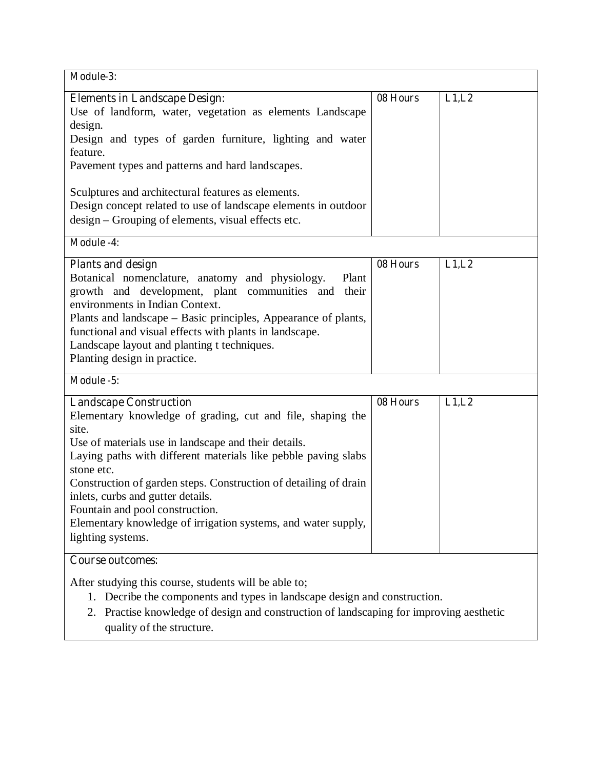| Module-3:                                                                                                                                                                                                                                                                                                                                                                                                                                                                      |          |       |
|--------------------------------------------------------------------------------------------------------------------------------------------------------------------------------------------------------------------------------------------------------------------------------------------------------------------------------------------------------------------------------------------------------------------------------------------------------------------------------|----------|-------|
| <b>Elements in Landscape Design:</b><br>Use of landform, water, vegetation as elements Landscape<br>design.<br>Design and types of garden furniture, lighting and water<br>feature.<br>Pavement types and patterns and hard landscapes.<br>Sculptures and architectural features as elements.<br>Design concept related to use of landscape elements in outdoor<br>design – Grouping of elements, visual effects etc.                                                          | 08 Hours | L1,L2 |
| <b>Module -4:</b>                                                                                                                                                                                                                                                                                                                                                                                                                                                              |          |       |
| <b>Plants and design</b><br>Botanical nomenclature, anatomy and physiology.<br>Plant<br>growth and development, plant communities and their<br>environments in Indian Context.<br>Plants and landscape – Basic principles, Appearance of plants,<br>functional and visual effects with plants in landscape.<br>Landscape layout and planting t techniques.<br>Planting design in practice.                                                                                     | 08 Hours | L1,L2 |
| Module -5:                                                                                                                                                                                                                                                                                                                                                                                                                                                                     |          |       |
| <b>Landscape Construction</b><br>Elementary knowledge of grading, cut and file, shaping the<br>site.<br>Use of materials use in landscape and their details.<br>Laying paths with different materials like pebble paving slabs<br>stone etc.<br>Construction of garden steps. Construction of detailing of drain<br>inlets, curbs and gutter details.<br>Fountain and pool construction.<br>Elementary knowledge of irrigation systems, and water supply,<br>lighting systems. | 08 Hours | L1,L2 |
| <b>Course outcomes:</b>                                                                                                                                                                                                                                                                                                                                                                                                                                                        |          |       |
| After studying this course, students will be able to;<br>1. Decribe the components and types in landscape design and construction.<br>2. Practise knowledge of design and construction of landscaping for improving aesthetic<br>quality of the structure.                                                                                                                                                                                                                     |          |       |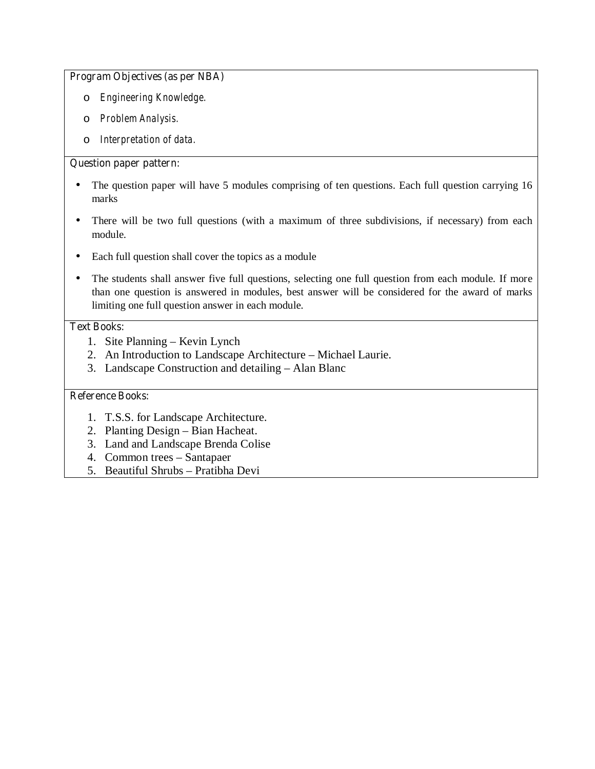# **Program Objectives (as per NBA)**

- o *Engineering Knowledge.*
- o *Problem Analysis.*
- o *Interpretation of data.*

# **Question paper pattern:**

- The question paper will have 5 modules comprising of ten questions. Each full question carrying 16 marks
- There will be two full questions (with a maximum of three subdivisions, if necessary) from each module.
- Each full question shall cover the topics as a module
- The students shall answer five full questions, selecting one full question from each module. If more than one question is answered in modules, best answer will be considered for the award of marks limiting one full question answer in each module.

# **Text Books:**

- 1. Site Planning Kevin Lynch
- 2. An Introduction to Landscape Architecture Michael Laurie.
- 3. Landscape Construction and detailing Alan Blanc

- 1. T.S.S. for Landscape Architecture.
- 2. Planting Design Bian Hacheat.
- 3. Land and Landscape Brenda Colise
- 4. Common trees Santapaer
- 5. Beautiful Shrubs Pratibha Devi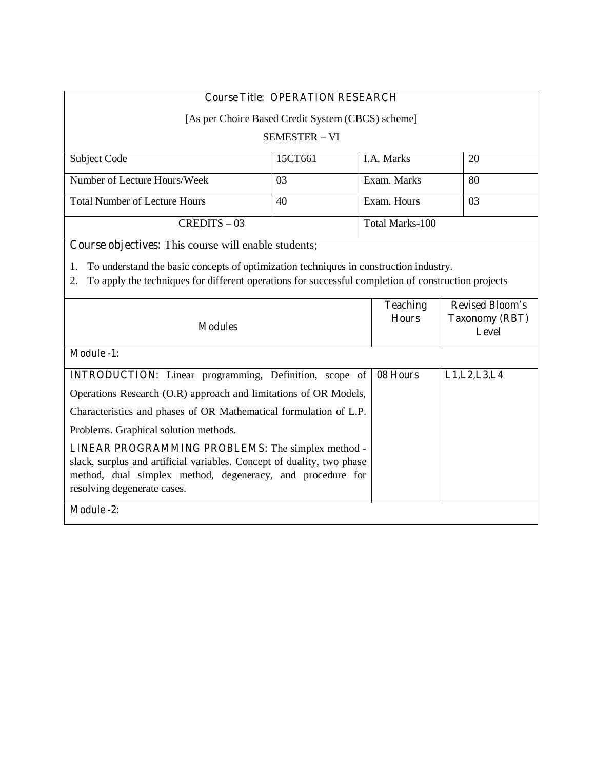| <b>Course Title: OPERATION RESEARCH</b>                                                                                                                                                                                                              |                      |                                 |                                                          |  |
|------------------------------------------------------------------------------------------------------------------------------------------------------------------------------------------------------------------------------------------------------|----------------------|---------------------------------|----------------------------------------------------------|--|
| [As per Choice Based Credit System (CBCS) scheme]                                                                                                                                                                                                    |                      |                                 |                                                          |  |
|                                                                                                                                                                                                                                                      | <b>SEMESTER - VI</b> |                                 |                                                          |  |
| Subject Code                                                                                                                                                                                                                                         | 15CT661              | I.A. Marks                      | 20                                                       |  |
| Number of Lecture Hours/Week                                                                                                                                                                                                                         | 03                   | Exam. Marks                     | 80                                                       |  |
| <b>Total Number of Lecture Hours</b>                                                                                                                                                                                                                 | 40                   | Exam. Hours                     | 03                                                       |  |
| $CREDITS - 03$                                                                                                                                                                                                                                       |                      | Total Marks-100                 |                                                          |  |
| Course objectives: This course will enable students;                                                                                                                                                                                                 |                      |                                 |                                                          |  |
| To understand the basic concepts of optimization techniques in construction industry.<br>1.<br>To apply the techniques for different operations for successful completion of construction projects<br>2.                                             |                      |                                 |                                                          |  |
| <b>Modules</b>                                                                                                                                                                                                                                       |                      |                                 |                                                          |  |
|                                                                                                                                                                                                                                                      |                      | <b>Teaching</b><br><b>Hours</b> | <b>Revised Bloom's</b><br><b>Taxonomy (RBT)</b><br>Level |  |
| <b>Module -1:</b>                                                                                                                                                                                                                                    |                      |                                 |                                                          |  |
| <b>INTRODUCTION:</b> Linear programming, Definition, scope of                                                                                                                                                                                        |                      | 08 Hours                        | L1, L2, L3, L4                                           |  |
| Operations Research (O.R) approach and limitations of OR Models,                                                                                                                                                                                     |                      |                                 |                                                          |  |
| Characteristics and phases of OR Mathematical formulation of L.P.                                                                                                                                                                                    |                      |                                 |                                                          |  |
| Problems. Graphical solution methods.                                                                                                                                                                                                                |                      |                                 |                                                          |  |
| <b>LINEAR PROGRAMMING PROBLEMS:</b> The simplex method -<br>slack, surplus and artificial variables. Concept of duality, two phase<br>method, dual simplex method, degeneracy, and procedure for<br>resolving degenerate cases.<br><b>Module -2:</b> |                      |                                 |                                                          |  |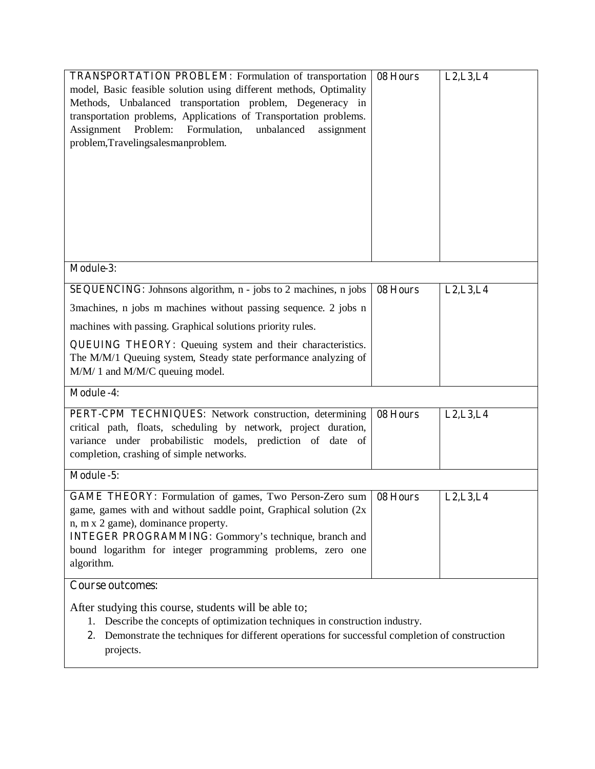| <b>TRANSPORTATION PROBLEM:</b> Formulation of transportation<br>model, Basic feasible solution using different methods, Optimality<br>Methods, Unbalanced transportation problem, Degeneracy in<br>transportation problems, Applications of Transportation problems.<br>Assignment Problem: Formulation,<br>unbalanced<br>assignment<br>problem, Travelingsalesmanproblem. | 08 Hours | L2, L3, L4 |
|----------------------------------------------------------------------------------------------------------------------------------------------------------------------------------------------------------------------------------------------------------------------------------------------------------------------------------------------------------------------------|----------|------------|
| Module-3:                                                                                                                                                                                                                                                                                                                                                                  |          |            |
| <b>SEQUENCING:</b> Johnsons algorithm, n - jobs to 2 machines, n jobs                                                                                                                                                                                                                                                                                                      | 08 Hours | L2, L3, L4 |
| 3 machines, n jobs m machines without passing sequence. 2 jobs n                                                                                                                                                                                                                                                                                                           |          |            |
| machines with passing. Graphical solutions priority rules.                                                                                                                                                                                                                                                                                                                 |          |            |
| <b>QUEUING THEORY:</b> Queuing system and their characteristics.<br>The M/M/1 Queuing system, Steady state performance analyzing of<br>M/M/ 1 and M/M/C queuing model.                                                                                                                                                                                                     |          |            |
| <b>Module -4:</b>                                                                                                                                                                                                                                                                                                                                                          |          |            |
| PERT-CPM TECHNIQUES: Network construction, determining<br>critical path, floats, scheduling by network, project duration,<br>variance under probabilistic models, prediction of date of<br>completion, crashing of simple networks.                                                                                                                                        | 08 Hours | L2, L3, L4 |
| Module -5:                                                                                                                                                                                                                                                                                                                                                                 |          |            |
| <b>GAME THEORY:</b> Formulation of games, Two Person-Zero sum<br>game, games with and without saddle point, Graphical solution (2x<br>n, m x 2 game), dominance property.<br><b>INTEGER PROGRAMMING:</b> Gommory's technique, branch and<br>bound logarithm for integer programming problems, zero one<br>algorithm.                                                       | 08 Hours | L2, L3, L4 |
| <b>Course outcomes:</b>                                                                                                                                                                                                                                                                                                                                                    |          |            |
| After studying this course, students will be able to;<br>Describe the concepts of optimization techniques in construction industry.<br>1.<br>Demonstrate the techniques for different operations for successful completion of construction<br>2.<br>projects.                                                                                                              |          |            |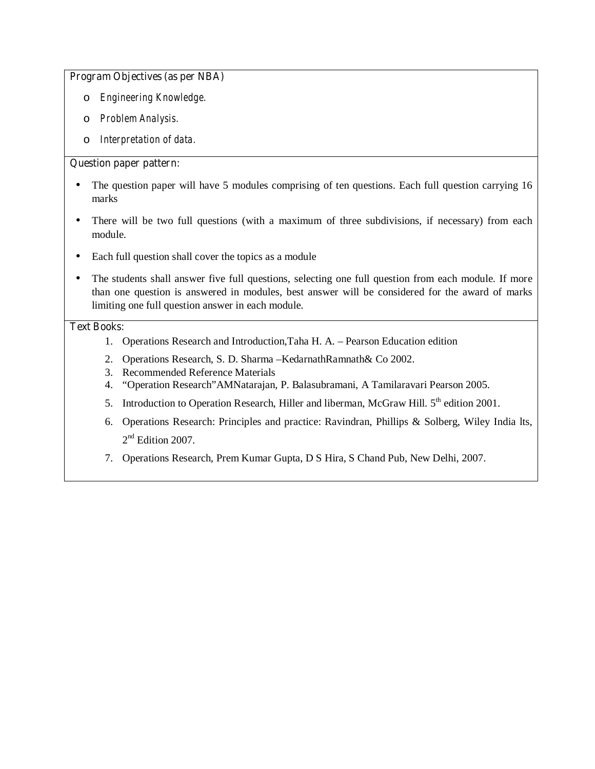## **Program Objectives (as per NBA)**

- o *Engineering Knowledge.*
- o *Problem Analysis.*
- o *Interpretation of data.*

# **Question paper pattern:**

- The question paper will have 5 modules comprising of ten questions. Each full question carrying 16 marks
- There will be two full questions (with a maximum of three subdivisions, if necessary) from each module.
- Each full question shall cover the topics as a module
- The students shall answer five full questions, selecting one full question from each module. If more than one question is answered in modules, best answer will be considered for the award of marks limiting one full question answer in each module.

#### **Text Books:**

- 1. Operations Research and Introduction,Taha H. A. Pearson Education edition
- 2. Operations Research, S. D. Sharma –KedarnathRamnath& Co 2002.
- 3. Recommended Reference Materials
- 4. "Operation Research"AMNatarajan, P. Balasubramani, A Tamilaravari Pearson 2005.
- 5. Introduction to Operation Research, Hiller and liberman, McGraw Hill. 5<sup>th</sup> edition 2001.
- 6. Operations Research: Principles and practice: Ravindran, Phillips & Solberg, Wiley India lts,  $2<sup>nd</sup>$  Edition 2007.
- 7. Operations Research, Prem Kumar Gupta, D S Hira, S Chand Pub, New Delhi, 2007.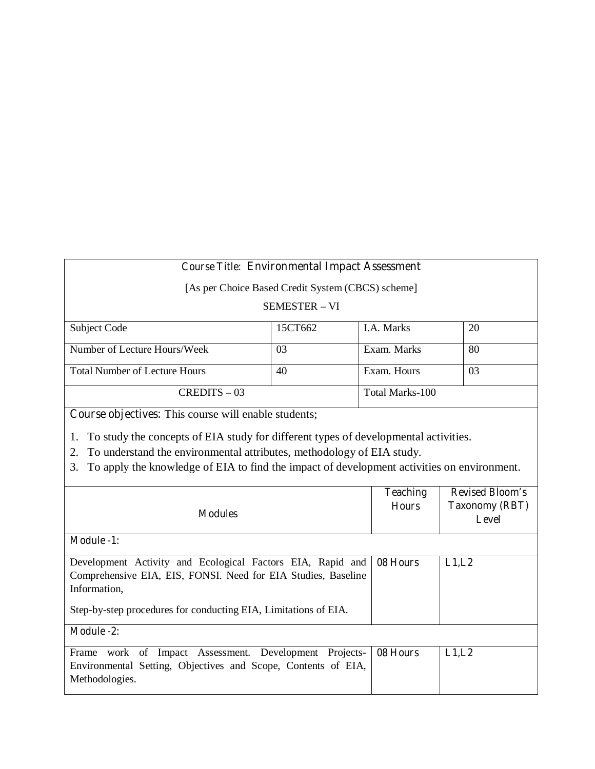# **Course Title: Environmental Impact Assessment**

[As per Choice Based Credit System (CBCS) scheme]

## SEMESTER – VI

| Subject Code                         | 15CT662 | <b>I.A.</b> Marks | 20 |
|--------------------------------------|---------|-------------------|----|
|                                      |         |                   |    |
|                                      |         |                   |    |
| Number of Lecture Hours/Week         | 03      | Exam. Marks       | 80 |
|                                      |         |                   |    |
|                                      |         |                   |    |
| <b>Total Number of Lecture Hours</b> | 40      | Exam. Hours       | 03 |
|                                      |         |                   |    |
|                                      |         |                   |    |
| $CREDITS - 03$                       |         | Total Marks-100   |    |
|                                      |         |                   |    |

**Course objectives:** This course will enable students;

1. To study the concepts of EIA study for different types of developmental activities.

2. To understand the environmental attributes, methodology of EIA study.

3. To apply the knowledge of EIA to find the impact of development activities on environment.

| <b>Modules</b>                                                  | <b>Teaching</b><br><b>Hours</b> | <b>Revised Bloom's</b><br><b>Taxonomy (RBT)</b><br>Level |
|-----------------------------------------------------------------|---------------------------------|----------------------------------------------------------|
| <b>Module -1:</b>                                               |                                 |                                                          |
| Development Activity and Ecological Factors EIA, Rapid and      | 08 Hours                        | L1,L2                                                    |
| Comprehensive EIA, EIS, FONSI. Need for EIA Studies, Baseline   |                                 |                                                          |
| Information,                                                    |                                 |                                                          |
| Step-by-step procedures for conducting EIA, Limitations of EIA. |                                 |                                                          |
| <b>Module -2:</b>                                               |                                 |                                                          |
| work of Impact Assessment. Development<br>Frame<br>Projects-    | 08 Hours                        | L1,L2                                                    |
| Environmental Setting, Objectives and Scope, Contents of EIA,   |                                 |                                                          |
| Methodologies.                                                  |                                 |                                                          |
|                                                                 |                                 |                                                          |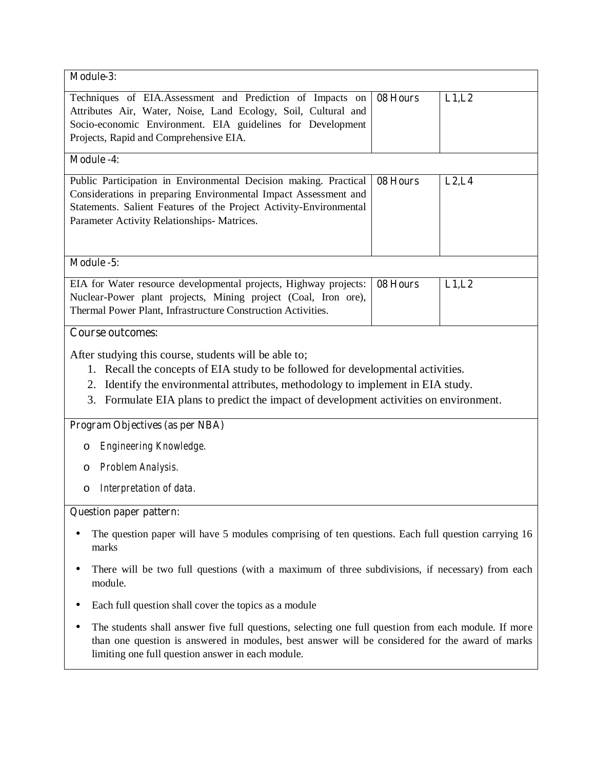| Module-3:                                                                                                                                                                                                                                                                                                                  |          |        |  |
|----------------------------------------------------------------------------------------------------------------------------------------------------------------------------------------------------------------------------------------------------------------------------------------------------------------------------|----------|--------|--|
| Techniques of EIA.Assessment and Prediction of Impacts on<br>Attributes Air, Water, Noise, Land Ecology, Soil, Cultural and<br>Socio-economic Environment. EIA guidelines for Development<br>Projects, Rapid and Comprehensive EIA.                                                                                        | 08 Hours | L1,L2  |  |
| <b>Module -4:</b>                                                                                                                                                                                                                                                                                                          |          |        |  |
| Public Participation in Environmental Decision making. Practical<br>Considerations in preparing Environmental Impact Assessment and<br>Statements. Salient Features of the Project Activity-Environmental<br>Parameter Activity Relationships-Matrices.                                                                    | 08 Hours | L2, L4 |  |
| Module -5:                                                                                                                                                                                                                                                                                                                 |          |        |  |
| EIA for Water resource developmental projects, Highway projects:<br>Nuclear-Power plant projects, Mining project (Coal, Iron ore),<br>Thermal Power Plant, Infrastructure Construction Activities.                                                                                                                         | 08 Hours | L1, L2 |  |
| <b>Course outcomes:</b>                                                                                                                                                                                                                                                                                                    |          |        |  |
| After studying this course, students will be able to;<br>1. Recall the concepts of EIA study to be followed for developmental activities.<br>2. Identify the environmental attributes, methodology to implement in EIA study.<br>Formulate EIA plans to predict the impact of development activities on environment.<br>3. |          |        |  |
| <b>Program Objectives (as per NBA)</b>                                                                                                                                                                                                                                                                                     |          |        |  |
| Engineering Knowledge.<br>O                                                                                                                                                                                                                                                                                                |          |        |  |
| Problem Analysis.<br>O                                                                                                                                                                                                                                                                                                     |          |        |  |
| Interpretation of data.<br>O                                                                                                                                                                                                                                                                                               |          |        |  |
| <b>Question paper pattern:</b>                                                                                                                                                                                                                                                                                             |          |        |  |
| The question paper will have 5 modules comprising of ten questions. Each full question carrying 16<br>marks                                                                                                                                                                                                                |          |        |  |
| There will be two full questions (with a maximum of three subdivisions, if necessary) from each<br>module.                                                                                                                                                                                                                 |          |        |  |
| Each full question shall cover the topics as a module                                                                                                                                                                                                                                                                      |          |        |  |
| The students shall answer five full questions, selecting one full question from each module. If more<br>than one question is answered in modules, best answer will be considered for the award of marks<br>limiting one full question answer in each module.                                                               |          |        |  |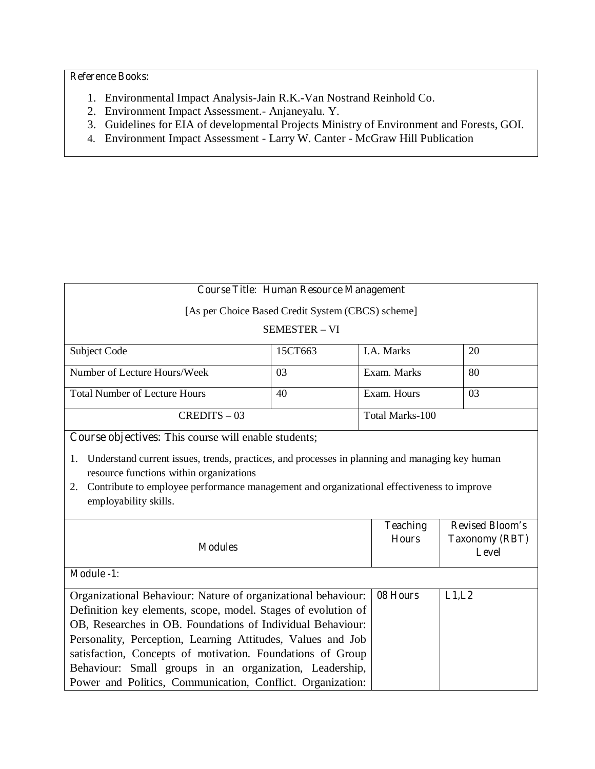- 1. Environmental Impact Analysis-Jain R.K.-Van Nostrand Reinhold Co.
- 2. Environment Impact Assessment.- Anjaneyalu. Y.
- 3. Guidelines for EIA of developmental Projects Ministry of Environment and Forests, GOI.
- 4. Environment Impact Assessment Larry W. Canter McGraw Hill Publication

| <b>Course Title: Human Resource Management</b>                                                                                                                                                                                                                           |                                                   |                 |                                       |  |
|--------------------------------------------------------------------------------------------------------------------------------------------------------------------------------------------------------------------------------------------------------------------------|---------------------------------------------------|-----------------|---------------------------------------|--|
|                                                                                                                                                                                                                                                                          | [As per Choice Based Credit System (CBCS) scheme] |                 |                                       |  |
|                                                                                                                                                                                                                                                                          | <b>SEMESTER - VI</b>                              |                 |                                       |  |
| Subject Code                                                                                                                                                                                                                                                             | 15CT663                                           | I.A. Marks      | 20                                    |  |
| Number of Lecture Hours/Week                                                                                                                                                                                                                                             | 03                                                | Exam. Marks     | 80                                    |  |
| <b>Total Number of Lecture Hours</b>                                                                                                                                                                                                                                     | 40                                                | Exam. Hours     | 03                                    |  |
| $CREDITS - 03$                                                                                                                                                                                                                                                           |                                                   |                 | Total Marks-100                       |  |
| Course objectives: This course will enable students;                                                                                                                                                                                                                     |                                                   |                 |                                       |  |
| Understand current issues, trends, practices, and processes in planning and managing key human<br>1.<br>resource functions within organizations<br>2. Contribute to employee performance management and organizational effectiveness to improve<br>employability skills. |                                                   |                 |                                       |  |
|                                                                                                                                                                                                                                                                          |                                                   | <b>Teaching</b> | <b>Revised Bloom's</b>                |  |
| <b>Modules</b>                                                                                                                                                                                                                                                           |                                                   | <b>Hours</b>    | <b>Taxonomy (RBT)</b><br><b>Level</b> |  |
| Module -1:                                                                                                                                                                                                                                                               |                                                   |                 |                                       |  |
| Organizational Behaviour: Nature of organizational behaviour:<br>Definition key elements, scope, model. Stages of evolution of                                                                                                                                           |                                                   | 08 Hours        | L1,L2                                 |  |
| OB, Researches in OB. Foundations of Individual Behaviour:                                                                                                                                                                                                               |                                                   |                 |                                       |  |
| Personality, Perception, Learning Attitudes, Values and Job                                                                                                                                                                                                              |                                                   |                 |                                       |  |
| satisfaction, Concepts of motivation. Foundations of Group                                                                                                                                                                                                               |                                                   |                 |                                       |  |
| Behaviour: Small groups in an organization, Leadership,                                                                                                                                                                                                                  |                                                   |                 |                                       |  |
| Power and Politics, Communication, Conflict. Organization:                                                                                                                                                                                                               |                                                   |                 |                                       |  |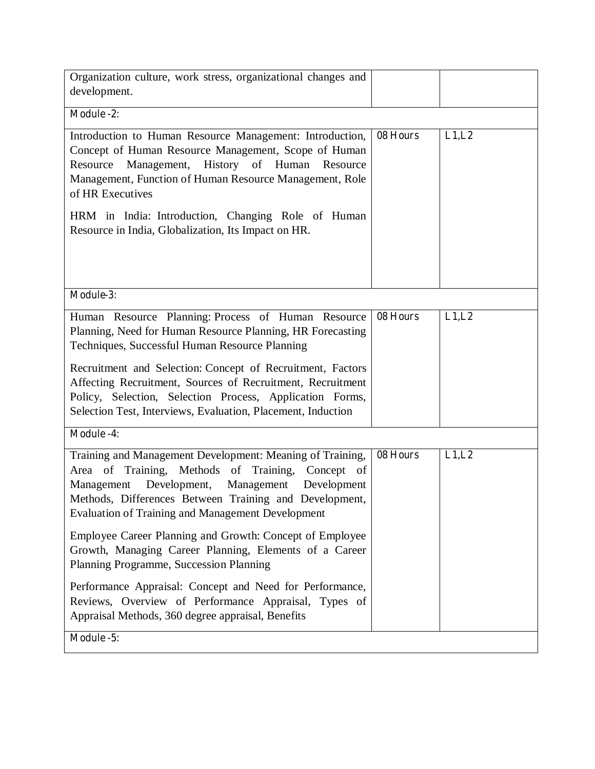| Module -2:<br>Introduction to Human Resource Management: Introduction,<br>Concept of Human Resource Management, Scope of Human<br>Resource Management, History of Human Resource<br>Management, Function of Human Resource Management, Role<br>of HR Executives<br>HRM in India: Introduction, Changing Role of Human<br>Resource in India, Globalization, Its Impact on HR.<br>Module-3:<br>Human Resource Planning: Process of Human Resource<br>Planning, Need for Human Resource Planning, HR Forecasting<br>Techniques, Successful Human Resource Planning<br>Recruitment and Selection: Concept of Recruitment, Factors<br>Affecting Recruitment, Sources of Recruitment, Recruitment<br>Policy, Selection, Selection Process, Application Forms,<br>Selection Test, Interviews, Evaluation, Placement, Induction<br><b>Module -4:</b><br>Training and Management Development: Meaning of Training,<br>Area of Training, Methods of Training, Concept of<br>Management Development, Management Development<br>Methods, Differences Between Training and Development,<br><b>Evaluation of Training and Management Development</b><br>Employee Career Planning and Growth: Concept of Employee<br>Growth, Managing Career Planning, Elements of a Career<br>Planning Programme, Succession Planning |          |       |
|---------------------------------------------------------------------------------------------------------------------------------------------------------------------------------------------------------------------------------------------------------------------------------------------------------------------------------------------------------------------------------------------------------------------------------------------------------------------------------------------------------------------------------------------------------------------------------------------------------------------------------------------------------------------------------------------------------------------------------------------------------------------------------------------------------------------------------------------------------------------------------------------------------------------------------------------------------------------------------------------------------------------------------------------------------------------------------------------------------------------------------------------------------------------------------------------------------------------------------------------------------------------------------------------------------|----------|-------|
|                                                                                                                                                                                                                                                                                                                                                                                                                                                                                                                                                                                                                                                                                                                                                                                                                                                                                                                                                                                                                                                                                                                                                                                                                                                                                                         |          |       |
|                                                                                                                                                                                                                                                                                                                                                                                                                                                                                                                                                                                                                                                                                                                                                                                                                                                                                                                                                                                                                                                                                                                                                                                                                                                                                                         | 08 Hours | L1,L2 |
|                                                                                                                                                                                                                                                                                                                                                                                                                                                                                                                                                                                                                                                                                                                                                                                                                                                                                                                                                                                                                                                                                                                                                                                                                                                                                                         |          |       |
|                                                                                                                                                                                                                                                                                                                                                                                                                                                                                                                                                                                                                                                                                                                                                                                                                                                                                                                                                                                                                                                                                                                                                                                                                                                                                                         | 08 Hours | L1,L2 |
|                                                                                                                                                                                                                                                                                                                                                                                                                                                                                                                                                                                                                                                                                                                                                                                                                                                                                                                                                                                                                                                                                                                                                                                                                                                                                                         |          |       |
| Performance Appraisal: Concept and Need for Performance,<br>Reviews, Overview of Performance Appraisal, Types of<br>Appraisal Methods, 360 degree appraisal, Benefits<br>Module -5:                                                                                                                                                                                                                                                                                                                                                                                                                                                                                                                                                                                                                                                                                                                                                                                                                                                                                                                                                                                                                                                                                                                     | 08 Hours | L1,L2 |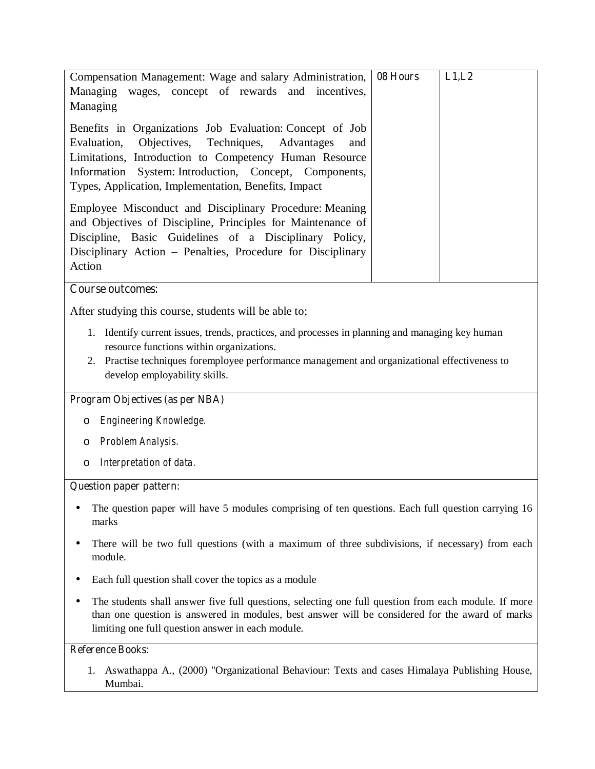| Compensation Management: Wage and salary Administration,   08 Hours | L1,L2 |
|---------------------------------------------------------------------|-------|
| Managing wages, concept of rewards and incentives,                  |       |
| Managing                                                            |       |
| Benefits in Organizations Job Evaluation: Concept of Job            |       |
|                                                                     |       |
| Evaluation, Objectives, Techniques, Advantages<br>and               |       |
| Limitations, Introduction to Competency Human Resource              |       |
| Information System: Introduction, Concept, Components,              |       |
| Types, Application, Implementation, Benefits, Impact                |       |
| Employee Misconduct and Disciplinary Procedure: Meaning             |       |
| and Objectives of Discipline, Principles for Maintenance of         |       |
| Discipline, Basic Guidelines of a Disciplinary Policy,              |       |
| Disciplinary Action – Penalties, Procedure for Disciplinary         |       |
| Action                                                              |       |
|                                                                     |       |

## **Course outcomes:**

After studying this course, students will be able to;

- 1. Identify current issues, trends, practices, and processes in planning and managing key human resource functions within organizations.
- 2. Practise techniques foremployee performance management and organizational effectiveness to develop employability skills.

## **Program Objectives (as per NBA)**

- o *Engineering Knowledge.*
- o *Problem Analysis.*
- o *Interpretation of data.*

## **Question paper pattern:**

- The question paper will have 5 modules comprising of ten questions. Each full question carrying 16 marks
- There will be two full questions (with a maximum of three subdivisions, if necessary) from each module.
- Each full question shall cover the topics as a module
- The students shall answer five full questions, selecting one full question from each module. If more than one question is answered in modules, best answer will be considered for the award of marks limiting one full question answer in each module.

#### **Reference Books:**

1. Aswathappa A., (2000) "Organizational Behaviour: Texts and cases Himalaya Publishing House, Mumbai.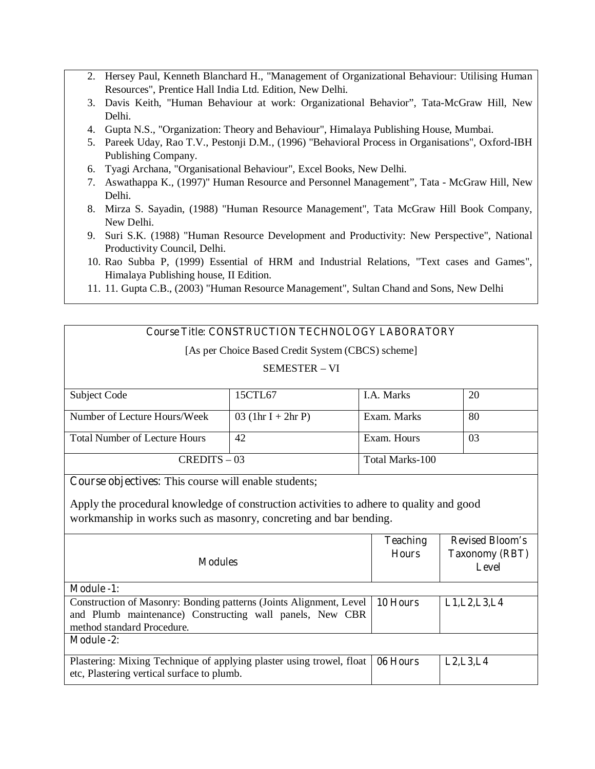- 2. Hersey Paul, Kenneth Blanchard H., "Management of Organizational Behaviour: Utilising Human Resources", Prentice Hall India Ltd. Edition, New Delhi.
- 3. Davis Keith, "Human Behaviour at work: Organizational Behavior", Tata-McGraw Hill, New Delhi.
- 4. Gupta N.S., "Organization: Theory and Behaviour", Himalaya Publishing House, Mumbai.
- 5. Pareek Uday, Rao T.V., Pestonji D.M., (1996) "Behavioral Process in Organisations", Oxford-IBH Publishing Company.
- 6. Tyagi Archana, "Organisational Behaviour", Excel Books, New Delhi.
- 7. Aswathappa K., (1997)" Human Resource and Personnel Management", Tata McGraw Hill, New Delhi.
- 8. Mirza S. Sayadin, (1988) "Human Resource Management", Tata McGraw Hill Book Company, New Delhi.
- 9. Suri S.K. (1988) "Human Resource Development and Productivity: New Perspective", National Productivity Council, Delhi.
- 10. Rao Subba P, (1999) Essential of HRM and Industrial Relations, "Text cases and Games", Himalaya Publishing house, II Edition.
- 11. 11. Gupta C.B., (2003) "Human Resource Management", Sultan Chand and Sons, New Delhi

# **Course Title: CONSTRUCTION TECHNOLOGY LABORATORY**

[As per Choice Based Credit System (CBCS) scheme]

## SEMESTER – VI

| Subject Code                         | 15CTL67              | <b>I.A. Marks</b> | 20 |
|--------------------------------------|----------------------|-------------------|----|
|                                      |                      |                   |    |
| Number of Lecture Hours/Week         | 03 $(1hr I + 2hr P)$ | Exam. Marks       | 80 |
|                                      |                      |                   |    |
| <b>Total Number of Lecture Hours</b> | 42                   | Exam. Hours       | 03 |
|                                      |                      |                   |    |
| $CREDITS - 03$                       |                      | Total Marks-100   |    |
|                                      |                      |                   |    |

**Course objectives:** This course will enable students;

Apply the procedural knowledge of construction activities to adhere to quality and good workmanship in works such as masonry, concreting and bar bending**.**

| <b>Modules</b>                                                                                                                            | <b>Teaching</b><br><b>Hours</b> | <b>Revised Bloom's</b><br><b>Taxonomy (RBT)</b><br><b>Level</b> |
|-------------------------------------------------------------------------------------------------------------------------------------------|---------------------------------|-----------------------------------------------------------------|
| <b>Module -1:</b>                                                                                                                         |                                 |                                                                 |
| Construction of Masonry: Bonding patterns (Joints Alignment, Level   10 Hours<br>and Plumb maintenance) Constructing wall panels, New CBR |                                 | L1, L2, L3, L4                                                  |
| method standard Procedure.                                                                                                                |                                 |                                                                 |
| <b>Module -2:</b>                                                                                                                         |                                 |                                                                 |
| Plastering: Mixing Technique of applying plaster using trowel, float<br>etc, Plastering vertical surface to plumb.                        | 06 Hours                        | L2, L3, L4                                                      |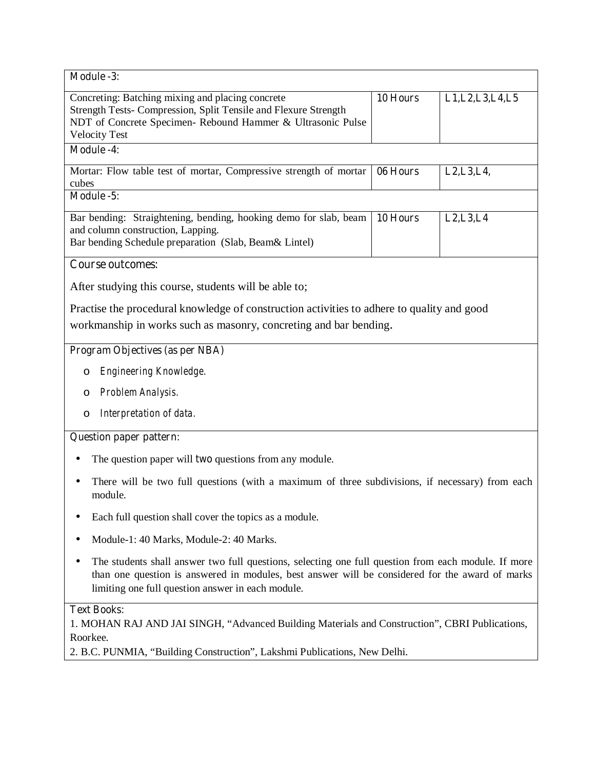| Module -3:                                                                                                                                                                                                                                                  |          |                                                    |  |
|-------------------------------------------------------------------------------------------------------------------------------------------------------------------------------------------------------------------------------------------------------------|----------|----------------------------------------------------|--|
| Concreting: Batching mixing and placing concrete<br>Strength Tests- Compression, Split Tensile and Flexure Strength<br>NDT of Concrete Specimen- Rebound Hammer & Ultrasonic Pulse<br><b>Velocity Test</b>                                                  | 10 Hours | L1, L2, L3, L4, L5                                 |  |
| <b>Module -4:</b>                                                                                                                                                                                                                                           |          |                                                    |  |
| Mortar: Flow table test of mortar, Compressive strength of mortar<br>cubes                                                                                                                                                                                  | 06 Hours | L <sub>2</sub> , L <sub>3</sub> , L <sub>4</sub> , |  |
| Module -5:                                                                                                                                                                                                                                                  |          |                                                    |  |
| Bar bending: Straightening, bending, hooking demo for slab, beam<br>and column construction, Lapping.<br>Bar bending Schedule preparation (Slab, Beam& Lintel)                                                                                              | 10 Hours | L2, L3, L4                                         |  |
| <b>Course outcomes:</b>                                                                                                                                                                                                                                     |          |                                                    |  |
| After studying this course, students will be able to;                                                                                                                                                                                                       |          |                                                    |  |
| Practise the procedural knowledge of construction activities to adhere to quality and good<br>workmanship in works such as masonry, concreting and bar bending.                                                                                             |          |                                                    |  |
| <b>Program Objectives (as per NBA)</b>                                                                                                                                                                                                                      |          |                                                    |  |
| Engineering Knowledge.<br>O                                                                                                                                                                                                                                 |          |                                                    |  |
| Problem Analysis.<br>O                                                                                                                                                                                                                                      |          |                                                    |  |
| Interpretation of data.<br>$\circ$                                                                                                                                                                                                                          |          |                                                    |  |
| <b>Question paper pattern:</b>                                                                                                                                                                                                                              |          |                                                    |  |
| The question paper will <b>two</b> questions from any module.                                                                                                                                                                                               |          |                                                    |  |
| There will be two full questions (with a maximum of three subdivisions, if necessary) from each<br>module.                                                                                                                                                  |          |                                                    |  |
| Each full question shall cover the topics as a module.                                                                                                                                                                                                      |          |                                                    |  |
| Module-1: 40 Marks, Module-2: 40 Marks.                                                                                                                                                                                                                     |          |                                                    |  |
| The students shall answer two full questions, selecting one full question from each module. If more<br>than one question is answered in modules, best answer will be considered for the award of marks<br>limiting one full question answer in each module. |          |                                                    |  |
| <b>Text Books:</b>                                                                                                                                                                                                                                          |          |                                                    |  |

1. MOHAN RAJ AND JAI SINGH, "Advanced Building Materials and Construction", CBRI Publications, Roorkee.

2. B.C. PUNMIA, "Building Construction", Lakshmi Publications, New Delhi.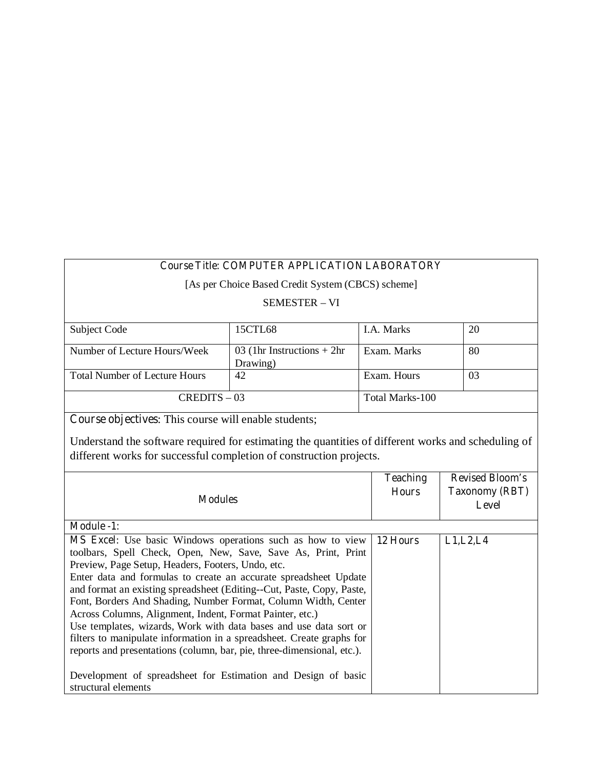# **Course Title: COMPUTER APPLICATION LABORATORY**

[As per Choice Based Credit System (CBCS) scheme]

#### SEMESTER – VI

| Subject Code                         | 15CTL68                                  | I.A. Marks      | 20 |
|--------------------------------------|------------------------------------------|-----------------|----|
| Number of Lecture Hours/Week         | 03 (1hr Instructions $+ 2hr$<br>Drawing) | Exam. Marks     | 80 |
| <b>Total Number of Lecture Hours</b> | 42                                       | Exam. Hours     | 03 |
| $CREDITS - 03$                       |                                          | Total Marks-100 |    |

**Course objectives**: This course will enable students;

Understand the software required for estimating the quantities of different works and scheduling of different works for successful completion of construction projects.

| <b>Modules</b>                                                                                                                                                                                                                                                                                                                                                                                                                                                                                                                                                                                                                                                                                                                                                                     | <b>Teaching</b><br><b>Hours</b> | <b>Revised Bloom's</b><br><b>Taxonomy (RBT)</b><br><b>Level</b> |
|------------------------------------------------------------------------------------------------------------------------------------------------------------------------------------------------------------------------------------------------------------------------------------------------------------------------------------------------------------------------------------------------------------------------------------------------------------------------------------------------------------------------------------------------------------------------------------------------------------------------------------------------------------------------------------------------------------------------------------------------------------------------------------|---------------------------------|-----------------------------------------------------------------|
| <b>Module -1:</b>                                                                                                                                                                                                                                                                                                                                                                                                                                                                                                                                                                                                                                                                                                                                                                  |                                 |                                                                 |
| <b>MS Excel:</b> Use basic Windows operations such as how to view<br>toolbars, Spell Check, Open, New, Save, Save As, Print, Print<br>Preview, Page Setup, Headers, Footers, Undo, etc.<br>Enter data and formulas to create an accurate spreadsheet Update<br>and format an existing spreadsheet (Editing--Cut, Paste, Copy, Paste,<br>Font, Borders And Shading, Number Format, Column Width, Center<br>Across Columns, Alignment, Indent, Format Painter, etc.)<br>Use templates, wizards, Work with data bases and use data sort or<br>filters to manipulate information in a spreadsheet. Create graphs for<br>reports and presentations (column, bar, pie, three-dimensional, etc.).<br>Development of spreadsheet for Estimation and Design of basic<br>structural elements | 12 Hours                        | L1, L2, L4                                                      |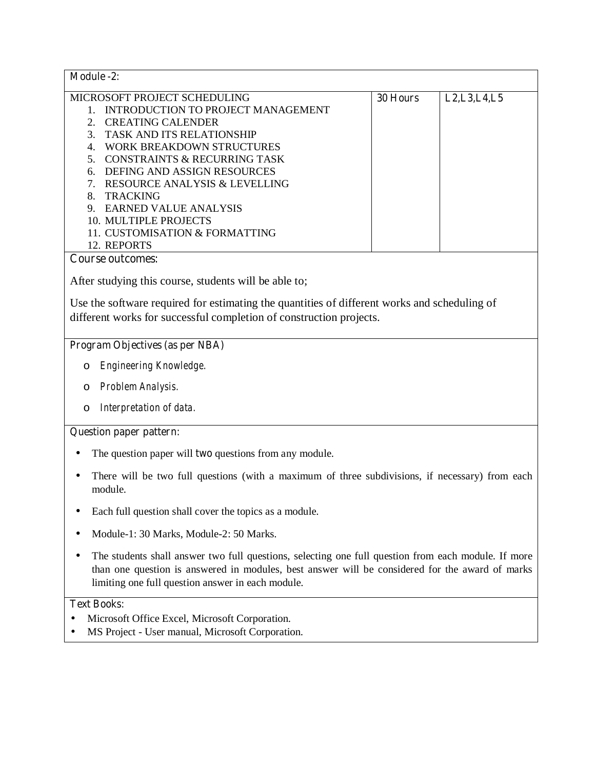| <b>Module -2:</b>                       |          |                |
|-----------------------------------------|----------|----------------|
| MICROSOFT PROJECT SCHEDULING            | 30 Hours | L2, L3, L4, L5 |
| INTRODUCTION TO PROJECT MANAGEMENT      |          |                |
| <b>CREATING CALENDER</b>                |          |                |
| <b>TASK AND ITS RELATIONSHIP</b>        |          |                |
| WORK BREAKDOWN STRUCTURES               |          |                |
| <b>CONSTRAINTS &amp; RECURRING TASK</b> |          |                |
| DEFING AND ASSIGN RESOURCES<br>6        |          |                |
| RESOURCE ANALYSIS & LEVELLING           |          |                |
| <b>TRACKING</b><br>8.                   |          |                |
| EARNED VALUE ANALYSIS<br>9              |          |                |
| 10. MULTIPLE PROJECTS                   |          |                |
| 11. CUSTOMISATION & FORMATTING          |          |                |
| 12. REPORTS                             |          |                |
| Course outcomes:                        |          |                |

After studying this course, students will be able to;

Use the software required for estimating the quantities of different works and scheduling of different works for successful completion of construction projects.

## **Program Objectives (as per NBA)**

- o *Engineering Knowledge.*
- o *Problem Analysis.*
- o *Interpretation of data.*

## **Question paper pattern:**

- The question paper will **two** questions from any module.
- There will be two full questions (with a maximum of three subdivisions, if necessary) from each module.
- Each full question shall cover the topics as a module.
- Module-1: 30 Marks, Module-2: 50 Marks.
- The students shall answer two full questions, selecting one full question from each module. If more than one question is answered in modules, best answer will be considered for the award of marks limiting one full question answer in each module.

# **Text Books:**

- Microsoft Office Excel, Microsoft Corporation.
- MS Project User manual, Microsoft Corporation.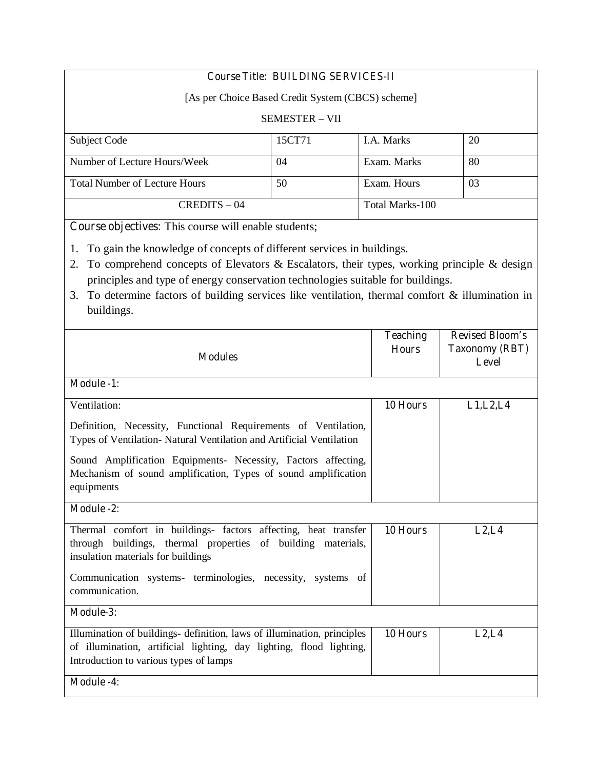# **Course Title: BUILDING SERVICES-II**

[As per Choice Based Credit System (CBCS) scheme]

## SEMESTER – VII

| Subject Code                         | 15CT71 | LA. Marks       | 20  |
|--------------------------------------|--------|-----------------|-----|
| Number of Lecture Hours/Week         | 04     | Exam. Marks     | 80  |
| <b>Total Number of Lecture Hours</b> | 50     | Exam. Hours     | -03 |
| $CREDITS - 04$                       |        | Total Marks-100 |     |

**Course objectives:** This course will enable students;

1. To gain the knowledge of concepts of different services in buildings.

- 2. To comprehend concepts of Elevators & Escalators, their types, working principle & design principles and type of energy conservation technologies suitable for buildings.
- 3. To determine factors of building services like ventilation, thermal comfort & illumination in buildings.

| <b>Modules</b>                                                                                                                                                                           | <b>Teaching</b><br><b>Hours</b> | <b>Revised Bloom's</b><br><b>Taxonomy (RBT)</b><br><b>Level</b> |
|------------------------------------------------------------------------------------------------------------------------------------------------------------------------------------------|---------------------------------|-----------------------------------------------------------------|
| <b>Module -1:</b>                                                                                                                                                                        |                                 |                                                                 |
| Ventilation:                                                                                                                                                                             | 10 Hours                        | L1, L2, L4                                                      |
| Definition, Necessity, Functional Requirements of Ventilation,<br>Types of Ventilation- Natural Ventilation and Artificial Ventilation                                                   |                                 |                                                                 |
| Sound Amplification Equipments- Necessity, Factors affecting,<br>Mechanism of sound amplification, Types of sound amplification<br>equipments                                            |                                 |                                                                 |
| <b>Module -2:</b>                                                                                                                                                                        |                                 |                                                                 |
| Thermal comfort in buildings- factors affecting, heat transfer<br>through buildings, thermal properties of building materials,<br>insulation materials for buildings                     | 10 Hours                        | L2, L4                                                          |
| Communication systems- terminologies, necessity, systems of<br>communication.                                                                                                            |                                 |                                                                 |
| Module-3:                                                                                                                                                                                |                                 |                                                                 |
| Illumination of buildings- definition, laws of illumination, principles<br>of illumination, artificial lighting, day lighting, flood lighting,<br>Introduction to various types of lamps | 10 Hours                        | L2, L4                                                          |
| <b>Module -4:</b>                                                                                                                                                                        |                                 |                                                                 |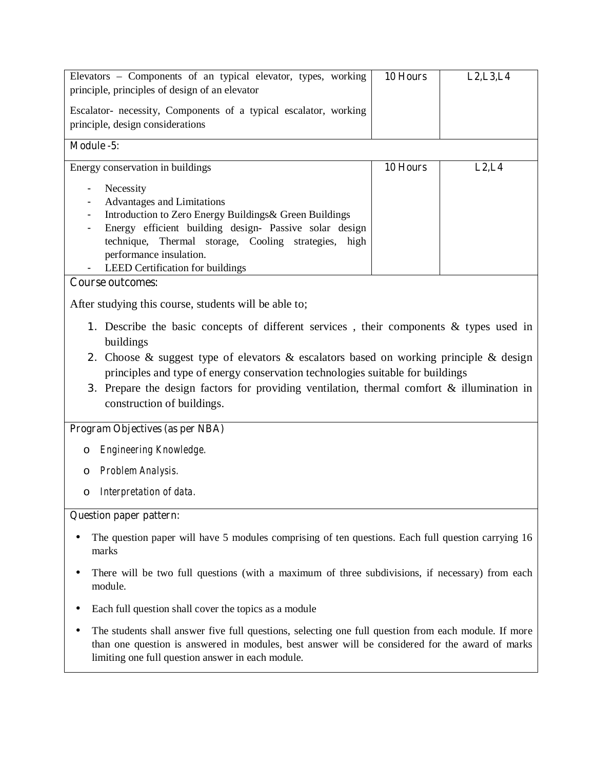| Elevators - Components of an typical elevator, types, working<br>principle, principles of design of an elevator | 10 Hours | L2, L3, L4 |  |
|-----------------------------------------------------------------------------------------------------------------|----------|------------|--|
|                                                                                                                 |          |            |  |
| Escalator- necessity, Components of a typical escalator, working                                                |          |            |  |
| principle, design considerations                                                                                |          |            |  |
| Module -5:                                                                                                      |          |            |  |
| Energy conservation in buildings                                                                                | 10 Hours | L2, L4     |  |
|                                                                                                                 |          |            |  |
| Necessity<br>$\blacksquare$                                                                                     |          |            |  |
| Advantages and Limitations                                                                                      |          |            |  |
| Introduction to Zero Energy Buildings & Green Buildings                                                         |          |            |  |
| Energy efficient building design- Passive solar design                                                          |          |            |  |
| technique, Thermal storage, Cooling strategies, high<br>performance insulation.                                 |          |            |  |
| LEED Certification for buildings                                                                                |          |            |  |
| Course outcomes:                                                                                                |          |            |  |
|                                                                                                                 |          |            |  |
| After studying this course, students will be able to;                                                           |          |            |  |
| 1. Describe the basic concepts of different services, their components & types used in                          |          |            |  |
| buildings                                                                                                       |          |            |  |
| 2. Choose & suggest type of elevators & escalators based on working principle & design                          |          |            |  |
| principles and type of energy conservation technologies suitable for buildings                                  |          |            |  |
| 3. Prepare the design factors for providing ventilation, thermal comfort $\&$ illumination in                   |          |            |  |
| construction of buildings.                                                                                      |          |            |  |
|                                                                                                                 |          |            |  |
| Program Objectives (as per NBA)                                                                                 |          |            |  |
| Engineering Knowledge.<br>$\circ$                                                                               |          |            |  |
| Problem Analysis.<br>$\circ$                                                                                    |          |            |  |
| Interpretation of data.<br>$\circ$                                                                              |          |            |  |
| <b>Question paper pattern:</b>                                                                                  |          |            |  |
| The question paper will have 5 modules comprising of ten questions. Each full question carrying 16<br>marks     |          |            |  |
|                                                                                                                 |          |            |  |

- There will be two full questions (with a maximum of three subdivisions, if necessary) from each module.
- Each full question shall cover the topics as a module
- The students shall answer five full questions, selecting one full question from each module. If more than one question is answered in modules, best answer will be considered for the award of marks limiting one full question answer in each module.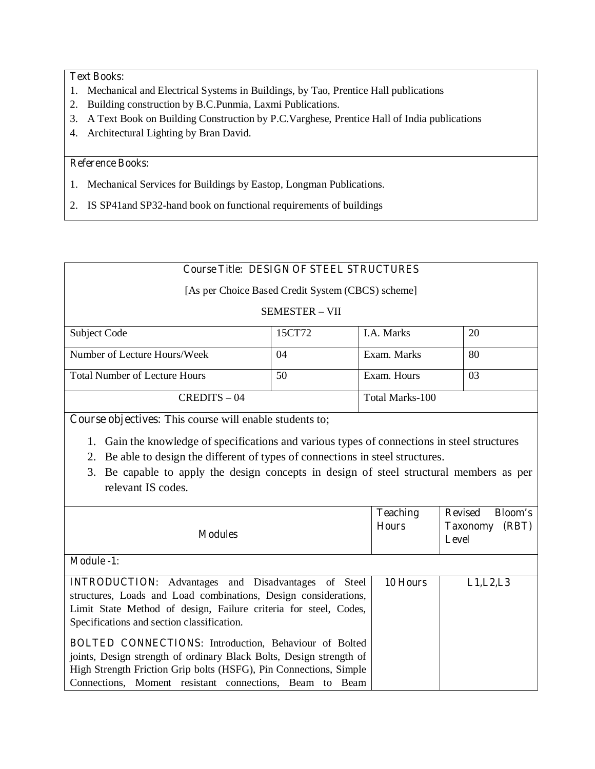# **Text Books:**

- 1. Mechanical and Electrical Systems in Buildings, by Tao, Prentice Hall publications
- 2. Building construction by B.C.Punmia, Laxmi Publications.
- 3. A Text Book on Building Construction by P.C.Varghese, Prentice Hall of India publications
- 4. Architectural Lighting by Bran David.

# **Reference Books:**

- 1. Mechanical Services for Buildings by Eastop, Longman Publications.
- 2. IS SP41and SP32-hand book on functional requirements of buildings

# **Course Title: DESIGN OF STEEL STRUCTURES**

[As per Choice Based Credit System (CBCS) scheme]

# SEMESTER – VII

| Subject Code                         | 15CT72 | <b>I.A.</b> Marks | 20 |
|--------------------------------------|--------|-------------------|----|
|                                      |        |                   |    |
| Number of Lecture Hours/Week         | 04     | Exam. Marks       | 80 |
|                                      |        |                   |    |
| <b>Total Number of Lecture Hours</b> | 50     | Exam. Hours       | 03 |
|                                      |        |                   |    |
| $CREDITS - 04$                       |        | Total Marks-100   |    |
|                                      |        |                   |    |

**Course objectives:** This course will enable students to;

- 1. Gain the knowledge of specifications and various types of connections in steel structures
- 2. Be able to design the different of types of connections in steel structures.
- 3. Be capable to apply the design concepts in design of steel structural members as per relevant IS codes.

| <b>Modules</b>                                                                                                                                                                                                                                  | <b>Teaching</b><br><b>Hours</b> | <b>Revised</b><br><b>Bloom's</b><br>(RBT)<br><b>Taxonomy</b><br>Level |
|-------------------------------------------------------------------------------------------------------------------------------------------------------------------------------------------------------------------------------------------------|---------------------------------|-----------------------------------------------------------------------|
| <b>Module -1:</b>                                                                                                                                                                                                                               |                                 |                                                                       |
| <b>INTRODUCTION:</b> Advantages and Disadvantages of Steel<br>structures, Loads and Load combinations, Design considerations,<br>Limit State Method of design, Failure criteria for steel, Codes,<br>Specifications and section classification. | 10 Hours                        | L1, L2, L3                                                            |
| <b>BOLTED CONNECTIONS:</b> Introduction, Behaviour of Bolted<br>joints, Design strength of ordinary Black Bolts, Design strength of                                                                                                             |                                 |                                                                       |
| High Strength Friction Grip bolts (HSFG), Pin Connections, Simple<br>Connections, Moment resistant connections, Beam to Beam                                                                                                                    |                                 |                                                                       |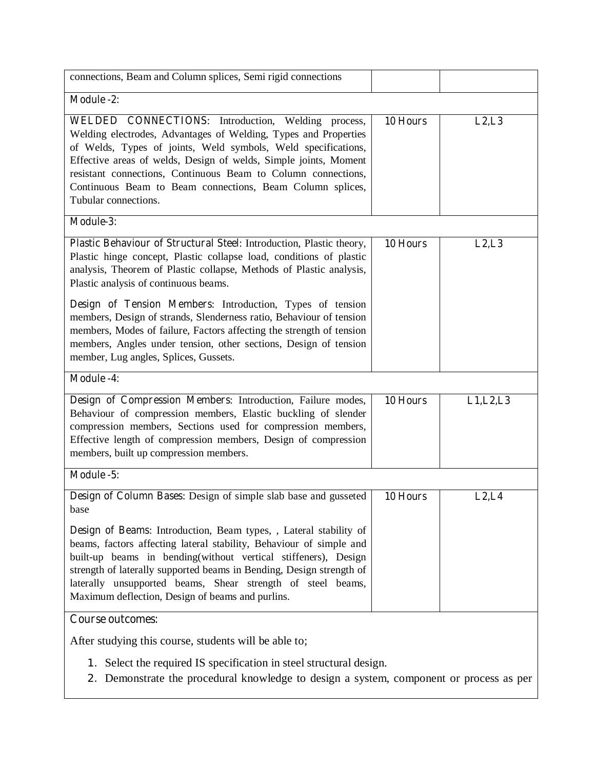| connections, Beam and Column splices, Semi rigid connections                                                                                                                                                                                                                                                                                                                                                                                                                     |          |            |  |
|----------------------------------------------------------------------------------------------------------------------------------------------------------------------------------------------------------------------------------------------------------------------------------------------------------------------------------------------------------------------------------------------------------------------------------------------------------------------------------|----------|------------|--|
| <b>Module -2:</b>                                                                                                                                                                                                                                                                                                                                                                                                                                                                |          |            |  |
| <b>WELDED CONNECTIONS:</b> Introduction, Welding process,<br>Welding electrodes, Advantages of Welding, Types and Properties<br>of Welds, Types of joints, Weld symbols, Weld specifications,<br>Effective areas of welds, Design of welds, Simple joints, Moment<br>resistant connections, Continuous Beam to Column connections,<br>Continuous Beam to Beam connections, Beam Column splices,<br>Tubular connections.                                                          | 10 Hours | L2, L3     |  |
| Module-3:                                                                                                                                                                                                                                                                                                                                                                                                                                                                        |          |            |  |
| Plastic Behaviour of Structural Steel: Introduction, Plastic theory,<br>Plastic hinge concept, Plastic collapse load, conditions of plastic<br>analysis, Theorem of Plastic collapse, Methods of Plastic analysis,<br>Plastic analysis of continuous beams.                                                                                                                                                                                                                      | 10 Hours | L2, L3     |  |
| Design of Tension Members: Introduction, Types of tension<br>members, Design of strands, Slenderness ratio, Behaviour of tension<br>members, Modes of failure, Factors affecting the strength of tension<br>members, Angles under tension, other sections, Design of tension<br>member, Lug angles, Splices, Gussets.                                                                                                                                                            |          |            |  |
| <b>Module -4:</b>                                                                                                                                                                                                                                                                                                                                                                                                                                                                |          |            |  |
| Design of Compression Members: Introduction, Failure modes,<br>Behaviour of compression members, Elastic buckling of slender<br>compression members, Sections used for compression members,<br>Effective length of compression members, Design of compression<br>members, built up compression members.                                                                                                                                                                          | 10 Hours | L1, L2, L3 |  |
| Module -5:                                                                                                                                                                                                                                                                                                                                                                                                                                                                       |          |            |  |
| Design of Column Bases: Design of simple slab base and gusseted<br>base<br>Design of Beams: Introduction, Beam types, , Lateral stability of<br>beams, factors affecting lateral stability, Behaviour of simple and<br>built-up beams in bending(without vertical stiffeners), Design<br>strength of laterally supported beams in Bending, Design strength of<br>laterally unsupported beams, Shear strength of steel beams,<br>Maximum deflection, Design of beams and purlins. | 10 Hours | L2, L4     |  |
| <b>Course outcomes:</b>                                                                                                                                                                                                                                                                                                                                                                                                                                                          |          |            |  |
| After studying this course, students will be able to;<br>Select the required IS specification in steel structural design.<br>1.<br>2. Demonstrate the procedural knowledge to design a system, component or process as per                                                                                                                                                                                                                                                       |          |            |  |

l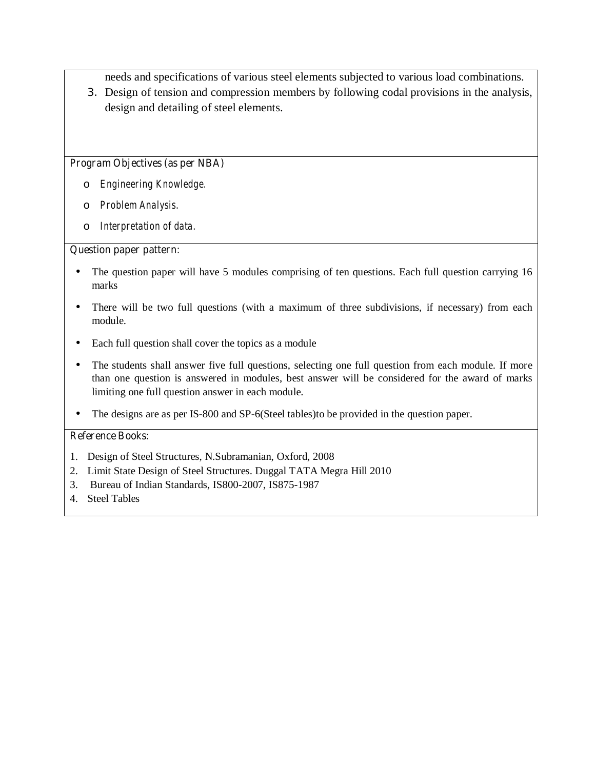needs and specifications of various steel elements subjected to various load combinations.

3. Design of tension and compression members by following codal provisions in the analysis, design and detailing of steel elements.

## **Program Objectives (as per NBA)**

- o *Engineering Knowledge.*
- o *Problem Analysis.*
- o *Interpretation of data.*

## **Question paper pattern:**

- The question paper will have 5 modules comprising of ten questions. Each full question carrying 16 marks
- There will be two full questions (with a maximum of three subdivisions, if necessary) from each module.
- Each full question shall cover the topics as a module
- The students shall answer five full questions, selecting one full question from each module. If more than one question is answered in modules, best answer will be considered for the award of marks limiting one full question answer in each module.
- The designs are as per IS-800 and SP-6(Steel tables)to be provided in the question paper.

- 1. Design of Steel Structures, N.Subramanian, Oxford, 2008
- 2. Limit State Design of Steel Structures. Duggal TATA Megra Hill 2010
- 3. Bureau of Indian Standards, IS800-2007, IS875-1987
- 4. Steel Tables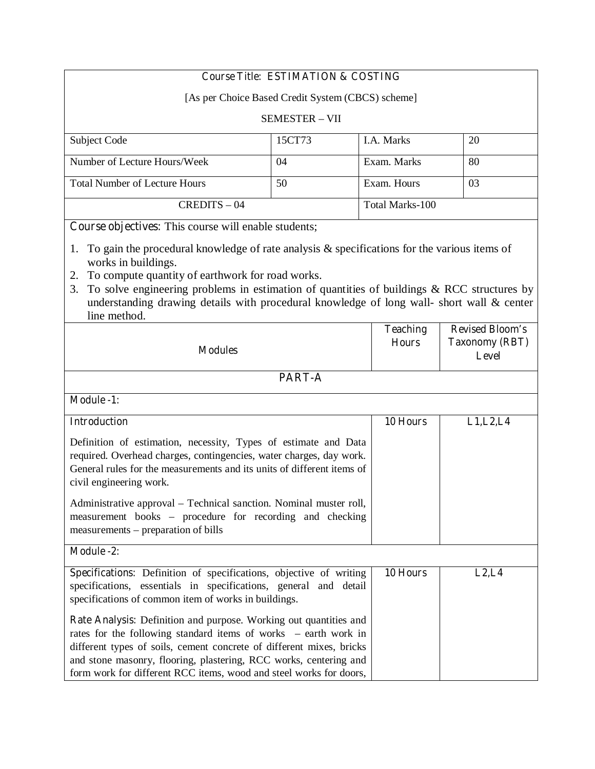# **Course Title: ESTIMATION & COSTING**

[As per Choice Based Credit System (CBCS) scheme]

#### SEMESTER – VII

| Subject Code                         | 15CT73 | <b>I.A. Marks</b> | 20 |
|--------------------------------------|--------|-------------------|----|
|                                      |        |                   |    |
| Number of Lecture Hours/Week         | 04     | Exam. Marks       | 80 |
| <b>Total Number of Lecture Hours</b> | 50     | Exam. Hours       | 03 |
| $CREDITS - 04$                       |        | Total Marks-100   |    |

**Course objectives:** This course will enable students;

- 1. To gain the procedural knowledge of rate analysis & specifications for the various items of works in buildings.
- 2. To compute quantity of earthwork for road works.
- 3. To solve engineering problems in estimation of quantities of buildings & RCC structures by understanding drawing details with procedural knowledge of long wall- short wall & center line method.

| <b>Modules</b>                                                                                                                                                                                                                                                                                                                                          | <b>Teaching</b><br><b>Hours</b> | <b>Revised Bloom's</b><br><b>Taxonomy (RBT)</b><br><b>Level</b> |
|---------------------------------------------------------------------------------------------------------------------------------------------------------------------------------------------------------------------------------------------------------------------------------------------------------------------------------------------------------|---------------------------------|-----------------------------------------------------------------|
| PART-A                                                                                                                                                                                                                                                                                                                                                  |                                 |                                                                 |
| <b>Module -1:</b>                                                                                                                                                                                                                                                                                                                                       |                                 |                                                                 |
| <b>Introduction</b>                                                                                                                                                                                                                                                                                                                                     | 10 Hours                        | L1, L2, L4                                                      |
| Definition of estimation, necessity, Types of estimate and Data<br>required. Overhead charges, contingencies, water charges, day work.<br>General rules for the measurements and its units of different items of<br>civil engineering work.                                                                                                             |                                 |                                                                 |
| Administrative approval – Technical sanction. Nominal muster roll,<br>measurement books – procedure for recording and checking<br>measurements – preparation of bills                                                                                                                                                                                   |                                 |                                                                 |
| <b>Module -2:</b>                                                                                                                                                                                                                                                                                                                                       |                                 |                                                                 |
| Specifications: Definition of specifications, objective of writing<br>specifications, essentials in specifications, general and detail<br>specifications of common item of works in buildings.                                                                                                                                                          | 10 Hours                        | L2, L4                                                          |
| Rate Analysis: Definition and purpose. Working out quantities and<br>rates for the following standard items of works - earth work in<br>different types of soils, cement concrete of different mixes, bricks<br>and stone masonry, flooring, plastering, RCC works, centering and<br>form work for different RCC items, wood and steel works for doors, |                                 |                                                                 |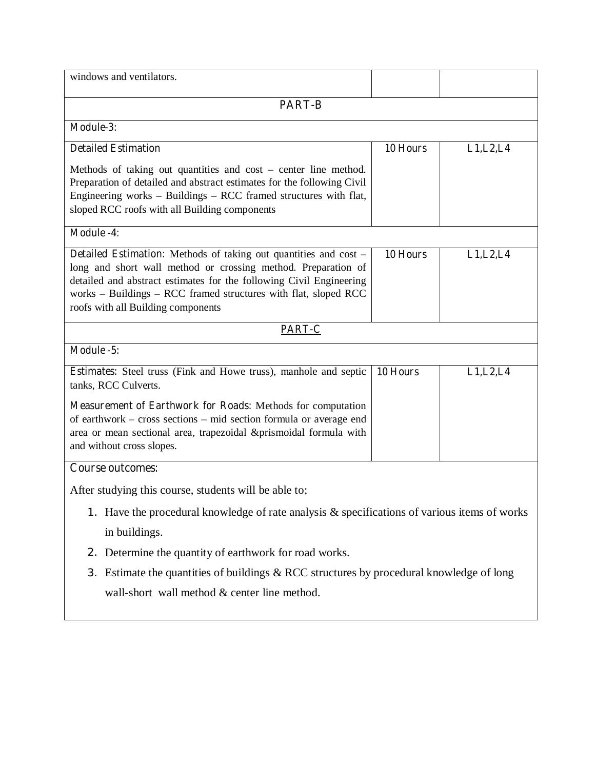| windows and ventilators.                                                                                                                                                                                                                                                                                                 |          |            |  |
|--------------------------------------------------------------------------------------------------------------------------------------------------------------------------------------------------------------------------------------------------------------------------------------------------------------------------|----------|------------|--|
| <b>PART-B</b>                                                                                                                                                                                                                                                                                                            |          |            |  |
| <b>Module-3:</b>                                                                                                                                                                                                                                                                                                         |          |            |  |
| <b>Detailed Estimation</b>                                                                                                                                                                                                                                                                                               | 10 Hours | L1, L2, L4 |  |
| Methods of taking out quantities and $cost$ – center line method.<br>Preparation of detailed and abstract estimates for the following Civil<br>Engineering works - Buildings - RCC framed structures with flat,<br>sloped RCC roofs with all Building components                                                         |          |            |  |
| <b>Module -4:</b>                                                                                                                                                                                                                                                                                                        |          |            |  |
| <b>Detailed Estimation:</b> Methods of taking out quantities and cost –<br>long and short wall method or crossing method. Preparation of<br>detailed and abstract estimates for the following Civil Engineering<br>works - Buildings - RCC framed structures with flat, sloped RCC<br>roofs with all Building components | 10 Hours | L1, L2, L4 |  |
| PART-C                                                                                                                                                                                                                                                                                                                   |          |            |  |
| Module -5:                                                                                                                                                                                                                                                                                                               |          |            |  |
| Estimates: Steel truss (Fink and Howe truss), manhole and septic<br>tanks, RCC Culverts.                                                                                                                                                                                                                                 | 10 Hours | L1, L2, L4 |  |
| Measurement of Earthwork for Roads: Methods for computation<br>of earthwork – cross sections – mid section formula or average end<br>area or mean sectional area, trapezoidal &prismoidal formula with<br>and without cross slopes.                                                                                      |          |            |  |
| <b>Course outcomes:</b>                                                                                                                                                                                                                                                                                                  |          |            |  |
| After studying this course, students will be able to;                                                                                                                                                                                                                                                                    |          |            |  |
| 1. Have the procedural knowledge of rate analysis & specifications of various items of works<br>in buildings.                                                                                                                                                                                                            |          |            |  |
| Determine the quantity of earthwork for road works.<br>2.                                                                                                                                                                                                                                                                |          |            |  |
| Estimate the quantities of buildings & RCC structures by procedural knowledge of long<br>3.<br>wall-short wall method & center line method.                                                                                                                                                                              |          |            |  |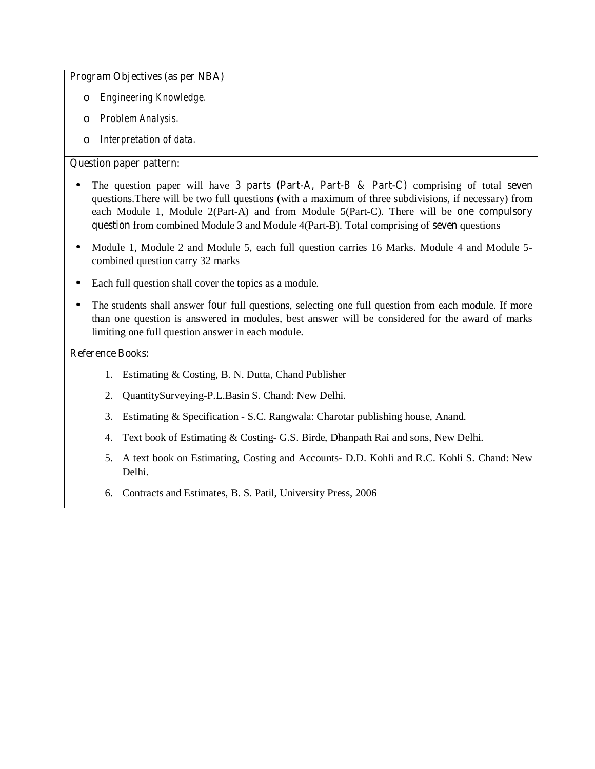#### **Program Objectives (as per NBA)**

- o *Engineering Knowledge.*
- o *Problem Analysis.*
- o *Interpretation of data.*

# **Question paper pattern:**

- The question paper will have **3 parts (Part-A, Part-B & Part-C)** comprising of total **seven** questions.There will be two full questions (with a maximum of three subdivisions, if necessary) from each Module 1, Module 2(Part-A) and from Module 5(Part-C). There will be **one compulsory question** from combined Module 3 and Module 4(Part-B). Total comprising of **seven** questions
- Module 1, Module 2 and Module 5, each full question carries 16 Marks. Module 4 and Module 5combined question carry 32 marks
- Each full question shall cover the topics as a module.
- The students shall answer **four** full questions, selecting one full question from each module. If more than one question is answered in modules, best answer will be considered for the award of marks limiting one full question answer in each module.

- 1. Estimating & Costing, B. N. Dutta, Chand Publisher
- 2. QuantitySurveying-P.L.Basin S. Chand: New Delhi.
- 3. Estimating & Specification S.C. Rangwala: Charotar publishing house, Anand.
- 4. Text book of Estimating & Costing- G.S. Birde, Dhanpath Rai and sons, New Delhi.
- 5. A text book on Estimating, Costing and Accounts- D.D. Kohli and R.C. Kohli S. Chand: New Delhi.
- 6. Contracts and Estimates, B. S. Patil, University Press, 2006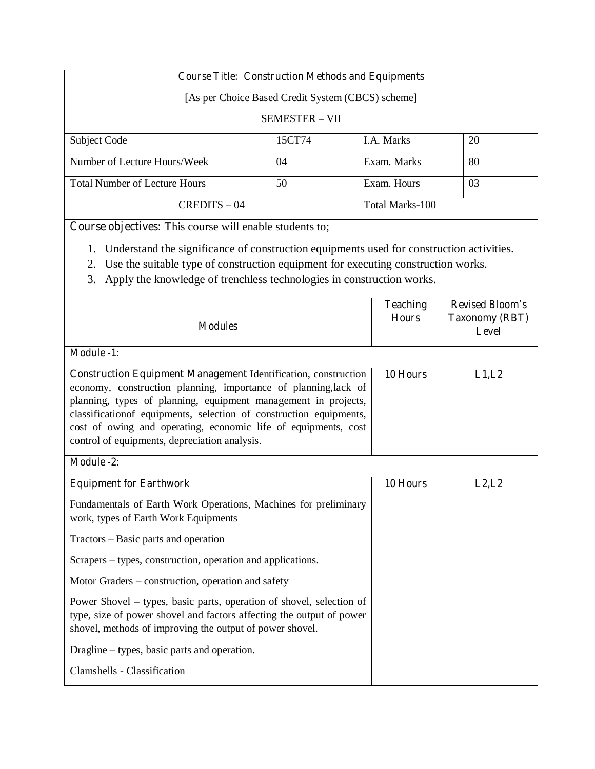# **Course Title: Construction Methods and Equipments**

[As per Choice Based Credit System (CBCS) scheme]

#### SEMESTER – VII

| <b>Subject Code</b>                  | 15CT74 | <b>I.A.</b> Marks | 20 |
|--------------------------------------|--------|-------------------|----|
| Number of Lecture Hours/Week         | 04     | Exam. Marks       | 80 |
| <b>Total Number of Lecture Hours</b> | 50     | Exam. Hours       | 03 |
| $CREDITS - 04$                       |        | Total Marks-100   |    |

**Course objectives:** This course will enable students to;

1. Understand the significance of construction equipments used for construction activities.

- 2. Use the suitable type of construction equipment for executing construction works.
- 3. Apply the knowledge of trenchless technologies in construction works.

| <b>Modules</b>                                                                                                                                                                                                                                                                                                                                                                                       | <b>Teaching</b><br><b>Hours</b> | <b>Revised Bloom's</b><br><b>Taxonomy (RBT)</b><br>Level |
|------------------------------------------------------------------------------------------------------------------------------------------------------------------------------------------------------------------------------------------------------------------------------------------------------------------------------------------------------------------------------------------------------|---------------------------------|----------------------------------------------------------|
| <b>Module -1:</b>                                                                                                                                                                                                                                                                                                                                                                                    |                                 |                                                          |
| <b>Construction Equipment Management Identification, construction</b><br>economy, construction planning, importance of planning, lack of<br>planning, types of planning, equipment management in projects,<br>classification of equipments, selection of construction equipments,<br>cost of owing and operating, economic life of equipments, cost<br>control of equipments, depreciation analysis. | 10 Hours                        | L1,L2                                                    |
| Module -2:                                                                                                                                                                                                                                                                                                                                                                                           |                                 |                                                          |
| <b>Equipment for Earthwork</b>                                                                                                                                                                                                                                                                                                                                                                       | 10 Hours                        | L2, L2                                                   |
| Fundamentals of Earth Work Operations, Machines for preliminary<br>work, types of Earth Work Equipments                                                                                                                                                                                                                                                                                              |                                 |                                                          |
| Tractors – Basic parts and operation                                                                                                                                                                                                                                                                                                                                                                 |                                 |                                                          |
| Scrapers – types, construction, operation and applications.                                                                                                                                                                                                                                                                                                                                          |                                 |                                                          |
| Motor Graders – construction, operation and safety                                                                                                                                                                                                                                                                                                                                                   |                                 |                                                          |
| Power Shovel – types, basic parts, operation of shovel, selection of<br>type, size of power shovel and factors affecting the output of power<br>shovel, methods of improving the output of power shovel.                                                                                                                                                                                             |                                 |                                                          |
| Dragline – types, basic parts and operation.                                                                                                                                                                                                                                                                                                                                                         |                                 |                                                          |
| Clamshells - Classification                                                                                                                                                                                                                                                                                                                                                                          |                                 |                                                          |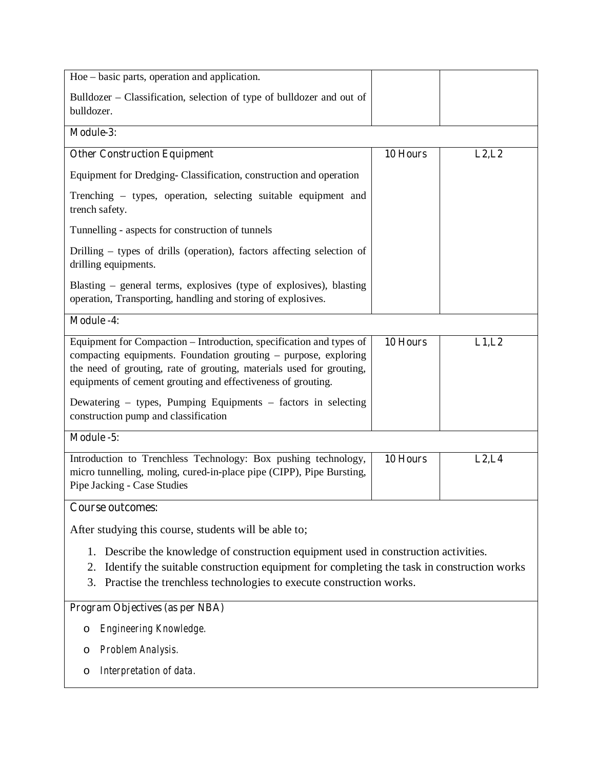| Hoe – basic parts, operation and application.                                                                                                                                                                                                                                  |          |        |
|--------------------------------------------------------------------------------------------------------------------------------------------------------------------------------------------------------------------------------------------------------------------------------|----------|--------|
| Bulldozer – Classification, selection of type of bulldozer and out of<br>bulldozer.                                                                                                                                                                                            |          |        |
| Module-3:                                                                                                                                                                                                                                                                      |          |        |
| <b>Other Construction Equipment</b>                                                                                                                                                                                                                                            | 10 Hours | L2, L2 |
| Equipment for Dredging-Classification, construction and operation                                                                                                                                                                                                              |          |        |
| Trenching – types, operation, selecting suitable equipment and<br>trench safety.                                                                                                                                                                                               |          |        |
| Tunnelling - aspects for construction of tunnels                                                                                                                                                                                                                               |          |        |
| Drilling – types of drills (operation), factors affecting selection of<br>drilling equipments.                                                                                                                                                                                 |          |        |
| Blasting – general terms, explosives (type of explosives), blasting<br>operation, Transporting, handling and storing of explosives.                                                                                                                                            |          |        |
| <b>Module -4:</b>                                                                                                                                                                                                                                                              |          |        |
| Equipment for Compaction - Introduction, specification and types of<br>compacting equipments. Foundation grouting – purpose, exploring<br>the need of grouting, rate of grouting, materials used for grouting,<br>equipments of cement grouting and effectiveness of grouting. | 10 Hours | L1,L2  |
| Dewatering – types, Pumping Equipments – factors in selecting<br>construction pump and classification                                                                                                                                                                          |          |        |
| Module -5:                                                                                                                                                                                                                                                                     |          |        |
| Introduction to Trenchless Technology: Box pushing technology,<br>micro tunnelling, moling, cured-in-place pipe (CIPP), Pipe Bursting,<br>Pipe Jacking - Case Studies                                                                                                          | 10 Hours | L2, L4 |
| <b>Course outcomes:</b>                                                                                                                                                                                                                                                        |          |        |
| After studying this course, students will be able to;                                                                                                                                                                                                                          |          |        |
| Describe the knowledge of construction equipment used in construction activities.<br>1.<br>Identify the suitable construction equipment for completing the task in construction works<br>2.<br>Practise the trenchless technologies to execute construction works.<br>3.       |          |        |
| <b>Program Objectives (as per NBA)</b>                                                                                                                                                                                                                                         |          |        |
| Engineering Knowledge.<br>O                                                                                                                                                                                                                                                    |          |        |
| Problem Analysis.<br>O                                                                                                                                                                                                                                                         |          |        |

o *Interpretation of data.*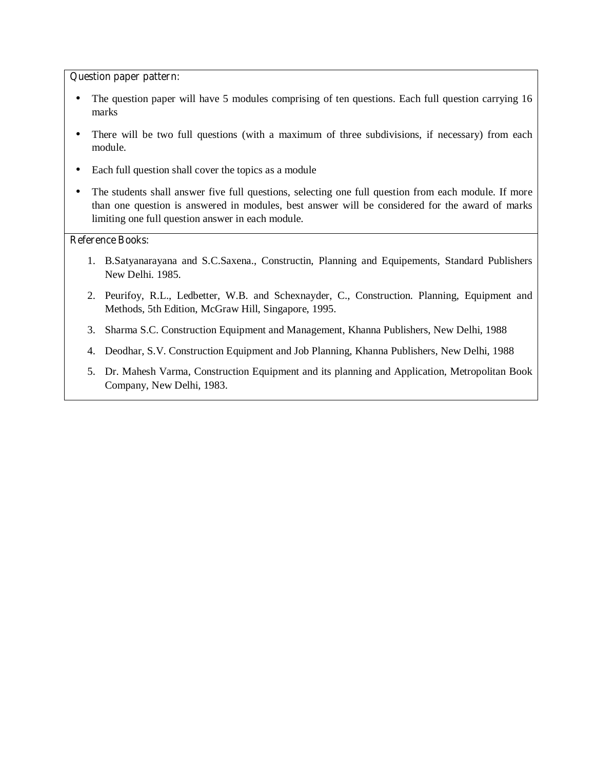#### **Question paper pattern:**

- The question paper will have 5 modules comprising of ten questions. Each full question carrying 16 marks
- There will be two full questions (with a maximum of three subdivisions, if necessary) from each module.
- Each full question shall cover the topics as a module
- The students shall answer five full questions, selecting one full question from each module. If more than one question is answered in modules, best answer will be considered for the award of marks limiting one full question answer in each module.

- 1. B.Satyanarayana and S.C.Saxena., Constructin, Planning and Equipements, Standard Publishers New Delhi. 1985.
- 2. Peurifoy, R.L., Ledbetter, W.B. and Schexnayder, C., Construction. Planning, Equipment and Methods, 5th Edition, McGraw Hill, Singapore, 1995.
- 3. Sharma S.C. Construction Equipment and Management, Khanna Publishers, New Delhi, 1988
- 4. Deodhar, S.V. Construction Equipment and Job Planning, Khanna Publishers, New Delhi, 1988
- 5. Dr. Mahesh Varma, Construction Equipment and its planning and Application, Metropolitan Book Company, New Delhi, 1983.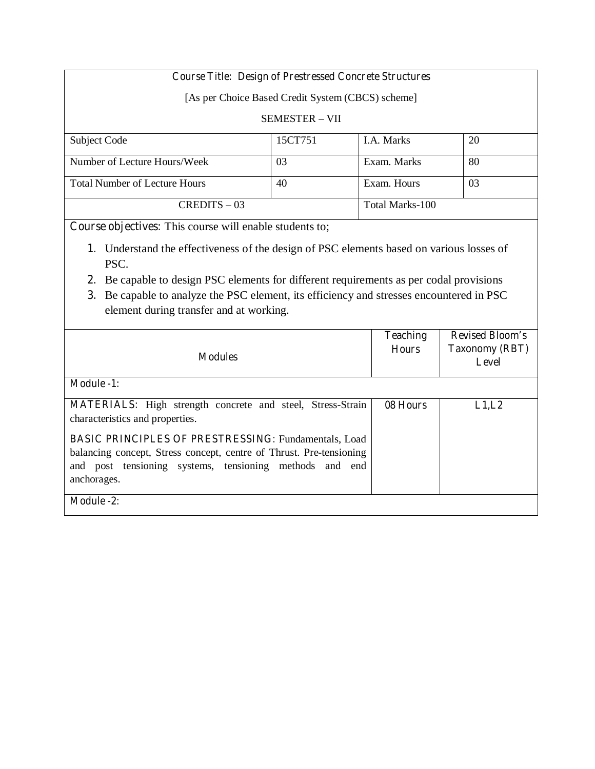# **Course Title: Design of Prestressed Concrete Structures**

[As per Choice Based Credit System (CBCS) scheme]

## SEMESTER – VII

| Subject Code                         | 15CT751 | <b>I.A.</b> Marks | 20 |
|--------------------------------------|---------|-------------------|----|
|                                      |         |                   |    |
| Number of Lecture Hours/Week         | 03      | Exam. Marks       | 80 |
|                                      |         |                   |    |
| <b>Total Number of Lecture Hours</b> | 40      | Exam. Hours       | 03 |
|                                      |         |                   |    |
| $CREDITS - 03$                       |         | Total Marks-100   |    |
|                                      |         |                   |    |

**Course objectives:** This course will enable students to;

- **1.** Understand the effectiveness of the design of PSC elements based on various losses of PSC.
- **2.** Be capable to design PSC elements for different requirements as per codal provisions
- **3.** Be capable to analyze the PSC element, its efficiency and stresses encountered in PSC element during transfer and at working.

| <b>Modules</b>                                                                                                                                                                                                                                                                                                       | <b>Teaching</b><br><b>Hours</b> | <b>Revised Bloom's</b><br><b>Taxonomy (RBT)</b><br>Level |
|----------------------------------------------------------------------------------------------------------------------------------------------------------------------------------------------------------------------------------------------------------------------------------------------------------------------|---------------------------------|----------------------------------------------------------|
| <b>Module -1:</b>                                                                                                                                                                                                                                                                                                    |                                 |                                                          |
| <b>MATERIALS:</b> High strength concrete and steel, Stress-Strain<br>characteristics and properties.<br><b>BASIC PRINCIPLES OF PRESTRESSING: Fundamentals, Load</b><br>balancing concept, Stress concept, centre of Thrust. Pre-tensioning<br>and post tensioning systems, tensioning methods and end<br>anchorages. | 08 Hours                        | L1,L2                                                    |
| <b>Module -2:</b>                                                                                                                                                                                                                                                                                                    |                                 |                                                          |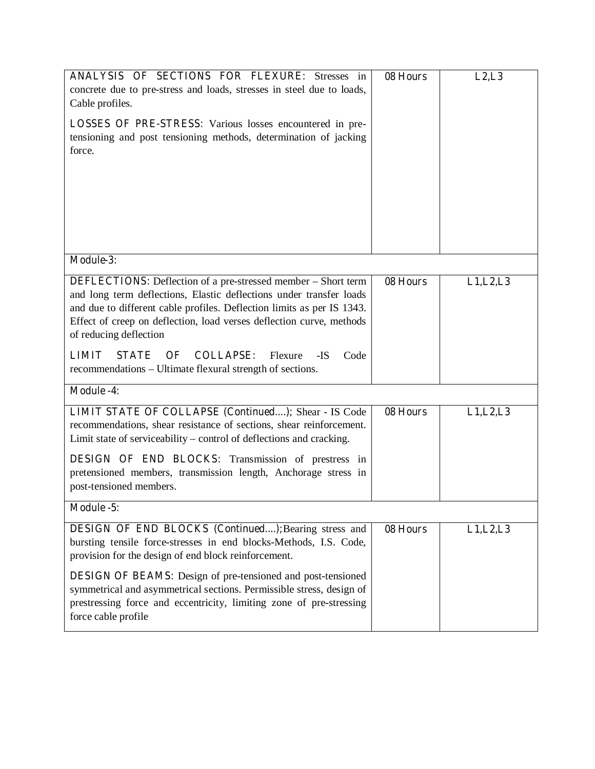| <b>ANALYSIS OF SECTIONS FOR FLEXURE:</b> Stresses in<br>concrete due to pre-stress and loads, stresses in steel due to loads,<br>Cable profiles.<br><b>LOSSES OF PRE-STRESS:</b> Various losses encountered in pre-<br>tensioning and post tensioning methods, determination of jacking<br>force.                                                                                                                                                                        | 08 Hours | L2, L3     |
|--------------------------------------------------------------------------------------------------------------------------------------------------------------------------------------------------------------------------------------------------------------------------------------------------------------------------------------------------------------------------------------------------------------------------------------------------------------------------|----------|------------|
| Module-3:                                                                                                                                                                                                                                                                                                                                                                                                                                                                |          |            |
| <b>DEFLECTIONS:</b> Deflection of a pre-stressed member - Short term<br>and long term deflections, Elastic deflections under transfer loads<br>and due to different cable profiles. Deflection limits as per IS 1343.<br>Effect of creep on deflection, load verses deflection curve, methods<br>of reducing deflection<br><b>COLLAPSE:</b><br><b>LIMIT</b><br><b>STATE</b><br>OF<br>Flexure<br>-IS<br>Code<br>recommendations – Ultimate flexural strength of sections. | 08 Hours | L1, L2, L3 |
| <b>Module -4:</b>                                                                                                                                                                                                                                                                                                                                                                                                                                                        |          |            |
| LIMIT STATE OF COLLAPSE (Continued); Shear - IS Code<br>recommendations, shear resistance of sections, shear reinforcement.<br>Limit state of serviceability – control of deflections and cracking.<br><b>DESIGN OF END BLOCKS:</b> Transmission of prestress in<br>pretensioned members, transmission length, Anchorage stress in<br>post-tensioned members.                                                                                                            | 08 Hours | L1, L2, L3 |
| Module -5:                                                                                                                                                                                                                                                                                                                                                                                                                                                               |          |            |
| DESIGN OF END BLOCKS (Continued); Bearing stress and<br>bursting tensile force-stresses in end blocks-Methods, I.S. Code,<br>provision for the design of end block reinforcement.<br><b>DESIGN OF BEAMS:</b> Design of pre-tensioned and post-tensioned<br>symmetrical and asymmetrical sections. Permissible stress, design of<br>prestressing force and eccentricity, limiting zone of pre-stressing<br>force cable profile                                            | 08 Hours | L1, L2, L3 |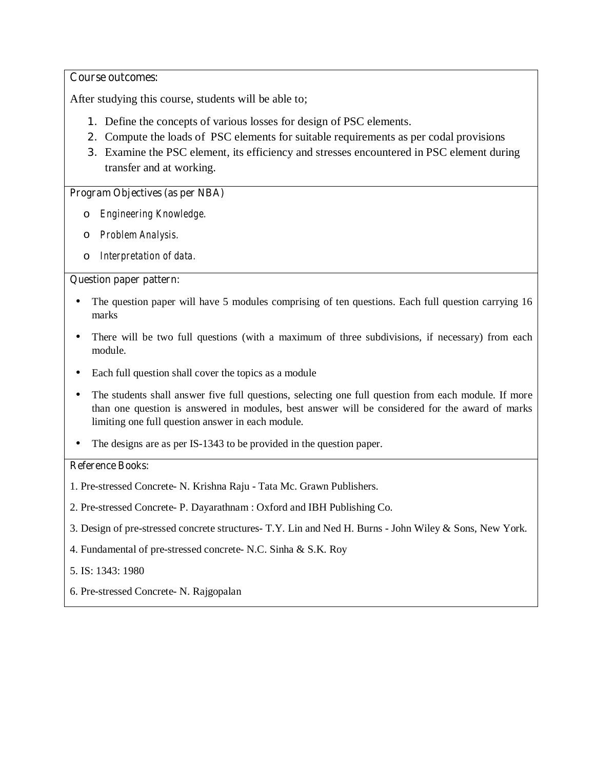## **Course outcomes:**

After studying this course, students will be able to;

- 1. Define the concepts of various losses for design of PSC elements.
- 2. Compute the loads of PSC elements for suitable requirements as per codal provisions
- 3. Examine the PSC element, its efficiency and stresses encountered in PSC element during transfer and at working.

# **Program Objectives (as per NBA)**

- o *Engineering Knowledge.*
- o *Problem Analysis.*
- o *Interpretation of data.*

## **Question paper pattern:**

- The question paper will have 5 modules comprising of ten questions. Each full question carrying 16 marks
- There will be two full questions (with a maximum of three subdivisions, if necessary) from each module.
- Each full question shall cover the topics as a module
- The students shall answer five full questions, selecting one full question from each module. If more than one question is answered in modules, best answer will be considered for the award of marks limiting one full question answer in each module.
- The designs are as per IS-1343 to be provided in the question paper.

- 1. Pre-stressed Concrete- N. Krishna Raju Tata Mc. Grawn Publishers.
- 2. Pre-stressed Concrete- P. Dayarathnam : Oxford and IBH Publishing Co.
- 3. Design of pre-stressed concrete structures- T.Y. Lin and Ned H. Burns John Wiley & Sons, New York.
- 4. Fundamental of pre-stressed concrete- N.C. Sinha & S.K. Roy
- 5. IS: 1343: 1980
- 6. Pre-stressed Concrete- N. Rajgopalan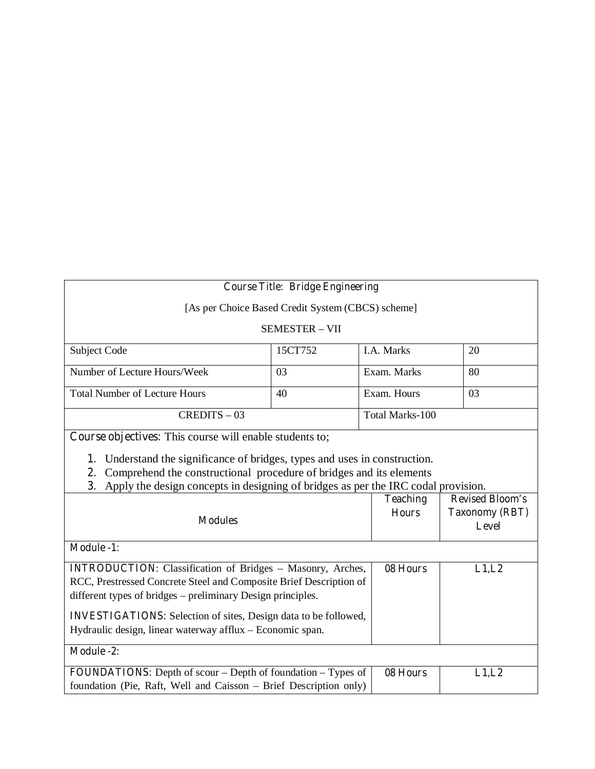# **Course Title: Bridge Engineering**

[As per Choice Based Credit System (CBCS) scheme]

SEMESTER – VII

| Subject Code                         | 15CT752 | <b>I.A.</b> Marks | 20 |
|--------------------------------------|---------|-------------------|----|
| Number of Lecture Hours/Week         | 03      | Exam. Marks       | 80 |
| <b>Total Number of Lecture Hours</b> | 40      | Exam. Hours       | 03 |
| $CREDITS - 03$                       |         | Total Marks-100   |    |

**Course objectives:** This course will enable students to;

**1.** Understand the significance of bridges, types and uses in construction.

- **2.** Comprehend the constructional procedure of bridges and its elements
- **3.** Apply the design concepts in designing of bridges as per the IRC codal provision.

| <b>Modules</b>                                                                                                                                                                                                                                                                                                                                | <b>Teaching</b><br><b>Hours</b> | <b>Revised Bloom's</b><br><b>Taxonomy (RBT)</b><br>Level |
|-----------------------------------------------------------------------------------------------------------------------------------------------------------------------------------------------------------------------------------------------------------------------------------------------------------------------------------------------|---------------------------------|----------------------------------------------------------|
| <b>Module -1:</b>                                                                                                                                                                                                                                                                                                                             |                                 |                                                          |
| <b>INTRODUCTION:</b> Classification of Bridges - Masonry, Arches,<br>RCC, Prestressed Concrete Steel and Composite Brief Description of<br>different types of bridges – preliminary Design principles.<br><b>INVESTIGATIONS:</b> Selection of sites, Design data to be followed,<br>Hydraulic design, linear waterway afflux – Economic span. | 08 Hours                        | L1,L2                                                    |
| <b>Module -2:</b>                                                                                                                                                                                                                                                                                                                             |                                 |                                                          |
| <b>FOUNDATIONS:</b> Depth of scour – Depth of foundation – Types of<br>foundation (Pie, Raft, Well and Caisson – Brief Description only)                                                                                                                                                                                                      | 08 Hours                        | L1,L2                                                    |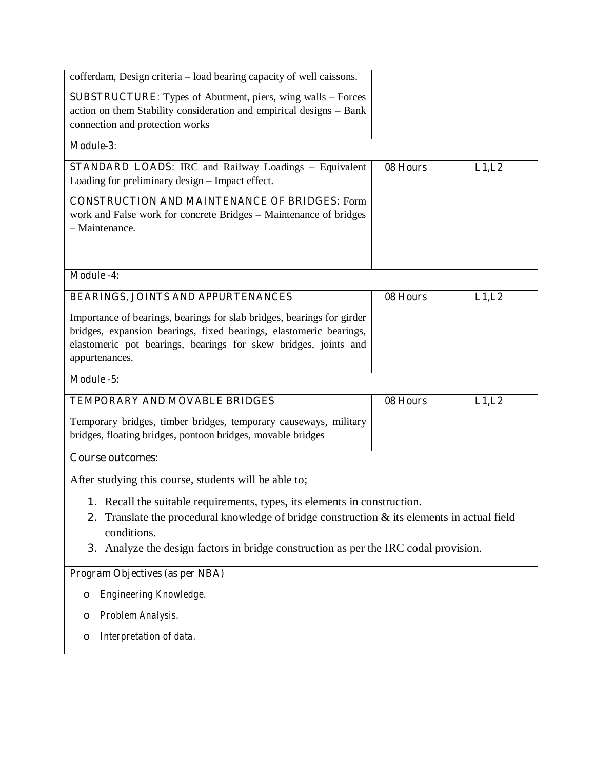| cofferdam, Design criteria – load bearing capacity of well caissons.                                                                                                                                                                                                                     |          |        |  |
|------------------------------------------------------------------------------------------------------------------------------------------------------------------------------------------------------------------------------------------------------------------------------------------|----------|--------|--|
| <b>SUBSTRUCTURE:</b> Types of Abutment, piers, wing walls – Forces<br>action on them Stability consideration and empirical designs - Bank<br>connection and protection works                                                                                                             |          |        |  |
| Module-3:                                                                                                                                                                                                                                                                                |          |        |  |
| <b>STANDARD LOADS:</b> IRC and Railway Loadings - Equivalent<br>Loading for preliminary design – Impact effect.                                                                                                                                                                          | 08 Hours | L1,L2  |  |
| <b>CONSTRUCTION AND MAINTENANCE OF BRIDGES: Form</b><br>work and False work for concrete Bridges - Maintenance of bridges<br>- Maintenance.                                                                                                                                              |          |        |  |
| <b>Module -4:</b>                                                                                                                                                                                                                                                                        |          |        |  |
| <b>BEARINGS, JOINTS AND APPURTENANCES</b>                                                                                                                                                                                                                                                | 08 Hours | L1, L2 |  |
| Importance of bearings, bearings for slab bridges, bearings for girder<br>bridges, expansion bearings, fixed bearings, elastomeric bearings,<br>elastomeric pot bearings, bearings for skew bridges, joints and<br>appurtenances.                                                        |          |        |  |
| Module -5:                                                                                                                                                                                                                                                                               |          |        |  |
| TEMPORARY AND MOVABLE BRIDGES                                                                                                                                                                                                                                                            | 08 Hours | L1, L2 |  |
| Temporary bridges, timber bridges, temporary causeways, military<br>bridges, floating bridges, pontoon bridges, movable bridges                                                                                                                                                          |          |        |  |
| <b>Course outcomes:</b>                                                                                                                                                                                                                                                                  |          |        |  |
| After studying this course, students will be able to;                                                                                                                                                                                                                                    |          |        |  |
| 1. Recall the suitable requirements, types, its elements in construction.<br>Translate the procedural knowledge of bridge construction $\&$ its elements in actual field<br>2.<br>conditions.<br>Analyze the design factors in bridge construction as per the IRC codal provision.<br>3. |          |        |  |
| <b>Program Objectives (as per NBA)</b>                                                                                                                                                                                                                                                   |          |        |  |
| Engineering Knowledge.<br>O                                                                                                                                                                                                                                                              |          |        |  |
| Problem Analysis.<br>O                                                                                                                                                                                                                                                                   |          |        |  |
| Interpretation of data.<br>O                                                                                                                                                                                                                                                             |          |        |  |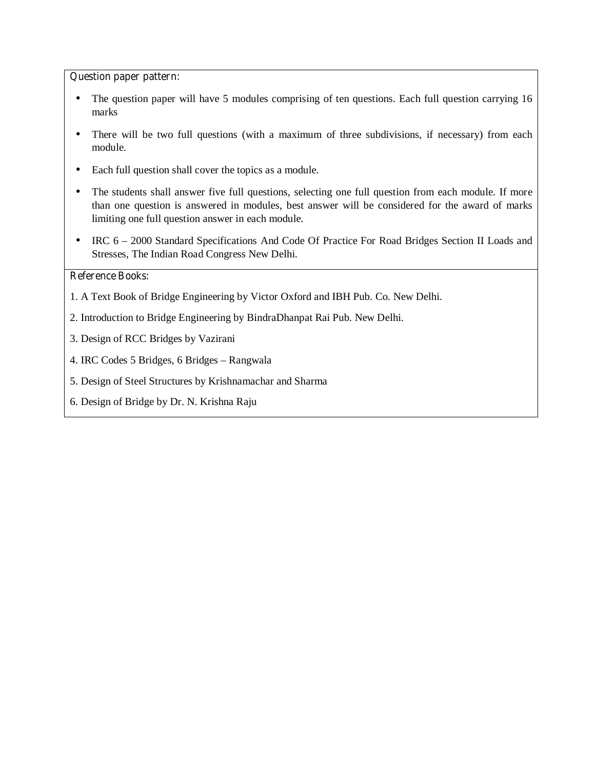#### **Question paper pattern:**

- The question paper will have 5 modules comprising of ten questions. Each full question carrying 16 marks
- There will be two full questions (with a maximum of three subdivisions, if necessary) from each module.
- Each full question shall cover the topics as a module.
- The students shall answer five full questions, selecting one full question from each module. If more than one question is answered in modules, best answer will be considered for the award of marks limiting one full question answer in each module.
- IRC 6 2000 Standard Specifications And Code Of Practice For Road Bridges Section II Loads and Stresses, The Indian Road Congress New Delhi.

- 1. A Text Book of Bridge Engineering by Victor Oxford and IBH Pub. Co. New Delhi.
- 2. Introduction to Bridge Engineering by BindraDhanpat Rai Pub. New Delhi.
- 3. Design of RCC Bridges by Vazirani
- 4. IRC Codes 5 Bridges, 6 Bridges Rangwala
- 5. Design of Steel Structures by Krishnamachar and Sharma
- 6. Design of Bridge by Dr. N. Krishna Raju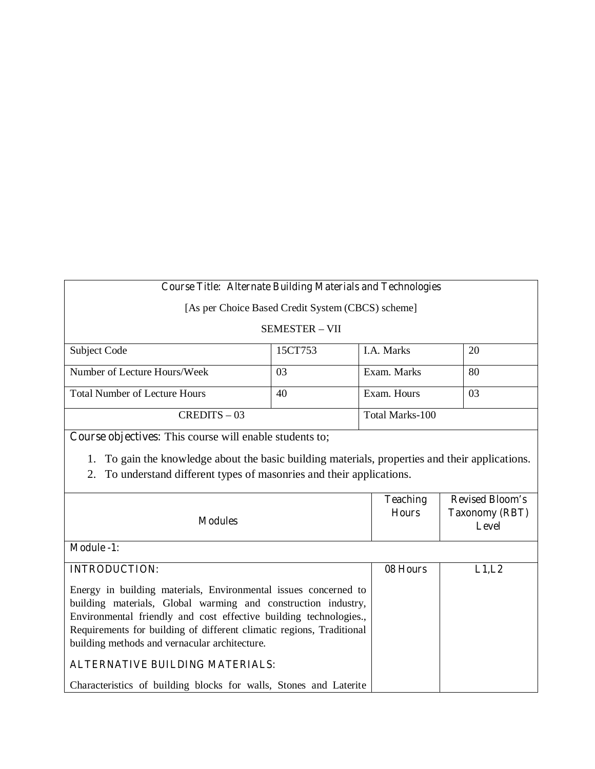# **Course Title: Alternate Building Materials and Technologies**

[As per Choice Based Credit System (CBCS) scheme]

SEMESTER – VII

| Subject Code                         | 15CT753 | <b>I.A.</b> Marks | 20 |
|--------------------------------------|---------|-------------------|----|
|                                      |         |                   |    |
| Number of Lecture Hours/Week         | 03      | Exam. Marks       | 80 |
| <b>Total Number of Lecture Hours</b> | 40      | Exam. Hours       | 03 |
| $CREDITS - 03$                       |         | Total Marks-100   |    |

**Course objectives:** This course will enable students to;

1. To gain the knowledge about the basic building materials, properties and their applications.

2. To understand different types of masonries and their applications.

| <b>Modules</b>                                                                                                                                                                                                                                                                                                                                                    | <b>Teaching</b><br><b>Hours</b> | <b>Revised Bloom's</b><br><b>Taxonomy (RBT)</b><br>Level |
|-------------------------------------------------------------------------------------------------------------------------------------------------------------------------------------------------------------------------------------------------------------------------------------------------------------------------------------------------------------------|---------------------------------|----------------------------------------------------------|
| <b>Module -1:</b>                                                                                                                                                                                                                                                                                                                                                 |                                 |                                                          |
| <b>INTRODUCTION:</b>                                                                                                                                                                                                                                                                                                                                              | 08 Hours                        | L1,L2                                                    |
| Energy in building materials, Environmental issues concerned to<br>building materials, Global warming and construction industry,<br>Environmental friendly and cost effective building technologies.,<br>Requirements for building of different climatic regions, Traditional<br>building methods and vernacular architecture.<br>ALTERNATIVE BUILDING MATERIALS: |                                 |                                                          |
| Characteristics of building blocks for walls, Stones and Laterite                                                                                                                                                                                                                                                                                                 |                                 |                                                          |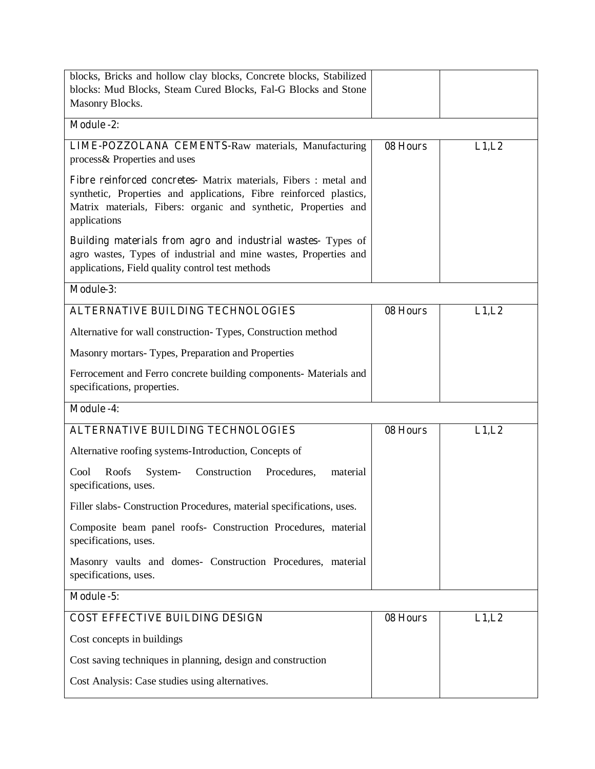| blocks, Bricks and hollow clay blocks, Concrete blocks, Stabilized<br>blocks: Mud Blocks, Steam Cured Blocks, Fal-G Blocks and Stone<br>Masonry Blocks.                                                                   |          |        |
|---------------------------------------------------------------------------------------------------------------------------------------------------------------------------------------------------------------------------|----------|--------|
| <b>Module -2:</b>                                                                                                                                                                                                         |          |        |
| LIME-POZZOLANA CEMENTS-Raw materials, Manufacturing<br>process& Properties and uses                                                                                                                                       | 08 Hours | L1, L2 |
| Fibre reinforced concretes- Matrix materials, Fibers : metal and<br>synthetic, Properties and applications, Fibre reinforced plastics,<br>Matrix materials, Fibers: organic and synthetic, Properties and<br>applications |          |        |
| <b>Building materials from agro and industrial wastes-</b> Types of<br>agro wastes, Types of industrial and mine wastes, Properties and<br>applications, Field quality control test methods                               |          |        |
| Module-3:                                                                                                                                                                                                                 |          |        |
| <b>ALTERNATIVE BUILDING TECHNOLOGIES</b>                                                                                                                                                                                  | 08 Hours | L1,L2  |
| Alternative for wall construction-Types, Construction method                                                                                                                                                              |          |        |
| Masonry mortars-Types, Preparation and Properties                                                                                                                                                                         |          |        |
| Ferrocement and Ferro concrete building components- Materials and<br>specifications, properties.                                                                                                                          |          |        |
| <b>Module -4:</b>                                                                                                                                                                                                         |          |        |
| <b>ALTERNATIVE BUILDING TECHNOLOGIES</b>                                                                                                                                                                                  | 08 Hours | L1,L2  |
| Alternative roofing systems-Introduction, Concepts of                                                                                                                                                                     |          |        |
| Roofs<br>Construction<br>Cool<br>System-<br>Procedures,<br>material<br>specifications, uses.                                                                                                                              |          |        |
| Filler slabs- Construction Procedures, material specifications, uses.                                                                                                                                                     |          |        |
| Composite beam panel roofs- Construction Procedures, material<br>specifications, uses.                                                                                                                                    |          |        |
| Masonry vaults and domes- Construction Procedures, material<br>specifications, uses.                                                                                                                                      |          |        |
| Module -5:                                                                                                                                                                                                                |          |        |
| <b>COST EFFECTIVE BUILDING DESIGN</b>                                                                                                                                                                                     |          |        |
|                                                                                                                                                                                                                           | 08 Hours | L1,L2  |
| Cost concepts in buildings                                                                                                                                                                                                |          |        |
| Cost saving techniques in planning, design and construction                                                                                                                                                               |          |        |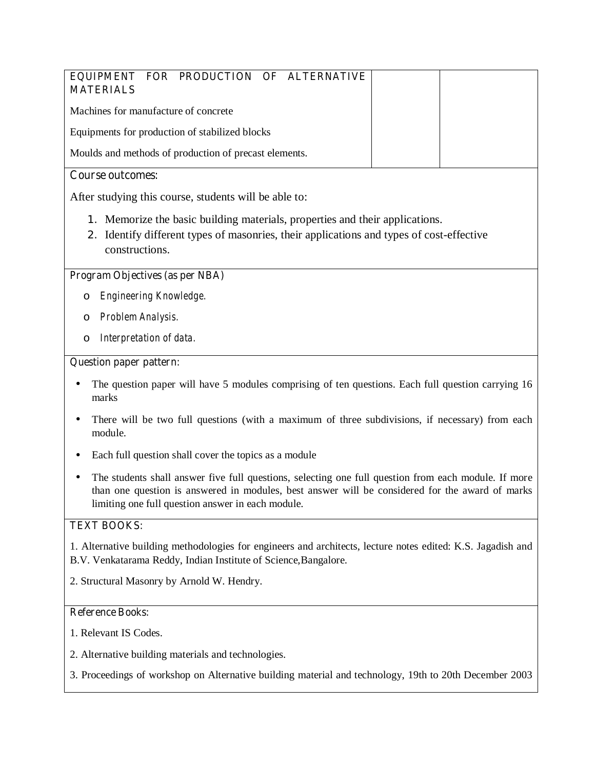| EQUIPMENT FOR PRODUCTION OF ALTERNATIVE<br><b>MATERIALS</b>                                                   |  |
|---------------------------------------------------------------------------------------------------------------|--|
| Machines for manufacture of concrete                                                                          |  |
| Equipments for production of stabilized blocks                                                                |  |
| Moulds and methods of production of precast elements.                                                         |  |
| <b>Course outcomes:</b>                                                                                       |  |
| After studying this course, students will be able to:                                                         |  |
| 1. Memorize the basic building materials, properties and their applications.                                  |  |
| Identify different types of masonries, their applications and types of cost-effective<br>2.<br>constructions. |  |
| Program Objectives (as per NBA)                                                                               |  |
| Engineering Knowledge.                                                                                        |  |

- o *Problem Analysis.*
- o *Interpretation of data.*

#### **Question paper pattern:**

- The question paper will have 5 modules comprising of ten questions. Each full question carrying 16 marks
- There will be two full questions (with a maximum of three subdivisions, if necessary) from each module.
- Each full question shall cover the topics as a module
- The students shall answer five full questions, selecting one full question from each module. If more than one question is answered in modules, best answer will be considered for the award of marks limiting one full question answer in each module.

# **TEXT BOOKS:**

1. Alternative building methodologies for engineers and architects, lecture notes edited: K.S. Jagadish and B.V. Venkatarama Reddy, Indian Institute of Science,Bangalore.

2. Structural Masonry by Arnold W. Hendry.

- 1. Relevant IS Codes.
- 2. Alternative building materials and technologies.
- 3. Proceedings of workshop on Alternative building material and technology, 19th to 20th December 2003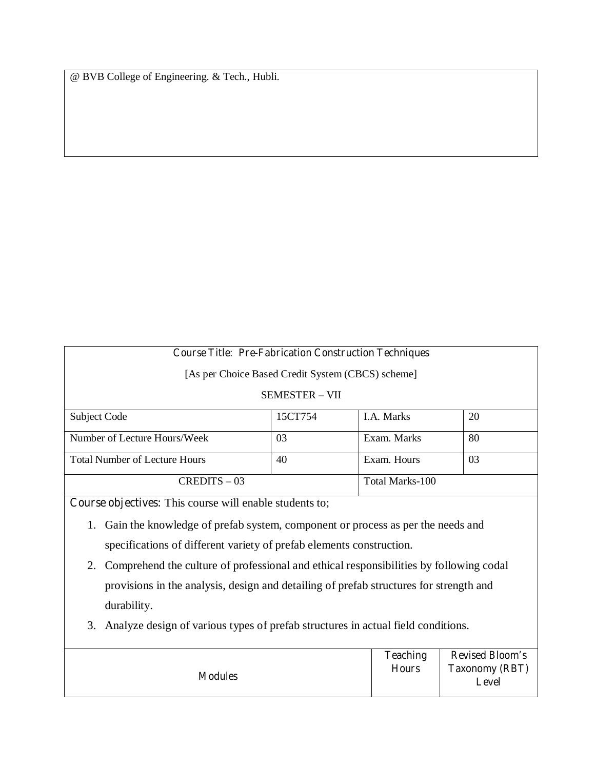@ BVB College of Engineering. & Tech., Hubli.

# **Course Title: Pre-Fabrication Construction Techniques**

[As per Choice Based Credit System (CBCS) scheme]

# SEMESTER – VII

| Subject Code                         | 15CT754 | <b>I.A.</b> Marks | 20 |
|--------------------------------------|---------|-------------------|----|
| Number of Lecture Hours/Week         | 03      | Exam. Marks       | 80 |
| <b>Total Number of Lecture Hours</b> | 40      | Exam. Hours       | 03 |
| $CREDITS - 03$                       |         | Total Marks-100   |    |

**Course objectives:** This course will enable students to;

- 1. Gain the knowledge of prefab system, component or process as per the needs and specifications of different variety of prefab elements construction.
- 2. Comprehend the culture of professional and ethical responsibilities by following codal provisions in the analysis, design and detailing of prefab structures for strength and durability.
- 3. Analyze design of various types of prefab structures in actual field conditions.

|                | <b>Teaching</b> | <b>Revised Bloom's</b>         |
|----------------|-----------------|--------------------------------|
| <b>Modules</b> | <b>Hours</b>    | <b>Taxonomy (RBT)</b><br>Level |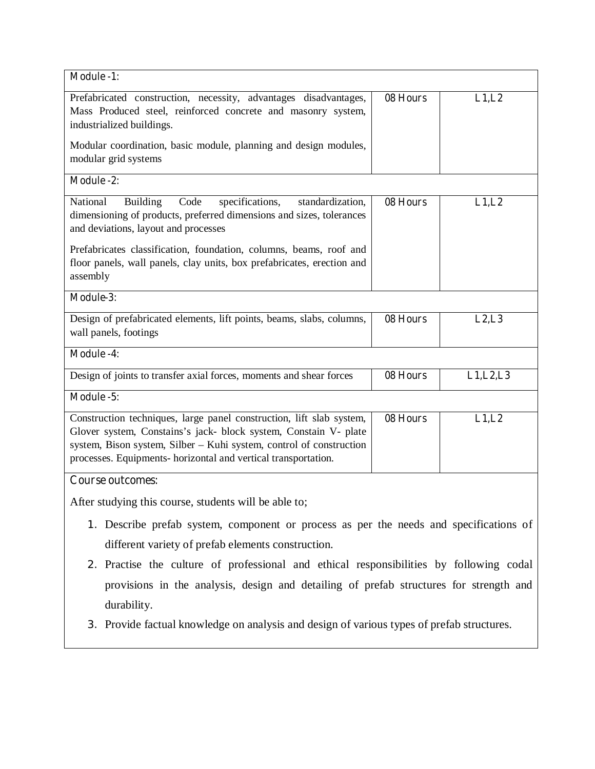| <b>Module -1:</b>                                                                                                                                                                                                                                                                 |          |            |  |
|-----------------------------------------------------------------------------------------------------------------------------------------------------------------------------------------------------------------------------------------------------------------------------------|----------|------------|--|
| Prefabricated construction, necessity, advantages disadvantages,<br>Mass Produced steel, reinforced concrete and masonry system,<br>industrialized buildings.                                                                                                                     | 08 Hours | L1,L2      |  |
| Modular coordination, basic module, planning and design modules,<br>modular grid systems                                                                                                                                                                                          |          |            |  |
| <b>Module -2:</b>                                                                                                                                                                                                                                                                 |          |            |  |
| specifications,<br>National<br><b>Building</b><br>Code<br>standardization,<br>dimensioning of products, preferred dimensions and sizes, tolerances<br>and deviations, layout and processes                                                                                        | 08 Hours | L1,L2      |  |
| Prefabricates classification, foundation, columns, beams, roof and<br>floor panels, wall panels, clay units, box prefabricates, erection and<br>assembly                                                                                                                          |          |            |  |
| Module-3:                                                                                                                                                                                                                                                                         |          |            |  |
| Design of prefabricated elements, lift points, beams, slabs, columns,<br>wall panels, footings                                                                                                                                                                                    | 08 Hours | L2, L3     |  |
| <b>Module -4:</b>                                                                                                                                                                                                                                                                 |          |            |  |
| Design of joints to transfer axial forces, moments and shear forces                                                                                                                                                                                                               | 08 Hours | L1, L2, L3 |  |
| Module -5:                                                                                                                                                                                                                                                                        |          |            |  |
| Construction techniques, large panel construction, lift slab system,<br>Glover system, Constains's jack- block system, Constain V- plate<br>system, Bison system, Silber - Kuhi system, control of construction<br>processes. Equipments- horizontal and vertical transportation. | 08 Hours | L1,L2      |  |
| <b>Course outcomes:</b>                                                                                                                                                                                                                                                           |          |            |  |
| After studying this course, students will be able to;                                                                                                                                                                                                                             |          |            |  |
| 1. Describe prefab system, component or process as per the needs and specifications of                                                                                                                                                                                            |          |            |  |
| different variety of prefab elements construction.                                                                                                                                                                                                                                |          |            |  |
| 2. Practise the culture of professional and ethical responsibilities by following codal                                                                                                                                                                                           |          |            |  |
| provisions in the analysis, design and detailing of prefab structures for strength and                                                                                                                                                                                            |          |            |  |

- durability.
- 3. Provide factual knowledge on analysis and design of various types of prefab structures.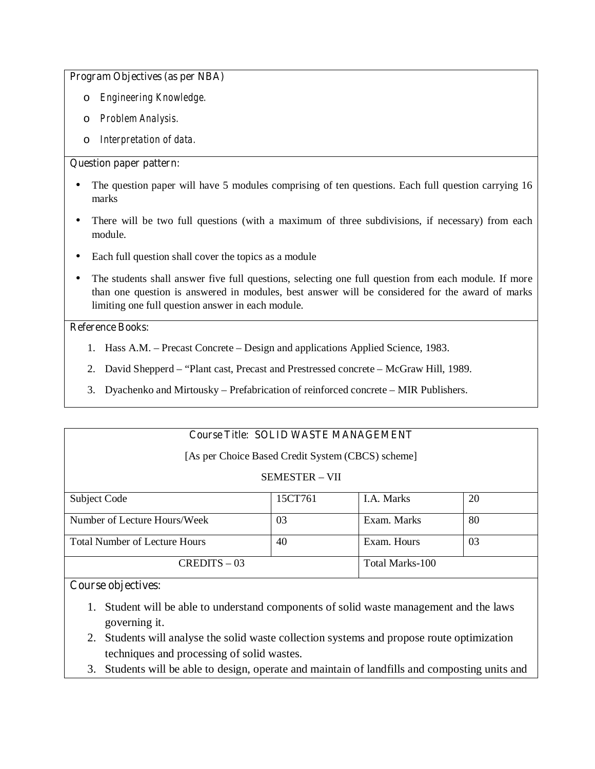#### **Program Objectives (as per NBA)**

- o *Engineering Knowledge.*
- o *Problem Analysis.*
- o *Interpretation of data.*

## **Question paper pattern:**

- The question paper will have 5 modules comprising of ten questions. Each full question carrying 16 marks
- There will be two full questions (with a maximum of three subdivisions, if necessary) from each module.
- Each full question shall cover the topics as a module
- The students shall answer five full questions, selecting one full question from each module. If more than one question is answered in modules, best answer will be considered for the award of marks limiting one full question answer in each module.

# **Reference Books:**

- 1. Hass A.M. Precast Concrete Design and applications Applied Science, 1983.
- 2. David Shepperd "Plant cast, Precast and Prestressed concrete McGraw Hill, 1989.
- 3. Dyachenko and Mirtousky Prefabrication of reinforced concrete MIR Publishers.

# **Course Title: SOLID WASTE MANAGEMENT**

[As per Choice Based Credit System (CBCS) scheme]

SEMESTER – VII

| Subject Code                         | 15CT761 | <b>I.A.</b> Marks | 20 |
|--------------------------------------|---------|-------------------|----|
|                                      |         |                   |    |
| Number of Lecture Hours/Week         | 03      | Exam. Marks       | 80 |
|                                      |         |                   |    |
| <b>Total Number of Lecture Hours</b> | 40      | Exam. Hours       | 03 |
|                                      |         |                   |    |
| $CREDITS - 03$                       |         | Total Marks-100   |    |
|                                      |         |                   |    |

# **Course objectives:**

- 1. Student will be able to understand components of solid waste management and the laws governing it.
- 2. Students will analyse the solid waste collection systems and propose route optimization techniques and processing of solid wastes.
- 3. Students will be able to design, operate and maintain of landfills and composting units and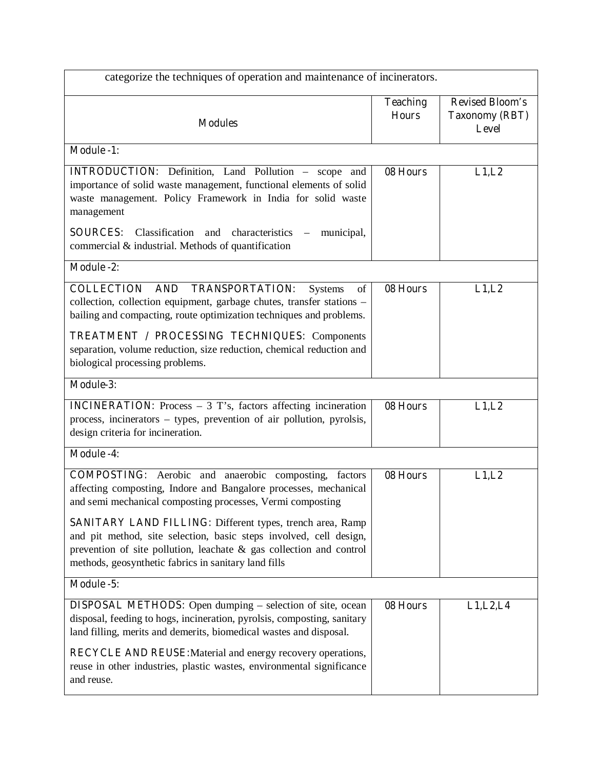| categorize the techniques of operation and maintenance of incinerators.                                                                                                                                                                                               |                                 |                                                          |  |  |
|-----------------------------------------------------------------------------------------------------------------------------------------------------------------------------------------------------------------------------------------------------------------------|---------------------------------|----------------------------------------------------------|--|--|
| <b>Modules</b>                                                                                                                                                                                                                                                        | <b>Teaching</b><br><b>Hours</b> | <b>Revised Bloom's</b><br><b>Taxonomy (RBT)</b><br>Level |  |  |
| <b>Module -1:</b>                                                                                                                                                                                                                                                     |                                 |                                                          |  |  |
| <b>INTRODUCTION:</b> Definition, Land Pollution - scope and<br>importance of solid waste management, functional elements of solid<br>waste management. Policy Framework in India for solid waste<br>management                                                        | 08 Hours                        | L1,L2                                                    |  |  |
| <b>SOURCES:</b><br>Classification and<br>characteristics –<br>municipal,<br>commercial & industrial. Methods of quantification                                                                                                                                        |                                 |                                                          |  |  |
| <b>Module -2:</b>                                                                                                                                                                                                                                                     |                                 |                                                          |  |  |
| <b>COLLECTION</b><br>AND TRANSPORTATION:<br><b>Systems</b><br>of<br>collection, collection equipment, garbage chutes, transfer stations -<br>bailing and compacting, route optimization techniques and problems.                                                      | 08 Hours                        | L1,L2                                                    |  |  |
| <b>TREATMENT / PROCESSING TECHNIQUES: Components</b><br>separation, volume reduction, size reduction, chemical reduction and<br>biological processing problems.                                                                                                       |                                 |                                                          |  |  |
| <b>Module-3:</b>                                                                                                                                                                                                                                                      |                                 |                                                          |  |  |
| <b>INCINERATION:</b> Process $-3$ T's, factors affecting incineration<br>process, incinerators – types, prevention of air pollution, pyrolsis,<br>design criteria for incineration.                                                                                   | 08 Hours                        | L1,L2                                                    |  |  |
| <b>Module -4:</b>                                                                                                                                                                                                                                                     |                                 |                                                          |  |  |
| <b>COMPOSTING:</b> Aerobic and anaerobic composting, factors<br>affecting composting, Indore and Bangalore processes, mechanical<br>and semi mechanical composting processes, Vermi composting                                                                        | 08 Hours                        | L1,L2                                                    |  |  |
| <b>SANITARY LAND FILLING:</b> Different types, trench area, Ramp<br>and pit method, site selection, basic steps involved, cell design,<br>prevention of site pollution, leachate & gas collection and control<br>methods, geosynthetic fabrics in sanitary land fills |                                 |                                                          |  |  |
| Module -5:                                                                                                                                                                                                                                                            |                                 |                                                          |  |  |
| <b>DISPOSAL METHODS:</b> Open dumping – selection of site, ocean<br>disposal, feeding to hogs, incineration, pyrolsis, composting, sanitary<br>land filling, merits and demerits, biomedical wastes and disposal.                                                     | 08 Hours                        | L1, L2, L4                                               |  |  |
| <b>RECYCLE AND REUSE:</b> Material and energy recovery operations,<br>reuse in other industries, plastic wastes, environmental significance<br>and reuse.                                                                                                             |                                 |                                                          |  |  |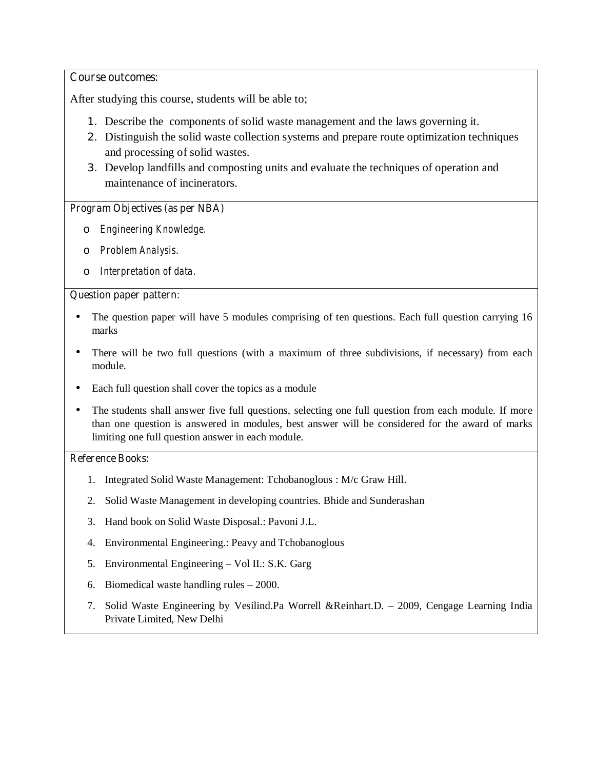# **Course outcomes:**

After studying this course, students will be able to;

- 1. Describe the components of solid waste management and the laws governing it.
- 2. Distinguish the solid waste collection systems and prepare route optimization techniques and processing of solid wastes.
- 3. Develop landfills and composting units and evaluate the techniques of operation and maintenance of incinerators.

# **Program Objectives (as per NBA)**

- o *Engineering Knowledge.*
- o *Problem Analysis.*
- o *Interpretation of data.*

## **Question paper pattern:**

- The question paper will have 5 modules comprising of ten questions. Each full question carrying 16 marks
- There will be two full questions (with a maximum of three subdivisions, if necessary) from each module.
- Each full question shall cover the topics as a module
- The students shall answer five full questions, selecting one full question from each module. If more than one question is answered in modules, best answer will be considered for the award of marks limiting one full question answer in each module.

- 1. Integrated Solid Waste Management: Tchobanoglous : M/c Graw Hill.
- 2. Solid Waste Management in developing countries. Bhide and Sunderashan
- 3. Hand book on Solid Waste Disposal.: Pavoni J.L.
- 4. Environmental Engineering.: Peavy and Tchobanoglous
- 5. Environmental Engineering Vol II.: S.K. Garg
- 6. Biomedical waste handling rules 2000.
- 7. Solid Waste Engineering by Vesilind.Pa Worrell &Reinhart.D. 2009, Cengage Learning India Private Limited, New Delhi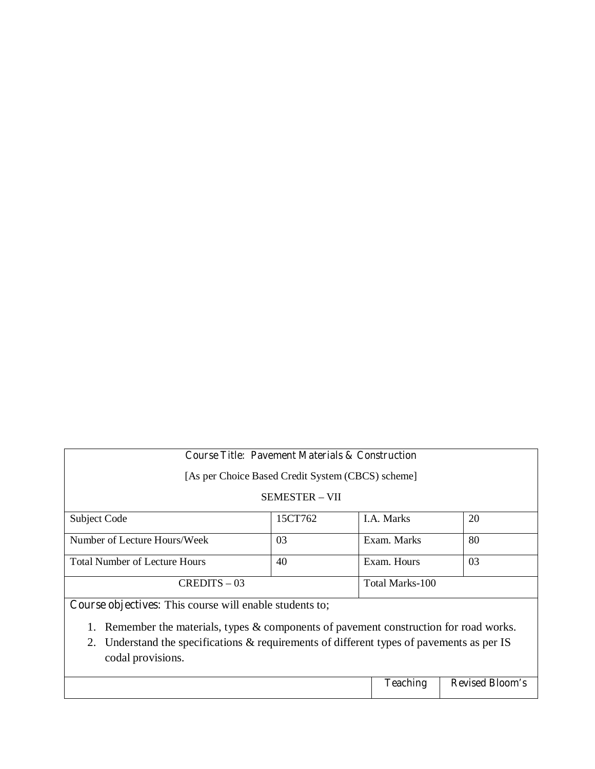# **Course Title: Pavement Materials & Construction** [As per Choice Based Credit System (CBCS) scheme] SEMESTER – VII Subject Code 15CT762 1.A. Marks 20 Number of Lecture Hours/Week 03 Exam. Marks 80 Total Number of Lecture Hours  $\begin{array}{|c|c|c|c|c|} \hline 40 & & \text{Exam. Hours} \end{array}$  03 CREDITS – 03 Total Marks-100

**Course objectives:** This course will enable students to;

- 1. Remember the materials, types & components of pavement construction for road works.
- 2. Understand the specifications & requirements of different types of pavements as per IS codal provisions.

| , agehine<br>1 Cachill. | <b>Revised Bloom's</b> |
|-------------------------|------------------------|
|                         |                        |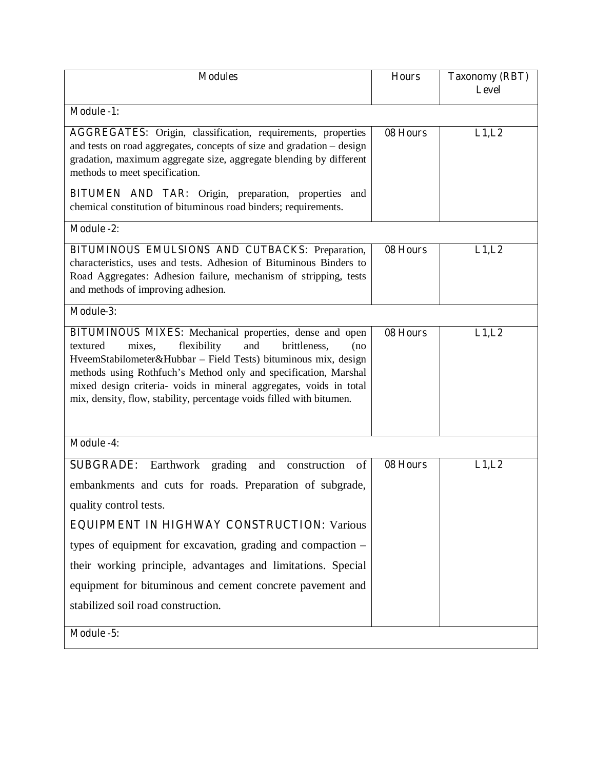| <b>Modules</b>                                                                                                                                                                                                                                                                                                                                                                                                                                          | <b>Hours</b> | <b>Taxonomy (RBT)</b> |
|---------------------------------------------------------------------------------------------------------------------------------------------------------------------------------------------------------------------------------------------------------------------------------------------------------------------------------------------------------------------------------------------------------------------------------------------------------|--------------|-----------------------|
|                                                                                                                                                                                                                                                                                                                                                                                                                                                         |              | <b>Level</b>          |
| <b>Module -1:</b>                                                                                                                                                                                                                                                                                                                                                                                                                                       |              |                       |
| <b>AGGREGATES:</b> Origin, classification, requirements, properties<br>and tests on road aggregates, concepts of size and gradation - design<br>gradation, maximum aggregate size, aggregate blending by different<br>methods to meet specification.                                                                                                                                                                                                    | 08 Hours     | L1,L2                 |
| BITUMEN AND TAR: Origin, preparation, properties and<br>chemical constitution of bituminous road binders; requirements.                                                                                                                                                                                                                                                                                                                                 |              |                       |
| <b>Module -2:</b>                                                                                                                                                                                                                                                                                                                                                                                                                                       |              |                       |
| <b>BITUMINOUS EMULSIONS AND CUTBACKS: Preparation,</b><br>characteristics, uses and tests. Adhesion of Bituminous Binders to<br>Road Aggregates: Adhesion failure, mechanism of stripping, tests<br>and methods of improving adhesion.                                                                                                                                                                                                                  | 08 Hours     | L1,L2                 |
| Module-3:                                                                                                                                                                                                                                                                                                                                                                                                                                               |              |                       |
| BITUMINOUS MIXES: Mechanical properties, dense and open<br>flexibility<br>and<br>textured<br>mixes,<br>brittleness,<br>(no<br>HveemStabilometer&Hubbar - Field Tests) bituminous mix, design<br>methods using Rothfuch's Method only and specification, Marshal<br>mixed design criteria- voids in mineral aggregates, voids in total<br>mix, density, flow, stability, percentage voids filled with bitumen.                                           | 08 Hours     | L1,L2                 |
| <b>Module -4:</b>                                                                                                                                                                                                                                                                                                                                                                                                                                       |              |                       |
| Earthwork<br>grading and construction of<br><b>SUBGRADE:</b><br>embankments and cuts for roads. Preparation of subgrade,<br>quality control tests.<br><b>EQUIPMENT IN HIGHWAY CONSTRUCTION: Various</b><br>types of equipment for excavation, grading and compaction –<br>their working principle, advantages and limitations. Special<br>equipment for bituminous and cement concrete pavement and<br>stabilized soil road construction.<br>Module -5: | 08 Hours     | L1,L2                 |
|                                                                                                                                                                                                                                                                                                                                                                                                                                                         |              |                       |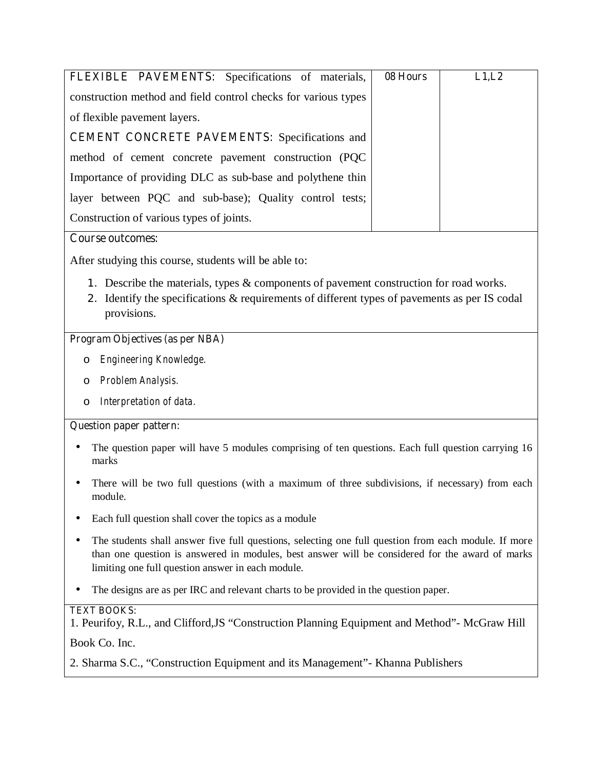| <b>FLEXIBLE PAVEMENTS:</b> Specifications of materials,        | 08 Hours | L1,L2 |
|----------------------------------------------------------------|----------|-------|
| construction method and field control checks for various types |          |       |
| of flexible pavement layers.                                   |          |       |
| <b>CEMENT CONCRETE PAVEMENTS:</b> Specifications and           |          |       |
| method of cement concrete pavement construction (PQC)          |          |       |
| Importance of providing DLC as sub-base and polythene thin     |          |       |
| layer between PQC and sub-base); Quality control tests;        |          |       |
| Construction of various types of joints.                       |          |       |

# **Course outcomes:**

After studying this course, students will be able to:

- 1. Describe the materials, types & components of pavement construction for road works.
- 2. Identify the specifications & requirements of different types of pavements as per IS codal provisions.

# **Program Objectives (as per NBA)**

- o *Engineering Knowledge.*
- o *Problem Analysis.*
- o *Interpretation of data.*

# **Question paper pattern:**

- The question paper will have 5 modules comprising of ten questions. Each full question carrying 16 marks
- There will be two full questions (with a maximum of three subdivisions, if necessary) from each module.
- Each full question shall cover the topics as a module
- The students shall answer five full questions, selecting one full question from each module. If more than one question is answered in modules, best answer will be considered for the award of marks limiting one full question answer in each module.
- The designs are as per IRC and relevant charts to be provided in the question paper.

# **TEXT BOOKS:**

1. Peurifoy, R.L., and Clifford,JS "Construction Planning Equipment and Method"- McGraw Hill

Book Co. Inc.

2. Sharma S.C., "Construction Equipment and its Management"- Khanna Publishers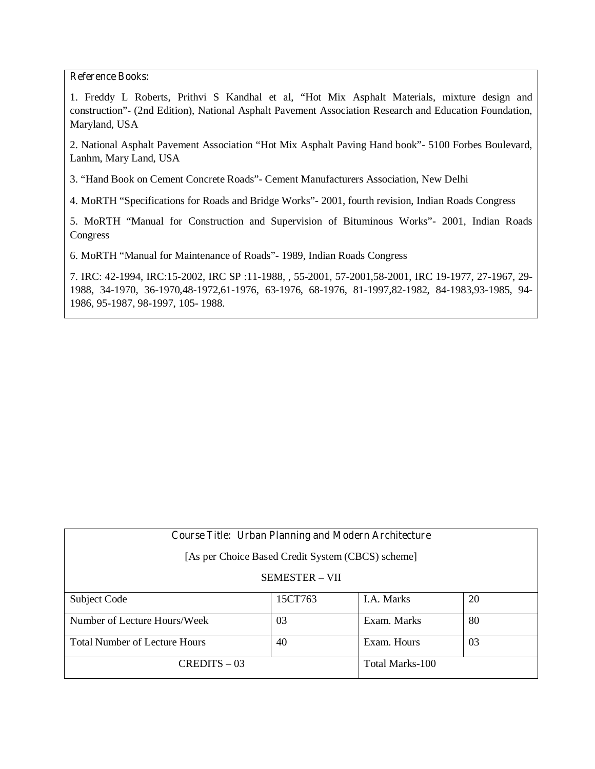## **Reference Books:**

1. Freddy L Roberts, Prithvi S Kandhal et al, "Hot Mix Asphalt Materials, mixture design and construction"- (2nd Edition), National Asphalt Pavement Association Research and Education Foundation, Maryland, USA

2. National Asphalt Pavement Association "Hot Mix Asphalt Paving Hand book"- 5100 Forbes Boulevard, Lanhm, Mary Land, USA

3. "Hand Book on Cement Concrete Roads"- Cement Manufacturers Association, New Delhi

4. MoRTH "Specifications for Roads and Bridge Works"- 2001, fourth revision, Indian Roads Congress

5. MoRTH "Manual for Construction and Supervision of Bituminous Works"- 2001, Indian Roads Congress

6. MoRTH "Manual for Maintenance of Roads"- 1989, Indian Roads Congress

7. IRC: 42-1994, IRC:15-2002, IRC SP :11-1988, , 55-2001, 57-2001,58-2001, IRC 19-1977, 27-1967, 29- 1988, 34-1970, 36-1970,48-1972,61-1976, 63-1976, 68-1976, 81-1997,82-1982, 84-1983,93-1985, 94- 1986, 95-1987, 98-1997, 105- 1988.

| <b>Course Title: Urban Planning and Modern Architecture</b> |         |                 |    |  |
|-------------------------------------------------------------|---------|-----------------|----|--|
| [As per Choice Based Credit System (CBCS) scheme]           |         |                 |    |  |
| <b>SEMESTER – VII</b>                                       |         |                 |    |  |
| Subject Code                                                | 15CT763 | I.A. Marks      | 20 |  |
| Number of Lecture Hours/Week                                | 03      | Exam. Marks     | 80 |  |
| <b>Total Number of Lecture Hours</b>                        | 40      | Exam. Hours     | 03 |  |
| $CREDITS - 03$                                              |         | Total Marks-100 |    |  |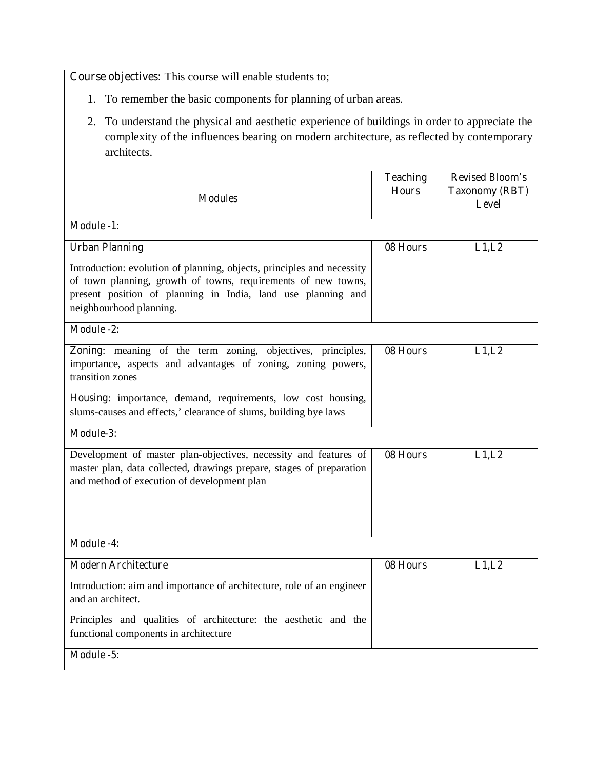**Course objectives:** This course will enable students to;

- 1. To remember the basic components for planning of urban areas.
- 2. To understand the physical and aesthetic experience of buildings in order to appreciate the complexity of the influences bearing on modern architecture, as reflected by contemporary architects.

| <b>Modules</b>                                                                                                                                                                                                                     | <b>Teaching</b><br><b>Hours</b> | <b>Revised Bloom's</b><br><b>Taxonomy (RBT)</b><br><b>Level</b> |
|------------------------------------------------------------------------------------------------------------------------------------------------------------------------------------------------------------------------------------|---------------------------------|-----------------------------------------------------------------|
| <b>Module -1:</b>                                                                                                                                                                                                                  |                                 |                                                                 |
| <b>Urban Planning</b>                                                                                                                                                                                                              | 08 Hours                        | L1,L2                                                           |
| Introduction: evolution of planning, objects, principles and necessity<br>of town planning, growth of towns, requirements of new towns,<br>present position of planning in India, land use planning and<br>neighbourhood planning. |                                 |                                                                 |
| Module -2:                                                                                                                                                                                                                         |                                 |                                                                 |
| Zoning: meaning of the term zoning, objectives, principles,<br>importance, aspects and advantages of zoning, zoning powers,<br>transition zones                                                                                    | 08 Hours                        | L1,L2                                                           |
| Housing: importance, demand, requirements, low cost housing,<br>slums-causes and effects,' clearance of slums, building bye laws                                                                                                   |                                 |                                                                 |
| Module-3:                                                                                                                                                                                                                          |                                 |                                                                 |
| Development of master plan-objectives, necessity and features of<br>master plan, data collected, drawings prepare, stages of preparation<br>and method of execution of development plan                                            | 08 Hours                        | L1,L2                                                           |
| <b>Module -4:</b>                                                                                                                                                                                                                  |                                 |                                                                 |
| <b>Modern Architecture</b>                                                                                                                                                                                                         | 08 Hours                        | L1, L2                                                          |
| Introduction: aim and importance of architecture, role of an engineer<br>and an architect.                                                                                                                                         |                                 |                                                                 |
| Principles and qualities of architecture: the aesthetic and the<br>functional components in architecture                                                                                                                           |                                 |                                                                 |
| Module -5:                                                                                                                                                                                                                         |                                 |                                                                 |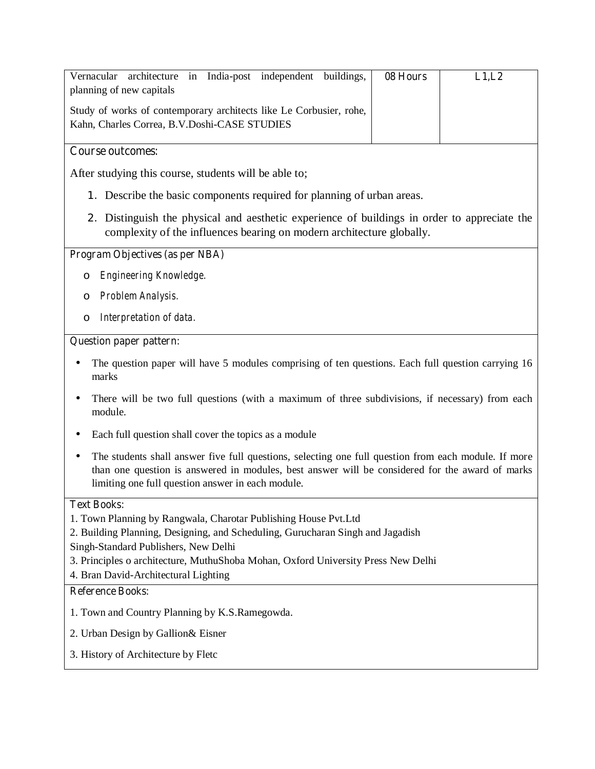| in India-post independent buildings,<br>Vernacular<br>architecture<br>planning of new capitals                                                                                                                                                               | 08 Hours | L1,L2 |  |  |
|--------------------------------------------------------------------------------------------------------------------------------------------------------------------------------------------------------------------------------------------------------------|----------|-------|--|--|
| Study of works of contemporary architects like Le Corbusier, rohe,<br>Kahn, Charles Correa, B.V.Doshi-CASE STUDIES                                                                                                                                           |          |       |  |  |
| <b>Course outcomes:</b>                                                                                                                                                                                                                                      |          |       |  |  |
| After studying this course, students will be able to;                                                                                                                                                                                                        |          |       |  |  |
| 1. Describe the basic components required for planning of urban areas.                                                                                                                                                                                       |          |       |  |  |
| 2. Distinguish the physical and aesthetic experience of buildings in order to appreciate the<br>complexity of the influences bearing on modern architecture globally.                                                                                        |          |       |  |  |
| <b>Program Objectives (as per NBA)</b>                                                                                                                                                                                                                       |          |       |  |  |
| Engineering Knowledge.<br>O                                                                                                                                                                                                                                  |          |       |  |  |
| Problem Analysis.<br>O                                                                                                                                                                                                                                       |          |       |  |  |
| Interpretation of data.<br>O                                                                                                                                                                                                                                 |          |       |  |  |
| <b>Question paper pattern:</b>                                                                                                                                                                                                                               |          |       |  |  |
| The question paper will have 5 modules comprising of ten questions. Each full question carrying 16<br>marks                                                                                                                                                  |          |       |  |  |
| There will be two full questions (with a maximum of three subdivisions, if necessary) from each<br>module.                                                                                                                                                   |          |       |  |  |
| Each full question shall cover the topics as a module                                                                                                                                                                                                        |          |       |  |  |
| The students shall answer five full questions, selecting one full question from each module. If more<br>than one question is answered in modules, best answer will be considered for the award of marks<br>limiting one full question answer in each module. |          |       |  |  |
| <b>Text Books:</b>                                                                                                                                                                                                                                           |          |       |  |  |
| 1. Town Planning by Rangwala, Charotar Publishing House Pvt. Ltd<br>2. Building Planning, Designing, and Scheduling, Gurucharan Singh and Jagadish                                                                                                           |          |       |  |  |
| Singh-Standard Publishers, New Delhi                                                                                                                                                                                                                         |          |       |  |  |
| 3. Principles o architecture, MuthuShoba Mohan, Oxford University Press New Delhi                                                                                                                                                                            |          |       |  |  |
| 4. Bran David-Architectural Lighting<br><b>Reference Books:</b>                                                                                                                                                                                              |          |       |  |  |
|                                                                                                                                                                                                                                                              |          |       |  |  |

- 1. Town and Country Planning by K.S.Ramegowda.
- 2. Urban Design by Gallion& Eisner
- 3. History of Architecture by Fletc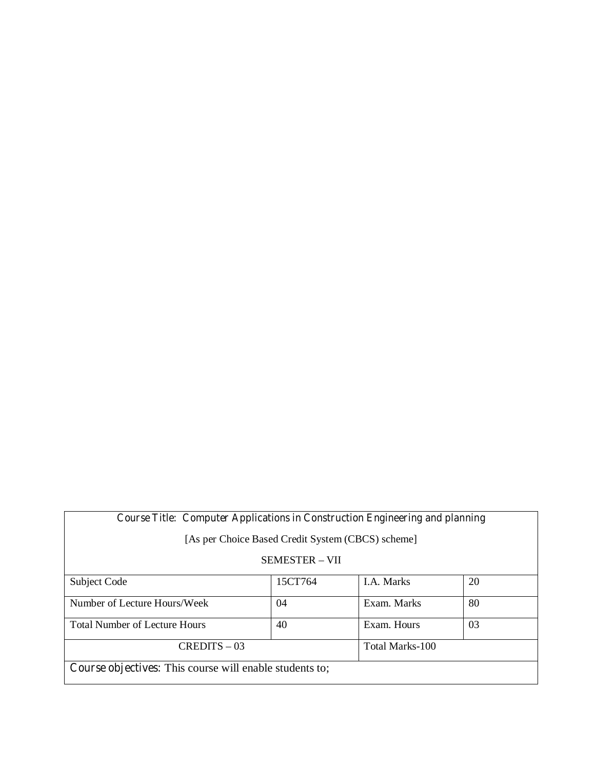# **Course Title: Computer Applications in Construction Engineering and planning**

[As per Choice Based Credit System (CBCS) scheme]

### SEMESTER – VII

| Subject Code                                                   | 15CT764 | <b>I.A.</b> Marks | 20 |
|----------------------------------------------------------------|---------|-------------------|----|
|                                                                |         |                   |    |
| Number of Lecture Hours/Week                                   | 04      | Exam. Marks       | 80 |
|                                                                |         |                   |    |
| <b>Total Number of Lecture Hours</b>                           | 40      | Exam. Hours       | 03 |
|                                                                |         |                   |    |
| $CREDITS - 03$                                                 |         | Total Marks-100   |    |
|                                                                |         |                   |    |
| <b>Course objectives:</b> This course will enable students to; |         |                   |    |
|                                                                |         |                   |    |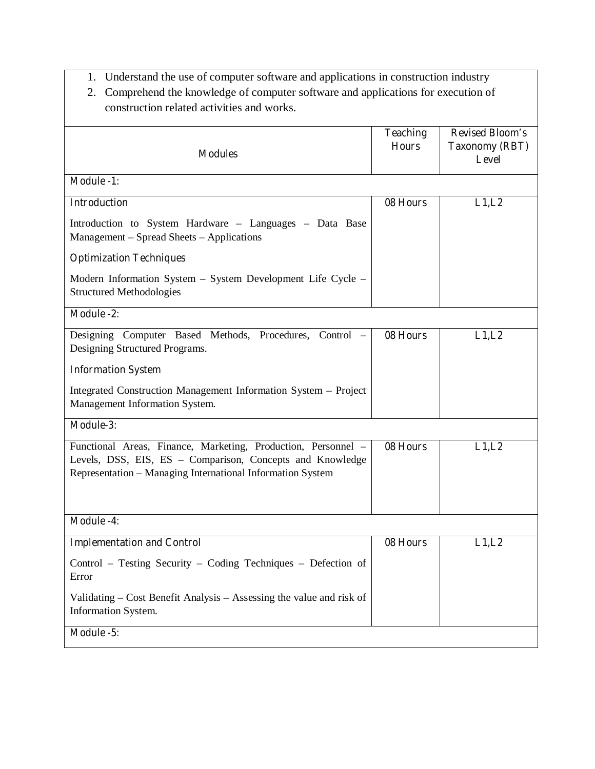- 1. Understand the use of computer software and applications in construction industry
- 2. Comprehend the knowledge of computer software and applications for execution of construction related activities and works.

|                                                                                                                                                                                          | <b>Teaching</b> | <b>Revised Bloom's</b>                |
|------------------------------------------------------------------------------------------------------------------------------------------------------------------------------------------|-----------------|---------------------------------------|
| <b>Modules</b>                                                                                                                                                                           | <b>Hours</b>    | <b>Taxonomy (RBT)</b><br><b>Level</b> |
| <b>Module -1:</b>                                                                                                                                                                        |                 |                                       |
| <b>Introduction</b>                                                                                                                                                                      | 08 Hours        | L1,L2                                 |
| Introduction to System Hardware - Languages - Data Base<br>Management – Spread Sheets – Applications                                                                                     |                 |                                       |
| <b>Optimization Techniques</b>                                                                                                                                                           |                 |                                       |
| Modern Information System - System Development Life Cycle -<br><b>Structured Methodologies</b>                                                                                           |                 |                                       |
| <b>Module -2:</b>                                                                                                                                                                        |                 |                                       |
| Designing Computer Based Methods, Procedures, Control -<br>Designing Structured Programs.                                                                                                | 08 Hours        | L1,L2                                 |
| <b>Information System</b>                                                                                                                                                                |                 |                                       |
| Integrated Construction Management Information System - Project<br>Management Information System.                                                                                        |                 |                                       |
| Module-3:                                                                                                                                                                                |                 |                                       |
| Functional Areas, Finance, Marketing, Production, Personnel -<br>Levels, DSS, EIS, ES - Comparison, Concepts and Knowledge<br>Representation - Managing International Information System | 08 Hours        | L1,L2                                 |
| <b>Module -4:</b>                                                                                                                                                                        |                 |                                       |
| <b>Implementation and Control</b>                                                                                                                                                        | 08 Hours        | L1,L2                                 |
| Control - Testing Security - Coding Techniques - Defection of<br>Error                                                                                                                   |                 |                                       |
| Validating – Cost Benefit Analysis – Assessing the value and risk of<br>Information System.                                                                                              |                 |                                       |
| Module -5:                                                                                                                                                                               |                 |                                       |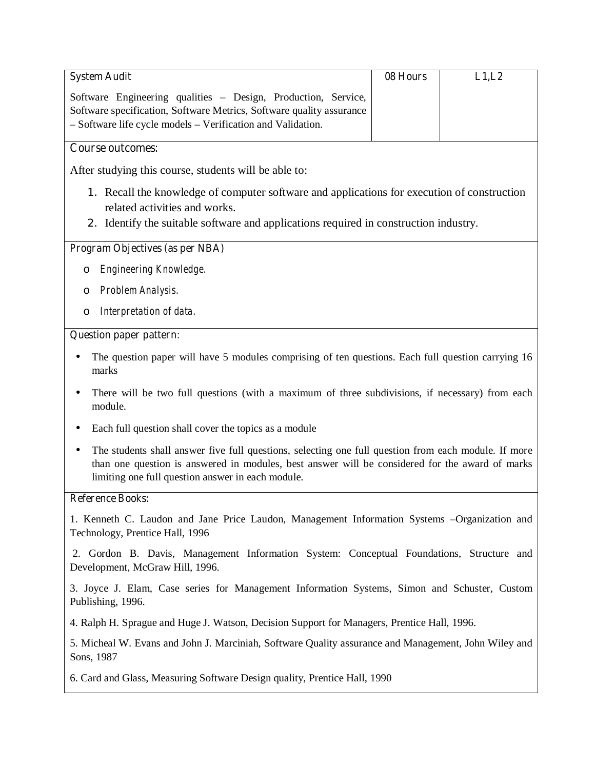| <b>System Audit</b>                                                                                                                                                                                                                                          | 08 Hours | L1,L2 |
|--------------------------------------------------------------------------------------------------------------------------------------------------------------------------------------------------------------------------------------------------------------|----------|-------|
| Software Engineering qualities - Design, Production, Service,                                                                                                                                                                                                |          |       |
| Software specification, Software Metrics, Software quality assurance                                                                                                                                                                                         |          |       |
| - Software life cycle models - Verification and Validation.                                                                                                                                                                                                  |          |       |
| <b>Course outcomes:</b>                                                                                                                                                                                                                                      |          |       |
| After studying this course, students will be able to:                                                                                                                                                                                                        |          |       |
| 1. Recall the knowledge of computer software and applications for execution of construction                                                                                                                                                                  |          |       |
| related activities and works.                                                                                                                                                                                                                                |          |       |
| 2. Identify the suitable software and applications required in construction industry.                                                                                                                                                                        |          |       |
| <b>Program Objectives (as per NBA)</b>                                                                                                                                                                                                                       |          |       |
| Engineering Knowledge.<br>O                                                                                                                                                                                                                                  |          |       |
| Problem Analysis.<br>O                                                                                                                                                                                                                                       |          |       |
| Interpretation of data.<br>O                                                                                                                                                                                                                                 |          |       |
| <b>Question paper pattern:</b>                                                                                                                                                                                                                               |          |       |
| The question paper will have 5 modules comprising of ten questions. Each full question carrying 16<br>marks                                                                                                                                                  |          |       |
| There will be two full questions (with a maximum of three subdivisions, if necessary) from each<br>module.                                                                                                                                                   |          |       |
| Each full question shall cover the topics as a module                                                                                                                                                                                                        |          |       |
| The students shall answer five full questions, selecting one full question from each module. If more<br>than one question is answered in modules, best answer will be considered for the award of marks<br>limiting one full question answer in each module. |          |       |
| <b>Reference Books:</b>                                                                                                                                                                                                                                      |          |       |
| 1. Kenneth C. Laudon and Jane Price Laudon, Management Information Systems –Organization and<br>Technology, Prentice Hall, 1996                                                                                                                              |          |       |
| 2. Gordon B. Davis, Management Information System: Conceptual Foundations, Structure and<br>Development, McGraw Hill, 1996.                                                                                                                                  |          |       |

3. Joyce J. Elam, Case series for Management Information Systems, Simon and Schuster, Custom Publishing, 1996.

4. Ralph H. Sprague and Huge J. Watson, Decision Support for Managers, Prentice Hall, 1996.

5. Micheal W. Evans and John J. Marciniah, Software Quality assurance and Management, John Wiley and Sons, 1987

6. Card and Glass, Measuring Software Design quality, Prentice Hall, 1990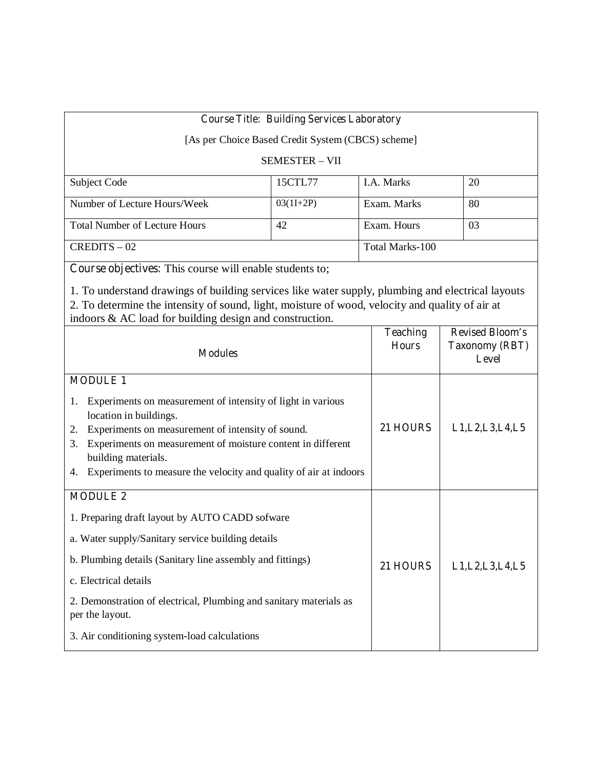## **Course Title: Building Services Laboratory**

[As per Choice Based Credit System (CBCS) scheme]

### SEMESTER – VII

| Subject Code                         | 15CTL77     | <b>I.A.</b> Marks | 20 |
|--------------------------------------|-------------|-------------------|----|
|                                      |             |                   |    |
| Number of Lecture Hours/Week         | $03(1I+2P)$ | Exam. Marks       | 80 |
| <b>Total Number of Lecture Hours</b> | 42          | Exam. Hours       | 03 |
| $CREDITS - 02$                       |             | Total Marks-100   |    |

**Course objectives:** This course will enable students to;

1. To understand drawings of building services like water supply, plumbing and electrical layouts 2. To determine the intensity of sound, light, moisture of wood, velocity and quality of air at indoors & AC load for building design and construction.

| <b>Modules</b>                                                                              | <b>Teaching</b><br><b>Hours</b> | <b>Revised Bloom's</b><br><b>Taxonomy (RBT)</b><br><b>Level</b> |
|---------------------------------------------------------------------------------------------|---------------------------------|-----------------------------------------------------------------|
| <b>MODULE 1</b>                                                                             |                                 |                                                                 |
| Experiments on measurement of intensity of light in various<br>1.<br>location in buildings. |                                 |                                                                 |
| Experiments on measurement of intensity of sound.<br>2.                                     | 21 HOURS                        | L1, L2, L3, L4, L5                                              |
| Experiments on measurement of moisture content in different<br>3.<br>building materials.    |                                 |                                                                 |
| Experiments to measure the velocity and quality of air at indoors<br>4.                     |                                 |                                                                 |
| <b>MODULE 2</b>                                                                             |                                 |                                                                 |
| 1. Preparing draft layout by AUTO CADD sofware                                              |                                 |                                                                 |
| a. Water supply/Sanitary service building details                                           |                                 |                                                                 |
| b. Plumbing details (Sanitary line assembly and fittings)                                   | 21 HOURS                        | L1, L2, L3, L4, L5                                              |
| c. Electrical details                                                                       |                                 |                                                                 |
| 2. Demonstration of electrical, Plumbing and sanitary materials as<br>per the layout.       |                                 |                                                                 |
| 3. Air conditioning system-load calculations                                                |                                 |                                                                 |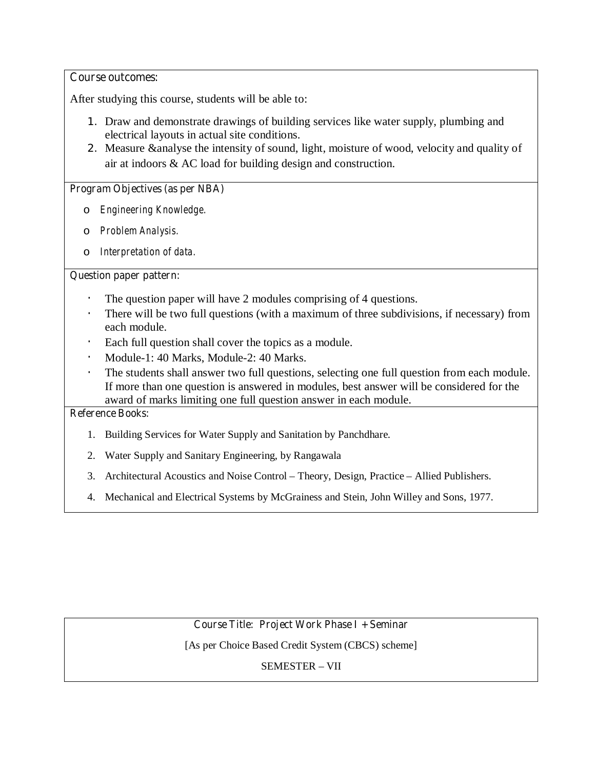### **Course outcomes:**

After studying this course, students will be able to:

- 1. Draw and demonstrate drawings of building services like water supply, plumbing and electrical layouts in actual site conditions.
- 2. Measure &analyse the intensity of sound, light, moisture of wood, velocity and quality of air at indoors & AC load for building design and construction.

### **Program Objectives (as per NBA)**

- o *Engineering Knowledge.*
- o *Problem Analysis.*
- o *Interpretation of data.*

### **Question paper pattern:**

- The question paper will have 2 modules comprising of 4 questions.
- There will be two full questions (with a maximum of three subdivisions, if necessary) from each module.
- **·** Each full question shall cover the topics as a module.
- **·** Module-1: 40 Marks, Module-2: 40 Marks.
- **·** The students shall answer two full questions, selecting one full question from each module. If more than one question is answered in modules, best answer will be considered for the award of marks limiting one full question answer in each module.

#### **Reference Books:**

- 1. Building Services for Water Supply and Sanitation by Panchdhare.
- 2. Water Supply and Sanitary Engineering, by Rangawala
- 3. Architectural Acoustics and Noise Control Theory, Design, Practice Allied Publishers.
- 4. Mechanical and Electrical Systems by McGrainess and Stein, John Willey and Sons, 1977.

## **Course Title: Project Work Phase I + Seminar**

[As per Choice Based Credit System (CBCS) scheme]

SEMESTER – VII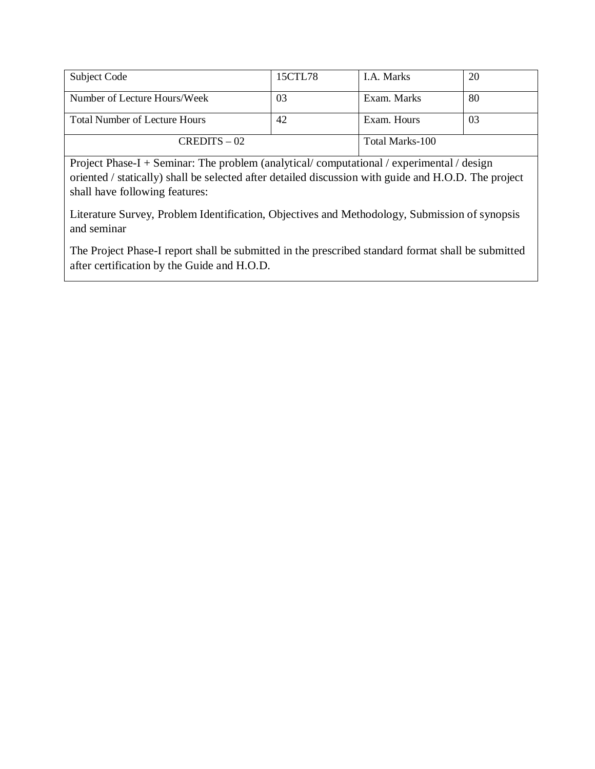| Subject Code                         | 15CTL78 | LA. Marks       | 20 |
|--------------------------------------|---------|-----------------|----|
| Number of Lecture Hours/Week         | 03      | Exam. Marks     | 80 |
| <b>Total Number of Lecture Hours</b> | 42      | Exam. Hours     | 03 |
| $CREDITS - 02$                       |         | Total Marks-100 |    |

Project Phase-I + Seminar: The problem (analytical/ computational / experimental / design oriented / statically) shall be selected after detailed discussion with guide and H.O.D. The project shall have following features:

Literature Survey, Problem Identification, Objectives and Methodology, Submission of synopsis and seminar

The Project Phase-I report shall be submitted in the prescribed standard format shall be submitted after certification by the Guide and H.O.D.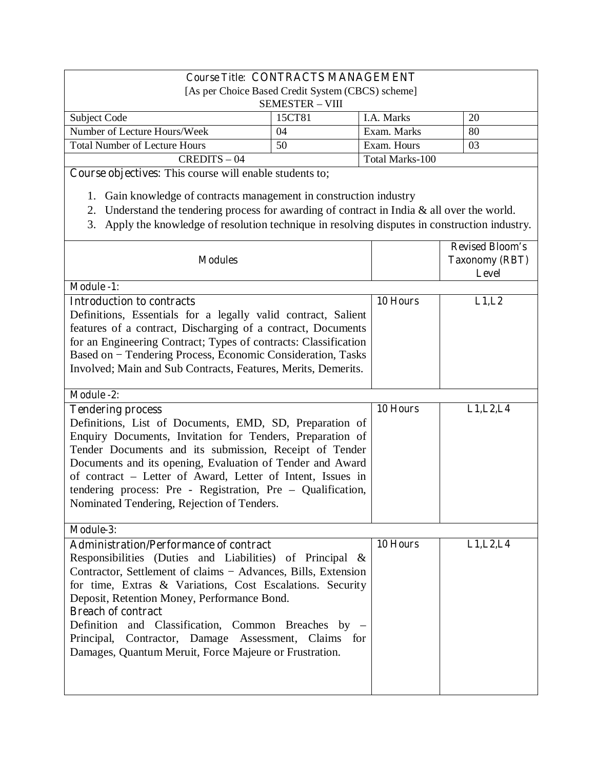# **Course Title: CONTRACTS MANAGEMENT**

| [As per Choice Based Credit System (CBCS) scheme] |    |                 |     |
|---------------------------------------------------|----|-----------------|-----|
| <b>SEMESTER – VIII</b>                            |    |                 |     |
| 20<br>15CT81<br>Subject Code<br>LA. Marks         |    |                 |     |
| Number of Lecture Hours/Week                      | 04 | Exam. Marks     | -80 |
| <b>Total Number of Lecture Hours</b>              | 50 | Exam. Hours     | 03  |
| $CREDITS - 04$                                    |    | Total Marks-100 |     |

**Course objectives:** This course will enable students to;

- 1. Gain knowledge of contracts management in construction industry
- 2. Understand the tendering process for awarding of contract in India & all over the world.
- 3. Apply the knowledge of resolution technique in resolving disputes in construction industry.

| <b>Modules</b>                                                                                                    |          | <b>Revised Bloom's</b><br><b>Taxonomy (RBT)</b><br><b>Level</b> |
|-------------------------------------------------------------------------------------------------------------------|----------|-----------------------------------------------------------------|
| <b>Module -1:</b>                                                                                                 |          |                                                                 |
| <b>Introduction to contracts</b>                                                                                  | 10 Hours | L1,L2                                                           |
| Definitions, Essentials for a legally valid contract, Salient                                                     |          |                                                                 |
| features of a contract, Discharging of a contract, Documents                                                      |          |                                                                 |
| for an Engineering Contract; Types of contracts: Classification                                                   |          |                                                                 |
| Based on - Tendering Process, Economic Consideration, Tasks                                                       |          |                                                                 |
| Involved; Main and Sub Contracts, Features, Merits, Demerits.                                                     |          |                                                                 |
| Module -2:                                                                                                        |          |                                                                 |
| <b>Tendering process</b>                                                                                          | 10 Hours | L1, L2, L4                                                      |
| Definitions, List of Documents, EMD, SD, Preparation of                                                           |          |                                                                 |
| Enquiry Documents, Invitation for Tenders, Preparation of                                                         |          |                                                                 |
| Tender Documents and its submission, Receipt of Tender                                                            |          |                                                                 |
| Documents and its opening, Evaluation of Tender and Award                                                         |          |                                                                 |
| of contract - Letter of Award, Letter of Intent, Issues in                                                        |          |                                                                 |
| tendering process: Pre - Registration, Pre - Qualification,<br>Nominated Tendering, Rejection of Tenders.         |          |                                                                 |
|                                                                                                                   |          |                                                                 |
| Module-3:                                                                                                         |          |                                                                 |
| <b>Administration/Performance of contract</b>                                                                     | 10 Hours | L1, L2, L4                                                      |
| Responsibilities (Duties and Liabilities) of Principal &                                                          |          |                                                                 |
| Contractor, Settlement of claims – Advances, Bills, Extension                                                     |          |                                                                 |
| for time, Extras & Variations, Cost Escalations. Security                                                         |          |                                                                 |
| Deposit, Retention Money, Performance Bond.                                                                       |          |                                                                 |
| <b>Breach of contract</b>                                                                                         |          |                                                                 |
| Definition and Classification, Common Breaches by -                                                               |          |                                                                 |
| Principal, Contractor, Damage Assessment, Claims<br>for<br>Damages, Quantum Meruit, Force Majeure or Frustration. |          |                                                                 |
|                                                                                                                   |          |                                                                 |
|                                                                                                                   |          |                                                                 |
|                                                                                                                   |          |                                                                 |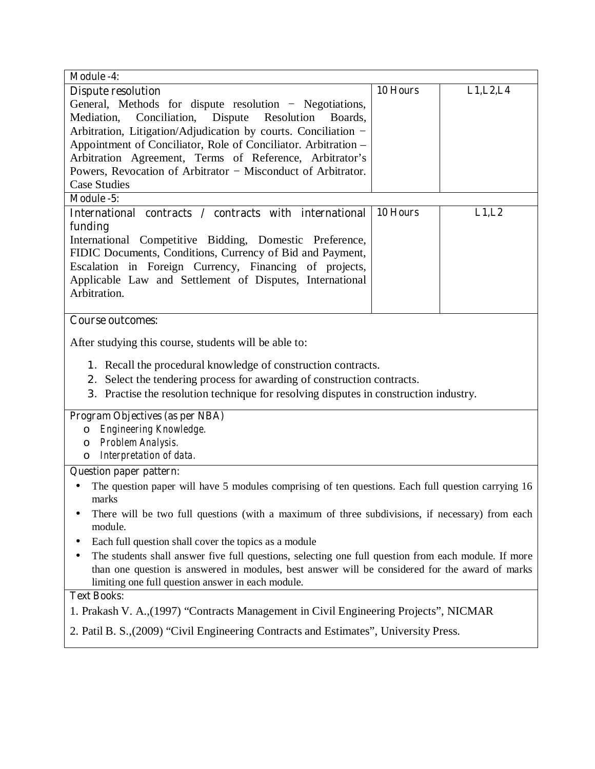| <b>Module -4:</b>                                                                                    |          |            |  |
|------------------------------------------------------------------------------------------------------|----------|------------|--|
| <b>Dispute resolution</b>                                                                            | 10 Hours | L1, L2, L4 |  |
| General, Methods for dispute resolution - Negotiations,                                              |          |            |  |
| Conciliation, Dispute<br>Mediation,<br>Resolution<br>Boards.                                         |          |            |  |
| Arbitration, Litigation/Adjudication by courts. Conciliation -                                       |          |            |  |
| Appointment of Conciliator, Role of Conciliator. Arbitration -                                       |          |            |  |
| Arbitration Agreement, Terms of Reference, Arbitrator's                                              |          |            |  |
| Powers, Revocation of Arbitrator - Misconduct of Arbitrator.                                         |          |            |  |
| <b>Case Studies</b>                                                                                  |          |            |  |
| Module -5:                                                                                           |          |            |  |
| International contracts / contracts with international                                               | 10 Hours | L1,L2      |  |
| funding                                                                                              |          |            |  |
| International Competitive Bidding, Domestic Preference,                                              |          |            |  |
| FIDIC Documents, Conditions, Currency of Bid and Payment,                                            |          |            |  |
| Escalation in Foreign Currency, Financing of projects,                                               |          |            |  |
| Applicable Law and Settlement of Disputes, International                                             |          |            |  |
| Arbitration.                                                                                         |          |            |  |
|                                                                                                      |          |            |  |
| <b>Course outcomes:</b>                                                                              |          |            |  |
| After studying this course, students will be able to:                                                |          |            |  |
| 1. Recall the procedural knowledge of construction contracts.                                        |          |            |  |
| 2. Select the tendering process for awarding of construction contracts.                              |          |            |  |
| 3. Practise the resolution technique for resolving disputes in construction industry.                |          |            |  |
|                                                                                                      |          |            |  |
| Program Objectives (as per NBA)                                                                      |          |            |  |
| Engineering Knowledge.<br>O                                                                          |          |            |  |
| Problem Analysis.<br>$\circ$                                                                         |          |            |  |
| o Interpretation of data.                                                                            |          |            |  |
| <b>Question paper pattern:</b>                                                                       |          |            |  |
| The question paper will have 5 modules comprising of ten questions. Each full question carrying 16   |          |            |  |
| marks                                                                                                |          |            |  |
| There will be two full questions (with a maximum of three subdivisions, if necessary) from each      |          |            |  |
| module.                                                                                              |          |            |  |
| Each full question shall cover the topics as a module<br>٠                                           |          |            |  |
| The students shall answer five full questions, selecting one full question from each module. If more |          |            |  |
| than one question is answered in modules, best answer will be considered for the award of marks      |          |            |  |
| limiting one full question answer in each module.                                                    |          |            |  |
| <b>Text Books:</b>                                                                                   |          |            |  |
| 1. Prakash V. A., (1997) "Contracts Management in Civil Engineering Projects", NICMAR                |          |            |  |
| 2. Patil B. S., (2009) "Civil Engineering Contracts and Estimates", University Press.                |          |            |  |
|                                                                                                      |          |            |  |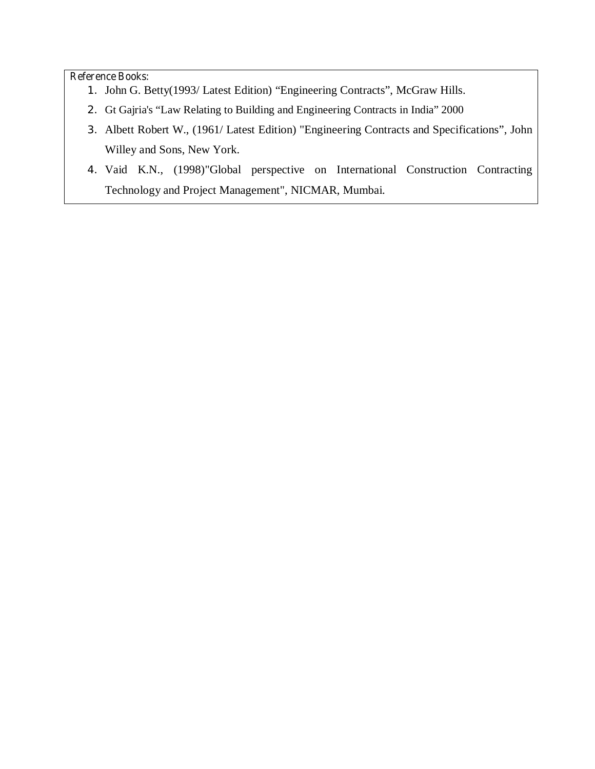### **Reference Books:**

- 1. John G. Betty(1993/ Latest Edition) "Engineering Contracts", McGraw Hills.
- 2. Gt Gajria's "Law Relating to Building and Engineering Contracts in India" 2000
- 3. Albett Robert W., (1961/ Latest Edition) "Engineering Contracts and Specifications", John Willey and Sons, New York.
- 4. Vaid K.N., (1998)"Global perspective on International Construction Contracting Technology and Project Management", NICMAR, Mumbai.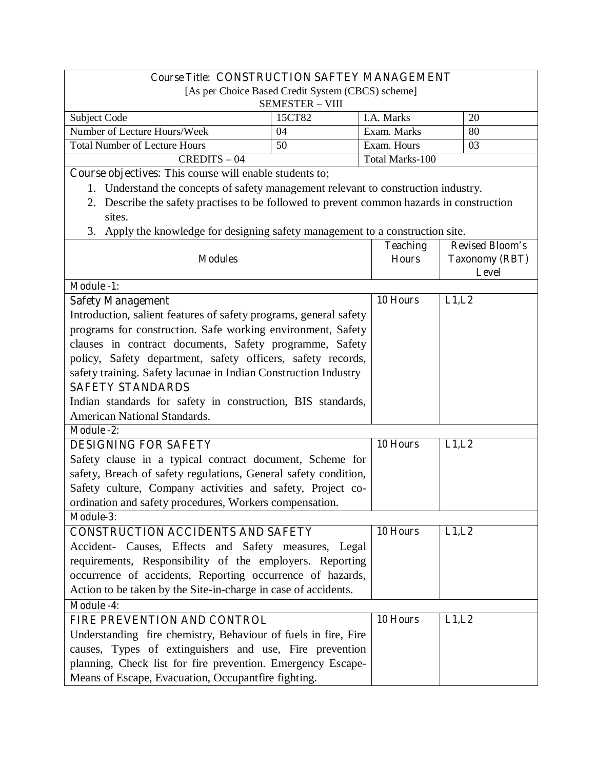| <b>Course Title: CONSTRUCTION SAFTEY MANAGEMENT</b> |        |                 |    |
|-----------------------------------------------------|--------|-----------------|----|
| [As per Choice Based Credit System (CBCS) scheme]   |        |                 |    |
| <b>SEMESTER - VIII</b>                              |        |                 |    |
| Subject Code                                        | 15CT82 | I.A. Marks      | 20 |
| Number of Lecture Hours/Week                        | 04     | Exam. Marks     | 80 |
| <b>Total Number of Lecture Hours</b>                | 50     | Exam. Hours     | 03 |
| $CREDITS - 04$                                      |        | Total Marks-100 |    |

**Course objectives:** This course will enable students to;

- 1. Understand the concepts of safety management relevant to construction industry.
- 2. Describe the safety practises to be followed to prevent common hazards in construction sites.
- 3. Apply the knowledge for designing safety management to a construction site.

| <b>Modules</b>                                                    | <b>Teaching</b><br><b>Hours</b> | <b>Revised Bloom's</b><br><b>Taxonomy (RBT)</b><br><b>Level</b> |
|-------------------------------------------------------------------|---------------------------------|-----------------------------------------------------------------|
| <b>Module -1:</b>                                                 |                                 |                                                                 |
| <b>Safety Management</b>                                          | 10 Hours                        | L1,L2                                                           |
| Introduction, salient features of safety programs, general safety |                                 |                                                                 |
| programs for construction. Safe working environment, Safety       |                                 |                                                                 |
| clauses in contract documents, Safety programme, Safety           |                                 |                                                                 |
| policy, Safety department, safety officers, safety records,       |                                 |                                                                 |
| safety training. Safety lacunae in Indian Construction Industry   |                                 |                                                                 |
| <b>SAFETY STANDARDS</b>                                           |                                 |                                                                 |
| Indian standards for safety in construction, BIS standards,       |                                 |                                                                 |
| American National Standards.                                      |                                 |                                                                 |
| <b>Module -2:</b>                                                 |                                 |                                                                 |
| <b>DESIGNING FOR SAFETY</b>                                       | 10 Hours                        | L1,L2                                                           |
| Safety clause in a typical contract document, Scheme for          |                                 |                                                                 |
| safety, Breach of safety regulations, General safety condition,   |                                 |                                                                 |
| Safety culture, Company activities and safety, Project co-        |                                 |                                                                 |
| ordination and safety procedures, Workers compensation.           |                                 |                                                                 |
| Module-3:                                                         |                                 |                                                                 |
| <b>CONSTRUCTION ACCIDENTS AND SAFETY</b>                          | $10$ Hours                      | L1,L2                                                           |
| Accident- Causes, Effects and Safety measures, Legal              |                                 |                                                                 |
| requirements, Responsibility of the employers. Reporting          |                                 |                                                                 |
| occurrence of accidents, Reporting occurrence of hazards,         |                                 |                                                                 |
| Action to be taken by the Site-in-charge in case of accidents.    |                                 |                                                                 |
| <b>Module -4:</b>                                                 |                                 |                                                                 |
| FIRE PREVENTION AND CONTROL                                       | 10 Hours                        | L1,L2                                                           |
| Understanding fire chemistry, Behaviour of fuels in fire, Fire    |                                 |                                                                 |
| causes, Types of extinguishers and use, Fire prevention           |                                 |                                                                 |
| planning, Check list for fire prevention. Emergency Escape-       |                                 |                                                                 |
| Means of Escape, Evacuation, Occupantfire fighting.               |                                 |                                                                 |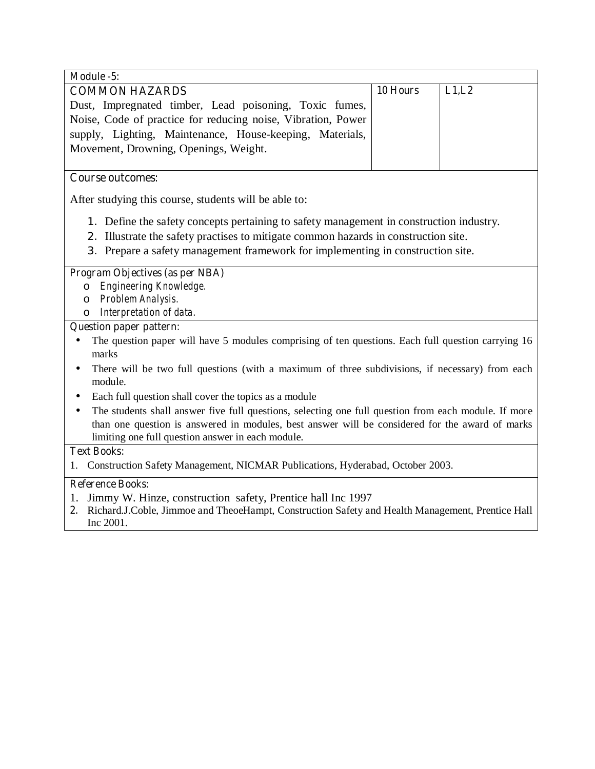| Module -5:                                                                                                      |          |       |  |
|-----------------------------------------------------------------------------------------------------------------|----------|-------|--|
| <b>COMMON HAZARDS</b>                                                                                           | 10 Hours | L1,L2 |  |
| Dust, Impregnated timber, Lead poisoning, Toxic fumes,                                                          |          |       |  |
| Noise, Code of practice for reducing noise, Vibration, Power                                                    |          |       |  |
| supply, Lighting, Maintenance, House-keeping, Materials,                                                        |          |       |  |
| Movement, Drowning, Openings, Weight.                                                                           |          |       |  |
|                                                                                                                 |          |       |  |
| <b>Course outcomes:</b>                                                                                         |          |       |  |
| After studying this course, students will be able to:                                                           |          |       |  |
| 1. Define the safety concepts pertaining to safety management in construction industry.                         |          |       |  |
| 2. Illustrate the safety practises to mitigate common hazards in construction site.                             |          |       |  |
| 3. Prepare a safety management framework for implementing in construction site.                                 |          |       |  |
|                                                                                                                 |          |       |  |
| <b>Program Objectives (as per NBA)</b>                                                                          |          |       |  |
| Engineering Knowledge.<br>$\circ$                                                                               |          |       |  |
| Problem Analysis.<br>O                                                                                          |          |       |  |
| Interpretation of data.<br>O                                                                                    |          |       |  |
| <b>Question paper pattern:</b>                                                                                  |          |       |  |
| The question paper will have 5 modules comprising of ten questions. Each full question carrying 16<br>marks     |          |       |  |
| There will be two full questions (with a maximum of three subdivisions, if necessary) from each<br>٠<br>module. |          |       |  |
| Each full question shall cover the topics as a module<br>$\bullet$                                              |          |       |  |
| The students shall answer five full questions, selecting one full question from each module. If more            |          |       |  |
| than one question is answered in modules, best answer will be considered for the award of marks                 |          |       |  |
| limiting one full question answer in each module.                                                               |          |       |  |
| <b>Text Books:</b>                                                                                              |          |       |  |
| 1. Construction Safety Management, NICMAR Publications, Hyderabad, October 2003.                                |          |       |  |
| <b>Reference Books:</b>                                                                                         |          |       |  |
| Jimmy W. Hinze, construction safety, Prentice hall Inc 1997<br>1.                                               |          |       |  |
| Richard.J.Coble, Jimmoe and TheoeHampt, Construction Safety and Health Management, Prentice Hall<br>2.          |          |       |  |
| Inc 2001.                                                                                                       |          |       |  |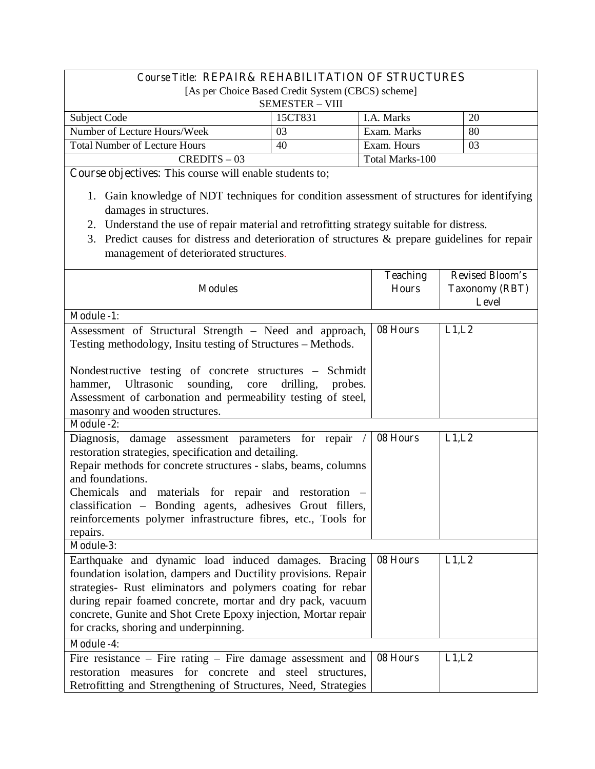# **Course Title: REPAIR& REHABILITATION OF STRUCTURES**

[As per Choice Based Credit System (CBCS) scheme]

| <b>SEMESTER – VIII</b>               |         |                   |    |
|--------------------------------------|---------|-------------------|----|
| Subject Code                         | 15CT831 | <b>I.A.</b> Marks | 20 |
| Number of Lecture Hours/Week         | 03      | Exam. Marks       | 80 |
| <b>Total Number of Lecture Hours</b> | 40      | Exam. Hours       | 03 |
| $CREDITS - 03$                       |         | Total Marks-100   |    |

**Course objectives:** This course will enable students to;

- 1. Gain knowledge of NDT techniques for condition assessment of structures for identifying damages in structures.
- 2. Understand the use of repair material and retrofitting strategy suitable for distress.
- 3. Predict causes for distress and deterioration of structures & prepare guidelines for repair management of deteriorated structures.

| <b>Modules</b>                                                                                                                                                                                                                                                                                                                                                                                       | <b>Teaching</b><br><b>Hours</b> | <b>Revised Bloom's</b><br><b>Taxonomy (RBT)</b><br>Level |
|------------------------------------------------------------------------------------------------------------------------------------------------------------------------------------------------------------------------------------------------------------------------------------------------------------------------------------------------------------------------------------------------------|---------------------------------|----------------------------------------------------------|
| <b>Module -1:</b>                                                                                                                                                                                                                                                                                                                                                                                    |                                 |                                                          |
| Assessment of Structural Strength - Need and approach,<br>Testing methodology, Insitu testing of Structures - Methods.                                                                                                                                                                                                                                                                               | 08 Hours                        | L1,L2                                                    |
| Nondestructive testing of concrete structures – Schmidt<br>hammer, Ultrasonic<br>sounding,<br>core<br>drilling,<br>probes.<br>Assessment of carbonation and permeability testing of steel,<br>masonry and wooden structures.                                                                                                                                                                         |                                 |                                                          |
| <b>Module -2:</b>                                                                                                                                                                                                                                                                                                                                                                                    |                                 |                                                          |
| Diagnosis, damage assessment parameters for repair /<br>restoration strategies, specification and detailing.<br>Repair methods for concrete structures - slabs, beams, columns<br>and foundations.<br>Chemicals and materials for repair and restoration -<br>classification - Bonding agents, adhesives Grout fillers,<br>reinforcements polymer infrastructure fibres, etc., Tools for<br>repairs. | 08 Hours                        | L1,L2                                                    |
| Module-3:                                                                                                                                                                                                                                                                                                                                                                                            |                                 |                                                          |
| Earthquake and dynamic load induced damages. Bracing<br>foundation isolation, dampers and Ductility provisions. Repair<br>strategies- Rust eliminators and polymers coating for rebar<br>during repair foamed concrete, mortar and dry pack, vacuum<br>concrete, Gunite and Shot Crete Epoxy injection, Mortar repair<br>for cracks, shoring and underpinning.                                       | 08 Hours                        | L1,L2                                                    |
| <b>Module -4:</b>                                                                                                                                                                                                                                                                                                                                                                                    |                                 |                                                          |
| Fire resistance $-$ Fire rating $-$ Fire damage assessment and<br>restoration measures for concrete and steel structures,<br>Retrofitting and Strengthening of Structures, Need, Strategies                                                                                                                                                                                                          | 08 Hours                        | L1,L2                                                    |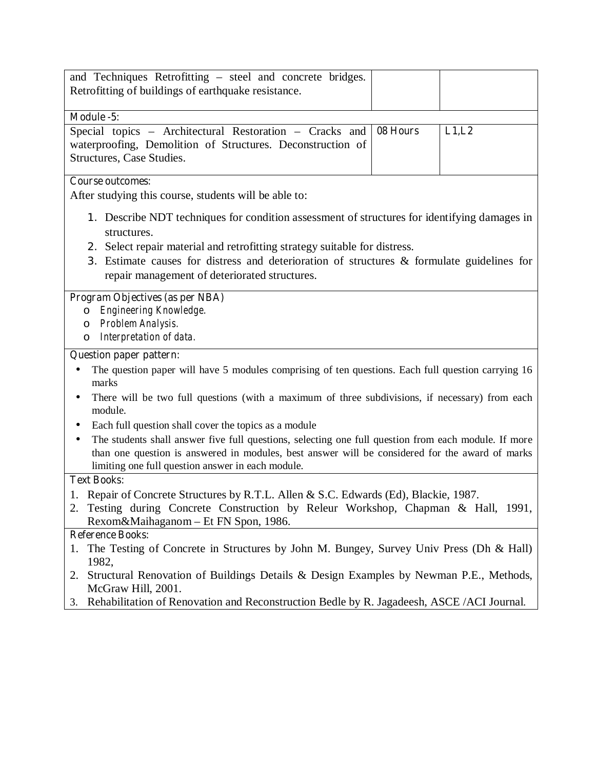| and Techniques Retrofitting – steel and concrete bridges.                                                               |          |       |
|-------------------------------------------------------------------------------------------------------------------------|----------|-------|
| Retrofitting of buildings of earthquake resistance.                                                                     |          |       |
| Module -5:                                                                                                              |          |       |
| Special topics - Architectural Restoration - Cracks and                                                                 | 08 Hours | L1,L2 |
| waterproofing, Demolition of Structures. Deconstruction of                                                              |          |       |
| Structures, Case Studies.                                                                                               |          |       |
|                                                                                                                         |          |       |
| <b>Course outcomes:</b>                                                                                                 |          |       |
| After studying this course, students will be able to:                                                                   |          |       |
| 1. Describe NDT techniques for condition assessment of structures for identifying damages in                            |          |       |
| structures.                                                                                                             |          |       |
| 2. Select repair material and retrofitting strategy suitable for distress.                                              |          |       |
| 3. Estimate causes for distress and deterioration of structures & formulate guidelines for                              |          |       |
| repair management of deteriorated structures.                                                                           |          |       |
|                                                                                                                         |          |       |
| Program Objectives (as per NBA)                                                                                         |          |       |
| Engineering Knowledge.<br>O                                                                                             |          |       |
| Problem Analysis.<br>O                                                                                                  |          |       |
| Interpretation of data.<br>O                                                                                            |          |       |
| <b>Question paper pattern:</b>                                                                                          |          |       |
| The question paper will have 5 modules comprising of ten questions. Each full question carrying 16<br>marks             |          |       |
| There will be two full questions (with a maximum of three subdivisions, if necessary) from each<br>٠<br>module.         |          |       |
| Each full question shall cover the topics as a module                                                                   |          |       |
| The students shall answer five full questions, selecting one full question from each module. If more                    |          |       |
| than one question is answered in modules, best answer will be considered for the award of marks                         |          |       |
| limiting one full question answer in each module.                                                                       |          |       |
| <b>Text Books:</b>                                                                                                      |          |       |
| 1. Repair of Concrete Structures by R.T.L. Allen & S.C. Edwards (Ed), Blackie, 1987.                                    |          |       |
| 2. Testing during Concrete Construction by Releur Workshop, Chapman & Hall, 1991,                                       |          |       |
| Rexom&Maihaganom - Et FN Spon, 1986.                                                                                    |          |       |
| <b>Reference Books:</b>                                                                                                 |          |       |
| 1. The Testing of Concrete in Structures by John M. Bungey, Survey Univ Press (Dh & Hall)                               |          |       |
|                                                                                                                         |          |       |
|                                                                                                                         |          |       |
| 1982,<br>2. Structural Renovation of Buildings Details & Design Examples by Newman P.E., Methods,<br>McGraw Hill, 2001. |          |       |

3. Rehabilitation of Renovation and Reconstruction Bedle by R. Jagadeesh, ASCE /ACI Journal.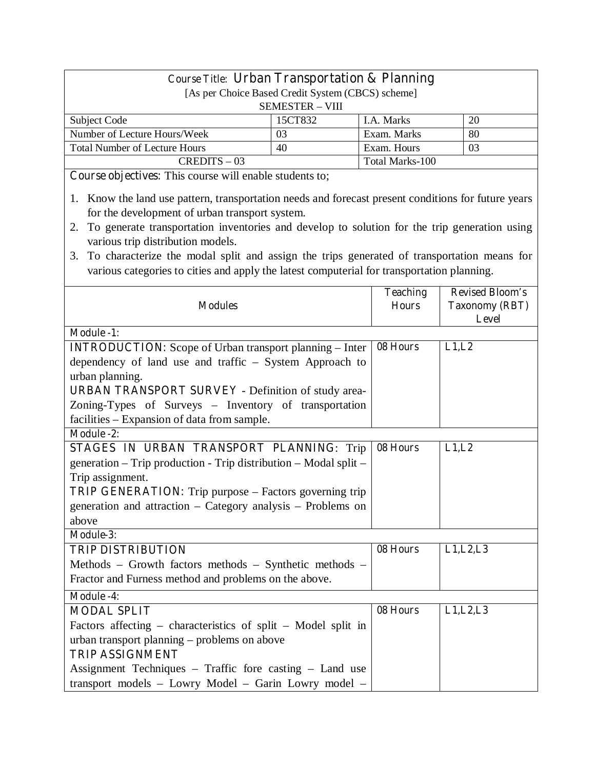| <b>Course Title: Urban Transportation &amp; Planning</b>                                            |                                                                             |                 |                        |
|-----------------------------------------------------------------------------------------------------|-----------------------------------------------------------------------------|-----------------|------------------------|
|                                                                                                     | [As per Choice Based Credit System (CBCS) scheme]<br><b>SEMESTER - VIII</b> |                 |                        |
|                                                                                                     | 15CT832                                                                     | I.A. Marks      | 20                     |
| Subject Code<br>Number of Lecture Hours/Week                                                        | 03                                                                          | Exam. Marks     | 80                     |
| <b>Total Number of Lecture Hours</b>                                                                | 40                                                                          | Exam. Hours     | 03                     |
| $CREDITS - 03$                                                                                      |                                                                             | Total Marks-100 |                        |
| Course objectives: This course will enable students to;                                             |                                                                             |                 |                        |
|                                                                                                     |                                                                             |                 |                        |
| 1. Know the land use pattern, transportation needs and forecast present conditions for future years |                                                                             |                 |                        |
| for the development of urban transport system.                                                      |                                                                             |                 |                        |
| To generate transportation inventories and develop to solution for the trip generation using<br>2.  |                                                                             |                 |                        |
| various trip distribution models.                                                                   |                                                                             |                 |                        |
| To characterize the modal split and assign the trips generated of transportation means for<br>3.    |                                                                             |                 |                        |
| various categories to cities and apply the latest computerial for transportation planning.          |                                                                             |                 |                        |
|                                                                                                     |                                                                             | <b>Teaching</b> | <b>Revised Bloom's</b> |
| <b>Modules</b>                                                                                      |                                                                             | <b>Hours</b>    | <b>Taxonomy (RBT)</b>  |
|                                                                                                     |                                                                             |                 | Level                  |
| Module -1:                                                                                          |                                                                             |                 |                        |
| <b>INTRODUCTION:</b> Scope of Urban transport planning - Inter                                      |                                                                             | 08 Hours        | L1,L2                  |
| dependency of land use and traffic - System Approach to                                             |                                                                             |                 |                        |
| urban planning.                                                                                     |                                                                             |                 |                        |
| <b>URBAN TRANSPORT SURVEY</b> - Definition of study area-                                           |                                                                             |                 |                        |
| Zoning-Types of Surveys - Inventory of transportation                                               |                                                                             |                 |                        |
| facilities – Expansion of data from sample.                                                         |                                                                             |                 |                        |
| <b>Module -2:</b>                                                                                   |                                                                             |                 |                        |
| STAGES IN URBAN TRANSPORT PLANNING: Trip                                                            |                                                                             | 08 Hours        | L1,L2                  |
| generation – Trip production - Trip distribution – Modal split –                                    |                                                                             |                 |                        |
| Trip assignment.                                                                                    |                                                                             |                 |                        |
| <b>TRIP GENERATION:</b> Trip purpose – Factors governing trip                                       |                                                                             |                 |                        |
| generation and attraction – Category analysis – Problems on                                         |                                                                             |                 |                        |
| above                                                                                               |                                                                             |                 |                        |
| Module-3:                                                                                           |                                                                             |                 |                        |
| <b>TRIP DISTRIBUTION</b>                                                                            |                                                                             | 08 Hours        | L1, L2, L3             |
| Methods – Growth factors methods – Synthetic methods –                                              |                                                                             |                 |                        |
| Fractor and Furness method and problems on the above.                                               |                                                                             |                 |                        |
| <b>Module -4:</b>                                                                                   |                                                                             |                 |                        |
| <b>MODAL SPLIT</b>                                                                                  |                                                                             | 08 Hours        | L1, L2, L3             |
|                                                                                                     |                                                                             |                 |                        |
| Factors affecting – characteristics of split – Model split in                                       |                                                                             |                 |                        |
| urban transport planning – problems on above                                                        |                                                                             |                 |                        |
| <b>TRIP ASSIGNMENT</b>                                                                              |                                                                             |                 |                        |
| Assignment Techniques – Traffic fore casting – Land use                                             |                                                                             |                 |                        |
| transport models - Lowry Model - Garin Lowry model -                                                |                                                                             |                 |                        |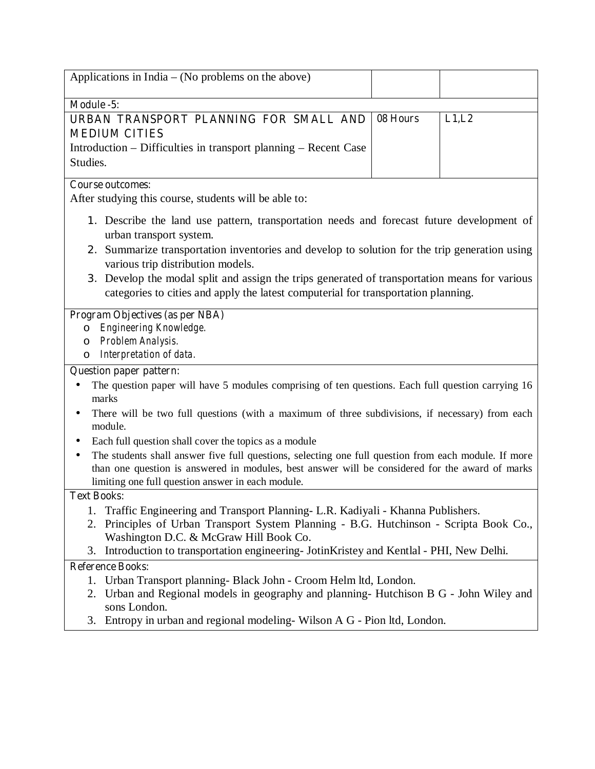| Applications in India $-$ (No problems on the above)                                                                                                                                                                                                                                                                                                                                                                                              |          |        |
|---------------------------------------------------------------------------------------------------------------------------------------------------------------------------------------------------------------------------------------------------------------------------------------------------------------------------------------------------------------------------------------------------------------------------------------------------|----------|--------|
| Module -5:                                                                                                                                                                                                                                                                                                                                                                                                                                        |          |        |
| URBAN TRANSPORT PLANNING FOR SMALL AND<br><b>MEDIUM CITIES</b><br>Introduction – Difficulties in transport planning – Recent Case<br>Studies.                                                                                                                                                                                                                                                                                                     | 08 Hours | L1, L2 |
| <b>Course outcomes:</b><br>After studying this course, students will be able to:                                                                                                                                                                                                                                                                                                                                                                  |          |        |
| 1. Describe the land use pattern, transportation needs and forecast future development of<br>urban transport system.<br>2. Summarize transportation inventories and develop to solution for the trip generation using<br>various trip distribution models.<br>3. Develop the modal split and assign the trips generated of transportation means for various<br>categories to cities and apply the latest computerial for transportation planning. |          |        |
| Program Objectives (as per NBA)<br>Engineering Knowledge.<br>$\circ$<br>Problem Analysis.<br>$\circ$<br>Interpretation of data.<br>$\circ$                                                                                                                                                                                                                                                                                                        |          |        |
| <b>Question paper pattern:</b>                                                                                                                                                                                                                                                                                                                                                                                                                    |          |        |
| The question paper will have 5 modules comprising of ten questions. Each full question carrying 16<br>marks<br>There will be two full questions (with a maximum of three subdivisions, if necessary) from each<br>٠                                                                                                                                                                                                                               |          |        |
| module.                                                                                                                                                                                                                                                                                                                                                                                                                                           |          |        |
| Each full question shall cover the topics as a module<br>The students shall answer five full questions, selecting one full question from each module. If more<br>٠<br>than one question is answered in modules, best answer will be considered for the award of marks<br>limiting one full question answer in each module.                                                                                                                        |          |        |
| <b>Text Books:</b>                                                                                                                                                                                                                                                                                                                                                                                                                                |          |        |
| Traffic Engineering and Transport Planning- L.R. Kadiyali - Khanna Publishers.<br>Principles of Urban Transport System Planning - B.G. Hutchinson - Scripta Book Co.,<br>2.<br>Washington D.C. & McGraw Hill Book Co.                                                                                                                                                                                                                             |          |        |
| Introduction to transportation engineering- JotinKristey and Kentlal - PHI, New Delhi.<br>3.                                                                                                                                                                                                                                                                                                                                                      |          |        |
| <b>Reference Books:</b><br>Urban Transport planning- Black John - Croom Helm ltd, London.<br>1.<br>Urban and Regional models in geography and planning- Hutchison B G - John Wiley and<br>2.<br>sons London.<br>Entropy in urban and regional modeling-Wilson A G - Pion ltd, London.<br>3.                                                                                                                                                       |          |        |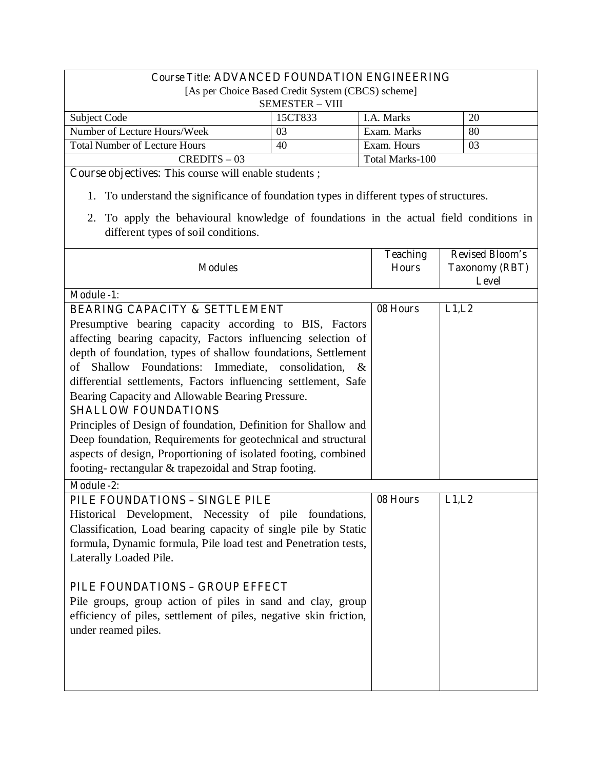# **Course Title: ADVANCED FOUNDATION ENGINEERING**

[As per Choice Based Credit System (CBCS) scheme]

| <b>SEMESTER – VIII</b>               |         |                   |    |
|--------------------------------------|---------|-------------------|----|
| Subject Code                         | 15CT833 | <b>I.A. Marks</b> | 20 |
| Number of Lecture Hours/Week         | 03      | Exam. Marks       | 80 |
| <b>Total Number of Lecture Hours</b> | 40      | Exam. Hours       |    |
| $CREDITS - 03$                       |         | Total Marks-100   |    |

**Course objectives:** This course will enable students ;

- 1. To understand the significance of foundation types in different types of structures.
- 2. To apply the behavioural knowledge of foundations in the actual field conditions in different types of soil conditions.

|                                                                   | <b>Teaching</b> | <b>Revised Bloom's</b> |
|-------------------------------------------------------------------|-----------------|------------------------|
| <b>Modules</b>                                                    | <b>Hours</b>    | <b>Taxonomy (RBT)</b>  |
|                                                                   |                 | <b>Level</b>           |
| <b>Module -1:</b>                                                 |                 |                        |
| <b>BEARING CAPACITY &amp; SETTLEMENT</b>                          | 08 Hours        | L1,L2                  |
| Presumptive bearing capacity according to BIS, Factors            |                 |                        |
| affecting bearing capacity, Factors influencing selection of      |                 |                        |
| depth of foundation, types of shallow foundations, Settlement     |                 |                        |
| Shallow<br>Foundations: Immediate, consolidation,<br>of<br>$\&$   |                 |                        |
| differential settlements, Factors influencing settlement, Safe    |                 |                        |
| Bearing Capacity and Allowable Bearing Pressure.                  |                 |                        |
| <b>SHALLOW FOUNDATIONS</b>                                        |                 |                        |
| Principles of Design of foundation, Definition for Shallow and    |                 |                        |
| Deep foundation, Requirements for geotechnical and structural     |                 |                        |
| aspects of design, Proportioning of isolated footing, combined    |                 |                        |
| footing-rectangular & trapezoidal and Strap footing.              |                 |                        |
| <b>Module -2:</b>                                                 |                 |                        |
| PILE FOUNDATIONS - SINGLE PILE                                    | 08 Hours        | L1,L2                  |
| Historical Development, Necessity of pile foundations,            |                 |                        |
| Classification, Load bearing capacity of single pile by Static    |                 |                        |
| formula, Dynamic formula, Pile load test and Penetration tests,   |                 |                        |
| Laterally Loaded Pile.                                            |                 |                        |
|                                                                   |                 |                        |
| PILE FOUNDATIONS - GROUP EFFECT                                   |                 |                        |
| Pile groups, group action of piles in sand and clay, group        |                 |                        |
| efficiency of piles, settlement of piles, negative skin friction, |                 |                        |
| under reamed piles.                                               |                 |                        |
|                                                                   |                 |                        |
|                                                                   |                 |                        |
|                                                                   |                 |                        |
|                                                                   |                 |                        |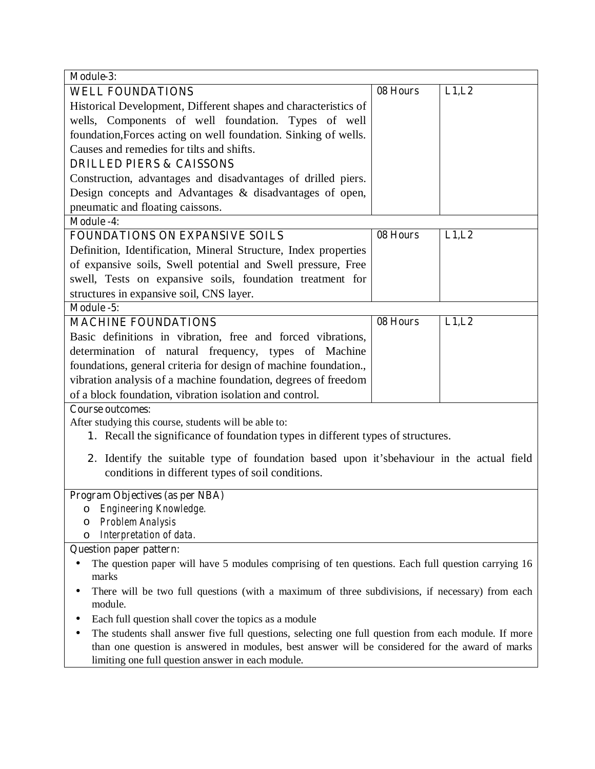| Module-3:                                                                                                                                                                                               |          |        |
|---------------------------------------------------------------------------------------------------------------------------------------------------------------------------------------------------------|----------|--------|
| <b>WELL FOUNDATIONS</b>                                                                                                                                                                                 | 08 Hours | L1, L2 |
| Historical Development, Different shapes and characteristics of                                                                                                                                         |          |        |
| wells, Components of well foundation. Types of well                                                                                                                                                     |          |        |
| foundation, Forces acting on well foundation. Sinking of wells.                                                                                                                                         |          |        |
| Causes and remedies for tilts and shifts.                                                                                                                                                               |          |        |
| <b>DRILLED PIERS &amp; CAISSONS</b>                                                                                                                                                                     |          |        |
| Construction, advantages and disadvantages of drilled piers.                                                                                                                                            |          |        |
| Design concepts and Advantages & disadvantages of open,                                                                                                                                                 |          |        |
| pneumatic and floating caissons.                                                                                                                                                                        |          |        |
| <b>Module -4:</b>                                                                                                                                                                                       |          |        |
| <b>FOUNDATIONS ON EXPANSIVE SOILS</b>                                                                                                                                                                   | 08 Hours | L1, L2 |
| Definition, Identification, Mineral Structure, Index properties                                                                                                                                         |          |        |
| of expansive soils, Swell potential and Swell pressure, Free                                                                                                                                            |          |        |
| swell, Tests on expansive soils, foundation treatment for                                                                                                                                               |          |        |
| structures in expansive soil, CNS layer.                                                                                                                                                                |          |        |
| Module -5:                                                                                                                                                                                              |          |        |
| <b>MACHINE FOUNDATIONS</b>                                                                                                                                                                              | 08 Hours | L1,L2  |
| Basic definitions in vibration, free and forced vibrations,                                                                                                                                             |          |        |
| determination of natural frequency, types of Machine                                                                                                                                                    |          |        |
| foundations, general criteria for design of machine foundation.,                                                                                                                                        |          |        |
| vibration analysis of a machine foundation, degrees of freedom                                                                                                                                          |          |        |
| of a block foundation, vibration isolation and control.                                                                                                                                                 |          |        |
| <b>Course outcomes:</b>                                                                                                                                                                                 |          |        |
| After studying this course, students will be able to:                                                                                                                                                   |          |        |
| 1. Recall the significance of foundation types in different types of structures.                                                                                                                        |          |        |
| 2. Identify the suitable type of foundation based upon it's behaviour in the actual field<br>conditions in different types of soil conditions.                                                          |          |        |
| Program Objectives (as per NBA)                                                                                                                                                                         |          |        |
| o Engineering Knowledge.                                                                                                                                                                                |          |        |
| Problem Analysis<br>O                                                                                                                                                                                   |          |        |
| Interpretation of data.<br>$\circ$                                                                                                                                                                      |          |        |
| <b>Question paper pattern:</b>                                                                                                                                                                          |          |        |
| The question paper will have 5 modules comprising of ten questions. Each full question carrying 16<br>marks                                                                                             |          |        |
| There will be two full questions (with a maximum of three subdivisions, if necessary) from each<br>module.                                                                                              |          |        |
| Each full question shall cover the topics as a module                                                                                                                                                   |          |        |
| The students shall answer five full questions, selecting one full question from each module. If more<br>than one question is answered in modules, best answer will be considered for the award of marks |          |        |
| limiting one full question answer in each module.                                                                                                                                                       |          |        |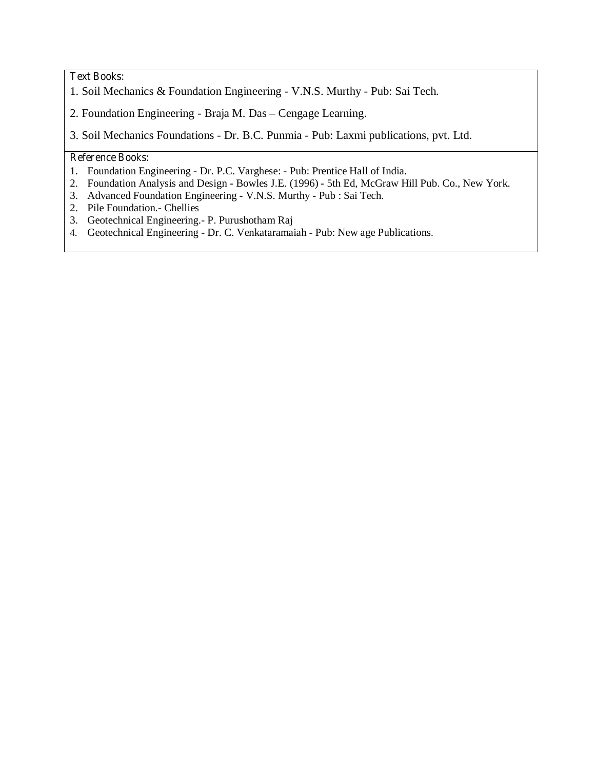# **Text Books:**

- 1. Soil Mechanics & Foundation Engineering V.N.S. Murthy Pub: Sai Tech.
- 2. Foundation Engineering Braja M. Das Cengage Learning.

3. Soil Mechanics Foundations - Dr. B.C. Punmia - Pub: Laxmi publications, pvt. Ltd.

### **Reference Books:**

- 1. Foundation Engineering Dr. P.C. Varghese: Pub: Prentice Hall of India.
- 2. Foundation Analysis and Design Bowles J.E. (1996) 5th Ed, McGraw Hill Pub. Co., New York.
- 3. Advanced Foundation Engineering V.N.S. Murthy Pub : Sai Tech.
- 2. Pile Foundation.- Chellies
- 3. Geotechnical Engineering.- P. Purushotham Raj
- 4. Geotechnical Engineering Dr. C. Venkataramaiah Pub: New age Publications.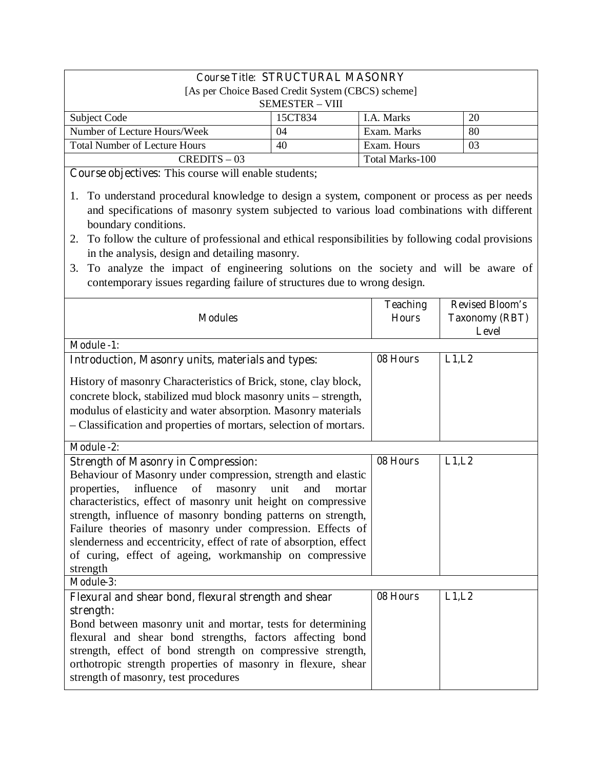| <b>Course Title: STRUCTURAL MASONRY</b>           |         |                 |     |
|---------------------------------------------------|---------|-----------------|-----|
| [As per Choice Based Credit System (CBCS) scheme] |         |                 |     |
| <b>SEMESTER - VIII</b>                            |         |                 |     |
| Subject Code                                      | 15CT834 | I.A. Marks      | 20  |
| Number of Lecture Hours/Week                      | 04      | Exam. Marks     | -80 |
| <b>Total Number of Lecture Hours</b>              | 40      | Exam. Hours     | 03  |
| $CREDITS - 03$                                    |         | Total Marks-100 |     |

**Course objectives:** This course will enable students;

- 1. To understand procedural knowledge to design a system, component or process as per needs and specifications of masonry system subjected to various load combinations with different boundary conditions.
- 2. To follow the culture of professional and ethical responsibilities by following codal provisions in the analysis, design and detailing masonry.
- 3. To analyze the impact of engineering solutions on the society and will be aware of contemporary issues regarding failure of structures due to wrong design.

| <b>Modules</b>                                                                                                                                                                                                                                                                                                                                                                                                                                                                                                  | <b>Teaching</b><br><b>Hours</b> | <b>Revised Bloom's</b><br><b>Taxonomy (RBT)</b><br><b>Level</b> |
|-----------------------------------------------------------------------------------------------------------------------------------------------------------------------------------------------------------------------------------------------------------------------------------------------------------------------------------------------------------------------------------------------------------------------------------------------------------------------------------------------------------------|---------------------------------|-----------------------------------------------------------------|
| <b>Module -1:</b>                                                                                                                                                                                                                                                                                                                                                                                                                                                                                               |                                 |                                                                 |
| <b>Introduction, Masonry units, materials and types:</b>                                                                                                                                                                                                                                                                                                                                                                                                                                                        | 08 Hours                        | L1,L2                                                           |
| History of masonry Characteristics of Brick, stone, clay block,<br>concrete block, stabilized mud block masonry units - strength,<br>modulus of elasticity and water absorption. Masonry materials<br>- Classification and properties of mortars, selection of mortars.                                                                                                                                                                                                                                         |                                 |                                                                 |
| Module -2:                                                                                                                                                                                                                                                                                                                                                                                                                                                                                                      |                                 |                                                                 |
| <b>Strength of Masonry in Compression:</b><br>Behaviour of Masonry under compression, strength and elastic<br>properties, influence of masonry unit<br>and<br>mortar<br>characteristics, effect of masonry unit height on compressive<br>strength, influence of masonry bonding patterns on strength,<br>Failure theories of masonry under compression. Effects of<br>slenderness and eccentricity, effect of rate of absorption, effect<br>of curing, effect of ageing, workmanship on compressive<br>strength | 08 Hours                        | L1,L2                                                           |
| Module-3:                                                                                                                                                                                                                                                                                                                                                                                                                                                                                                       |                                 |                                                                 |
| Flexural and shear bond, flexural strength and shear<br>strength:<br>Bond between masonry unit and mortar, tests for determining<br>flexural and shear bond strengths, factors affecting bond<br>strength, effect of bond strength on compressive strength,<br>orthotropic strength properties of masonry in flexure, shear<br>strength of masonry, test procedures                                                                                                                                             | 08 Hours                        | L1,L2                                                           |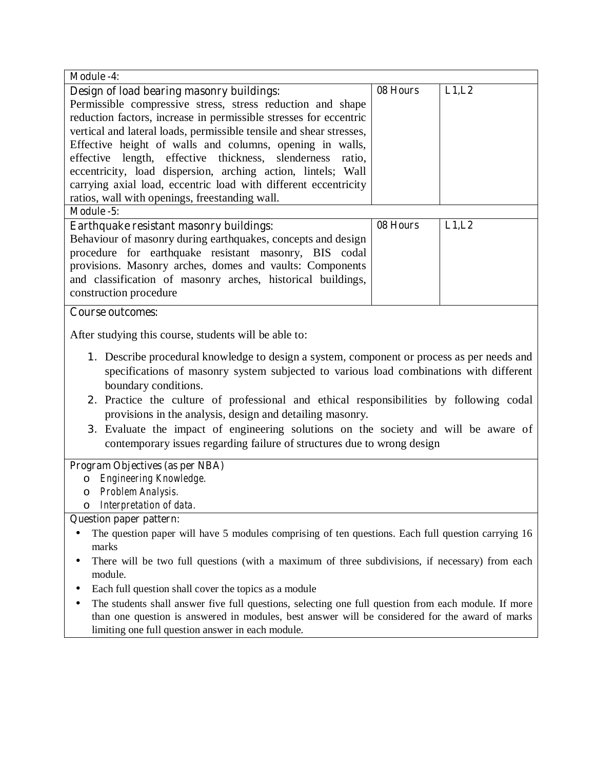| <b>Module -4:</b>                                                                                                                                                                                                                                                                                                                                                                                                                                                                                                                      |          |       |
|----------------------------------------------------------------------------------------------------------------------------------------------------------------------------------------------------------------------------------------------------------------------------------------------------------------------------------------------------------------------------------------------------------------------------------------------------------------------------------------------------------------------------------------|----------|-------|
| Design of load bearing masonry buildings:                                                                                                                                                                                                                                                                                                                                                                                                                                                                                              | 08 Hours | L1,L2 |
| Permissible compressive stress, stress reduction and shape                                                                                                                                                                                                                                                                                                                                                                                                                                                                             |          |       |
| reduction factors, increase in permissible stresses for eccentric                                                                                                                                                                                                                                                                                                                                                                                                                                                                      |          |       |
| vertical and lateral loads, permissible tensile and shear stresses,                                                                                                                                                                                                                                                                                                                                                                                                                                                                    |          |       |
| Effective height of walls and columns, opening in walls,                                                                                                                                                                                                                                                                                                                                                                                                                                                                               |          |       |
| effective length, effective thickness, slenderness<br>ratio,                                                                                                                                                                                                                                                                                                                                                                                                                                                                           |          |       |
| eccentricity, load dispersion, arching action, lintels; Wall                                                                                                                                                                                                                                                                                                                                                                                                                                                                           |          |       |
| carrying axial load, eccentric load with different eccentricity                                                                                                                                                                                                                                                                                                                                                                                                                                                                        |          |       |
| ratios, wall with openings, freestanding wall.                                                                                                                                                                                                                                                                                                                                                                                                                                                                                         |          |       |
| Module -5:                                                                                                                                                                                                                                                                                                                                                                                                                                                                                                                             |          |       |
| Earthquake resistant masonry buildings:<br>Behaviour of masonry during earthquakes, concepts and design<br>procedure for earthquake resistant masonry, BIS codal<br>provisions. Masonry arches, domes and vaults: Components<br>and classification of masonry arches, historical buildings,<br>construction procedure                                                                                                                                                                                                                  | 08 Hours | L1,L2 |
| <b>Course outcomes:</b>                                                                                                                                                                                                                                                                                                                                                                                                                                                                                                                |          |       |
| After studying this course, students will be able to:                                                                                                                                                                                                                                                                                                                                                                                                                                                                                  |          |       |
| 1. Describe procedural knowledge to design a system, component or process as per needs and<br>specifications of masonry system subjected to various load combinations with different<br>boundary conditions.<br>2. Practice the culture of professional and ethical responsibilities by following codal<br>provisions in the analysis, design and detailing masonry.<br>3. Evaluate the impact of engineering solutions on the society and will be aware of<br>contemporary issues regarding failure of structures due to wrong design |          |       |
| Program Objectives (as per NBA)                                                                                                                                                                                                                                                                                                                                                                                                                                                                                                        |          |       |
| Engineering Knowledge.<br>$\circ$                                                                                                                                                                                                                                                                                                                                                                                                                                                                                                      |          |       |
| Problem Analysis.<br>O                                                                                                                                                                                                                                                                                                                                                                                                                                                                                                                 |          |       |
| o Interpretation of data.                                                                                                                                                                                                                                                                                                                                                                                                                                                                                                              |          |       |
| <b>Question paper pattern:</b>                                                                                                                                                                                                                                                                                                                                                                                                                                                                                                         |          |       |
| The question paper will have 5 modules comprising of ten questions. Each full question carrying 16<br>marks                                                                                                                                                                                                                                                                                                                                                                                                                            |          |       |
| There will be two full questions (with a maximum of three subdivisions, if necessary) from each                                                                                                                                                                                                                                                                                                                                                                                                                                        |          |       |
| module.                                                                                                                                                                                                                                                                                                                                                                                                                                                                                                                                |          |       |
| Each full question shall cover the topics as a module<br>The students shall answer five full questions, selecting one full question from each module. If more<br>than one question is answered in modules, best answer will be considered for the award of marks<br>limiting one full question answer in each module.                                                                                                                                                                                                                  |          |       |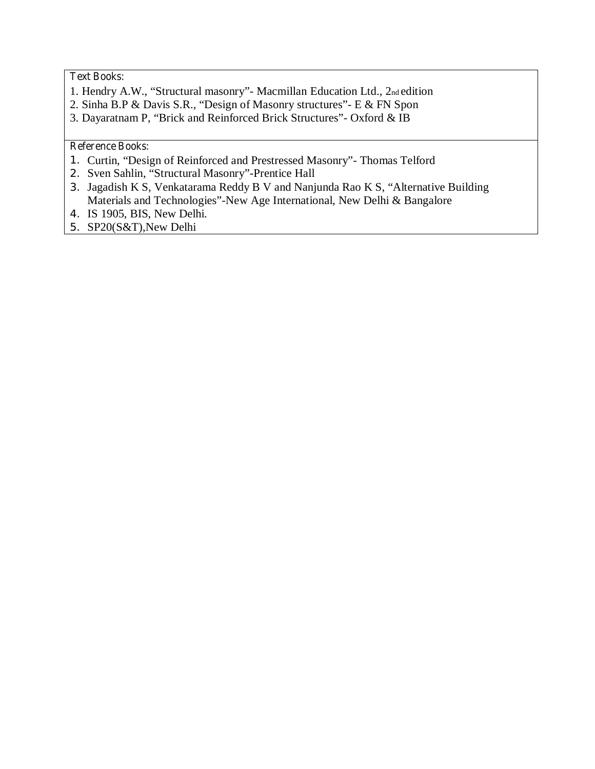# **Text Books:**

- 1. Hendry A.W., "Structural masonry"- Macmillan Education Ltd., 2nd edition
- 2. Sinha B.P & Davis S.R., "Design of Masonry structures"- E & FN Spon
- 3. Dayaratnam P, "Brick and Reinforced Brick Structures"- Oxford & IB

## **Reference Books:**

- 1. Curtin, "Design of Reinforced and Prestressed Masonry"- Thomas Telford
- 2. Sven Sahlin, "Structural Masonry"-Prentice Hall
- 3. Jagadish K S, Venkatarama Reddy B V and Nanjunda Rao K S, "Alternative Building Materials and Technologies"-New Age International, New Delhi & Bangalore
- 4. IS 1905, BIS, New Delhi.
- 5. SP20(S&T),New Delhi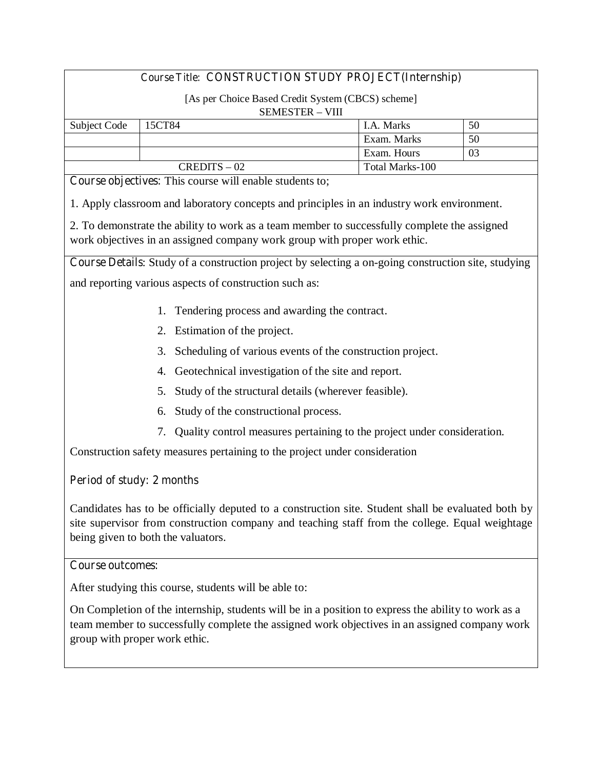# **Course Title: CONSTRUCTION STUDY PROJECT(Internship)**

### [As per Choice Based Credit System (CBCS) scheme] SEMESTER – VIII

| .            |                |                   |    |
|--------------|----------------|-------------------|----|
| Subject Code | 15CT84         | <b>I.A. Marks</b> | 50 |
|              |                | Exam. Marks       | 50 |
|              |                | Exam. Hours       | 03 |
|              | $CREDITS - 02$ | Total Marks-100   |    |

**Course objectives:** This course will enable students to;

1. Apply classroom and laboratory concepts and principles in an industry work environment.

2. To demonstrate the ability to work as a team member to successfully complete the assigned work objectives in an assigned company work group with proper work ethic.

**Course Details**: Study of a construction project by selecting a on-going construction site, studying

and reporting various aspects of construction such as:

- 1. Tendering process and awarding the contract.
- 2. Estimation of the project.
- 3. Scheduling of various events of the construction project.
- 4. Geotechnical investigation of the site and report.
- 5. Study of the structural details (wherever feasible).
- 6. Study of the constructional process.
- 7. Quality control measures pertaining to the project under consideration.

Construction safety measures pertaining to the project under consideration

## **Period of study: 2 months**

Candidates has to be officially deputed to a construction site. Student shall be evaluated both by site supervisor from construction company and teaching staff from the college. Equal weightage being given to both the valuators.

### **Course outcomes:**

After studying this course, students will be able to:

On Completion of the internship, students will be in a position to express the ability to work as a team member to successfully complete the assigned work objectives in an assigned company work group with proper work ethic.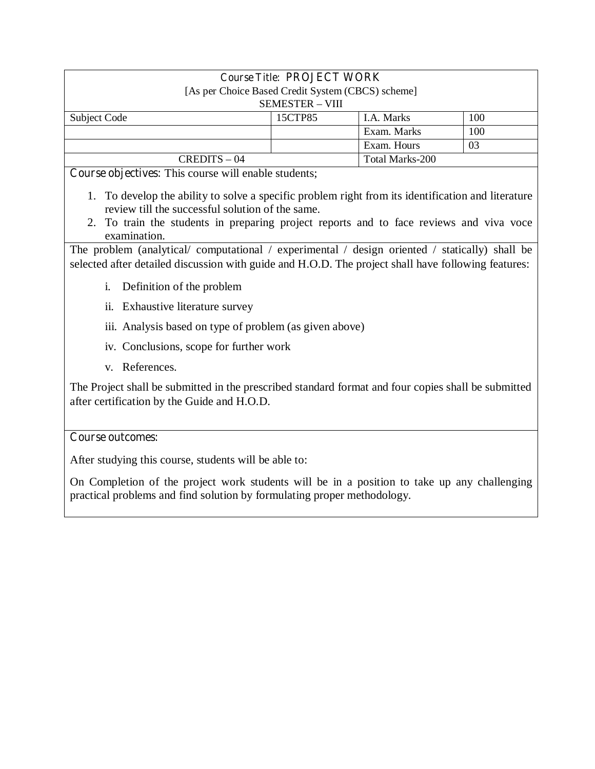| <b>Course Title: PROJECT WORK</b>                 |         |                 |     |  |
|---------------------------------------------------|---------|-----------------|-----|--|
| [As per Choice Based Credit System (CBCS) scheme] |         |                 |     |  |
| <b>SEMESTER - VIII</b>                            |         |                 |     |  |
| Subject Code                                      | 15CTP85 | I.A. Marks      | 100 |  |
|                                                   |         | Exam. Marks     | 100 |  |
|                                                   |         | Exam. Hours     | 03  |  |
| $CREDITS - 04$                                    |         | Total Marks-200 |     |  |

**Course objectives:** This course will enable students;

- 1. To develop the ability to solve a specific problem right from its identification and literature review till the successful solution of the same.
- 2. To train the students in preparing project reports and to face reviews and viva voce examination.

The problem (analytical/ computational / experimental / design oriented / statically) shall be selected after detailed discussion with guide and H.O.D. The project shall have following features:

- i. Definition of the problem
- ii. Exhaustive literature survey
- iii. Analysis based on type of problem (as given above)
- iv. Conclusions, scope for further work
- v. References.

The Project shall be submitted in the prescribed standard format and four copies shall be submitted after certification by the Guide and H.O.D.

## **Course outcomes:**

After studying this course, students will be able to:

On Completion of the project work students will be in a position to take up any challenging practical problems and find solution by formulating proper methodology.